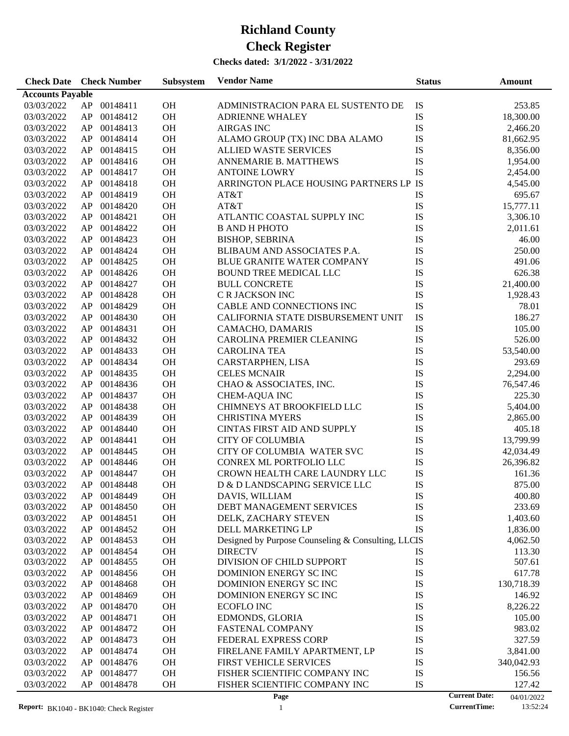#### **Checks dated: 3/1/2022 - 3/31/2022**

| <b>Accounts Payable</b><br>IS<br>03/03/2022<br>AP<br>00148411<br>OH<br>253.85<br>ADMINISTRACION PARA EL SUSTENTO DE<br>IS<br>03/03/2022<br>AP<br>00148412<br>OH<br><b>ADRIENNE WHALEY</b><br>18,300.00<br>${\rm IS}$<br>AP<br>00148413<br>OH<br><b>AIRGAS INC</b><br>03/03/2022<br>2,466.20<br>${\rm IS}$<br>AP<br>00148414<br>OH<br>ALAMO GROUP (TX) INC DBA ALAMO<br>03/03/2022<br>81,662.95<br>IS<br>AP<br>00148415<br>OH<br><b>ALLIED WASTE SERVICES</b><br>03/03/2022<br>8,356.00<br>IS<br>AP<br>00148416<br>OH<br>03/03/2022<br>ANNEMARIE B. MATTHEWS<br>1,954.00<br>IS<br>AP<br>00148417<br>OH<br><b>ANTOINE LOWRY</b><br>03/03/2022<br>2,454.00<br>ARRINGTON PLACE HOUSING PARTNERS LP IS<br>AP<br>00148418<br>OH<br>03/03/2022<br>4,545.00<br>IS<br>AP<br>00148419<br>OH<br>03/03/2022<br>AT&T<br>695.67<br>${\rm IS}$<br>AP<br>00148420<br>OH<br>AT&T<br>15,777.11<br>03/03/2022<br>${\rm IS}$<br>AP<br>00148421<br>OH<br>ATLANTIC COASTAL SUPPLY INC<br>03/03/2022<br>3,306.10<br>IS<br>AP<br>00148422<br>OH<br><b>B AND H PHOTO</b><br>03/03/2022<br>2,011.61<br>${\rm IS}$<br>AP<br>00148423<br>OH<br><b>BISHOP, SEBRINA</b><br>46.00<br>03/03/2022<br>${\rm IS}$<br>AP<br>00148424<br>OH<br>BLIBAUM AND ASSOCIATES P.A.<br>250.00<br>03/03/2022<br>${\rm IS}$<br>AP<br>00148425<br>OH<br>BLUE GRANITE WATER COMPANY<br>491.06<br>03/03/2022<br>${\rm IS}$<br>AP<br>00148426<br>OH<br><b>BOUND TREE MEDICAL LLC</b><br>626.38<br>03/03/2022<br>${\rm IS}$<br>AP<br>00148427<br>OH<br><b>BULL CONCRETE</b><br>21,400.00<br>03/03/2022<br>${\rm IS}$<br>AP<br>00148428<br>OH<br>C R JACKSON INC<br>03/03/2022<br>1,928.43<br>${\rm IS}$<br>AP<br>00148429<br>OH<br>CABLE AND CONNECTIONS INC<br>78.01<br>03/03/2022<br>${\rm IS}$<br>AP<br>00148430<br>OH<br>CALIFORNIA STATE DISBURSEMENT UNIT<br>186.27<br>03/03/2022<br>${\rm IS}$<br>AP<br>00148431<br>OH<br>105.00<br>03/03/2022<br>CAMACHO, DAMARIS<br>${\rm IS}$<br>AP<br>00148432<br>OH<br>526.00<br>03/03/2022<br>CAROLINA PREMIER CLEANING<br>${\rm IS}$<br>AP<br>00148433<br>OH<br>53,540.00<br>03/03/2022<br><b>CAROLINA TEA</b><br>${\rm IS}$<br>AP<br>00148434<br>OH<br>CARSTARPHEN, LISA<br>293.69<br>03/03/2022<br>IS<br>AP<br>00148435<br>OH<br><b>CELES MCNAIR</b><br>2,294.00<br>03/03/2022<br>IS<br>AP<br>00148436<br>OH<br>CHAO & ASSOCIATES, INC.<br>03/03/2022<br>76,547.46<br>IS<br>AP<br>00148437<br>OH<br>225.30<br>03/03/2022<br>CHEM-AQUA INC<br>IS<br>AP<br>00148438<br>OH<br>CHIMNEYS AT BROOKFIELD LLC<br>03/03/2022<br>5,404.00<br>${\rm IS}$<br>AP<br>00148439<br>OH<br>03/03/2022<br><b>CHRISTINA MYERS</b><br>2,865.00<br>${\rm IS}$<br>AP<br>00148440<br>OH<br><b>CINTAS FIRST AID AND SUPPLY</b><br>03/03/2022<br>405.18<br>${\rm IS}$<br>AP<br>00148441<br>OH<br><b>CITY OF COLUMBIA</b><br>03/03/2022<br>13,799.99<br>${\rm IS}$<br>AP<br>00148445<br>OH<br>CITY OF COLUMBIA WATER SVC<br>03/03/2022<br>42,034.49<br>${\rm IS}$<br>AP<br>00148446<br>OH<br>CONREX ML PORTFOLIO LLC<br>03/03/2022<br>26,396.82<br>${\rm IS}$<br>AP<br>00148447<br>OH<br>CROWN HEALTH CARE LAUNDRY LLC<br>03/03/2022<br>161.36<br>IS<br>AP 00148448<br>OH<br>D & D LANDSCAPING SERVICE LLC<br>03/03/2022<br>875.00<br>IS<br>AP 00148449<br>OH<br>03/03/2022<br>400.80<br>DAVIS, WILLIAM<br>IS<br>03/03/2022<br>AP<br>00148450<br>OH<br>DEBT MANAGEMENT SERVICES<br>233.69<br>00148451<br>OH<br>IS<br>03/03/2022<br>AP<br>DELK, ZACHARY STEVEN<br>1,403.60<br>IS<br>00148452<br>OH<br>03/03/2022<br>AP<br>DELL MARKETING LP<br>1,836.00<br>AP<br>00148453<br>OH<br>Designed by Purpose Counseling & Consulting, LLCIS<br>03/03/2022<br>4,062.50<br>AP<br>00148454<br>OH<br>IS<br>03/03/2022<br><b>DIRECTV</b><br>113.30<br>OH<br>IS<br>03/03/2022<br>AP<br>00148455<br>DIVISION OF CHILD SUPPORT<br>507.61<br>OH<br>DOMINION ENERGY SC INC<br>IS<br>03/03/2022<br>AP<br>00148456<br>617.78<br>IS<br>00148468<br>OH<br>DOMINION ENERGY SC INC<br>03/03/2022<br>AP<br>130,718.39<br>IS<br>00148469<br>OH<br>DOMINION ENERGY SC INC<br>146.92<br>03/03/2022<br>AP<br>IS<br>AP<br>00148470<br>OH<br><b>ECOFLO INC</b><br>8,226.22<br>03/03/2022<br>IS<br>AP<br>00148471<br>OH<br>105.00<br>03/03/2022<br>EDMONDS, GLORIA<br>IS<br>AP<br>00148472<br>OH<br><b>FASTENAL COMPANY</b><br>983.02<br>03/03/2022<br>IS<br>AP<br>00148473<br>OH<br>FEDERAL EXPRESS CORP<br>327.59<br>03/03/2022<br>00148474<br>OH<br>IS<br>03/03/2022<br>AP<br>FIRELANE FAMILY APARTMENT, LP<br>3,841.00<br>OH<br>FIRST VEHICLE SERVICES<br>IS<br>340,042.93<br>03/03/2022<br>AP<br>00148476<br>IS<br>00148477<br>OH<br>FISHER SCIENTIFIC COMPANY INC<br>03/03/2022<br>AP<br>156.56<br>IS<br>03/03/2022<br>AP<br>00148478<br>OH<br>FISHER SCIENTIFIC COMPANY INC<br>127.42<br><b>Current Date:</b><br>Page<br>04/01/2022 | <b>Check Date Check Number</b> |  | Subsystem | <b>Vendor Name</b> | <b>Status</b> | Amount |
|-----------------------------------------------------------------------------------------------------------------------------------------------------------------------------------------------------------------------------------------------------------------------------------------------------------------------------------------------------------------------------------------------------------------------------------------------------------------------------------------------------------------------------------------------------------------------------------------------------------------------------------------------------------------------------------------------------------------------------------------------------------------------------------------------------------------------------------------------------------------------------------------------------------------------------------------------------------------------------------------------------------------------------------------------------------------------------------------------------------------------------------------------------------------------------------------------------------------------------------------------------------------------------------------------------------------------------------------------------------------------------------------------------------------------------------------------------------------------------------------------------------------------------------------------------------------------------------------------------------------------------------------------------------------------------------------------------------------------------------------------------------------------------------------------------------------------------------------------------------------------------------------------------------------------------------------------------------------------------------------------------------------------------------------------------------------------------------------------------------------------------------------------------------------------------------------------------------------------------------------------------------------------------------------------------------------------------------------------------------------------------------------------------------------------------------------------------------------------------------------------------------------------------------------------------------------------------------------------------------------------------------------------------------------------------------------------------------------------------------------------------------------------------------------------------------------------------------------------------------------------------------------------------------------------------------------------------------------------------------------------------------------------------------------------------------------------------------------------------------------------------------------------------------------------------------------------------------------------------------------------------------------------------------------------------------------------------------------------------------------------------------------------------------------------------------------------------------------------------------------------------------------------------------------------------------------------------------------------------------------------------------------------------------------------------------------------------------------------------------------------------------------------------------------------------------------------------------------------------------------------------------------------------------------------------------------------------------------------------------------------------------------------------------------------------------------------------------------------------------------------------------------------------------------------------------------------------------------------------------------------------------------------------------------------------------------------------------------------------------------------------------------------------------------------------------------------------------------------------------------------------------------------------------------------------------------------------------------------------------------------------------------------------------------------------------------------------------------------------------------------------------------------------|--------------------------------|--|-----------|--------------------|---------------|--------|
|                                                                                                                                                                                                                                                                                                                                                                                                                                                                                                                                                                                                                                                                                                                                                                                                                                                                                                                                                                                                                                                                                                                                                                                                                                                                                                                                                                                                                                                                                                                                                                                                                                                                                                                                                                                                                                                                                                                                                                                                                                                                                                                                                                                                                                                                                                                                                                                                                                                                                                                                                                                                                                                                                                                                                                                                                                                                                                                                                                                                                                                                                                                                                                                                                                                                                                                                                                                                                                                                                                                                                                                                                                                                                                                                                                                                                                                                                                                                                                                                                                                                                                                                                                                                                                                                                                                                                                                                                                                                                                                                                                                                                                                                                                                                                                             |                                |  |           |                    |               |        |
|                                                                                                                                                                                                                                                                                                                                                                                                                                                                                                                                                                                                                                                                                                                                                                                                                                                                                                                                                                                                                                                                                                                                                                                                                                                                                                                                                                                                                                                                                                                                                                                                                                                                                                                                                                                                                                                                                                                                                                                                                                                                                                                                                                                                                                                                                                                                                                                                                                                                                                                                                                                                                                                                                                                                                                                                                                                                                                                                                                                                                                                                                                                                                                                                                                                                                                                                                                                                                                                                                                                                                                                                                                                                                                                                                                                                                                                                                                                                                                                                                                                                                                                                                                                                                                                                                                                                                                                                                                                                                                                                                                                                                                                                                                                                                                             |                                |  |           |                    |               |        |
|                                                                                                                                                                                                                                                                                                                                                                                                                                                                                                                                                                                                                                                                                                                                                                                                                                                                                                                                                                                                                                                                                                                                                                                                                                                                                                                                                                                                                                                                                                                                                                                                                                                                                                                                                                                                                                                                                                                                                                                                                                                                                                                                                                                                                                                                                                                                                                                                                                                                                                                                                                                                                                                                                                                                                                                                                                                                                                                                                                                                                                                                                                                                                                                                                                                                                                                                                                                                                                                                                                                                                                                                                                                                                                                                                                                                                                                                                                                                                                                                                                                                                                                                                                                                                                                                                                                                                                                                                                                                                                                                                                                                                                                                                                                                                                             |                                |  |           |                    |               |        |
|                                                                                                                                                                                                                                                                                                                                                                                                                                                                                                                                                                                                                                                                                                                                                                                                                                                                                                                                                                                                                                                                                                                                                                                                                                                                                                                                                                                                                                                                                                                                                                                                                                                                                                                                                                                                                                                                                                                                                                                                                                                                                                                                                                                                                                                                                                                                                                                                                                                                                                                                                                                                                                                                                                                                                                                                                                                                                                                                                                                                                                                                                                                                                                                                                                                                                                                                                                                                                                                                                                                                                                                                                                                                                                                                                                                                                                                                                                                                                                                                                                                                                                                                                                                                                                                                                                                                                                                                                                                                                                                                                                                                                                                                                                                                                                             |                                |  |           |                    |               |        |
|                                                                                                                                                                                                                                                                                                                                                                                                                                                                                                                                                                                                                                                                                                                                                                                                                                                                                                                                                                                                                                                                                                                                                                                                                                                                                                                                                                                                                                                                                                                                                                                                                                                                                                                                                                                                                                                                                                                                                                                                                                                                                                                                                                                                                                                                                                                                                                                                                                                                                                                                                                                                                                                                                                                                                                                                                                                                                                                                                                                                                                                                                                                                                                                                                                                                                                                                                                                                                                                                                                                                                                                                                                                                                                                                                                                                                                                                                                                                                                                                                                                                                                                                                                                                                                                                                                                                                                                                                                                                                                                                                                                                                                                                                                                                                                             |                                |  |           |                    |               |        |
|                                                                                                                                                                                                                                                                                                                                                                                                                                                                                                                                                                                                                                                                                                                                                                                                                                                                                                                                                                                                                                                                                                                                                                                                                                                                                                                                                                                                                                                                                                                                                                                                                                                                                                                                                                                                                                                                                                                                                                                                                                                                                                                                                                                                                                                                                                                                                                                                                                                                                                                                                                                                                                                                                                                                                                                                                                                                                                                                                                                                                                                                                                                                                                                                                                                                                                                                                                                                                                                                                                                                                                                                                                                                                                                                                                                                                                                                                                                                                                                                                                                                                                                                                                                                                                                                                                                                                                                                                                                                                                                                                                                                                                                                                                                                                                             |                                |  |           |                    |               |        |
|                                                                                                                                                                                                                                                                                                                                                                                                                                                                                                                                                                                                                                                                                                                                                                                                                                                                                                                                                                                                                                                                                                                                                                                                                                                                                                                                                                                                                                                                                                                                                                                                                                                                                                                                                                                                                                                                                                                                                                                                                                                                                                                                                                                                                                                                                                                                                                                                                                                                                                                                                                                                                                                                                                                                                                                                                                                                                                                                                                                                                                                                                                                                                                                                                                                                                                                                                                                                                                                                                                                                                                                                                                                                                                                                                                                                                                                                                                                                                                                                                                                                                                                                                                                                                                                                                                                                                                                                                                                                                                                                                                                                                                                                                                                                                                             |                                |  |           |                    |               |        |
|                                                                                                                                                                                                                                                                                                                                                                                                                                                                                                                                                                                                                                                                                                                                                                                                                                                                                                                                                                                                                                                                                                                                                                                                                                                                                                                                                                                                                                                                                                                                                                                                                                                                                                                                                                                                                                                                                                                                                                                                                                                                                                                                                                                                                                                                                                                                                                                                                                                                                                                                                                                                                                                                                                                                                                                                                                                                                                                                                                                                                                                                                                                                                                                                                                                                                                                                                                                                                                                                                                                                                                                                                                                                                                                                                                                                                                                                                                                                                                                                                                                                                                                                                                                                                                                                                                                                                                                                                                                                                                                                                                                                                                                                                                                                                                             |                                |  |           |                    |               |        |
|                                                                                                                                                                                                                                                                                                                                                                                                                                                                                                                                                                                                                                                                                                                                                                                                                                                                                                                                                                                                                                                                                                                                                                                                                                                                                                                                                                                                                                                                                                                                                                                                                                                                                                                                                                                                                                                                                                                                                                                                                                                                                                                                                                                                                                                                                                                                                                                                                                                                                                                                                                                                                                                                                                                                                                                                                                                                                                                                                                                                                                                                                                                                                                                                                                                                                                                                                                                                                                                                                                                                                                                                                                                                                                                                                                                                                                                                                                                                                                                                                                                                                                                                                                                                                                                                                                                                                                                                                                                                                                                                                                                                                                                                                                                                                                             |                                |  |           |                    |               |        |
|                                                                                                                                                                                                                                                                                                                                                                                                                                                                                                                                                                                                                                                                                                                                                                                                                                                                                                                                                                                                                                                                                                                                                                                                                                                                                                                                                                                                                                                                                                                                                                                                                                                                                                                                                                                                                                                                                                                                                                                                                                                                                                                                                                                                                                                                                                                                                                                                                                                                                                                                                                                                                                                                                                                                                                                                                                                                                                                                                                                                                                                                                                                                                                                                                                                                                                                                                                                                                                                                                                                                                                                                                                                                                                                                                                                                                                                                                                                                                                                                                                                                                                                                                                                                                                                                                                                                                                                                                                                                                                                                                                                                                                                                                                                                                                             |                                |  |           |                    |               |        |
|                                                                                                                                                                                                                                                                                                                                                                                                                                                                                                                                                                                                                                                                                                                                                                                                                                                                                                                                                                                                                                                                                                                                                                                                                                                                                                                                                                                                                                                                                                                                                                                                                                                                                                                                                                                                                                                                                                                                                                                                                                                                                                                                                                                                                                                                                                                                                                                                                                                                                                                                                                                                                                                                                                                                                                                                                                                                                                                                                                                                                                                                                                                                                                                                                                                                                                                                                                                                                                                                                                                                                                                                                                                                                                                                                                                                                                                                                                                                                                                                                                                                                                                                                                                                                                                                                                                                                                                                                                                                                                                                                                                                                                                                                                                                                                             |                                |  |           |                    |               |        |
|                                                                                                                                                                                                                                                                                                                                                                                                                                                                                                                                                                                                                                                                                                                                                                                                                                                                                                                                                                                                                                                                                                                                                                                                                                                                                                                                                                                                                                                                                                                                                                                                                                                                                                                                                                                                                                                                                                                                                                                                                                                                                                                                                                                                                                                                                                                                                                                                                                                                                                                                                                                                                                                                                                                                                                                                                                                                                                                                                                                                                                                                                                                                                                                                                                                                                                                                                                                                                                                                                                                                                                                                                                                                                                                                                                                                                                                                                                                                                                                                                                                                                                                                                                                                                                                                                                                                                                                                                                                                                                                                                                                                                                                                                                                                                                             |                                |  |           |                    |               |        |
|                                                                                                                                                                                                                                                                                                                                                                                                                                                                                                                                                                                                                                                                                                                                                                                                                                                                                                                                                                                                                                                                                                                                                                                                                                                                                                                                                                                                                                                                                                                                                                                                                                                                                                                                                                                                                                                                                                                                                                                                                                                                                                                                                                                                                                                                                                                                                                                                                                                                                                                                                                                                                                                                                                                                                                                                                                                                                                                                                                                                                                                                                                                                                                                                                                                                                                                                                                                                                                                                                                                                                                                                                                                                                                                                                                                                                                                                                                                                                                                                                                                                                                                                                                                                                                                                                                                                                                                                                                                                                                                                                                                                                                                                                                                                                                             |                                |  |           |                    |               |        |
|                                                                                                                                                                                                                                                                                                                                                                                                                                                                                                                                                                                                                                                                                                                                                                                                                                                                                                                                                                                                                                                                                                                                                                                                                                                                                                                                                                                                                                                                                                                                                                                                                                                                                                                                                                                                                                                                                                                                                                                                                                                                                                                                                                                                                                                                                                                                                                                                                                                                                                                                                                                                                                                                                                                                                                                                                                                                                                                                                                                                                                                                                                                                                                                                                                                                                                                                                                                                                                                                                                                                                                                                                                                                                                                                                                                                                                                                                                                                                                                                                                                                                                                                                                                                                                                                                                                                                                                                                                                                                                                                                                                                                                                                                                                                                                             |                                |  |           |                    |               |        |
|                                                                                                                                                                                                                                                                                                                                                                                                                                                                                                                                                                                                                                                                                                                                                                                                                                                                                                                                                                                                                                                                                                                                                                                                                                                                                                                                                                                                                                                                                                                                                                                                                                                                                                                                                                                                                                                                                                                                                                                                                                                                                                                                                                                                                                                                                                                                                                                                                                                                                                                                                                                                                                                                                                                                                                                                                                                                                                                                                                                                                                                                                                                                                                                                                                                                                                                                                                                                                                                                                                                                                                                                                                                                                                                                                                                                                                                                                                                                                                                                                                                                                                                                                                                                                                                                                                                                                                                                                                                                                                                                                                                                                                                                                                                                                                             |                                |  |           |                    |               |        |
|                                                                                                                                                                                                                                                                                                                                                                                                                                                                                                                                                                                                                                                                                                                                                                                                                                                                                                                                                                                                                                                                                                                                                                                                                                                                                                                                                                                                                                                                                                                                                                                                                                                                                                                                                                                                                                                                                                                                                                                                                                                                                                                                                                                                                                                                                                                                                                                                                                                                                                                                                                                                                                                                                                                                                                                                                                                                                                                                                                                                                                                                                                                                                                                                                                                                                                                                                                                                                                                                                                                                                                                                                                                                                                                                                                                                                                                                                                                                                                                                                                                                                                                                                                                                                                                                                                                                                                                                                                                                                                                                                                                                                                                                                                                                                                             |                                |  |           |                    |               |        |
|                                                                                                                                                                                                                                                                                                                                                                                                                                                                                                                                                                                                                                                                                                                                                                                                                                                                                                                                                                                                                                                                                                                                                                                                                                                                                                                                                                                                                                                                                                                                                                                                                                                                                                                                                                                                                                                                                                                                                                                                                                                                                                                                                                                                                                                                                                                                                                                                                                                                                                                                                                                                                                                                                                                                                                                                                                                                                                                                                                                                                                                                                                                                                                                                                                                                                                                                                                                                                                                                                                                                                                                                                                                                                                                                                                                                                                                                                                                                                                                                                                                                                                                                                                                                                                                                                                                                                                                                                                                                                                                                                                                                                                                                                                                                                                             |                                |  |           |                    |               |        |
|                                                                                                                                                                                                                                                                                                                                                                                                                                                                                                                                                                                                                                                                                                                                                                                                                                                                                                                                                                                                                                                                                                                                                                                                                                                                                                                                                                                                                                                                                                                                                                                                                                                                                                                                                                                                                                                                                                                                                                                                                                                                                                                                                                                                                                                                                                                                                                                                                                                                                                                                                                                                                                                                                                                                                                                                                                                                                                                                                                                                                                                                                                                                                                                                                                                                                                                                                                                                                                                                                                                                                                                                                                                                                                                                                                                                                                                                                                                                                                                                                                                                                                                                                                                                                                                                                                                                                                                                                                                                                                                                                                                                                                                                                                                                                                             |                                |  |           |                    |               |        |
|                                                                                                                                                                                                                                                                                                                                                                                                                                                                                                                                                                                                                                                                                                                                                                                                                                                                                                                                                                                                                                                                                                                                                                                                                                                                                                                                                                                                                                                                                                                                                                                                                                                                                                                                                                                                                                                                                                                                                                                                                                                                                                                                                                                                                                                                                                                                                                                                                                                                                                                                                                                                                                                                                                                                                                                                                                                                                                                                                                                                                                                                                                                                                                                                                                                                                                                                                                                                                                                                                                                                                                                                                                                                                                                                                                                                                                                                                                                                                                                                                                                                                                                                                                                                                                                                                                                                                                                                                                                                                                                                                                                                                                                                                                                                                                             |                                |  |           |                    |               |        |
|                                                                                                                                                                                                                                                                                                                                                                                                                                                                                                                                                                                                                                                                                                                                                                                                                                                                                                                                                                                                                                                                                                                                                                                                                                                                                                                                                                                                                                                                                                                                                                                                                                                                                                                                                                                                                                                                                                                                                                                                                                                                                                                                                                                                                                                                                                                                                                                                                                                                                                                                                                                                                                                                                                                                                                                                                                                                                                                                                                                                                                                                                                                                                                                                                                                                                                                                                                                                                                                                                                                                                                                                                                                                                                                                                                                                                                                                                                                                                                                                                                                                                                                                                                                                                                                                                                                                                                                                                                                                                                                                                                                                                                                                                                                                                                             |                                |  |           |                    |               |        |
|                                                                                                                                                                                                                                                                                                                                                                                                                                                                                                                                                                                                                                                                                                                                                                                                                                                                                                                                                                                                                                                                                                                                                                                                                                                                                                                                                                                                                                                                                                                                                                                                                                                                                                                                                                                                                                                                                                                                                                                                                                                                                                                                                                                                                                                                                                                                                                                                                                                                                                                                                                                                                                                                                                                                                                                                                                                                                                                                                                                                                                                                                                                                                                                                                                                                                                                                                                                                                                                                                                                                                                                                                                                                                                                                                                                                                                                                                                                                                                                                                                                                                                                                                                                                                                                                                                                                                                                                                                                                                                                                                                                                                                                                                                                                                                             |                                |  |           |                    |               |        |
|                                                                                                                                                                                                                                                                                                                                                                                                                                                                                                                                                                                                                                                                                                                                                                                                                                                                                                                                                                                                                                                                                                                                                                                                                                                                                                                                                                                                                                                                                                                                                                                                                                                                                                                                                                                                                                                                                                                                                                                                                                                                                                                                                                                                                                                                                                                                                                                                                                                                                                                                                                                                                                                                                                                                                                                                                                                                                                                                                                                                                                                                                                                                                                                                                                                                                                                                                                                                                                                                                                                                                                                                                                                                                                                                                                                                                                                                                                                                                                                                                                                                                                                                                                                                                                                                                                                                                                                                                                                                                                                                                                                                                                                                                                                                                                             |                                |  |           |                    |               |        |
|                                                                                                                                                                                                                                                                                                                                                                                                                                                                                                                                                                                                                                                                                                                                                                                                                                                                                                                                                                                                                                                                                                                                                                                                                                                                                                                                                                                                                                                                                                                                                                                                                                                                                                                                                                                                                                                                                                                                                                                                                                                                                                                                                                                                                                                                                                                                                                                                                                                                                                                                                                                                                                                                                                                                                                                                                                                                                                                                                                                                                                                                                                                                                                                                                                                                                                                                                                                                                                                                                                                                                                                                                                                                                                                                                                                                                                                                                                                                                                                                                                                                                                                                                                                                                                                                                                                                                                                                                                                                                                                                                                                                                                                                                                                                                                             |                                |  |           |                    |               |        |
|                                                                                                                                                                                                                                                                                                                                                                                                                                                                                                                                                                                                                                                                                                                                                                                                                                                                                                                                                                                                                                                                                                                                                                                                                                                                                                                                                                                                                                                                                                                                                                                                                                                                                                                                                                                                                                                                                                                                                                                                                                                                                                                                                                                                                                                                                                                                                                                                                                                                                                                                                                                                                                                                                                                                                                                                                                                                                                                                                                                                                                                                                                                                                                                                                                                                                                                                                                                                                                                                                                                                                                                                                                                                                                                                                                                                                                                                                                                                                                                                                                                                                                                                                                                                                                                                                                                                                                                                                                                                                                                                                                                                                                                                                                                                                                             |                                |  |           |                    |               |        |
|                                                                                                                                                                                                                                                                                                                                                                                                                                                                                                                                                                                                                                                                                                                                                                                                                                                                                                                                                                                                                                                                                                                                                                                                                                                                                                                                                                                                                                                                                                                                                                                                                                                                                                                                                                                                                                                                                                                                                                                                                                                                                                                                                                                                                                                                                                                                                                                                                                                                                                                                                                                                                                                                                                                                                                                                                                                                                                                                                                                                                                                                                                                                                                                                                                                                                                                                                                                                                                                                                                                                                                                                                                                                                                                                                                                                                                                                                                                                                                                                                                                                                                                                                                                                                                                                                                                                                                                                                                                                                                                                                                                                                                                                                                                                                                             |                                |  |           |                    |               |        |
|                                                                                                                                                                                                                                                                                                                                                                                                                                                                                                                                                                                                                                                                                                                                                                                                                                                                                                                                                                                                                                                                                                                                                                                                                                                                                                                                                                                                                                                                                                                                                                                                                                                                                                                                                                                                                                                                                                                                                                                                                                                                                                                                                                                                                                                                                                                                                                                                                                                                                                                                                                                                                                                                                                                                                                                                                                                                                                                                                                                                                                                                                                                                                                                                                                                                                                                                                                                                                                                                                                                                                                                                                                                                                                                                                                                                                                                                                                                                                                                                                                                                                                                                                                                                                                                                                                                                                                                                                                                                                                                                                                                                                                                                                                                                                                             |                                |  |           |                    |               |        |
|                                                                                                                                                                                                                                                                                                                                                                                                                                                                                                                                                                                                                                                                                                                                                                                                                                                                                                                                                                                                                                                                                                                                                                                                                                                                                                                                                                                                                                                                                                                                                                                                                                                                                                                                                                                                                                                                                                                                                                                                                                                                                                                                                                                                                                                                                                                                                                                                                                                                                                                                                                                                                                                                                                                                                                                                                                                                                                                                                                                                                                                                                                                                                                                                                                                                                                                                                                                                                                                                                                                                                                                                                                                                                                                                                                                                                                                                                                                                                                                                                                                                                                                                                                                                                                                                                                                                                                                                                                                                                                                                                                                                                                                                                                                                                                             |                                |  |           |                    |               |        |
|                                                                                                                                                                                                                                                                                                                                                                                                                                                                                                                                                                                                                                                                                                                                                                                                                                                                                                                                                                                                                                                                                                                                                                                                                                                                                                                                                                                                                                                                                                                                                                                                                                                                                                                                                                                                                                                                                                                                                                                                                                                                                                                                                                                                                                                                                                                                                                                                                                                                                                                                                                                                                                                                                                                                                                                                                                                                                                                                                                                                                                                                                                                                                                                                                                                                                                                                                                                                                                                                                                                                                                                                                                                                                                                                                                                                                                                                                                                                                                                                                                                                                                                                                                                                                                                                                                                                                                                                                                                                                                                                                                                                                                                                                                                                                                             |                                |  |           |                    |               |        |
|                                                                                                                                                                                                                                                                                                                                                                                                                                                                                                                                                                                                                                                                                                                                                                                                                                                                                                                                                                                                                                                                                                                                                                                                                                                                                                                                                                                                                                                                                                                                                                                                                                                                                                                                                                                                                                                                                                                                                                                                                                                                                                                                                                                                                                                                                                                                                                                                                                                                                                                                                                                                                                                                                                                                                                                                                                                                                                                                                                                                                                                                                                                                                                                                                                                                                                                                                                                                                                                                                                                                                                                                                                                                                                                                                                                                                                                                                                                                                                                                                                                                                                                                                                                                                                                                                                                                                                                                                                                                                                                                                                                                                                                                                                                                                                             |                                |  |           |                    |               |        |
|                                                                                                                                                                                                                                                                                                                                                                                                                                                                                                                                                                                                                                                                                                                                                                                                                                                                                                                                                                                                                                                                                                                                                                                                                                                                                                                                                                                                                                                                                                                                                                                                                                                                                                                                                                                                                                                                                                                                                                                                                                                                                                                                                                                                                                                                                                                                                                                                                                                                                                                                                                                                                                                                                                                                                                                                                                                                                                                                                                                                                                                                                                                                                                                                                                                                                                                                                                                                                                                                                                                                                                                                                                                                                                                                                                                                                                                                                                                                                                                                                                                                                                                                                                                                                                                                                                                                                                                                                                                                                                                                                                                                                                                                                                                                                                             |                                |  |           |                    |               |        |
|                                                                                                                                                                                                                                                                                                                                                                                                                                                                                                                                                                                                                                                                                                                                                                                                                                                                                                                                                                                                                                                                                                                                                                                                                                                                                                                                                                                                                                                                                                                                                                                                                                                                                                                                                                                                                                                                                                                                                                                                                                                                                                                                                                                                                                                                                                                                                                                                                                                                                                                                                                                                                                                                                                                                                                                                                                                                                                                                                                                                                                                                                                                                                                                                                                                                                                                                                                                                                                                                                                                                                                                                                                                                                                                                                                                                                                                                                                                                                                                                                                                                                                                                                                                                                                                                                                                                                                                                                                                                                                                                                                                                                                                                                                                                                                             |                                |  |           |                    |               |        |
|                                                                                                                                                                                                                                                                                                                                                                                                                                                                                                                                                                                                                                                                                                                                                                                                                                                                                                                                                                                                                                                                                                                                                                                                                                                                                                                                                                                                                                                                                                                                                                                                                                                                                                                                                                                                                                                                                                                                                                                                                                                                                                                                                                                                                                                                                                                                                                                                                                                                                                                                                                                                                                                                                                                                                                                                                                                                                                                                                                                                                                                                                                                                                                                                                                                                                                                                                                                                                                                                                                                                                                                                                                                                                                                                                                                                                                                                                                                                                                                                                                                                                                                                                                                                                                                                                                                                                                                                                                                                                                                                                                                                                                                                                                                                                                             |                                |  |           |                    |               |        |
|                                                                                                                                                                                                                                                                                                                                                                                                                                                                                                                                                                                                                                                                                                                                                                                                                                                                                                                                                                                                                                                                                                                                                                                                                                                                                                                                                                                                                                                                                                                                                                                                                                                                                                                                                                                                                                                                                                                                                                                                                                                                                                                                                                                                                                                                                                                                                                                                                                                                                                                                                                                                                                                                                                                                                                                                                                                                                                                                                                                                                                                                                                                                                                                                                                                                                                                                                                                                                                                                                                                                                                                                                                                                                                                                                                                                                                                                                                                                                                                                                                                                                                                                                                                                                                                                                                                                                                                                                                                                                                                                                                                                                                                                                                                                                                             |                                |  |           |                    |               |        |
|                                                                                                                                                                                                                                                                                                                                                                                                                                                                                                                                                                                                                                                                                                                                                                                                                                                                                                                                                                                                                                                                                                                                                                                                                                                                                                                                                                                                                                                                                                                                                                                                                                                                                                                                                                                                                                                                                                                                                                                                                                                                                                                                                                                                                                                                                                                                                                                                                                                                                                                                                                                                                                                                                                                                                                                                                                                                                                                                                                                                                                                                                                                                                                                                                                                                                                                                                                                                                                                                                                                                                                                                                                                                                                                                                                                                                                                                                                                                                                                                                                                                                                                                                                                                                                                                                                                                                                                                                                                                                                                                                                                                                                                                                                                                                                             |                                |  |           |                    |               |        |
|                                                                                                                                                                                                                                                                                                                                                                                                                                                                                                                                                                                                                                                                                                                                                                                                                                                                                                                                                                                                                                                                                                                                                                                                                                                                                                                                                                                                                                                                                                                                                                                                                                                                                                                                                                                                                                                                                                                                                                                                                                                                                                                                                                                                                                                                                                                                                                                                                                                                                                                                                                                                                                                                                                                                                                                                                                                                                                                                                                                                                                                                                                                                                                                                                                                                                                                                                                                                                                                                                                                                                                                                                                                                                                                                                                                                                                                                                                                                                                                                                                                                                                                                                                                                                                                                                                                                                                                                                                                                                                                                                                                                                                                                                                                                                                             |                                |  |           |                    |               |        |
|                                                                                                                                                                                                                                                                                                                                                                                                                                                                                                                                                                                                                                                                                                                                                                                                                                                                                                                                                                                                                                                                                                                                                                                                                                                                                                                                                                                                                                                                                                                                                                                                                                                                                                                                                                                                                                                                                                                                                                                                                                                                                                                                                                                                                                                                                                                                                                                                                                                                                                                                                                                                                                                                                                                                                                                                                                                                                                                                                                                                                                                                                                                                                                                                                                                                                                                                                                                                                                                                                                                                                                                                                                                                                                                                                                                                                                                                                                                                                                                                                                                                                                                                                                                                                                                                                                                                                                                                                                                                                                                                                                                                                                                                                                                                                                             |                                |  |           |                    |               |        |
|                                                                                                                                                                                                                                                                                                                                                                                                                                                                                                                                                                                                                                                                                                                                                                                                                                                                                                                                                                                                                                                                                                                                                                                                                                                                                                                                                                                                                                                                                                                                                                                                                                                                                                                                                                                                                                                                                                                                                                                                                                                                                                                                                                                                                                                                                                                                                                                                                                                                                                                                                                                                                                                                                                                                                                                                                                                                                                                                                                                                                                                                                                                                                                                                                                                                                                                                                                                                                                                                                                                                                                                                                                                                                                                                                                                                                                                                                                                                                                                                                                                                                                                                                                                                                                                                                                                                                                                                                                                                                                                                                                                                                                                                                                                                                                             |                                |  |           |                    |               |        |
|                                                                                                                                                                                                                                                                                                                                                                                                                                                                                                                                                                                                                                                                                                                                                                                                                                                                                                                                                                                                                                                                                                                                                                                                                                                                                                                                                                                                                                                                                                                                                                                                                                                                                                                                                                                                                                                                                                                                                                                                                                                                                                                                                                                                                                                                                                                                                                                                                                                                                                                                                                                                                                                                                                                                                                                                                                                                                                                                                                                                                                                                                                                                                                                                                                                                                                                                                                                                                                                                                                                                                                                                                                                                                                                                                                                                                                                                                                                                                                                                                                                                                                                                                                                                                                                                                                                                                                                                                                                                                                                                                                                                                                                                                                                                                                             |                                |  |           |                    |               |        |
|                                                                                                                                                                                                                                                                                                                                                                                                                                                                                                                                                                                                                                                                                                                                                                                                                                                                                                                                                                                                                                                                                                                                                                                                                                                                                                                                                                                                                                                                                                                                                                                                                                                                                                                                                                                                                                                                                                                                                                                                                                                                                                                                                                                                                                                                                                                                                                                                                                                                                                                                                                                                                                                                                                                                                                                                                                                                                                                                                                                                                                                                                                                                                                                                                                                                                                                                                                                                                                                                                                                                                                                                                                                                                                                                                                                                                                                                                                                                                                                                                                                                                                                                                                                                                                                                                                                                                                                                                                                                                                                                                                                                                                                                                                                                                                             |                                |  |           |                    |               |        |
|                                                                                                                                                                                                                                                                                                                                                                                                                                                                                                                                                                                                                                                                                                                                                                                                                                                                                                                                                                                                                                                                                                                                                                                                                                                                                                                                                                                                                                                                                                                                                                                                                                                                                                                                                                                                                                                                                                                                                                                                                                                                                                                                                                                                                                                                                                                                                                                                                                                                                                                                                                                                                                                                                                                                                                                                                                                                                                                                                                                                                                                                                                                                                                                                                                                                                                                                                                                                                                                                                                                                                                                                                                                                                                                                                                                                                                                                                                                                                                                                                                                                                                                                                                                                                                                                                                                                                                                                                                                                                                                                                                                                                                                                                                                                                                             |                                |  |           |                    |               |        |
|                                                                                                                                                                                                                                                                                                                                                                                                                                                                                                                                                                                                                                                                                                                                                                                                                                                                                                                                                                                                                                                                                                                                                                                                                                                                                                                                                                                                                                                                                                                                                                                                                                                                                                                                                                                                                                                                                                                                                                                                                                                                                                                                                                                                                                                                                                                                                                                                                                                                                                                                                                                                                                                                                                                                                                                                                                                                                                                                                                                                                                                                                                                                                                                                                                                                                                                                                                                                                                                                                                                                                                                                                                                                                                                                                                                                                                                                                                                                                                                                                                                                                                                                                                                                                                                                                                                                                                                                                                                                                                                                                                                                                                                                                                                                                                             |                                |  |           |                    |               |        |
|                                                                                                                                                                                                                                                                                                                                                                                                                                                                                                                                                                                                                                                                                                                                                                                                                                                                                                                                                                                                                                                                                                                                                                                                                                                                                                                                                                                                                                                                                                                                                                                                                                                                                                                                                                                                                                                                                                                                                                                                                                                                                                                                                                                                                                                                                                                                                                                                                                                                                                                                                                                                                                                                                                                                                                                                                                                                                                                                                                                                                                                                                                                                                                                                                                                                                                                                                                                                                                                                                                                                                                                                                                                                                                                                                                                                                                                                                                                                                                                                                                                                                                                                                                                                                                                                                                                                                                                                                                                                                                                                                                                                                                                                                                                                                                             |                                |  |           |                    |               |        |
|                                                                                                                                                                                                                                                                                                                                                                                                                                                                                                                                                                                                                                                                                                                                                                                                                                                                                                                                                                                                                                                                                                                                                                                                                                                                                                                                                                                                                                                                                                                                                                                                                                                                                                                                                                                                                                                                                                                                                                                                                                                                                                                                                                                                                                                                                                                                                                                                                                                                                                                                                                                                                                                                                                                                                                                                                                                                                                                                                                                                                                                                                                                                                                                                                                                                                                                                                                                                                                                                                                                                                                                                                                                                                                                                                                                                                                                                                                                                                                                                                                                                                                                                                                                                                                                                                                                                                                                                                                                                                                                                                                                                                                                                                                                                                                             |                                |  |           |                    |               |        |
|                                                                                                                                                                                                                                                                                                                                                                                                                                                                                                                                                                                                                                                                                                                                                                                                                                                                                                                                                                                                                                                                                                                                                                                                                                                                                                                                                                                                                                                                                                                                                                                                                                                                                                                                                                                                                                                                                                                                                                                                                                                                                                                                                                                                                                                                                                                                                                                                                                                                                                                                                                                                                                                                                                                                                                                                                                                                                                                                                                                                                                                                                                                                                                                                                                                                                                                                                                                                                                                                                                                                                                                                                                                                                                                                                                                                                                                                                                                                                                                                                                                                                                                                                                                                                                                                                                                                                                                                                                                                                                                                                                                                                                                                                                                                                                             |                                |  |           |                    |               |        |
|                                                                                                                                                                                                                                                                                                                                                                                                                                                                                                                                                                                                                                                                                                                                                                                                                                                                                                                                                                                                                                                                                                                                                                                                                                                                                                                                                                                                                                                                                                                                                                                                                                                                                                                                                                                                                                                                                                                                                                                                                                                                                                                                                                                                                                                                                                                                                                                                                                                                                                                                                                                                                                                                                                                                                                                                                                                                                                                                                                                                                                                                                                                                                                                                                                                                                                                                                                                                                                                                                                                                                                                                                                                                                                                                                                                                                                                                                                                                                                                                                                                                                                                                                                                                                                                                                                                                                                                                                                                                                                                                                                                                                                                                                                                                                                             |                                |  |           |                    |               |        |
|                                                                                                                                                                                                                                                                                                                                                                                                                                                                                                                                                                                                                                                                                                                                                                                                                                                                                                                                                                                                                                                                                                                                                                                                                                                                                                                                                                                                                                                                                                                                                                                                                                                                                                                                                                                                                                                                                                                                                                                                                                                                                                                                                                                                                                                                                                                                                                                                                                                                                                                                                                                                                                                                                                                                                                                                                                                                                                                                                                                                                                                                                                                                                                                                                                                                                                                                                                                                                                                                                                                                                                                                                                                                                                                                                                                                                                                                                                                                                                                                                                                                                                                                                                                                                                                                                                                                                                                                                                                                                                                                                                                                                                                                                                                                                                             |                                |  |           |                    |               |        |
|                                                                                                                                                                                                                                                                                                                                                                                                                                                                                                                                                                                                                                                                                                                                                                                                                                                                                                                                                                                                                                                                                                                                                                                                                                                                                                                                                                                                                                                                                                                                                                                                                                                                                                                                                                                                                                                                                                                                                                                                                                                                                                                                                                                                                                                                                                                                                                                                                                                                                                                                                                                                                                                                                                                                                                                                                                                                                                                                                                                                                                                                                                                                                                                                                                                                                                                                                                                                                                                                                                                                                                                                                                                                                                                                                                                                                                                                                                                                                                                                                                                                                                                                                                                                                                                                                                                                                                                                                                                                                                                                                                                                                                                                                                                                                                             |                                |  |           |                    |               |        |
|                                                                                                                                                                                                                                                                                                                                                                                                                                                                                                                                                                                                                                                                                                                                                                                                                                                                                                                                                                                                                                                                                                                                                                                                                                                                                                                                                                                                                                                                                                                                                                                                                                                                                                                                                                                                                                                                                                                                                                                                                                                                                                                                                                                                                                                                                                                                                                                                                                                                                                                                                                                                                                                                                                                                                                                                                                                                                                                                                                                                                                                                                                                                                                                                                                                                                                                                                                                                                                                                                                                                                                                                                                                                                                                                                                                                                                                                                                                                                                                                                                                                                                                                                                                                                                                                                                                                                                                                                                                                                                                                                                                                                                                                                                                                                                             |                                |  |           |                    |               |        |
|                                                                                                                                                                                                                                                                                                                                                                                                                                                                                                                                                                                                                                                                                                                                                                                                                                                                                                                                                                                                                                                                                                                                                                                                                                                                                                                                                                                                                                                                                                                                                                                                                                                                                                                                                                                                                                                                                                                                                                                                                                                                                                                                                                                                                                                                                                                                                                                                                                                                                                                                                                                                                                                                                                                                                                                                                                                                                                                                                                                                                                                                                                                                                                                                                                                                                                                                                                                                                                                                                                                                                                                                                                                                                                                                                                                                                                                                                                                                                                                                                                                                                                                                                                                                                                                                                                                                                                                                                                                                                                                                                                                                                                                                                                                                                                             |                                |  |           |                    |               |        |
|                                                                                                                                                                                                                                                                                                                                                                                                                                                                                                                                                                                                                                                                                                                                                                                                                                                                                                                                                                                                                                                                                                                                                                                                                                                                                                                                                                                                                                                                                                                                                                                                                                                                                                                                                                                                                                                                                                                                                                                                                                                                                                                                                                                                                                                                                                                                                                                                                                                                                                                                                                                                                                                                                                                                                                                                                                                                                                                                                                                                                                                                                                                                                                                                                                                                                                                                                                                                                                                                                                                                                                                                                                                                                                                                                                                                                                                                                                                                                                                                                                                                                                                                                                                                                                                                                                                                                                                                                                                                                                                                                                                                                                                                                                                                                                             |                                |  |           |                    |               |        |
|                                                                                                                                                                                                                                                                                                                                                                                                                                                                                                                                                                                                                                                                                                                                                                                                                                                                                                                                                                                                                                                                                                                                                                                                                                                                                                                                                                                                                                                                                                                                                                                                                                                                                                                                                                                                                                                                                                                                                                                                                                                                                                                                                                                                                                                                                                                                                                                                                                                                                                                                                                                                                                                                                                                                                                                                                                                                                                                                                                                                                                                                                                                                                                                                                                                                                                                                                                                                                                                                                                                                                                                                                                                                                                                                                                                                                                                                                                                                                                                                                                                                                                                                                                                                                                                                                                                                                                                                                                                                                                                                                                                                                                                                                                                                                                             |                                |  |           |                    |               |        |
|                                                                                                                                                                                                                                                                                                                                                                                                                                                                                                                                                                                                                                                                                                                                                                                                                                                                                                                                                                                                                                                                                                                                                                                                                                                                                                                                                                                                                                                                                                                                                                                                                                                                                                                                                                                                                                                                                                                                                                                                                                                                                                                                                                                                                                                                                                                                                                                                                                                                                                                                                                                                                                                                                                                                                                                                                                                                                                                                                                                                                                                                                                                                                                                                                                                                                                                                                                                                                                                                                                                                                                                                                                                                                                                                                                                                                                                                                                                                                                                                                                                                                                                                                                                                                                                                                                                                                                                                                                                                                                                                                                                                                                                                                                                                                                             |                                |  |           |                    |               |        |
|                                                                                                                                                                                                                                                                                                                                                                                                                                                                                                                                                                                                                                                                                                                                                                                                                                                                                                                                                                                                                                                                                                                                                                                                                                                                                                                                                                                                                                                                                                                                                                                                                                                                                                                                                                                                                                                                                                                                                                                                                                                                                                                                                                                                                                                                                                                                                                                                                                                                                                                                                                                                                                                                                                                                                                                                                                                                                                                                                                                                                                                                                                                                                                                                                                                                                                                                                                                                                                                                                                                                                                                                                                                                                                                                                                                                                                                                                                                                                                                                                                                                                                                                                                                                                                                                                                                                                                                                                                                                                                                                                                                                                                                                                                                                                                             |                                |  |           |                    |               |        |
|                                                                                                                                                                                                                                                                                                                                                                                                                                                                                                                                                                                                                                                                                                                                                                                                                                                                                                                                                                                                                                                                                                                                                                                                                                                                                                                                                                                                                                                                                                                                                                                                                                                                                                                                                                                                                                                                                                                                                                                                                                                                                                                                                                                                                                                                                                                                                                                                                                                                                                                                                                                                                                                                                                                                                                                                                                                                                                                                                                                                                                                                                                                                                                                                                                                                                                                                                                                                                                                                                                                                                                                                                                                                                                                                                                                                                                                                                                                                                                                                                                                                                                                                                                                                                                                                                                                                                                                                                                                                                                                                                                                                                                                                                                                                                                             |                                |  |           |                    |               |        |
|                                                                                                                                                                                                                                                                                                                                                                                                                                                                                                                                                                                                                                                                                                                                                                                                                                                                                                                                                                                                                                                                                                                                                                                                                                                                                                                                                                                                                                                                                                                                                                                                                                                                                                                                                                                                                                                                                                                                                                                                                                                                                                                                                                                                                                                                                                                                                                                                                                                                                                                                                                                                                                                                                                                                                                                                                                                                                                                                                                                                                                                                                                                                                                                                                                                                                                                                                                                                                                                                                                                                                                                                                                                                                                                                                                                                                                                                                                                                                                                                                                                                                                                                                                                                                                                                                                                                                                                                                                                                                                                                                                                                                                                                                                                                                                             |                                |  |           |                    |               |        |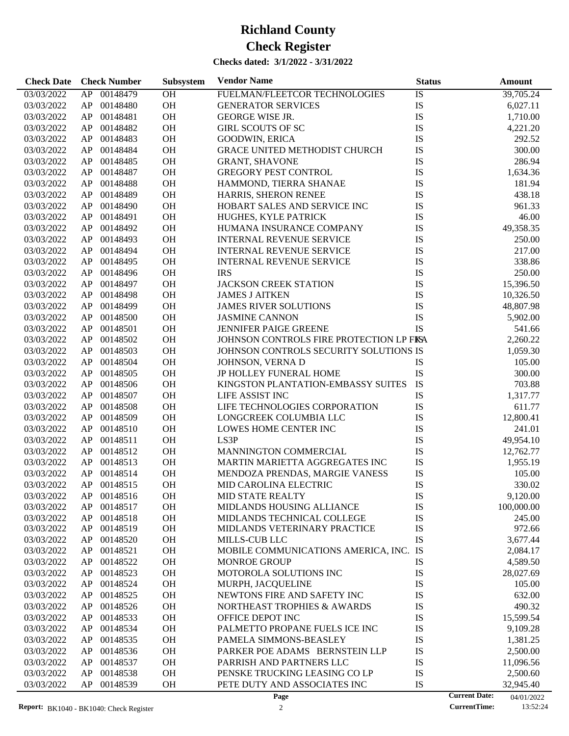| <b>Check Date</b>        | <b>Check Number</b>              | Subsystem | <b>Vendor Name</b>                                         | <b>Status</b>        | Amount           |
|--------------------------|----------------------------------|-----------|------------------------------------------------------------|----------------------|------------------|
| 03/03/2022               | 00148479<br>AP                   | <b>OH</b> | FUELMAN/FLEETCOR TECHNOLOGIES                              | IS                   | 39,705.24        |
| 03/03/2022               | AP<br>00148480                   | OH        | <b>GENERATOR SERVICES</b>                                  | IS                   | 6,027.11         |
| 03/03/2022               | 00148481<br>AP                   | OH        | <b>GEORGE WISE JR.</b>                                     | <b>IS</b>            | 1,710.00         |
| 03/03/2022               | 00148482<br>AP                   | OH        | <b>GIRL SCOUTS OF SC</b>                                   | <b>IS</b>            | 4,221.20         |
| 03/03/2022               | 00148483<br>AP                   | OH        | <b>GOODWIN, ERICA</b>                                      | IS                   | 292.52           |
| 03/03/2022               | 00148484<br>AP                   | OH        | GRACE UNITED METHODIST CHURCH                              | IS                   | 300.00           |
| 03/03/2022               | 00148485<br>AP                   | OH        | <b>GRANT, SHAVONE</b>                                      | <b>IS</b>            | 286.94           |
| 03/03/2022               | 00148487<br>AP                   | OH        | <b>GREGORY PEST CONTROL</b>                                | <b>IS</b>            | 1,634.36         |
| 03/03/2022               | 00148488<br>AP                   | OH        | HAMMOND, TIERRA SHANAE                                     | IS                   | 181.94           |
| 03/03/2022               | 00148489<br>AP                   | OH        |                                                            | IS                   | 438.18           |
|                          | 00148490                         | OH        | HARRIS, SHERON RENEE                                       | <b>IS</b>            |                  |
| 03/03/2022               | AP                               |           | HOBART SALES AND SERVICE INC                               |                      | 961.33           |
| 03/03/2022               | 00148491<br>AP                   | OH        | HUGHES, KYLE PATRICK                                       | IS                   | 46.00            |
| 03/03/2022               | AP<br>00148492                   | OH        | HUMANA INSURANCE COMPANY                                   | IS                   | 49,358.35        |
| 03/03/2022               | 00148493<br>AP                   | OH        | <b>INTERNAL REVENUE SERVICE</b>                            | IS                   | 250.00           |
| 03/03/2022               | 00148494<br>AP                   | OH        | <b>INTERNAL REVENUE SERVICE</b>                            | <b>IS</b>            | 217.00           |
| 03/03/2022               | 00148495<br>AP                   | OH        | <b>INTERNAL REVENUE SERVICE</b>                            | <b>IS</b>            | 338.86           |
| 03/03/2022               | AP<br>00148496                   | OH        | <b>IRS</b>                                                 | IS                   | 250.00           |
| 03/03/2022               | 00148497<br>AP                   | OH        | <b>JACKSON CREEK STATION</b>                               | <b>IS</b>            | 15,396.50        |
| 03/03/2022               | 00148498<br>AP                   | OH        | <b>JAMES J AITKEN</b>                                      | <b>IS</b>            | 10,326.50        |
| 03/03/2022               | 00148499<br>AP                   | OH        | <b>JAMES RIVER SOLUTIONS</b>                               | <b>IS</b>            | 48,807.98        |
| 03/03/2022               | AP<br>00148500                   | OH        | <b>JASMINE CANNON</b>                                      | IS                   | 5,902.00         |
| 03/03/2022               | AP<br>00148501                   | OH        | <b>JENNIFER PAIGE GREENE</b>                               | <b>IS</b>            | 541.66           |
| 03/03/2022               | AP<br>00148502                   | OH        | JOHNSON CONTROLS FIRE PROTECTION LP FISA                   |                      | 2,260.22         |
| 03/03/2022               | AP<br>00148503                   | OH        | JOHNSON CONTROLS SECURITY SOLUTIONS IS                     |                      | 1,059.30         |
| 03/03/2022               | AP<br>00148504                   | OH        | JOHNSON, VERNA D                                           | IS                   | 105.00           |
| 03/03/2022               | 00148505<br>AP                   | OH        | JP HOLLEY FUNERAL HOME                                     | IS                   | 300.00           |
| 03/03/2022               | 00148506<br>AP                   | OH        | KINGSTON PLANTATION-EMBASSY SUITES                         | <b>IS</b>            | 703.88           |
| 03/03/2022               | 00148507<br>AP                   | OH        | LIFE ASSIST INC                                            | IS                   | 1,317.77         |
| 03/03/2022               | AP<br>00148508                   | OH        | LIFE TECHNOLOGIES CORPORATION                              | IS                   | 611.77           |
| 03/03/2022               | AP<br>00148509                   | OH        | LONGCREEK COLUMBIA LLC                                     | IS                   | 12,800.41        |
| 03/03/2022               | AP<br>00148510                   | OH        | LOWES HOME CENTER INC                                      | <b>IS</b>            | 241.01           |
| 03/03/2022               | AP<br>00148511                   | OH        | LS3P                                                       | IS                   | 49,954.10        |
| 03/03/2022               | 00148512<br>AP                   | OH        | MANNINGTON COMMERCIAL                                      | IS                   | 12,762.77        |
| 03/03/2022               | AP<br>00148513                   | OH        | MARTIN MARIETTA AGGREGATES INC                             | IS                   | 1,955.19         |
| 03/03/2022               | AP<br>00148514                   | OH        | MENDOZA PRENDAS, MARGIE VANESS                             | IS                   | 105.00           |
| 03/03/2022               | AP<br>00148515                   | <b>OH</b> | MID CAROLINA ELECTRIC                                      | IS                   | 330.02           |
| 03/03/2022               | ${\sf AP}$<br>00148516           |           |                                                            | IS                   |                  |
|                          |                                  | <b>OH</b> | MID STATE REALTY<br>MIDLANDS HOUSING ALLIANCE              |                      | 9,120.00         |
| 03/03/2022<br>03/03/2022 | 00148517<br>AP                   | OH        |                                                            | IS                   | 100,000.00       |
| 03/03/2022               | 00148518<br>AP<br>00148519<br>AP | OH<br>OH  | MIDLANDS TECHNICAL COLLEGE<br>MIDLANDS VETERINARY PRACTICE | IS<br>IS             | 245.00<br>972.66 |
| 03/03/2022               | 00148520<br>AP                   | <b>OH</b> | MILLS-CUB LLC                                              | IS                   |                  |
|                          |                                  |           |                                                            |                      | 3,677.44         |
| 03/03/2022               | AP<br>00148521                   | <b>OH</b> | MOBILE COMMUNICATIONS AMERICA, INC.                        | IS                   | 2,084.17         |
| 03/03/2022               | AP<br>00148522                   | <b>OH</b> | <b>MONROE GROUP</b>                                        | IS                   | 4,589.50         |
| 03/03/2022               | AP<br>00148523                   | <b>OH</b> | MOTOROLA SOLUTIONS INC                                     | IS                   | 28,027.69        |
| 03/03/2022               | AP<br>00148524                   | <b>OH</b> | MURPH, JACQUELINE                                          | IS                   | 105.00           |
| 03/03/2022               | AP<br>00148525                   | <b>OH</b> | NEWTONS FIRE AND SAFETY INC                                | IS                   | 632.00           |
| 03/03/2022               | AP<br>00148526                   | <b>OH</b> | NORTHEAST TROPHIES & AWARDS                                | IS                   | 490.32           |
| 03/03/2022               | AP<br>00148533                   | <b>OH</b> | OFFICE DEPOT INC                                           | IS                   | 15,599.54        |
| 03/03/2022               | AP<br>00148534                   | <b>OH</b> | PALMETTO PROPANE FUELS ICE INC                             | IS                   | 9,109.28         |
| 03/03/2022               | AP<br>00148535                   | <b>OH</b> | PAMELA SIMMONS-BEASLEY                                     | IS                   | 1,381.25         |
| 03/03/2022               | AP<br>00148536                   | <b>OH</b> | PARKER POE ADAMS BERNSTEIN LLP                             | IS                   | 2,500.00         |
| 03/03/2022               | AP<br>00148537                   | <b>OH</b> | PARRISH AND PARTNERS LLC                                   | IS                   | 11,096.56        |
| 03/03/2022               | AP<br>00148538                   | <b>OH</b> | PENSKE TRUCKING LEASING CO LP                              | IS                   | 2,500.60         |
| 03/03/2022               | AP<br>00148539                   | <b>OH</b> | PETE DUTY AND ASSOCIATES INC                               | IS                   | 32,945.40        |
|                          |                                  |           | Page                                                       | <b>Current Date:</b> | 04/01/2022       |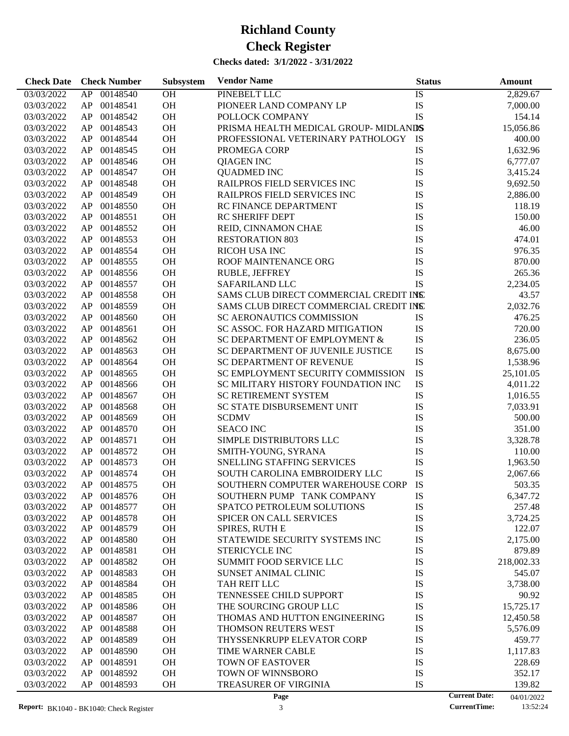| <b>Check Date</b> | <b>Check Number</b> | Subsystem | <b>Vendor Name</b>                     | <b>Status</b> | <b>Amount</b>                      |
|-------------------|---------------------|-----------|----------------------------------------|---------------|------------------------------------|
| 03/03/2022        | AP 00148540         | OH        | PINEBELT LLC                           | IS            | 2,829.67                           |
| 03/03/2022        | AP 00148541         | OH        | PIONEER LAND COMPANY LP                | IS            | 7,000.00                           |
| 03/03/2022        | AP 00148542         | OH        | POLLOCK COMPANY                        | IS            | 154.14                             |
| 03/03/2022        | AP 00148543         | OH        | PRISMA HEALTH MEDICAL GROUP-MIDLANDS   |               | 15,056.86                          |
| 03/03/2022        | AP 00148544         | OH        | PROFESSIONAL VETERINARY PATHOLOGY IS   |               | 400.00                             |
| 03/03/2022        | AP 00148545         | OH        | PROMEGA CORP                           | IS            | 1,632.96                           |
| 03/03/2022        | AP 00148546         | OH        | <b>QIAGEN INC</b>                      | IS            | 6,777.07                           |
| 03/03/2022        | AP 00148547         | OH        | <b>QUADMED INC</b>                     | IS            | 3,415.24                           |
| 03/03/2022        | AP 00148548         | OH        | RAILPROS FIELD SERVICES INC            | IS            | 9,692.50                           |
| 03/03/2022        | AP 00148549         | OH        | RAILPROS FIELD SERVICES INC            | IS            | 2,886.00                           |
| 03/03/2022        | AP 00148550         | OH        | RC FINANCE DEPARTMENT                  | IS            | 118.19                             |
| 03/03/2022        | AP 00148551         | OH        | <b>RC SHERIFF DEPT</b>                 | IS            | 150.00                             |
| 03/03/2022        | AP 00148552         | OH        | REID, CINNAMON CHAE                    | IS            | 46.00                              |
| 03/03/2022        | AP 00148553         | OH        | <b>RESTORATION 803</b>                 | IS            | 474.01                             |
| 03/03/2022        | AP 00148554         | OH        | RICOH USA INC                          | IS            | 976.35                             |
| 03/03/2022        | AP 00148555         | <b>OH</b> | ROOF MAINTENANCE ORG                   | IS            | 870.00                             |
| 03/03/2022        | AP 00148556         | OH        | RUBLE, JEFFREY                         | IS            | 265.36                             |
| 03/03/2022        | AP<br>00148557      | OH        | SAFARILAND LLC                         | IS            | 2,234.05                           |
| 03/03/2022        | AP 00148558         | <b>OH</b> | SAMS CLUB DIRECT COMMERCIAL CREDIT INS |               | 43.57                              |
| 03/03/2022        | 00148559<br>AP      | OH        | SAMS CLUB DIRECT COMMERCIAL CREDIT INS |               | 2,032.76                           |
| 03/03/2022        | AP<br>00148560      | OH        | SC AERONAUTICS COMMISSION              | IS            | 476.25                             |
| 03/03/2022        | AP<br>00148561      | OH        | SC ASSOC. FOR HAZARD MITIGATION        | IS            | 720.00                             |
| 03/03/2022        | AP 00148562         | <b>OH</b> | SC DEPARTMENT OF EMPLOYMENT &          | IS            | 236.05                             |
| 03/03/2022        | AP<br>00148563      | OH        | SC DEPARTMENT OF JUVENILE JUSTICE      | IS            | 8,675.00                           |
| 03/03/2022        | AP<br>00148564      | OH        | SC DEPARTMENT OF REVENUE               | IS            | 1,538.96                           |
| 03/03/2022        | AP 00148565         | <b>OH</b> | SC EMPLOYMENT SECURITY COMMISSION      | IS            | 25,101.05                          |
| 03/03/2022        | 00148566<br>AP      | OH        | SC MILITARY HISTORY FOUNDATION INC     | IS            | 4,011.22                           |
| 03/03/2022        | AP<br>00148567      | OH        | SC RETIREMENT SYSTEM                   | IS            | 1,016.55                           |
| 03/03/2022        | AP<br>00148568      | OH        | SC STATE DISBURSEMENT UNIT             | IS            | 7,033.91                           |
| 03/03/2022        | 00148569<br>AP      | <b>OH</b> | <b>SCDMV</b>                           | IS            | 500.00                             |
| 03/03/2022        | AP<br>00148570      | OH        | <b>SEACO INC</b>                       | IS            | 351.00                             |
| 03/03/2022        | AP<br>00148571      | OH        | SIMPLE DISTRIBUTORS LLC                | IS            | 3,328.78                           |
| 03/03/2022        | 00148572<br>AP      | <b>OH</b> | SMITH-YOUNG, SYRANA                    | IS            | 110.00                             |
| 03/03/2022        | 00148573<br>AP      | <b>OH</b> | SNELLING STAFFING SERVICES             | IS            | 1,963.50                           |
| 03/03/2022        | AP<br>00148574      | OH        | SOUTH CAROLINA EMBROIDERY LLC          | IS            | 2,067.66                           |
| 03/03/2022        | AP 00148575         | <b>OH</b> | SOUTHERN COMPUTER WAREHOUSE CORP       | IS            | 503.35                             |
| 03/03/2022        | AP 00148576         | OH        | SOUTHERN PUMP TANK COMPANY             | IS            | 6,347.72                           |
| 03/03/2022        | 00148577<br>AP      | OH        | SPATCO PETROLEUM SOLUTIONS             | IS            | 257.48                             |
| 03/03/2022        | AP<br>00148578      | <b>OH</b> | <b>SPICER ON CALL SERVICES</b>         | IS            | 3,724.25                           |
| 03/03/2022        | 00148579<br>AP      | <b>OH</b> | SPIRES, RUTH E                         | IS            | 122.07                             |
| 03/03/2022        | 00148580<br>AP      | OH        | STATEWIDE SECURITY SYSTEMS INC         | IS            | 2,175.00                           |
| 03/03/2022        | 00148581<br>AP      | OH        | STERICYCLE INC                         | IS            | 879.89                             |
| 03/03/2022        | 00148582<br>AP      | OH        | <b>SUMMIT FOOD SERVICE LLC</b>         | IS            | 218,002.33                         |
| 03/03/2022        | 00148583<br>AP      | OH        | SUNSET ANIMAL CLINIC                   | IS            | 545.07                             |
| 03/03/2022        | 00148584<br>AP      | OH        | TAH REIT LLC                           | IS            | 3,738.00                           |
| 03/03/2022        | 00148585<br>AP      | OH        | TENNESSEE CHILD SUPPORT                | IS            | 90.92                              |
| 03/03/2022        | 00148586<br>AP      | OH        | THE SOURCING GROUP LLC                 | IS            | 15,725.17                          |
| 03/03/2022        | 00148587<br>AP      | OH        | THOMAS AND HUTTON ENGINEERING          | IS            | 12,450.58                          |
| 03/03/2022        | 00148588<br>AP      | OH        | THOMSON REUTERS WEST                   | IS            | 5,576.09                           |
| 03/03/2022        | 00148589<br>AP      | OH        | THYSSENKRUPP ELEVATOR CORP             | IS            | 459.77                             |
| 03/03/2022        | 00148590<br>AP      | OH        | TIME WARNER CABLE                      | IS            | 1,117.83                           |
| 03/03/2022        | 00148591<br>AP      | OH        | TOWN OF EASTOVER                       | IS            | 228.69                             |
| 03/03/2022        | 00148592<br>AP      | OH        | TOWN OF WINNSBORO                      | IS            | 352.17                             |
| 03/03/2022        | AP<br>00148593      | <b>OH</b> | TREASURER OF VIRGINIA                  | IS            | 139.82                             |
|                   |                     |           | Page                                   |               | <b>Current Date:</b><br>04/01/2022 |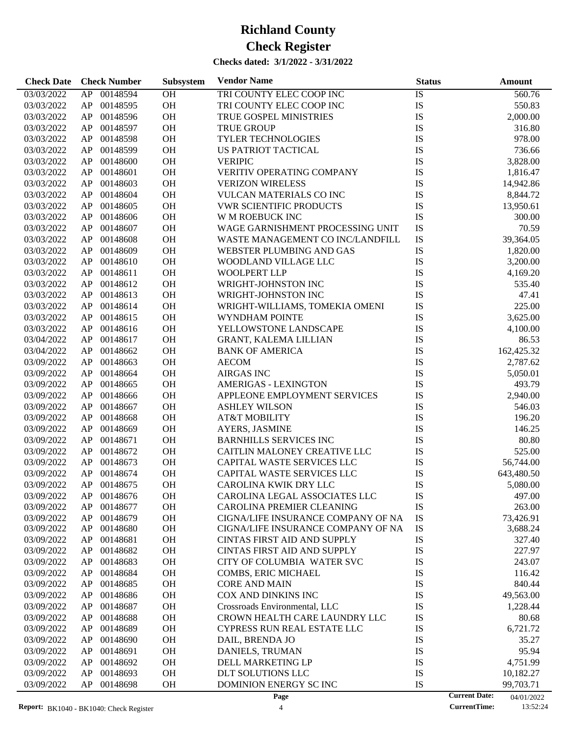| 00148594<br>TRI COUNTY ELEC COOP INC<br>IS<br>03/03/2022<br>AP<br><b>OH</b><br>560.76<br>OH<br>IS<br>00148595<br>TRI COUNTY ELEC COOP INC<br>03/03/2022<br>AP<br>550.83<br>OH<br>IS<br>00148596<br>TRUE GOSPEL MINISTRIES<br>2,000.00<br>03/03/2022<br>AP<br>OH<br>IS<br>00148597<br><b>TRUE GROUP</b><br>316.80<br>03/03/2022<br>AP<br>OH<br>IS<br>00148598<br><b>TYLER TECHNOLOGIES</b><br>978.00<br>03/03/2022<br>AP<br>OH<br>IS<br>00148599<br>US PATRIOT TACTICAL<br>736.66<br>03/03/2022<br>AP<br>OH<br>IS<br>00148600<br><b>VERIPIC</b><br>3,828.00<br>03/03/2022<br>AP<br>OH<br>IS<br>AP<br>00148601<br>VERITIV OPERATING COMPANY<br>03/03/2022<br>1,816.47<br>OH<br>00148603<br><b>VERIZON WIRELESS</b><br>IS<br>03/03/2022<br>AP<br>14,942.86<br>OH<br>IS<br>00148604<br>03/03/2022<br>AP<br><b>VULCAN MATERIALS CO INC</b><br>8,844.72<br>OH<br>IS<br>00148605<br><b>VWR SCIENTIFIC PRODUCTS</b><br>03/03/2022<br>AP<br>13,950.61<br>OH<br>IS<br>00148606<br>W M ROEBUCK INC<br>300.00<br>03/03/2022<br>AP<br>OH<br>IS<br>00148607<br>WAGE GARNISHMENT PROCESSING UNIT<br>70.59<br>03/03/2022<br>AP<br>OH<br>IS<br>00148608<br>WASTE MANAGEMENT CO INC/LANDFILL<br>03/03/2022<br>AP<br>39,364.05<br>OH<br>IS<br>00148609<br>WEBSTER PLUMBING AND GAS<br>03/03/2022<br>AP<br>1,820.00<br>OH<br>IS<br>00148610<br>3,200.00<br>03/03/2022<br>AP<br>WOODLAND VILLAGE LLC<br>OH<br>00148611<br><b>WOOLPERT LLP</b><br>IS<br>03/03/2022<br>AP<br>4,169.20<br>OH<br>IS<br>00148612<br>WRIGHT-JOHNSTON INC<br>535.40<br>03/03/2022<br>AP<br>OH<br>IS<br>00148613<br>WRIGHT-JOHNSTON INC<br>47.41<br>03/03/2022<br>AP<br>OH<br>IS<br>00148614<br>225.00<br>03/03/2022<br>AP<br>WRIGHT-WILLIAMS, TOMEKIA OMENI<br>OH<br>IS<br>00148615<br>3,625.00<br>03/03/2022<br>AP<br>WYNDHAM POINTE<br>OH<br>IS<br>00148616<br>YELLOWSTONE LANDSCAPE<br>03/03/2022<br>AP<br>4,100.00<br>OH<br>IS<br>00148617<br>86.53<br>03/04/2022<br>AP<br><b>GRANT, KALEMA LILLIAN</b><br>OH<br>IS<br>00148662<br>162,425.32<br>03/04/2022<br>AP<br><b>BANK OF AMERICA</b><br>OH<br>IS<br>00148663<br><b>AECOM</b><br>2,787.62<br>03/09/2022<br>AP<br>OH<br>IS<br>00148664<br><b>AIRGAS INC</b><br>03/09/2022<br>AP<br>5,050.01<br>OH<br>IS<br>AP<br>00148665<br>493.79<br>03/09/2022<br><b>AMERIGAS - LEXINGTON</b><br>OH<br>IS<br>00148666<br>APPLEONE EMPLOYMENT SERVICES<br>2,940.00<br>03/09/2022<br>AP<br>OH<br>00148667<br>IS<br>03/09/2022<br>AP<br><b>ASHLEY WILSON</b><br>546.03<br>OH<br>00148668<br><b>AT&amp;T MOBILITY</b><br>IS<br>196.20<br>03/09/2022<br>AP<br>OH<br>IS<br>00148669<br>146.25<br>03/09/2022<br>AP<br>AYERS, JASMINE<br>OH<br>IS<br>00148671<br><b>BARNHILLS SERVICES INC</b><br>80.80<br>03/09/2022<br>AP<br>00148672<br><b>OH</b><br>CAITLIN MALONEY CREATIVE LLC<br>IS<br>525.00<br>03/09/2022<br>AP<br>00148673<br><b>OH</b><br>CAPITAL WASTE SERVICES LLC<br>IS<br>03/09/2022<br>AP<br>56,744.00<br>AP<br>00148674<br>OH<br>CAPITAL WASTE SERVICES LLC<br>IS<br>03/09/2022<br>643,480.50<br>IS<br>AP<br>00148675<br><b>OH</b><br>03/09/2022<br>CAROLINA KWIK DRY LLC<br>5,080.00<br>03/09/2022<br>00148676<br>OH<br>CAROLINA LEGAL ASSOCIATES LLC<br>IS<br>497.00<br>AP<br>00148677<br>OH<br>CAROLINA PREMIER CLEANING<br>IS<br>03/09/2022<br>AP<br>263.00<br>03/09/2022<br>AP<br>00148679<br>OH<br>CIGNA/LIFE INSURANCE COMPANY OF NA<br>IS<br>73,426.91<br>IS<br>00148680<br><b>OH</b><br>CIGNA/LIFE INSURANCE COMPANY OF NA<br>03/09/2022<br>AP<br>3,688.24<br>00148681<br>OH<br>IS<br>03/09/2022<br>AP<br>CINTAS FIRST AID AND SUPPLY<br>327.40<br>IS<br>00148682<br>OH<br>227.97<br>03/09/2022<br>AP<br>CINTAS FIRST AID AND SUPPLY<br>IS<br>00148683<br>OH<br>03/09/2022<br>AP<br>CITY OF COLUMBIA WATER SVC<br>243.07<br>IS<br>00148684<br>OH<br>03/09/2022<br>AP<br>COMBS, ERIC MICHAEL<br>116.42<br>IS<br>00148685<br>OH<br>03/09/2022<br>AP<br><b>CORE AND MAIN</b><br>840.44<br>IS<br>00148686<br>OH<br>COX AND DINKINS INC<br>49,563.00<br>03/09/2022<br>AP<br>IS<br>00148687<br>OH<br>03/09/2022<br>AP<br>Crossroads Environmental, LLC<br>1,228.44<br>00148688<br>OH<br>IS<br>03/09/2022<br>AP<br>CROWN HEALTH CARE LAUNDRY LLC<br>80.68<br>IS<br>00148689<br>OH<br>03/09/2022<br>AP<br><b>CYPRESS RUN REAL ESTATE LLC</b><br>6,721.72<br>IS<br>00148690<br>OH<br>03/09/2022<br>AP<br>DAIL, BRENDA JO<br>35.27<br>IS<br>00148691<br>OH<br>95.94<br>03/09/2022<br>AP<br>DANIELS, TRUMAN<br>IS<br>00148692<br>OH<br>03/09/2022<br>AP<br>DELL MARKETING LP<br>4,751.99<br>IS<br>00148693<br>OH<br>DLT SOLUTIONS LLC<br>03/09/2022<br>AP<br>10,182.27<br>IS<br>00148698<br>OH<br>DOMINION ENERGY SC INC<br>99,703.71<br>03/09/2022<br>AP<br><b>Current Date:</b><br>Page<br>04/01/2022 | <b>Check Date</b> | <b>Check Number</b> | Subsystem | <b>Vendor Name</b> | <b>Status</b> | <b>Amount</b> |
|----------------------------------------------------------------------------------------------------------------------------------------------------------------------------------------------------------------------------------------------------------------------------------------------------------------------------------------------------------------------------------------------------------------------------------------------------------------------------------------------------------------------------------------------------------------------------------------------------------------------------------------------------------------------------------------------------------------------------------------------------------------------------------------------------------------------------------------------------------------------------------------------------------------------------------------------------------------------------------------------------------------------------------------------------------------------------------------------------------------------------------------------------------------------------------------------------------------------------------------------------------------------------------------------------------------------------------------------------------------------------------------------------------------------------------------------------------------------------------------------------------------------------------------------------------------------------------------------------------------------------------------------------------------------------------------------------------------------------------------------------------------------------------------------------------------------------------------------------------------------------------------------------------------------------------------------------------------------------------------------------------------------------------------------------------------------------------------------------------------------------------------------------------------------------------------------------------------------------------------------------------------------------------------------------------------------------------------------------------------------------------------------------------------------------------------------------------------------------------------------------------------------------------------------------------------------------------------------------------------------------------------------------------------------------------------------------------------------------------------------------------------------------------------------------------------------------------------------------------------------------------------------------------------------------------------------------------------------------------------------------------------------------------------------------------------------------------------------------------------------------------------------------------------------------------------------------------------------------------------------------------------------------------------------------------------------------------------------------------------------------------------------------------------------------------------------------------------------------------------------------------------------------------------------------------------------------------------------------------------------------------------------------------------------------------------------------------------------------------------------------------------------------------------------------------------------------------------------------------------------------------------------------------------------------------------------------------------------------------------------------------------------------------------------------------------------------------------------------------------------------------------------------------------------------------------------------------------------------------------------------------------------------------------------------------------------------------------------------------------------------------------------------------------------------------------------------------------------------------------------------------------------------------------------------------------------------------------------------------------------------------------------------------------------------------------------------------------|-------------------|---------------------|-----------|--------------------|---------------|---------------|
|                                                                                                                                                                                                                                                                                                                                                                                                                                                                                                                                                                                                                                                                                                                                                                                                                                                                                                                                                                                                                                                                                                                                                                                                                                                                                                                                                                                                                                                                                                                                                                                                                                                                                                                                                                                                                                                                                                                                                                                                                                                                                                                                                                                                                                                                                                                                                                                                                                                                                                                                                                                                                                                                                                                                                                                                                                                                                                                                                                                                                                                                                                                                                                                                                                                                                                                                                                                                                                                                                                                                                                                                                                                                                                                                                                                                                                                                                                                                                                                                                                                                                                                                                                                                                                                                                                                                                                                                                                                                                                                                                                                                                                                                                                                |                   |                     |           |                    |               |               |
|                                                                                                                                                                                                                                                                                                                                                                                                                                                                                                                                                                                                                                                                                                                                                                                                                                                                                                                                                                                                                                                                                                                                                                                                                                                                                                                                                                                                                                                                                                                                                                                                                                                                                                                                                                                                                                                                                                                                                                                                                                                                                                                                                                                                                                                                                                                                                                                                                                                                                                                                                                                                                                                                                                                                                                                                                                                                                                                                                                                                                                                                                                                                                                                                                                                                                                                                                                                                                                                                                                                                                                                                                                                                                                                                                                                                                                                                                                                                                                                                                                                                                                                                                                                                                                                                                                                                                                                                                                                                                                                                                                                                                                                                                                                |                   |                     |           |                    |               |               |
|                                                                                                                                                                                                                                                                                                                                                                                                                                                                                                                                                                                                                                                                                                                                                                                                                                                                                                                                                                                                                                                                                                                                                                                                                                                                                                                                                                                                                                                                                                                                                                                                                                                                                                                                                                                                                                                                                                                                                                                                                                                                                                                                                                                                                                                                                                                                                                                                                                                                                                                                                                                                                                                                                                                                                                                                                                                                                                                                                                                                                                                                                                                                                                                                                                                                                                                                                                                                                                                                                                                                                                                                                                                                                                                                                                                                                                                                                                                                                                                                                                                                                                                                                                                                                                                                                                                                                                                                                                                                                                                                                                                                                                                                                                                |                   |                     |           |                    |               |               |
|                                                                                                                                                                                                                                                                                                                                                                                                                                                                                                                                                                                                                                                                                                                                                                                                                                                                                                                                                                                                                                                                                                                                                                                                                                                                                                                                                                                                                                                                                                                                                                                                                                                                                                                                                                                                                                                                                                                                                                                                                                                                                                                                                                                                                                                                                                                                                                                                                                                                                                                                                                                                                                                                                                                                                                                                                                                                                                                                                                                                                                                                                                                                                                                                                                                                                                                                                                                                                                                                                                                                                                                                                                                                                                                                                                                                                                                                                                                                                                                                                                                                                                                                                                                                                                                                                                                                                                                                                                                                                                                                                                                                                                                                                                                |                   |                     |           |                    |               |               |
|                                                                                                                                                                                                                                                                                                                                                                                                                                                                                                                                                                                                                                                                                                                                                                                                                                                                                                                                                                                                                                                                                                                                                                                                                                                                                                                                                                                                                                                                                                                                                                                                                                                                                                                                                                                                                                                                                                                                                                                                                                                                                                                                                                                                                                                                                                                                                                                                                                                                                                                                                                                                                                                                                                                                                                                                                                                                                                                                                                                                                                                                                                                                                                                                                                                                                                                                                                                                                                                                                                                                                                                                                                                                                                                                                                                                                                                                                                                                                                                                                                                                                                                                                                                                                                                                                                                                                                                                                                                                                                                                                                                                                                                                                                                |                   |                     |           |                    |               |               |
|                                                                                                                                                                                                                                                                                                                                                                                                                                                                                                                                                                                                                                                                                                                                                                                                                                                                                                                                                                                                                                                                                                                                                                                                                                                                                                                                                                                                                                                                                                                                                                                                                                                                                                                                                                                                                                                                                                                                                                                                                                                                                                                                                                                                                                                                                                                                                                                                                                                                                                                                                                                                                                                                                                                                                                                                                                                                                                                                                                                                                                                                                                                                                                                                                                                                                                                                                                                                                                                                                                                                                                                                                                                                                                                                                                                                                                                                                                                                                                                                                                                                                                                                                                                                                                                                                                                                                                                                                                                                                                                                                                                                                                                                                                                |                   |                     |           |                    |               |               |
|                                                                                                                                                                                                                                                                                                                                                                                                                                                                                                                                                                                                                                                                                                                                                                                                                                                                                                                                                                                                                                                                                                                                                                                                                                                                                                                                                                                                                                                                                                                                                                                                                                                                                                                                                                                                                                                                                                                                                                                                                                                                                                                                                                                                                                                                                                                                                                                                                                                                                                                                                                                                                                                                                                                                                                                                                                                                                                                                                                                                                                                                                                                                                                                                                                                                                                                                                                                                                                                                                                                                                                                                                                                                                                                                                                                                                                                                                                                                                                                                                                                                                                                                                                                                                                                                                                                                                                                                                                                                                                                                                                                                                                                                                                                |                   |                     |           |                    |               |               |
|                                                                                                                                                                                                                                                                                                                                                                                                                                                                                                                                                                                                                                                                                                                                                                                                                                                                                                                                                                                                                                                                                                                                                                                                                                                                                                                                                                                                                                                                                                                                                                                                                                                                                                                                                                                                                                                                                                                                                                                                                                                                                                                                                                                                                                                                                                                                                                                                                                                                                                                                                                                                                                                                                                                                                                                                                                                                                                                                                                                                                                                                                                                                                                                                                                                                                                                                                                                                                                                                                                                                                                                                                                                                                                                                                                                                                                                                                                                                                                                                                                                                                                                                                                                                                                                                                                                                                                                                                                                                                                                                                                                                                                                                                                                |                   |                     |           |                    |               |               |
|                                                                                                                                                                                                                                                                                                                                                                                                                                                                                                                                                                                                                                                                                                                                                                                                                                                                                                                                                                                                                                                                                                                                                                                                                                                                                                                                                                                                                                                                                                                                                                                                                                                                                                                                                                                                                                                                                                                                                                                                                                                                                                                                                                                                                                                                                                                                                                                                                                                                                                                                                                                                                                                                                                                                                                                                                                                                                                                                                                                                                                                                                                                                                                                                                                                                                                                                                                                                                                                                                                                                                                                                                                                                                                                                                                                                                                                                                                                                                                                                                                                                                                                                                                                                                                                                                                                                                                                                                                                                                                                                                                                                                                                                                                                |                   |                     |           |                    |               |               |
|                                                                                                                                                                                                                                                                                                                                                                                                                                                                                                                                                                                                                                                                                                                                                                                                                                                                                                                                                                                                                                                                                                                                                                                                                                                                                                                                                                                                                                                                                                                                                                                                                                                                                                                                                                                                                                                                                                                                                                                                                                                                                                                                                                                                                                                                                                                                                                                                                                                                                                                                                                                                                                                                                                                                                                                                                                                                                                                                                                                                                                                                                                                                                                                                                                                                                                                                                                                                                                                                                                                                                                                                                                                                                                                                                                                                                                                                                                                                                                                                                                                                                                                                                                                                                                                                                                                                                                                                                                                                                                                                                                                                                                                                                                                |                   |                     |           |                    |               |               |
|                                                                                                                                                                                                                                                                                                                                                                                                                                                                                                                                                                                                                                                                                                                                                                                                                                                                                                                                                                                                                                                                                                                                                                                                                                                                                                                                                                                                                                                                                                                                                                                                                                                                                                                                                                                                                                                                                                                                                                                                                                                                                                                                                                                                                                                                                                                                                                                                                                                                                                                                                                                                                                                                                                                                                                                                                                                                                                                                                                                                                                                                                                                                                                                                                                                                                                                                                                                                                                                                                                                                                                                                                                                                                                                                                                                                                                                                                                                                                                                                                                                                                                                                                                                                                                                                                                                                                                                                                                                                                                                                                                                                                                                                                                                |                   |                     |           |                    |               |               |
|                                                                                                                                                                                                                                                                                                                                                                                                                                                                                                                                                                                                                                                                                                                                                                                                                                                                                                                                                                                                                                                                                                                                                                                                                                                                                                                                                                                                                                                                                                                                                                                                                                                                                                                                                                                                                                                                                                                                                                                                                                                                                                                                                                                                                                                                                                                                                                                                                                                                                                                                                                                                                                                                                                                                                                                                                                                                                                                                                                                                                                                                                                                                                                                                                                                                                                                                                                                                                                                                                                                                                                                                                                                                                                                                                                                                                                                                                                                                                                                                                                                                                                                                                                                                                                                                                                                                                                                                                                                                                                                                                                                                                                                                                                                |                   |                     |           |                    |               |               |
|                                                                                                                                                                                                                                                                                                                                                                                                                                                                                                                                                                                                                                                                                                                                                                                                                                                                                                                                                                                                                                                                                                                                                                                                                                                                                                                                                                                                                                                                                                                                                                                                                                                                                                                                                                                                                                                                                                                                                                                                                                                                                                                                                                                                                                                                                                                                                                                                                                                                                                                                                                                                                                                                                                                                                                                                                                                                                                                                                                                                                                                                                                                                                                                                                                                                                                                                                                                                                                                                                                                                                                                                                                                                                                                                                                                                                                                                                                                                                                                                                                                                                                                                                                                                                                                                                                                                                                                                                                                                                                                                                                                                                                                                                                                |                   |                     |           |                    |               |               |
|                                                                                                                                                                                                                                                                                                                                                                                                                                                                                                                                                                                                                                                                                                                                                                                                                                                                                                                                                                                                                                                                                                                                                                                                                                                                                                                                                                                                                                                                                                                                                                                                                                                                                                                                                                                                                                                                                                                                                                                                                                                                                                                                                                                                                                                                                                                                                                                                                                                                                                                                                                                                                                                                                                                                                                                                                                                                                                                                                                                                                                                                                                                                                                                                                                                                                                                                                                                                                                                                                                                                                                                                                                                                                                                                                                                                                                                                                                                                                                                                                                                                                                                                                                                                                                                                                                                                                                                                                                                                                                                                                                                                                                                                                                                |                   |                     |           |                    |               |               |
|                                                                                                                                                                                                                                                                                                                                                                                                                                                                                                                                                                                                                                                                                                                                                                                                                                                                                                                                                                                                                                                                                                                                                                                                                                                                                                                                                                                                                                                                                                                                                                                                                                                                                                                                                                                                                                                                                                                                                                                                                                                                                                                                                                                                                                                                                                                                                                                                                                                                                                                                                                                                                                                                                                                                                                                                                                                                                                                                                                                                                                                                                                                                                                                                                                                                                                                                                                                                                                                                                                                                                                                                                                                                                                                                                                                                                                                                                                                                                                                                                                                                                                                                                                                                                                                                                                                                                                                                                                                                                                                                                                                                                                                                                                                |                   |                     |           |                    |               |               |
|                                                                                                                                                                                                                                                                                                                                                                                                                                                                                                                                                                                                                                                                                                                                                                                                                                                                                                                                                                                                                                                                                                                                                                                                                                                                                                                                                                                                                                                                                                                                                                                                                                                                                                                                                                                                                                                                                                                                                                                                                                                                                                                                                                                                                                                                                                                                                                                                                                                                                                                                                                                                                                                                                                                                                                                                                                                                                                                                                                                                                                                                                                                                                                                                                                                                                                                                                                                                                                                                                                                                                                                                                                                                                                                                                                                                                                                                                                                                                                                                                                                                                                                                                                                                                                                                                                                                                                                                                                                                                                                                                                                                                                                                                                                |                   |                     |           |                    |               |               |
|                                                                                                                                                                                                                                                                                                                                                                                                                                                                                                                                                                                                                                                                                                                                                                                                                                                                                                                                                                                                                                                                                                                                                                                                                                                                                                                                                                                                                                                                                                                                                                                                                                                                                                                                                                                                                                                                                                                                                                                                                                                                                                                                                                                                                                                                                                                                                                                                                                                                                                                                                                                                                                                                                                                                                                                                                                                                                                                                                                                                                                                                                                                                                                                                                                                                                                                                                                                                                                                                                                                                                                                                                                                                                                                                                                                                                                                                                                                                                                                                                                                                                                                                                                                                                                                                                                                                                                                                                                                                                                                                                                                                                                                                                                                |                   |                     |           |                    |               |               |
|                                                                                                                                                                                                                                                                                                                                                                                                                                                                                                                                                                                                                                                                                                                                                                                                                                                                                                                                                                                                                                                                                                                                                                                                                                                                                                                                                                                                                                                                                                                                                                                                                                                                                                                                                                                                                                                                                                                                                                                                                                                                                                                                                                                                                                                                                                                                                                                                                                                                                                                                                                                                                                                                                                                                                                                                                                                                                                                                                                                                                                                                                                                                                                                                                                                                                                                                                                                                                                                                                                                                                                                                                                                                                                                                                                                                                                                                                                                                                                                                                                                                                                                                                                                                                                                                                                                                                                                                                                                                                                                                                                                                                                                                                                                |                   |                     |           |                    |               |               |
|                                                                                                                                                                                                                                                                                                                                                                                                                                                                                                                                                                                                                                                                                                                                                                                                                                                                                                                                                                                                                                                                                                                                                                                                                                                                                                                                                                                                                                                                                                                                                                                                                                                                                                                                                                                                                                                                                                                                                                                                                                                                                                                                                                                                                                                                                                                                                                                                                                                                                                                                                                                                                                                                                                                                                                                                                                                                                                                                                                                                                                                                                                                                                                                                                                                                                                                                                                                                                                                                                                                                                                                                                                                                                                                                                                                                                                                                                                                                                                                                                                                                                                                                                                                                                                                                                                                                                                                                                                                                                                                                                                                                                                                                                                                |                   |                     |           |                    |               |               |
|                                                                                                                                                                                                                                                                                                                                                                                                                                                                                                                                                                                                                                                                                                                                                                                                                                                                                                                                                                                                                                                                                                                                                                                                                                                                                                                                                                                                                                                                                                                                                                                                                                                                                                                                                                                                                                                                                                                                                                                                                                                                                                                                                                                                                                                                                                                                                                                                                                                                                                                                                                                                                                                                                                                                                                                                                                                                                                                                                                                                                                                                                                                                                                                                                                                                                                                                                                                                                                                                                                                                                                                                                                                                                                                                                                                                                                                                                                                                                                                                                                                                                                                                                                                                                                                                                                                                                                                                                                                                                                                                                                                                                                                                                                                |                   |                     |           |                    |               |               |
|                                                                                                                                                                                                                                                                                                                                                                                                                                                                                                                                                                                                                                                                                                                                                                                                                                                                                                                                                                                                                                                                                                                                                                                                                                                                                                                                                                                                                                                                                                                                                                                                                                                                                                                                                                                                                                                                                                                                                                                                                                                                                                                                                                                                                                                                                                                                                                                                                                                                                                                                                                                                                                                                                                                                                                                                                                                                                                                                                                                                                                                                                                                                                                                                                                                                                                                                                                                                                                                                                                                                                                                                                                                                                                                                                                                                                                                                                                                                                                                                                                                                                                                                                                                                                                                                                                                                                                                                                                                                                                                                                                                                                                                                                                                |                   |                     |           |                    |               |               |
|                                                                                                                                                                                                                                                                                                                                                                                                                                                                                                                                                                                                                                                                                                                                                                                                                                                                                                                                                                                                                                                                                                                                                                                                                                                                                                                                                                                                                                                                                                                                                                                                                                                                                                                                                                                                                                                                                                                                                                                                                                                                                                                                                                                                                                                                                                                                                                                                                                                                                                                                                                                                                                                                                                                                                                                                                                                                                                                                                                                                                                                                                                                                                                                                                                                                                                                                                                                                                                                                                                                                                                                                                                                                                                                                                                                                                                                                                                                                                                                                                                                                                                                                                                                                                                                                                                                                                                                                                                                                                                                                                                                                                                                                                                                |                   |                     |           |                    |               |               |
|                                                                                                                                                                                                                                                                                                                                                                                                                                                                                                                                                                                                                                                                                                                                                                                                                                                                                                                                                                                                                                                                                                                                                                                                                                                                                                                                                                                                                                                                                                                                                                                                                                                                                                                                                                                                                                                                                                                                                                                                                                                                                                                                                                                                                                                                                                                                                                                                                                                                                                                                                                                                                                                                                                                                                                                                                                                                                                                                                                                                                                                                                                                                                                                                                                                                                                                                                                                                                                                                                                                                                                                                                                                                                                                                                                                                                                                                                                                                                                                                                                                                                                                                                                                                                                                                                                                                                                                                                                                                                                                                                                                                                                                                                                                |                   |                     |           |                    |               |               |
|                                                                                                                                                                                                                                                                                                                                                                                                                                                                                                                                                                                                                                                                                                                                                                                                                                                                                                                                                                                                                                                                                                                                                                                                                                                                                                                                                                                                                                                                                                                                                                                                                                                                                                                                                                                                                                                                                                                                                                                                                                                                                                                                                                                                                                                                                                                                                                                                                                                                                                                                                                                                                                                                                                                                                                                                                                                                                                                                                                                                                                                                                                                                                                                                                                                                                                                                                                                                                                                                                                                                                                                                                                                                                                                                                                                                                                                                                                                                                                                                                                                                                                                                                                                                                                                                                                                                                                                                                                                                                                                                                                                                                                                                                                                |                   |                     |           |                    |               |               |
|                                                                                                                                                                                                                                                                                                                                                                                                                                                                                                                                                                                                                                                                                                                                                                                                                                                                                                                                                                                                                                                                                                                                                                                                                                                                                                                                                                                                                                                                                                                                                                                                                                                                                                                                                                                                                                                                                                                                                                                                                                                                                                                                                                                                                                                                                                                                                                                                                                                                                                                                                                                                                                                                                                                                                                                                                                                                                                                                                                                                                                                                                                                                                                                                                                                                                                                                                                                                                                                                                                                                                                                                                                                                                                                                                                                                                                                                                                                                                                                                                                                                                                                                                                                                                                                                                                                                                                                                                                                                                                                                                                                                                                                                                                                |                   |                     |           |                    |               |               |
|                                                                                                                                                                                                                                                                                                                                                                                                                                                                                                                                                                                                                                                                                                                                                                                                                                                                                                                                                                                                                                                                                                                                                                                                                                                                                                                                                                                                                                                                                                                                                                                                                                                                                                                                                                                                                                                                                                                                                                                                                                                                                                                                                                                                                                                                                                                                                                                                                                                                                                                                                                                                                                                                                                                                                                                                                                                                                                                                                                                                                                                                                                                                                                                                                                                                                                                                                                                                                                                                                                                                                                                                                                                                                                                                                                                                                                                                                                                                                                                                                                                                                                                                                                                                                                                                                                                                                                                                                                                                                                                                                                                                                                                                                                                |                   |                     |           |                    |               |               |
|                                                                                                                                                                                                                                                                                                                                                                                                                                                                                                                                                                                                                                                                                                                                                                                                                                                                                                                                                                                                                                                                                                                                                                                                                                                                                                                                                                                                                                                                                                                                                                                                                                                                                                                                                                                                                                                                                                                                                                                                                                                                                                                                                                                                                                                                                                                                                                                                                                                                                                                                                                                                                                                                                                                                                                                                                                                                                                                                                                                                                                                                                                                                                                                                                                                                                                                                                                                                                                                                                                                                                                                                                                                                                                                                                                                                                                                                                                                                                                                                                                                                                                                                                                                                                                                                                                                                                                                                                                                                                                                                                                                                                                                                                                                |                   |                     |           |                    |               |               |
|                                                                                                                                                                                                                                                                                                                                                                                                                                                                                                                                                                                                                                                                                                                                                                                                                                                                                                                                                                                                                                                                                                                                                                                                                                                                                                                                                                                                                                                                                                                                                                                                                                                                                                                                                                                                                                                                                                                                                                                                                                                                                                                                                                                                                                                                                                                                                                                                                                                                                                                                                                                                                                                                                                                                                                                                                                                                                                                                                                                                                                                                                                                                                                                                                                                                                                                                                                                                                                                                                                                                                                                                                                                                                                                                                                                                                                                                                                                                                                                                                                                                                                                                                                                                                                                                                                                                                                                                                                                                                                                                                                                                                                                                                                                |                   |                     |           |                    |               |               |
|                                                                                                                                                                                                                                                                                                                                                                                                                                                                                                                                                                                                                                                                                                                                                                                                                                                                                                                                                                                                                                                                                                                                                                                                                                                                                                                                                                                                                                                                                                                                                                                                                                                                                                                                                                                                                                                                                                                                                                                                                                                                                                                                                                                                                                                                                                                                                                                                                                                                                                                                                                                                                                                                                                                                                                                                                                                                                                                                                                                                                                                                                                                                                                                                                                                                                                                                                                                                                                                                                                                                                                                                                                                                                                                                                                                                                                                                                                                                                                                                                                                                                                                                                                                                                                                                                                                                                                                                                                                                                                                                                                                                                                                                                                                |                   |                     |           |                    |               |               |
|                                                                                                                                                                                                                                                                                                                                                                                                                                                                                                                                                                                                                                                                                                                                                                                                                                                                                                                                                                                                                                                                                                                                                                                                                                                                                                                                                                                                                                                                                                                                                                                                                                                                                                                                                                                                                                                                                                                                                                                                                                                                                                                                                                                                                                                                                                                                                                                                                                                                                                                                                                                                                                                                                                                                                                                                                                                                                                                                                                                                                                                                                                                                                                                                                                                                                                                                                                                                                                                                                                                                                                                                                                                                                                                                                                                                                                                                                                                                                                                                                                                                                                                                                                                                                                                                                                                                                                                                                                                                                                                                                                                                                                                                                                                |                   |                     |           |                    |               |               |
|                                                                                                                                                                                                                                                                                                                                                                                                                                                                                                                                                                                                                                                                                                                                                                                                                                                                                                                                                                                                                                                                                                                                                                                                                                                                                                                                                                                                                                                                                                                                                                                                                                                                                                                                                                                                                                                                                                                                                                                                                                                                                                                                                                                                                                                                                                                                                                                                                                                                                                                                                                                                                                                                                                                                                                                                                                                                                                                                                                                                                                                                                                                                                                                                                                                                                                                                                                                                                                                                                                                                                                                                                                                                                                                                                                                                                                                                                                                                                                                                                                                                                                                                                                                                                                                                                                                                                                                                                                                                                                                                                                                                                                                                                                                |                   |                     |           |                    |               |               |
|                                                                                                                                                                                                                                                                                                                                                                                                                                                                                                                                                                                                                                                                                                                                                                                                                                                                                                                                                                                                                                                                                                                                                                                                                                                                                                                                                                                                                                                                                                                                                                                                                                                                                                                                                                                                                                                                                                                                                                                                                                                                                                                                                                                                                                                                                                                                                                                                                                                                                                                                                                                                                                                                                                                                                                                                                                                                                                                                                                                                                                                                                                                                                                                                                                                                                                                                                                                                                                                                                                                                                                                                                                                                                                                                                                                                                                                                                                                                                                                                                                                                                                                                                                                                                                                                                                                                                                                                                                                                                                                                                                                                                                                                                                                |                   |                     |           |                    |               |               |
|                                                                                                                                                                                                                                                                                                                                                                                                                                                                                                                                                                                                                                                                                                                                                                                                                                                                                                                                                                                                                                                                                                                                                                                                                                                                                                                                                                                                                                                                                                                                                                                                                                                                                                                                                                                                                                                                                                                                                                                                                                                                                                                                                                                                                                                                                                                                                                                                                                                                                                                                                                                                                                                                                                                                                                                                                                                                                                                                                                                                                                                                                                                                                                                                                                                                                                                                                                                                                                                                                                                                                                                                                                                                                                                                                                                                                                                                                                                                                                                                                                                                                                                                                                                                                                                                                                                                                                                                                                                                                                                                                                                                                                                                                                                |                   |                     |           |                    |               |               |
|                                                                                                                                                                                                                                                                                                                                                                                                                                                                                                                                                                                                                                                                                                                                                                                                                                                                                                                                                                                                                                                                                                                                                                                                                                                                                                                                                                                                                                                                                                                                                                                                                                                                                                                                                                                                                                                                                                                                                                                                                                                                                                                                                                                                                                                                                                                                                                                                                                                                                                                                                                                                                                                                                                                                                                                                                                                                                                                                                                                                                                                                                                                                                                                                                                                                                                                                                                                                                                                                                                                                                                                                                                                                                                                                                                                                                                                                                                                                                                                                                                                                                                                                                                                                                                                                                                                                                                                                                                                                                                                                                                                                                                                                                                                |                   |                     |           |                    |               |               |
|                                                                                                                                                                                                                                                                                                                                                                                                                                                                                                                                                                                                                                                                                                                                                                                                                                                                                                                                                                                                                                                                                                                                                                                                                                                                                                                                                                                                                                                                                                                                                                                                                                                                                                                                                                                                                                                                                                                                                                                                                                                                                                                                                                                                                                                                                                                                                                                                                                                                                                                                                                                                                                                                                                                                                                                                                                                                                                                                                                                                                                                                                                                                                                                                                                                                                                                                                                                                                                                                                                                                                                                                                                                                                                                                                                                                                                                                                                                                                                                                                                                                                                                                                                                                                                                                                                                                                                                                                                                                                                                                                                                                                                                                                                                |                   |                     |           |                    |               |               |
|                                                                                                                                                                                                                                                                                                                                                                                                                                                                                                                                                                                                                                                                                                                                                                                                                                                                                                                                                                                                                                                                                                                                                                                                                                                                                                                                                                                                                                                                                                                                                                                                                                                                                                                                                                                                                                                                                                                                                                                                                                                                                                                                                                                                                                                                                                                                                                                                                                                                                                                                                                                                                                                                                                                                                                                                                                                                                                                                                                                                                                                                                                                                                                                                                                                                                                                                                                                                                                                                                                                                                                                                                                                                                                                                                                                                                                                                                                                                                                                                                                                                                                                                                                                                                                                                                                                                                                                                                                                                                                                                                                                                                                                                                                                |                   |                     |           |                    |               |               |
|                                                                                                                                                                                                                                                                                                                                                                                                                                                                                                                                                                                                                                                                                                                                                                                                                                                                                                                                                                                                                                                                                                                                                                                                                                                                                                                                                                                                                                                                                                                                                                                                                                                                                                                                                                                                                                                                                                                                                                                                                                                                                                                                                                                                                                                                                                                                                                                                                                                                                                                                                                                                                                                                                                                                                                                                                                                                                                                                                                                                                                                                                                                                                                                                                                                                                                                                                                                                                                                                                                                                                                                                                                                                                                                                                                                                                                                                                                                                                                                                                                                                                                                                                                                                                                                                                                                                                                                                                                                                                                                                                                                                                                                                                                                |                   |                     |           |                    |               |               |
|                                                                                                                                                                                                                                                                                                                                                                                                                                                                                                                                                                                                                                                                                                                                                                                                                                                                                                                                                                                                                                                                                                                                                                                                                                                                                                                                                                                                                                                                                                                                                                                                                                                                                                                                                                                                                                                                                                                                                                                                                                                                                                                                                                                                                                                                                                                                                                                                                                                                                                                                                                                                                                                                                                                                                                                                                                                                                                                                                                                                                                                                                                                                                                                                                                                                                                                                                                                                                                                                                                                                                                                                                                                                                                                                                                                                                                                                                                                                                                                                                                                                                                                                                                                                                                                                                                                                                                                                                                                                                                                                                                                                                                                                                                                |                   |                     |           |                    |               |               |
|                                                                                                                                                                                                                                                                                                                                                                                                                                                                                                                                                                                                                                                                                                                                                                                                                                                                                                                                                                                                                                                                                                                                                                                                                                                                                                                                                                                                                                                                                                                                                                                                                                                                                                                                                                                                                                                                                                                                                                                                                                                                                                                                                                                                                                                                                                                                                                                                                                                                                                                                                                                                                                                                                                                                                                                                                                                                                                                                                                                                                                                                                                                                                                                                                                                                                                                                                                                                                                                                                                                                                                                                                                                                                                                                                                                                                                                                                                                                                                                                                                                                                                                                                                                                                                                                                                                                                                                                                                                                                                                                                                                                                                                                                                                |                   |                     |           |                    |               |               |
|                                                                                                                                                                                                                                                                                                                                                                                                                                                                                                                                                                                                                                                                                                                                                                                                                                                                                                                                                                                                                                                                                                                                                                                                                                                                                                                                                                                                                                                                                                                                                                                                                                                                                                                                                                                                                                                                                                                                                                                                                                                                                                                                                                                                                                                                                                                                                                                                                                                                                                                                                                                                                                                                                                                                                                                                                                                                                                                                                                                                                                                                                                                                                                                                                                                                                                                                                                                                                                                                                                                                                                                                                                                                                                                                                                                                                                                                                                                                                                                                                                                                                                                                                                                                                                                                                                                                                                                                                                                                                                                                                                                                                                                                                                                |                   |                     |           |                    |               |               |
|                                                                                                                                                                                                                                                                                                                                                                                                                                                                                                                                                                                                                                                                                                                                                                                                                                                                                                                                                                                                                                                                                                                                                                                                                                                                                                                                                                                                                                                                                                                                                                                                                                                                                                                                                                                                                                                                                                                                                                                                                                                                                                                                                                                                                                                                                                                                                                                                                                                                                                                                                                                                                                                                                                                                                                                                                                                                                                                                                                                                                                                                                                                                                                                                                                                                                                                                                                                                                                                                                                                                                                                                                                                                                                                                                                                                                                                                                                                                                                                                                                                                                                                                                                                                                                                                                                                                                                                                                                                                                                                                                                                                                                                                                                                |                   |                     |           |                    |               |               |
|                                                                                                                                                                                                                                                                                                                                                                                                                                                                                                                                                                                                                                                                                                                                                                                                                                                                                                                                                                                                                                                                                                                                                                                                                                                                                                                                                                                                                                                                                                                                                                                                                                                                                                                                                                                                                                                                                                                                                                                                                                                                                                                                                                                                                                                                                                                                                                                                                                                                                                                                                                                                                                                                                                                                                                                                                                                                                                                                                                                                                                                                                                                                                                                                                                                                                                                                                                                                                                                                                                                                                                                                                                                                                                                                                                                                                                                                                                                                                                                                                                                                                                                                                                                                                                                                                                                                                                                                                                                                                                                                                                                                                                                                                                                |                   |                     |           |                    |               |               |
|                                                                                                                                                                                                                                                                                                                                                                                                                                                                                                                                                                                                                                                                                                                                                                                                                                                                                                                                                                                                                                                                                                                                                                                                                                                                                                                                                                                                                                                                                                                                                                                                                                                                                                                                                                                                                                                                                                                                                                                                                                                                                                                                                                                                                                                                                                                                                                                                                                                                                                                                                                                                                                                                                                                                                                                                                                                                                                                                                                                                                                                                                                                                                                                                                                                                                                                                                                                                                                                                                                                                                                                                                                                                                                                                                                                                                                                                                                                                                                                                                                                                                                                                                                                                                                                                                                                                                                                                                                                                                                                                                                                                                                                                                                                |                   |                     |           |                    |               |               |
|                                                                                                                                                                                                                                                                                                                                                                                                                                                                                                                                                                                                                                                                                                                                                                                                                                                                                                                                                                                                                                                                                                                                                                                                                                                                                                                                                                                                                                                                                                                                                                                                                                                                                                                                                                                                                                                                                                                                                                                                                                                                                                                                                                                                                                                                                                                                                                                                                                                                                                                                                                                                                                                                                                                                                                                                                                                                                                                                                                                                                                                                                                                                                                                                                                                                                                                                                                                                                                                                                                                                                                                                                                                                                                                                                                                                                                                                                                                                                                                                                                                                                                                                                                                                                                                                                                                                                                                                                                                                                                                                                                                                                                                                                                                |                   |                     |           |                    |               |               |
|                                                                                                                                                                                                                                                                                                                                                                                                                                                                                                                                                                                                                                                                                                                                                                                                                                                                                                                                                                                                                                                                                                                                                                                                                                                                                                                                                                                                                                                                                                                                                                                                                                                                                                                                                                                                                                                                                                                                                                                                                                                                                                                                                                                                                                                                                                                                                                                                                                                                                                                                                                                                                                                                                                                                                                                                                                                                                                                                                                                                                                                                                                                                                                                                                                                                                                                                                                                                                                                                                                                                                                                                                                                                                                                                                                                                                                                                                                                                                                                                                                                                                                                                                                                                                                                                                                                                                                                                                                                                                                                                                                                                                                                                                                                |                   |                     |           |                    |               |               |
|                                                                                                                                                                                                                                                                                                                                                                                                                                                                                                                                                                                                                                                                                                                                                                                                                                                                                                                                                                                                                                                                                                                                                                                                                                                                                                                                                                                                                                                                                                                                                                                                                                                                                                                                                                                                                                                                                                                                                                                                                                                                                                                                                                                                                                                                                                                                                                                                                                                                                                                                                                                                                                                                                                                                                                                                                                                                                                                                                                                                                                                                                                                                                                                                                                                                                                                                                                                                                                                                                                                                                                                                                                                                                                                                                                                                                                                                                                                                                                                                                                                                                                                                                                                                                                                                                                                                                                                                                                                                                                                                                                                                                                                                                                                |                   |                     |           |                    |               |               |
|                                                                                                                                                                                                                                                                                                                                                                                                                                                                                                                                                                                                                                                                                                                                                                                                                                                                                                                                                                                                                                                                                                                                                                                                                                                                                                                                                                                                                                                                                                                                                                                                                                                                                                                                                                                                                                                                                                                                                                                                                                                                                                                                                                                                                                                                                                                                                                                                                                                                                                                                                                                                                                                                                                                                                                                                                                                                                                                                                                                                                                                                                                                                                                                                                                                                                                                                                                                                                                                                                                                                                                                                                                                                                                                                                                                                                                                                                                                                                                                                                                                                                                                                                                                                                                                                                                                                                                                                                                                                                                                                                                                                                                                                                                                |                   |                     |           |                    |               |               |
|                                                                                                                                                                                                                                                                                                                                                                                                                                                                                                                                                                                                                                                                                                                                                                                                                                                                                                                                                                                                                                                                                                                                                                                                                                                                                                                                                                                                                                                                                                                                                                                                                                                                                                                                                                                                                                                                                                                                                                                                                                                                                                                                                                                                                                                                                                                                                                                                                                                                                                                                                                                                                                                                                                                                                                                                                                                                                                                                                                                                                                                                                                                                                                                                                                                                                                                                                                                                                                                                                                                                                                                                                                                                                                                                                                                                                                                                                                                                                                                                                                                                                                                                                                                                                                                                                                                                                                                                                                                                                                                                                                                                                                                                                                                |                   |                     |           |                    |               |               |
|                                                                                                                                                                                                                                                                                                                                                                                                                                                                                                                                                                                                                                                                                                                                                                                                                                                                                                                                                                                                                                                                                                                                                                                                                                                                                                                                                                                                                                                                                                                                                                                                                                                                                                                                                                                                                                                                                                                                                                                                                                                                                                                                                                                                                                                                                                                                                                                                                                                                                                                                                                                                                                                                                                                                                                                                                                                                                                                                                                                                                                                                                                                                                                                                                                                                                                                                                                                                                                                                                                                                                                                                                                                                                                                                                                                                                                                                                                                                                                                                                                                                                                                                                                                                                                                                                                                                                                                                                                                                                                                                                                                                                                                                                                                |                   |                     |           |                    |               |               |
|                                                                                                                                                                                                                                                                                                                                                                                                                                                                                                                                                                                                                                                                                                                                                                                                                                                                                                                                                                                                                                                                                                                                                                                                                                                                                                                                                                                                                                                                                                                                                                                                                                                                                                                                                                                                                                                                                                                                                                                                                                                                                                                                                                                                                                                                                                                                                                                                                                                                                                                                                                                                                                                                                                                                                                                                                                                                                                                                                                                                                                                                                                                                                                                                                                                                                                                                                                                                                                                                                                                                                                                                                                                                                                                                                                                                                                                                                                                                                                                                                                                                                                                                                                                                                                                                                                                                                                                                                                                                                                                                                                                                                                                                                                                |                   |                     |           |                    |               |               |
|                                                                                                                                                                                                                                                                                                                                                                                                                                                                                                                                                                                                                                                                                                                                                                                                                                                                                                                                                                                                                                                                                                                                                                                                                                                                                                                                                                                                                                                                                                                                                                                                                                                                                                                                                                                                                                                                                                                                                                                                                                                                                                                                                                                                                                                                                                                                                                                                                                                                                                                                                                                                                                                                                                                                                                                                                                                                                                                                                                                                                                                                                                                                                                                                                                                                                                                                                                                                                                                                                                                                                                                                                                                                                                                                                                                                                                                                                                                                                                                                                                                                                                                                                                                                                                                                                                                                                                                                                                                                                                                                                                                                                                                                                                                |                   |                     |           |                    |               |               |
|                                                                                                                                                                                                                                                                                                                                                                                                                                                                                                                                                                                                                                                                                                                                                                                                                                                                                                                                                                                                                                                                                                                                                                                                                                                                                                                                                                                                                                                                                                                                                                                                                                                                                                                                                                                                                                                                                                                                                                                                                                                                                                                                                                                                                                                                                                                                                                                                                                                                                                                                                                                                                                                                                                                                                                                                                                                                                                                                                                                                                                                                                                                                                                                                                                                                                                                                                                                                                                                                                                                                                                                                                                                                                                                                                                                                                                                                                                                                                                                                                                                                                                                                                                                                                                                                                                                                                                                                                                                                                                                                                                                                                                                                                                                |                   |                     |           |                    |               |               |
|                                                                                                                                                                                                                                                                                                                                                                                                                                                                                                                                                                                                                                                                                                                                                                                                                                                                                                                                                                                                                                                                                                                                                                                                                                                                                                                                                                                                                                                                                                                                                                                                                                                                                                                                                                                                                                                                                                                                                                                                                                                                                                                                                                                                                                                                                                                                                                                                                                                                                                                                                                                                                                                                                                                                                                                                                                                                                                                                                                                                                                                                                                                                                                                                                                                                                                                                                                                                                                                                                                                                                                                                                                                                                                                                                                                                                                                                                                                                                                                                                                                                                                                                                                                                                                                                                                                                                                                                                                                                                                                                                                                                                                                                                                                |                   |                     |           |                    |               |               |
|                                                                                                                                                                                                                                                                                                                                                                                                                                                                                                                                                                                                                                                                                                                                                                                                                                                                                                                                                                                                                                                                                                                                                                                                                                                                                                                                                                                                                                                                                                                                                                                                                                                                                                                                                                                                                                                                                                                                                                                                                                                                                                                                                                                                                                                                                                                                                                                                                                                                                                                                                                                                                                                                                                                                                                                                                                                                                                                                                                                                                                                                                                                                                                                                                                                                                                                                                                                                                                                                                                                                                                                                                                                                                                                                                                                                                                                                                                                                                                                                                                                                                                                                                                                                                                                                                                                                                                                                                                                                                                                                                                                                                                                                                                                |                   |                     |           |                    |               |               |
|                                                                                                                                                                                                                                                                                                                                                                                                                                                                                                                                                                                                                                                                                                                                                                                                                                                                                                                                                                                                                                                                                                                                                                                                                                                                                                                                                                                                                                                                                                                                                                                                                                                                                                                                                                                                                                                                                                                                                                                                                                                                                                                                                                                                                                                                                                                                                                                                                                                                                                                                                                                                                                                                                                                                                                                                                                                                                                                                                                                                                                                                                                                                                                                                                                                                                                                                                                                                                                                                                                                                                                                                                                                                                                                                                                                                                                                                                                                                                                                                                                                                                                                                                                                                                                                                                                                                                                                                                                                                                                                                                                                                                                                                                                                |                   |                     |           |                    |               |               |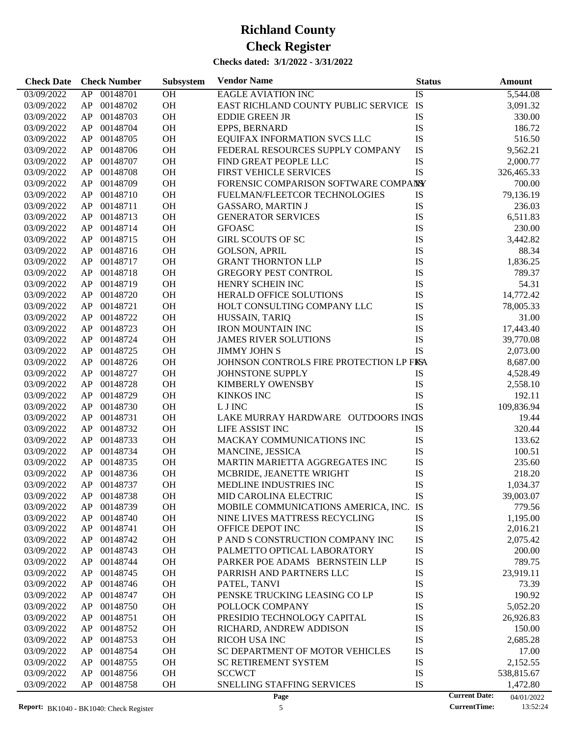| <b>Check Date</b> | <b>Check Number</b> | <b>Subsystem</b> | <b>Vendor Name</b>                      | <b>Status</b> | <b>Amount</b>                      |
|-------------------|---------------------|------------------|-----------------------------------------|---------------|------------------------------------|
| 03/09/2022        | 00148701<br>AP      | <b>OH</b>        | <b>EAGLE AVIATION INC</b>               | IS            | 5,544.08                           |
| 03/09/2022        | 00148702<br>AP      | OH               | EAST RICHLAND COUNTY PUBLIC SERVICE     | IS            | 3,091.32                           |
| 03/09/2022        | 00148703<br>AP      | OH               | <b>EDDIE GREEN JR</b>                   | IS            | 330.00                             |
| 03/09/2022        | 00148704<br>AP      | OH               | EPPS, BERNARD                           | IS            | 186.72                             |
| 03/09/2022        | 00148705<br>AP      | OH               | EQUIFAX INFORMATION SVCS LLC            | IS            | 516.50                             |
| 03/09/2022        | 00148706<br>AP      | OH               | FEDERAL RESOURCES SUPPLY COMPANY        | IS            | 9,562.21                           |
| 03/09/2022        | 00148707<br>AP      | <b>OH</b>        | FIND GREAT PEOPLE LLC                   | IS            | 2,000.77                           |
| 03/09/2022        | 00148708<br>AP      | OH               | <b>FIRST VEHICLE SERVICES</b>           | IS            | 326,465.33                         |
| 03/09/2022        | 00148709<br>AP      | OH               | FORENSIC COMPARISON SOFTWARE COMPANY    |               | 700.00                             |
| 03/09/2022        | 00148710<br>AP      | OH               | FUELMAN/FLEETCOR TECHNOLOGIES           | IS            | 79,136.19                          |
| 03/09/2022        | 00148711<br>AP      | <b>OH</b>        | <b>GASSARO, MARTIN J</b>                | IS            | 236.03                             |
| 03/09/2022        | 00148713<br>AP      | <b>OH</b>        | <b>GENERATOR SERVICES</b>               | IS            | 6,511.83                           |
| 03/09/2022        | 00148714<br>AP      | OH               | <b>GFOASC</b>                           | IS            | 230.00                             |
| 03/09/2022        | 00148715<br>AP      | OH               | <b>GIRL SCOUTS OF SC</b>                | IS            | 3,442.82                           |
|                   | 00148716            | <b>OH</b>        |                                         | IS            |                                    |
| 03/09/2022        | AP                  |                  | <b>GOLSON, APRIL</b>                    |               | 88.34                              |
| 03/09/2022        | 00148717<br>AP      | <b>OH</b>        | <b>GRANT THORNTON LLP</b>               | IS            | 1,836.25                           |
| 03/09/2022        | 00148718<br>AP      | OH               | <b>GREGORY PEST CONTROL</b>             | IS            | 789.37                             |
| 03/09/2022        | 00148719<br>AP      | OH               | HENRY SCHEIN INC                        | IS            | 54.31                              |
| 03/09/2022        | 00148720<br>AP      | <b>OH</b>        | <b>HERALD OFFICE SOLUTIONS</b>          | IS            | 14,772.42                          |
| 03/09/2022        | 00148721<br>AP      | <b>OH</b>        | HOLT CONSULTING COMPANY LLC             | IS            | 78,005.33                          |
| 03/09/2022        | 00148722<br>AP      | OH               | HUSSAIN, TARIQ                          | IS            | 31.00                              |
| 03/09/2022        | 00148723<br>AP      | OH               | <b>IRON MOUNTAIN INC</b>                | IS            | 17,443.40                          |
| 03/09/2022        | 00148724<br>AP      | <b>OH</b>        | <b>JAMES RIVER SOLUTIONS</b>            | IS            | 39,770.08                          |
| 03/09/2022        | 00148725<br>AP      | <b>OH</b>        | <b>JIMMY JOHN S</b>                     | <b>IS</b>     | 2,073.00                           |
| 03/09/2022        | 00148726<br>AP      | OH               | JOHNSON CONTROLS FIRE PROTECTION LP FKA |               | 8,687.00                           |
| 03/09/2022        | 00148727<br>AP      | <b>OH</b>        | JOHNSTONE SUPPLY                        | IS            | 4,528.49                           |
| 03/09/2022        | 00148728<br>AP      | <b>OH</b>        | <b>KIMBERLY OWENSBY</b>                 | IS            | 2,558.10                           |
| 03/09/2022        | 00148729<br>AP      | <b>OH</b>        | <b>KINKOS INC</b>                       | IS            | 192.11                             |
| 03/09/2022        | 00148730<br>AP      | OH               | L J INC                                 | IS            | 109,836.94                         |
| 03/09/2022        | 00148731<br>AP      | <b>OH</b>        | LAKE MURRAY HARDWARE OUTDOORS INGS      |               | 19.44                              |
| 03/09/2022        | 00148732<br>AP      | <b>OH</b>        | LIFE ASSIST INC                         | IS            | 320.44                             |
| 03/09/2022        | 00148733<br>AP      | <b>OH</b>        | MACKAY COMMUNICATIONS INC               | IS            | 133.62                             |
| 03/09/2022        | 00148734<br>AP      | <b>OH</b>        | MANCINE, JESSICA                        | IS            | 100.51                             |
| 03/09/2022        | 00148735<br>AP      | <b>OH</b>        | MARTIN MARIETTA AGGREGATES INC          | IS            | 235.60                             |
| 03/09/2022        | 00148736<br>AP      | <b>OH</b>        | MCBRIDE, JEANETTE WRIGHT                | IS            | 218.20                             |
| 03/09/2022        | AP<br>00148737      | OH               | MEDLINE INDUSTRIES INC                  | IS            | 1,034.37                           |
| 03/09/2022        | AP<br>00148738      | <b>OH</b>        | <b>MID CAROLINA ELECTRIC</b>            | IS            | 39,003.07                          |
| 03/09/2022        | 00148739<br>AP      | OH               | MOBILE COMMUNICATIONS AMERICA, INC.     | IS            | 779.56                             |
| 03/09/2022        | 00148740<br>AP      | OH               | NINE LIVES MATTRESS RECYCLING           | IS            | 1,195.00                           |
| 03/09/2022        | 00148741<br>AP      | OH               | OFFICE DEPOT INC                        | IS            | 2,016.21                           |
| 03/09/2022        | 00148742<br>AP      | OH               | P AND S CONSTRUCTION COMPANY INC        | IS            | 2,075.42                           |
| 03/09/2022        | 00148743<br>AP      | OH               | PALMETTO OPTICAL LABORATORY             | IS            | 200.00                             |
| 03/09/2022        | 00148744<br>AP      | OH               | PARKER POE ADAMS BERNSTEIN LLP          | IS            | 789.75                             |
| 03/09/2022        | 00148745<br>AP      | OH               | PARRISH AND PARTNERS LLC                | IS            | 23,919.11                          |
| 03/09/2022        | 00148746<br>AP      | OH               | PATEL, TANVI                            | IS            | 73.39                              |
| 03/09/2022        | 00148747<br>AP      | OH               | PENSKE TRUCKING LEASING CO LP           | IS            | 190.92                             |
| 03/09/2022        | 00148750<br>AP      | OH               | POLLOCK COMPANY                         | IS            | 5,052.20                           |
| 03/09/2022        | 00148751<br>AP      | OH               | PRESIDIO TECHNOLOGY CAPITAL             | IS            | 26,926.83                          |
| 03/09/2022        | 00148752<br>AP      | OH               | RICHARD, ANDREW ADDISON                 | IS            | 150.00                             |
| 03/09/2022        | 00148753<br>AP      | OH               | <b>RICOH USA INC</b>                    | IS            | 2,685.28                           |
| 03/09/2022        | 00148754<br>AP      | OH               | SC DEPARTMENT OF MOTOR VEHICLES         | IS            | 17.00                              |
| 03/09/2022        | 00148755<br>AP      | OH               | <b>SC RETIREMENT SYSTEM</b>             | IS            | 2,152.55                           |
| 03/09/2022        | 00148756<br>AP      | OH               | <b>SCCWCT</b>                           | IS            | 538,815.67                         |
| 03/09/2022        | AP<br>00148758      | OH               | SNELLING STAFFING SERVICES              | IS            | 1,472.80                           |
|                   |                     |                  | Page                                    |               | <b>Current Date:</b><br>04/01/2022 |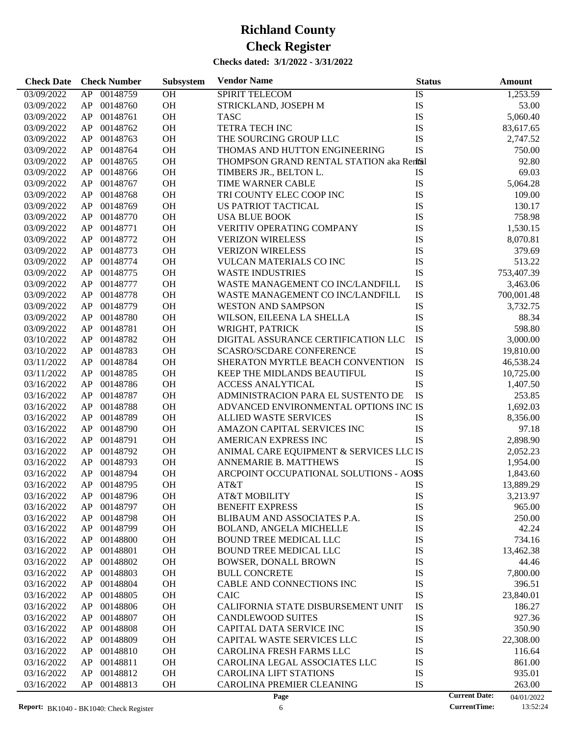| <b>Check Date</b>        | <b>Check Number</b>              | <b>Subsystem</b> | <b>Vendor Name</b>                                            | <b>Status</b> |                      | <b>Amount</b>      |
|--------------------------|----------------------------------|------------------|---------------------------------------------------------------|---------------|----------------------|--------------------|
| 03/09/2022               | 00148759<br>AP                   | OH               | <b>SPIRIT TELECOM</b>                                         | IS            |                      | 1,253.59           |
| 03/09/2022               | 00148760<br>AP                   | OH               | STRICKLAND, JOSEPH M                                          | IS            |                      | 53.00              |
| 03/09/2022               | 00148761<br>AP                   | <b>OH</b>        | <b>TASC</b>                                                   | IS            |                      | 5,060.40           |
| 03/09/2022               | 00148762<br>AP                   | <b>OH</b>        | <b>TETRA TECH INC</b>                                         | IS            |                      | 83,617.65          |
| 03/09/2022               | 00148763<br>AP                   | OH               | THE SOURCING GROUP LLC                                        | IS            |                      | 2,747.52           |
| 03/09/2022               | 00148764<br>AP                   | OH               | THOMAS AND HUTTON ENGINEERING                                 | IS            |                      | 750.00             |
| 03/09/2022               | 00148765<br>AP                   | OH               | THOMPSON GRAND RENTAL STATION aka Rentsal                     |               |                      | 92.80              |
| 03/09/2022               | 00148766<br>AP                   | <b>OH</b>        | TIMBERS JR., BELTON L.                                        | IS            |                      | 69.03              |
| 03/09/2022               | 00148767<br>AP                   | OH               | TIME WARNER CABLE                                             | IS            |                      | 5,064.28           |
| 03/09/2022               | 00148768<br>AP                   | <b>OH</b>        | TRI COUNTY ELEC COOP INC                                      | IS            |                      | 109.00             |
| 03/09/2022               | 00148769<br>AP                   | <b>OH</b>        | US PATRIOT TACTICAL                                           | IS            |                      | 130.17             |
| 03/09/2022               | 00148770<br>AP                   | <b>OH</b>        | <b>USA BLUE BOOK</b>                                          | IS            |                      | 758.98             |
| 03/09/2022               | 00148771<br>AP                   | OH               | VERITIV OPERATING COMPANY                                     | IS            |                      | 1,530.15           |
| 03/09/2022               | 00148772<br>AP                   | <b>OH</b>        | <b>VERIZON WIRELESS</b>                                       | IS            |                      | 8,070.81           |
| 03/09/2022               | 00148773<br>AP                   | <b>OH</b>        | <b>VERIZON WIRELESS</b>                                       | IS            |                      | 379.69             |
| 03/09/2022               | 00148774<br>AP                   | <b>OH</b>        | <b>VULCAN MATERIALS CO INC</b>                                | IS            |                      | 513.22             |
| 03/09/2022               | 00148775<br>AP                   | <b>OH</b>        | <b>WASTE INDUSTRIES</b>                                       | IS            |                      | 753,407.39         |
| 03/09/2022               | 00148777<br>AP                   | <b>OH</b>        | WASTE MANAGEMENT CO INC/LANDFILL                              | IS            |                      | 3,463.06           |
| 03/09/2022               | 00148778<br>AP                   | <b>OH</b>        | WASTE MANAGEMENT CO INC/LANDFILL                              | IS            |                      | 700,001.48         |
| 03/09/2022               | 00148779<br>AP                   | <b>OH</b>        | <b>WESTON AND SAMPSON</b>                                     | IS            |                      | 3,732.75           |
| 03/09/2022               | 00148780<br>AP                   | OH               | WILSON, EILEENA LA SHELLA                                     | IS            |                      | 88.34              |
| 03/09/2022               | 00148781<br>AP                   | <b>OH</b>        | WRIGHT, PATRICK                                               | IS            |                      | 598.80             |
| 03/10/2022               | 00148782<br>AP                   | <b>OH</b>        | DIGITAL ASSURANCE CERTIFICATION LLC                           | IS            |                      | 3,000.00           |
| 03/10/2022               | 00148783<br>AP                   | <b>OH</b>        | <b>SCASRO/SCDARE CONFERENCE</b>                               | IS            |                      | 19,810.00          |
| 03/11/2022               | 00148784<br>AP                   | OH               | SHERATON MYRTLE BEACH CONVENTION                              | IS            |                      | 46,538.24          |
| 03/11/2022               | 00148785<br>AP                   | <b>OH</b>        | KEEP THE MIDLANDS BEAUTIFUL                                   | IS            |                      | 10,725.00          |
| 03/16/2022               | 00148786<br>AP                   | <b>OH</b>        | <b>ACCESS ANALYTICAL</b>                                      | IS            |                      | 1,407.50           |
| 03/16/2022               | 00148787<br>AP                   | <b>OH</b>        | ADMINISTRACION PARA EL SUSTENTO DE                            | IS            |                      | 253.85             |
| 03/16/2022               | 00148788<br>AP                   | OH               | ADVANCED ENVIRONMENTAL OPTIONS INC IS                         |               |                      | 1,692.03           |
| 03/16/2022               | 00148789<br>AP                   | <b>OH</b>        | <b>ALLIED WASTE SERVICES</b>                                  | IS            |                      | 8,356.00           |
| 03/16/2022               | 00148790<br>AP                   | <b>OH</b>        | AMAZON CAPITAL SERVICES INC                                   | IS            |                      | 97.18              |
| 03/16/2022               | 00148791<br>AP                   | <b>OH</b>        | AMERICAN EXPRESS INC                                          | IS            |                      | 2,898.90           |
| 03/16/2022               | 00148792<br>AP                   | OH               | ANIMAL CARE EQUIPMENT & SERVICES LLC IS                       |               |                      | 2,052.23           |
| 03/16/2022               | 00148793<br>AP                   | <b>OH</b>        | ANNEMARIE B. MATTHEWS                                         | IS            |                      | 1,954.00           |
| 03/16/2022               | AP<br>00148794                   | <b>OH</b>        | ARCPOINT OCCUPATIONAL SOLUTIONS - AOSS                        |               |                      | 1,843.60           |
|                          |                                  | OH               |                                                               |               |                      |                    |
| 03/16/2022               | AP<br>00148795                   |                  | AT&T                                                          | IS            |                      | 13,889.29          |
| 03/16/2022               | AP<br>00148796                   | <b>OH</b>        | AT&T MOBILITY                                                 | IS            |                      | 3,213.97           |
| 03/16/2022               | 00148797<br>AP                   | OH               | <b>BENEFIT EXPRESS</b>                                        | IS            |                      | 965.00             |
| 03/16/2022<br>03/16/2022 | 00148798<br>AP<br>00148799<br>AP | OH<br>OH         | BLIBAUM AND ASSOCIATES P.A.<br><b>BOLAND, ANGELA MICHELLE</b> | IS<br>IS      |                      | 250.00<br>42.24    |
| 03/16/2022               | 00148800<br>AP                   | OH               | BOUND TREE MEDICAL LLC                                        | IS            |                      | 734.16             |
| 03/16/2022               | 00148801<br>AP                   | OH               | <b>BOUND TREE MEDICAL LLC</b>                                 | IS            |                      |                    |
| 03/16/2022               | 00148802<br>AP                   | OH               | <b>BOWSER, DONALL BROWN</b>                                   | IS            |                      | 13,462.38<br>44.46 |
| 03/16/2022               | 00148803                         | OH               |                                                               | IS            |                      |                    |
|                          | AP                               |                  | <b>BULL CONCRETE</b>                                          |               |                      | 7,800.00           |
| 03/16/2022               | 00148804<br>AP                   | OH               | CABLE AND CONNECTIONS INC                                     | IS            |                      | 396.51             |
| 03/16/2022               | 00148805<br>AP                   | OH               | <b>CAIC</b>                                                   | IS            |                      | 23,840.01          |
| 03/16/2022               | 00148806<br>AP                   | OH               | CALIFORNIA STATE DISBURSEMENT UNIT                            | IS            |                      | 186.27             |
| 03/16/2022               | 00148807<br>AP                   | OH               | <b>CANDLEWOOD SUITES</b>                                      | IS            |                      | 927.36             |
| 03/16/2022               | 00148808<br>AP                   | OH               | CAPITAL DATA SERVICE INC                                      | IS            |                      | 350.90             |
| 03/16/2022               | 00148809<br>AP                   | OH               | CAPITAL WASTE SERVICES LLC                                    | IS            |                      | 22,308.00          |
| 03/16/2022               | 00148810<br>AP                   | OH               | CAROLINA FRESH FARMS LLC                                      | IS            |                      | 116.64             |
| 03/16/2022               | 00148811<br>AP                   | OH               | CAROLINA LEGAL ASSOCIATES LLC                                 | IS            |                      | 861.00             |
| 03/16/2022               | 00148812<br>AP                   | OH               | <b>CAROLINA LIFT STATIONS</b>                                 | IS            |                      | 935.01             |
| 03/16/2022               | AP<br>00148813                   | OH               | CAROLINA PREMIER CLEANING                                     | IS            |                      | 263.00             |
|                          |                                  |                  | Page                                                          |               | <b>Current Date:</b> | 04/01/2022         |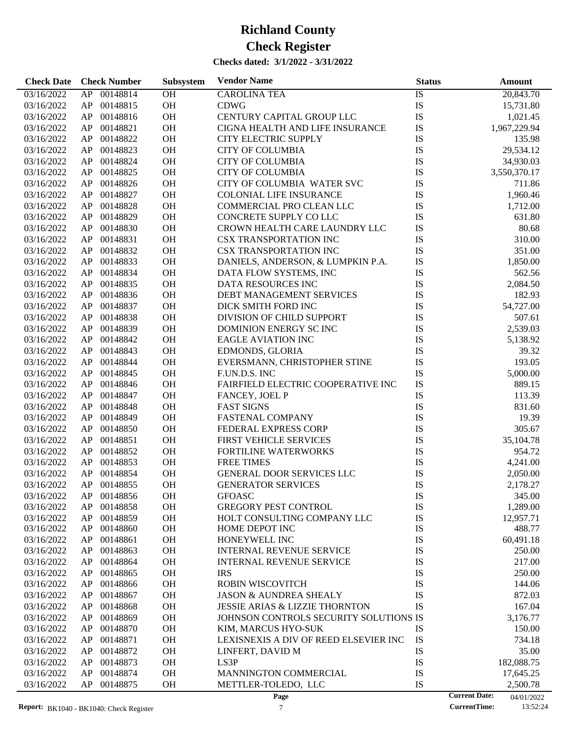| <b>Check Date</b> | <b>Check Number</b> | Subsystem | <b>Vendor Name</b>                        | <b>Status</b> | <b>Amount</b>                      |
|-------------------|---------------------|-----------|-------------------------------------------|---------------|------------------------------------|
| 03/16/2022        | 00148814<br>AP      | OH        | <b>CAROLINA TEA</b>                       | IS            | 20,843.70                          |
| 03/16/2022        | 00148815<br>AP      | OH        | <b>CDWG</b>                               | IS            | 15,731.80                          |
| 03/16/2022        | AP<br>00148816      | OH        | CENTURY CAPITAL GROUP LLC                 | IS            | 1,021.45                           |
| 03/16/2022        | 00148821<br>AP      | OH        | CIGNA HEALTH AND LIFE INSURANCE           | IS            | 1,967,229.94                       |
| 03/16/2022        | 00148822<br>AP      | OH        | <b>CITY ELECTRIC SUPPLY</b>               | IS            | 135.98                             |
| 03/16/2022        | 00148823<br>AP      | OH        | <b>CITY OF COLUMBIA</b>                   | IS            | 29,534.12                          |
| 03/16/2022        | 00148824<br>AP      | OH        | <b>CITY OF COLUMBIA</b>                   | IS            | 34,930.03                          |
| 03/16/2022        | AP<br>00148825      | OH        | <b>CITY OF COLUMBIA</b>                   | IS            | 3,550,370.17                       |
| 03/16/2022        | 00148826<br>AP      | OH        | CITY OF COLUMBIA WATER SVC                | IS            | 711.86                             |
| 03/16/2022        | 00148827<br>AP      | OH        | <b>COLONIAL LIFE INSURANCE</b>            | IS            | 1,960.46                           |
| 03/16/2022        | 00148828<br>AP      | OH        | COMMERCIAL PRO CLEAN LLC                  | IS            | 1,712.00                           |
| 03/16/2022        | 00148829<br>AP      | OH        | CONCRETE SUPPLY COLLC                     | IS            | 631.80                             |
| 03/16/2022        | 00148830<br>AP      | OH        | CROWN HEALTH CARE LAUNDRY LLC             | IS            | 80.68                              |
| 03/16/2022        | 00148831<br>AP      | OH        | <b>CSX TRANSPORTATION INC</b>             | IS            | 310.00                             |
| 03/16/2022        | AP<br>00148832      | OH        | <b>CSX TRANSPORTATION INC</b>             | IS            | 351.00                             |
| 03/16/2022        | 00148833<br>AP      | OH        | DANIELS, ANDERSON, & LUMPKIN P.A.         | IS            | 1,850.00                           |
| 03/16/2022        | 00148834<br>AP      | OH        | DATA FLOW SYSTEMS, INC                    | IS            | 562.56                             |
| 03/16/2022        | 00148835<br>AP      | OH        | DATA RESOURCES INC                        | IS            | 2,084.50                           |
| 03/16/2022        | 00148836<br>AP      | OH        | DEBT MANAGEMENT SERVICES                  | IS            | 182.93                             |
| 03/16/2022        | 00148837<br>AP      | OH        | DICK SMITH FORD INC                       | IS            | 54,727.00                          |
| 03/16/2022        | 00148838<br>AP      | OH        | DIVISION OF CHILD SUPPORT                 | IS            | 507.61                             |
| 03/16/2022        | 00148839<br>AP      | OH        | DOMINION ENERGY SCINC                     | IS            | 2,539.03                           |
| 03/16/2022        | 00148842<br>AP      | OH        | <b>EAGLE AVIATION INC</b>                 | IS            | 5,138.92                           |
| 03/16/2022        | 00148843<br>AP      | OH        | EDMONDS, GLORIA                           | IS            | 39.32                              |
| 03/16/2022        | 00148844<br>AP      | OH        | EVERSMANN, CHRISTOPHER STINE              | IS            | 193.05                             |
| 03/16/2022        | 00148845<br>AP      | OH        | F.UN.D.S. INC                             | IS            | 5,000.00                           |
| 03/16/2022        | 00148846<br>AP      | OH        | FAIRFIELD ELECTRIC COOPERATIVE INC        | IS            | 889.15                             |
| 03/16/2022        | 00148847<br>AP      | OH        | FANCEY, JOEL P                            | IS            | 113.39                             |
| 03/16/2022        | 00148848<br>AP      | OH        | <b>FAST SIGNS</b>                         | IS            | 831.60                             |
| 03/16/2022        | 00148849<br>AP      | OH        | <b>FASTENAL COMPANY</b>                   | IS            | 19.39                              |
| 03/16/2022        | 00148850<br>AP      | OH        | FEDERAL EXPRESS CORP                      | IS            | 305.67                             |
| 03/16/2022        | 00148851<br>AP      | OH        | FIRST VEHICLE SERVICES                    | IS            | 35,104.78                          |
| 03/16/2022        | 00148852<br>AP      | OH        | FORTILINE WATERWORKS                      | IS            | 954.72                             |
| 03/16/2022        | 00148853<br>AP      | <b>OH</b> | <b>FREE TIMES</b>                         | IS            | 4,241.00                           |
| 03/16/2022        | AP<br>00148854      | OH        | GENERAL DOOR SERVICES LLC                 | IS            | 2,050.00                           |
| 03/16/2022        | AP 00148855         | <b>OH</b> | <b>GENERATOR SERVICES</b>                 | IS            | 2,178.27                           |
| 03/16/2022        | 00148856<br>AP      | OH        | <b>GFOASC</b>                             | IS            | 345.00                             |
| 03/16/2022        | 00148858<br>AP      | OH        | <b>GREGORY PEST CONTROL</b>               | IS            | 1,289.00                           |
| 03/16/2022        | AP<br>00148859      | <b>OH</b> | HOLT CONSULTING COMPANY LLC               | IS            | 12,957.71                          |
| 03/16/2022        | 00148860<br>AP      | <b>OH</b> | HOME DEPOT INC                            | IS            | 488.77                             |
| 03/16/2022        | 00148861<br>AP      | OH        | HONEYWELL INC                             | IS            | 60,491.18                          |
| 03/16/2022        | 00148863<br>AP      | OH        | <b>INTERNAL REVENUE SERVICE</b>           | IS            | 250.00                             |
| 03/16/2022        | 00148864<br>AP      | OH        | <b>INTERNAL REVENUE SERVICE</b>           | IS            | 217.00                             |
| 03/16/2022        | 00148865<br>AP      | OH        | <b>IRS</b>                                | IS            | 250.00                             |
| 03/16/2022        | 00148866<br>AP      | OH        | ROBIN WISCOVITCH                          | IS            | 144.06                             |
| 03/16/2022        | 00148867<br>AP      | OH        | <b>JASON &amp; AUNDREA SHEALY</b>         | IS            | 872.03                             |
| 03/16/2022        | 00148868<br>AP      | OH        | <b>JESSIE ARIAS &amp; LIZZIE THORNTON</b> | IS            | 167.04                             |
| 03/16/2022        | 00148869<br>AP      | OH        | JOHNSON CONTROLS SECURITY SOLUTIONS IS    |               | 3,176.77                           |
| 03/16/2022        | 00148870<br>AP      | OH        | KIM, MARCUS HYO-SUK                       | IS            | 150.00                             |
| 03/16/2022        | 00148871<br>AP      | OH        | LEXISNEXIS A DIV OF REED ELSEVIER INC     | IS            | 734.18                             |
| 03/16/2022        | 00148872<br>AP      | OH        | LINFERT, DAVID M                          | IS            | 35.00                              |
| 03/16/2022        | 00148873<br>AP      | OH        | LS <sub>3</sub> P                         | IS            | 182,088.75                         |
| 03/16/2022        | 00148874<br>AP      | OH        | MANNINGTON COMMERCIAL                     | IS            | 17,645.25                          |
| 03/16/2022        | 00148875<br>AP      | OH        | METTLER-TOLEDO, LLC                       | IS            | 2,500.78                           |
|                   |                     |           | Page                                      |               | <b>Current Date:</b><br>04/01/2022 |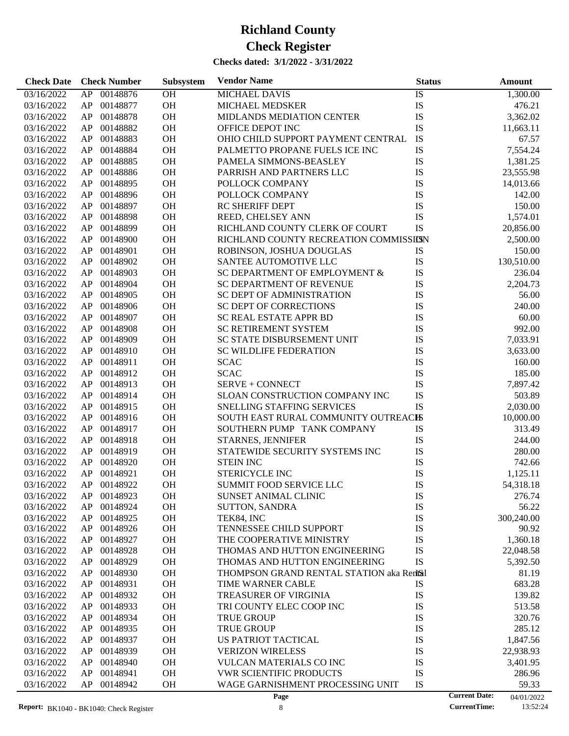| <b>Check Date</b> | <b>Check Number</b>        | Subsystem | <b>Vendor Name</b>                        | <b>Status</b> | <b>Amount</b>                      |
|-------------------|----------------------------|-----------|-------------------------------------------|---------------|------------------------------------|
| 03/16/2022        | 00148876<br>AP             | <b>OH</b> | <b>MICHAEL DAVIS</b>                      | IS            | 1,300.00                           |
| 03/16/2022        | 00148877<br>AP             | OH        | MICHAEL MEDSKER                           | IS            | 476.21                             |
| 03/16/2022        | 00148878<br>AP             | OH        | MIDLANDS MEDIATION CENTER                 | IS            | 3,362.02                           |
| 03/16/2022        | 00148882<br>AP             | <b>OH</b> | OFFICE DEPOT INC                          | IS            | 11,663.11                          |
| 03/16/2022        | 00148883<br>AP             | OH        | OHIO CHILD SUPPORT PAYMENT CENTRAL        | IS            | 67.57                              |
| 03/16/2022        | 00148884<br>AP             | OH        | PALMETTO PROPANE FUELS ICE INC            | IS            | 7,554.24                           |
| 03/16/2022        | 00148885<br>AP             | OH        | PAMELA SIMMONS-BEASLEY                    | IS            | 1,381.25                           |
| 03/16/2022        | 00148886<br>AP             | OH        | PARRISH AND PARTNERS LLC                  | IS            | 23,555.98                          |
| 03/16/2022        | 00148895<br>AP             | OH        | POLLOCK COMPANY                           | IS            | 14,013.66                          |
| 03/16/2022        | 00148896<br>AP             | OH        | POLLOCK COMPANY                           | IS            | 142.00                             |
| 03/16/2022        | 00148897<br>AP             | OH        | <b>RC SHERIFF DEPT</b>                    | IS            | 150.00                             |
| 03/16/2022        | 00148898<br>AP             | <b>OH</b> | REED, CHELSEY ANN                         | IS            | 1,574.01                           |
| 03/16/2022        | 00148899<br>AP             | OH        | RICHLAND COUNTY CLERK OF COURT            | IS            | 20,856.00                          |
| 03/16/2022        | 00148900<br>AP             | OH        | RICHLAND COUNTY RECREATION COMMISSIESN    |               | 2,500.00                           |
| 03/16/2022        | 00148901<br>AP             | OH        | ROBINSON, JOSHUA DOUGLAS                  | IS            | 150.00                             |
| 03/16/2022        | 00148902<br>AP             | <b>OH</b> | SANTEE AUTOMOTIVE LLC                     | IS            | 130,510.00                         |
| 03/16/2022        | 00148903<br>AP             | OH        | SC DEPARTMENT OF EMPLOYMENT &             | IS            | 236.04                             |
| 03/16/2022        | 00148904<br>AP             | OH        | <b>SC DEPARTMENT OF REVENUE</b>           | IS            | 2,204.73                           |
| 03/16/2022        | 00148905<br>AP             | OH        | SC DEPT OF ADMINISTRATION                 | IS            | 56.00                              |
| 03/16/2022        | 00148906<br>AP             | <b>OH</b> | <b>SC DEPT OF CORRECTIONS</b>             | IS            | 240.00                             |
| 03/16/2022        | 00148907<br>AP             | OH        | <b>SC REAL ESTATE APPR BD</b>             | IS            | 60.00                              |
| 03/16/2022        | 00148908<br>AP             | OH        | <b>SC RETIREMENT SYSTEM</b>               | IS            | 992.00                             |
| 03/16/2022        | 00148909<br>AP             | OH        | <b>SC STATE DISBURSEMENT UNIT</b>         | IS            | 7,033.91                           |
| 03/16/2022        | 00148910<br>AP             | <b>OH</b> | <b>SC WILDLIFE FEDERATION</b>             | IS            | 3,633.00                           |
| 03/16/2022        | 00148911<br>AP             | OH        | <b>SCAC</b>                               | IS            | 160.00                             |
| 03/16/2022        | 00148912<br>AP             | OH        | <b>SCAC</b>                               | IS            | 185.00                             |
| 03/16/2022        | 00148913<br>AP             | OH        | SERVE + CONNECT                           | IS            | 7,897.42                           |
| 03/16/2022        | 00148914<br>AP             | <b>OH</b> | SLOAN CONSTRUCTION COMPANY INC            | IS            | 503.89                             |
| 03/16/2022        | 00148915<br>AP             | OH        | SNELLING STAFFING SERVICES                | IS            | 2,030.00                           |
| 03/16/2022        | 00148916<br>AP             | OH        | SOUTH EAST RURAL COMMUNITY OUTREACHS      |               | 10,000.00                          |
| 03/16/2022        | 00148917<br>AP             | OH        | SOUTHERN PUMP TANK COMPANY                | IS            | 313.49                             |
| 03/16/2022        | 00148918<br>AP             | <b>OH</b> | STARNES, JENNIFER                         | IS            | 244.00                             |
| 03/16/2022        | 00148919                   | <b>OH</b> | STATEWIDE SECURITY SYSTEMS INC            | IS            |                                    |
|                   | AP<br>00148920             | OH        | <b>STEIN INC</b>                          | IS            | 280.00<br>742.66                   |
| 03/16/2022        | AP                         |           |                                           |               |                                    |
| 03/16/2022        | 00148921<br>AP             | <b>OH</b> | STERICYCLE INC                            | IS            | 1,125.11                           |
| 03/16/2022        | 00148922<br>AP             | <b>OH</b> | SUMMIT FOOD SERVICE LLC                   | IS            | 54,318.18                          |
| 03/16/2022        | AP.<br>00148923            | OН        | SUNSET ANIMAL CLINIC                      | IS            | 276.74                             |
| 03/16/2022        | 00148924<br>AP             | OH        | <b>SUTTON, SANDRA</b>                     | IS            | 56.22                              |
| 03/16/2022        | 00148925<br>AP<br>00148926 | OH<br>OH  | TEK84, INC<br>TENNESSEE CHILD SUPPORT     | IS<br>IS      | 300,240.00                         |
| 03/16/2022        | AP                         |           |                                           | IS            | 90.92<br>1,360.18                  |
| 03/16/2022        | 00148927<br>AP             | OH        | THE COOPERATIVE MINISTRY                  |               |                                    |
| 03/16/2022        | 00148928<br>AP             | OH        | THOMAS AND HUTTON ENGINEERING             | IS            | 22,048.58                          |
| 03/16/2022        | 00148929<br>AP             | OH        | THOMAS AND HUTTON ENGINEERING             | IS            | 5,392.50                           |
| 03/16/2022        | 00148930<br>AP             | OH        | THOMPSON GRAND RENTAL STATION aka Rentsil |               | 81.19                              |
| 03/16/2022        | 00148931<br>AP             | OH        | TIME WARNER CABLE                         | IS            | 683.28                             |
| 03/16/2022        | 00148932<br>AP             | OH        | TREASURER OF VIRGINIA                     | IS            | 139.82                             |
| 03/16/2022        | 00148933<br>AP             | OH        | TRI COUNTY ELEC COOP INC                  | IS            | 513.58                             |
| 03/16/2022        | 00148934<br>AP             | OH        | <b>TRUE GROUP</b>                         | IS            | 320.76                             |
| 03/16/2022        | 00148935<br>AP             | OH        | <b>TRUE GROUP</b>                         | IS            | 285.12                             |
| 03/16/2022        | 00148937<br>AP             | OH        | <b>US PATRIOT TACTICAL</b>                | IS            | 1,847.56                           |
| 03/16/2022        | 00148939<br>AP             | OH        | <b>VERIZON WIRELESS</b>                   | IS            | 22,938.93                          |
| 03/16/2022        | 00148940<br>AP             | OH        | VULCAN MATERIALS CO INC                   | IS            | 3,401.95                           |
| 03/16/2022        | AP<br>00148941             | OH        | <b>VWR SCIENTIFIC PRODUCTS</b>            | IS            | 286.96                             |
| 03/16/2022        | AP<br>00148942             | OH        | WAGE GARNISHMENT PROCESSING UNIT          | IS            | 59.33                              |
|                   |                            |           | Page                                      |               | <b>Current Date:</b><br>04/01/2022 |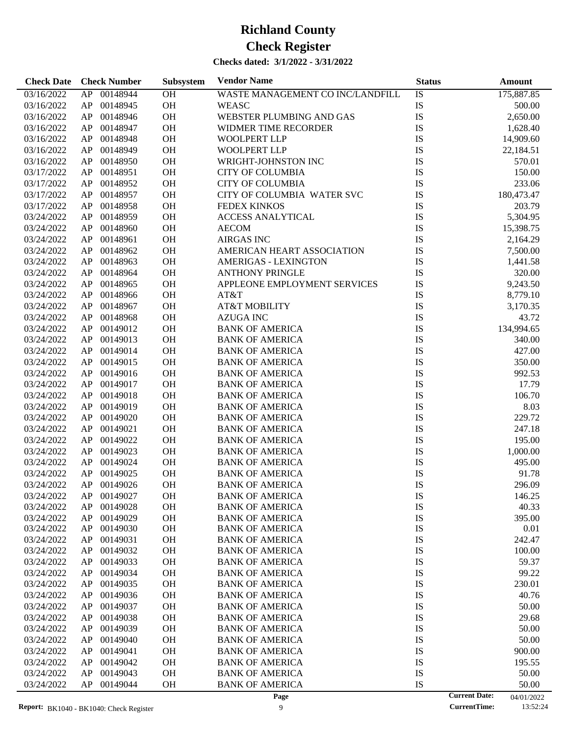| <b>Check Date</b> | <b>Check Number</b> | Subsystem | <b>Vendor Name</b>               | <b>Status</b> |                      | <b>Amount</b> |
|-------------------|---------------------|-----------|----------------------------------|---------------|----------------------|---------------|
| 03/16/2022        | AP 00148944         | <b>OH</b> | WASTE MANAGEMENT CO INC/LANDFILL | IS            |                      | 175,887.85    |
| 03/16/2022        | 00148945<br>AP      | OH        | <b>WEASC</b>                     | IS            |                      | 500.00        |
| 03/16/2022        | 00148946<br>AP      | OH        | WEBSTER PLUMBING AND GAS         | IS            |                      | 2,650.00      |
| 03/16/2022        | 00148947<br>AP      | OH        | WIDMER TIME RECORDER             | IS            |                      | 1,628.40      |
| 03/16/2022        | 00148948<br>AP      | OH        | <b>WOOLPERT LLP</b>              | IS            |                      | 14,909.60     |
| 03/16/2022        | 00148949<br>AP      | OH        | WOOLPERT LLP                     | IS            |                      | 22,184.51     |
| 03/16/2022        | 00148950<br>AP      | OH        | WRIGHT-JOHNSTON INC              | IS            |                      | 570.01        |
| 03/17/2022        | 00148951<br>AP      | OH        | <b>CITY OF COLUMBIA</b>          | IS            |                      | 150.00        |
| 03/17/2022        | 00148952<br>AP      | OH        | <b>CITY OF COLUMBIA</b>          | IS            |                      | 233.06        |
| 03/17/2022        | 00148957<br>AP      | OH        | CITY OF COLUMBIA WATER SVC       | IS            |                      | 180,473.47    |
| 03/17/2022        | 00148958<br>AP      | OH        | <b>FEDEX KINKOS</b>              | IS            |                      | 203.79        |
| 03/24/2022        | 00148959<br>AP      | OH        | <b>ACCESS ANALYTICAL</b>         | IS            |                      | 5,304.95      |
| 03/24/2022        | 00148960<br>AP      | OH        | <b>AECOM</b>                     | IS            |                      | 15,398.75     |
| 03/24/2022        | 00148961<br>AP      | OH        | <b>AIRGAS INC</b>                | IS            |                      | 2,164.29      |
| 03/24/2022        | 00148962<br>AP      | OH        | AMERICAN HEART ASSOCIATION       | IS            |                      | 7,500.00      |
| 03/24/2022        | 00148963<br>AP      | OH        | <b>AMERIGAS - LEXINGTON</b>      | IS            |                      | 1,441.58      |
| 03/24/2022        | 00148964<br>AP      | OH        | <b>ANTHONY PRINGLE</b>           | IS            |                      | 320.00        |
| 03/24/2022        | 00148965<br>AP      | OH        | APPLEONE EMPLOYMENT SERVICES     | IS            |                      | 9,243.50      |
| 03/24/2022        | 00148966<br>AP      | OH        | AT&T                             | IS            |                      | 8,779.10      |
| 03/24/2022        | 00148967<br>AP      | OH        | <b>AT&amp;T MOBILITY</b>         | IS            |                      | 3,170.35      |
| 03/24/2022        | 00148968<br>AP      | OH        | <b>AZUGA INC</b>                 | IS            |                      | 43.72         |
| 03/24/2022        | 00149012<br>AP      | OH        | <b>BANK OF AMERICA</b>           | IS            |                      | 134,994.65    |
| 03/24/2022        | 00149013<br>AP      | OH        | <b>BANK OF AMERICA</b>           | IS            |                      | 340.00        |
| 03/24/2022        | 00149014<br>AP      | OH        | <b>BANK OF AMERICA</b>           | IS            |                      | 427.00        |
| 03/24/2022        | 00149015<br>AP      | OH        | <b>BANK OF AMERICA</b>           | IS            |                      | 350.00        |
| 03/24/2022        | 00149016<br>AP      | OH        | <b>BANK OF AMERICA</b>           | IS            |                      | 992.53        |
| 03/24/2022        | 00149017<br>AP      | OH        | <b>BANK OF AMERICA</b>           | IS            |                      | 17.79         |
| 03/24/2022        | 00149018<br>AP      | OH        | <b>BANK OF AMERICA</b>           | IS            |                      | 106.70        |
| 03/24/2022        | 00149019<br>AP      | OH        | <b>BANK OF AMERICA</b>           | IS            |                      | 8.03          |
| 03/24/2022        | 00149020<br>AP      | OH        | <b>BANK OF AMERICA</b>           | IS            |                      | 229.72        |
| 03/24/2022        | 00149021<br>AP      | OH        | <b>BANK OF AMERICA</b>           | IS            |                      | 247.18        |
| 03/24/2022        | 00149022<br>AP      | OH        | <b>BANK OF AMERICA</b>           | IS            |                      | 195.00        |
| 03/24/2022        | 00149023<br>AP      | OH        | <b>BANK OF AMERICA</b>           | IS            |                      | 1,000.00      |
| 03/24/2022        | 00149024<br>AP      | OH        | <b>BANK OF AMERICA</b>           | IS            |                      | 495.00        |
| 03/24/2022        | 00149025<br>AP      | OH        | <b>BANK OF AMERICA</b>           | IS            |                      | 91.78         |
| 03/24/2022        | 00149026<br>AP      | OH        | <b>BANK OF AMERICA</b>           | IS            |                      | 296.09        |
| 03/24/2022        | 00149027<br>AP      | <b>OH</b> | <b>BANK OF AMERICA</b>           | IS            |                      | 146.25        |
| 03/24/2022        | 00149028<br>AP      | OH        | <b>BANK OF AMERICA</b>           | IS            |                      | 40.33         |
| 03/24/2022        | 00149029<br>AP      | OH        | <b>BANK OF AMERICA</b>           | IS            |                      | 395.00        |
| 03/24/2022        | AP<br>00149030      | OH        | <b>BANK OF AMERICA</b>           | IS            |                      | 0.01          |
| 03/24/2022        | AP<br>00149031      | OH        | <b>BANK OF AMERICA</b>           | IS            |                      | 242.47        |
| 03/24/2022        | 00149032<br>AP      | OH        | <b>BANK OF AMERICA</b>           | IS            |                      | 100.00        |
| 03/24/2022        | 00149033<br>AP      | OH        | <b>BANK OF AMERICA</b>           | IS            |                      | 59.37         |
| 03/24/2022        | 00149034<br>AP      | OH        | <b>BANK OF AMERICA</b>           | IS            |                      | 99.22         |
| 03/24/2022        | 00149035<br>AP      | OH        | <b>BANK OF AMERICA</b>           | IS            |                      | 230.01        |
| 03/24/2022        | 00149036<br>AP      | OH        | <b>BANK OF AMERICA</b>           | IS            |                      | 40.76         |
| 03/24/2022        | 00149037<br>AP      | <b>OH</b> | <b>BANK OF AMERICA</b>           | IS            |                      | 50.00         |
| 03/24/2022        | 00149038<br>AP      | <b>OH</b> | <b>BANK OF AMERICA</b>           | IS            |                      | 29.68         |
| 03/24/2022        | 00149039<br>AP      | <b>OH</b> | <b>BANK OF AMERICA</b>           | IS            |                      | 50.00         |
| 03/24/2022        | 00149040<br>AP      | OH        | <b>BANK OF AMERICA</b>           | IS            |                      | 50.00         |
| 03/24/2022        | 00149041<br>AP      | OH        | <b>BANK OF AMERICA</b>           | IS            |                      | 900.00        |
| 03/24/2022        | 00149042<br>AP      | OH        | <b>BANK OF AMERICA</b>           | IS            |                      | 195.55        |
| 03/24/2022        | 00149043<br>AP      | OH        | <b>BANK OF AMERICA</b>           | IS            |                      | 50.00         |
| 03/24/2022        | 00149044<br>AP      | OH        | <b>BANK OF AMERICA</b>           | IS            |                      | 50.00         |
|                   |                     |           | Page                             |               | <b>Current Date:</b> | 04/01/2022    |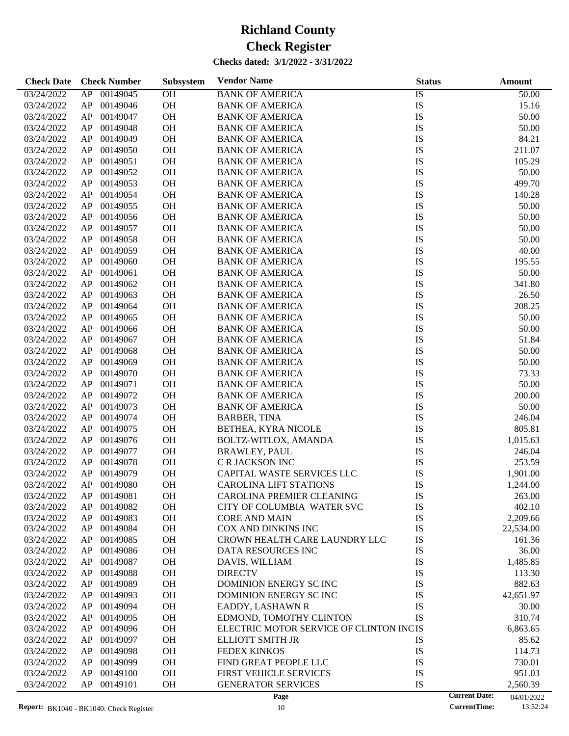| <b>Check Date</b>        | <b>Check Number</b> | Subsystem | <b>Vendor Name</b>                       | <b>Status</b> | <b>Amount</b>                      |
|--------------------------|---------------------|-----------|------------------------------------------|---------------|------------------------------------|
| 03/24/2022               | 00149045<br>AP      | OH        | <b>BANK OF AMERICA</b>                   | IS            | 50.00                              |
| 03/24/2022               | 00149046<br>AP      | OH        | <b>BANK OF AMERICA</b>                   | IS            | 15.16                              |
| 03/24/2022               | 00149047<br>AP      | OH        | <b>BANK OF AMERICA</b>                   | IS            | 50.00                              |
| 03/24/2022               | 00149048<br>AP      | OH        | <b>BANK OF AMERICA</b>                   | IS            | 50.00                              |
| 03/24/2022               | 00149049<br>AP      | OH        | <b>BANK OF AMERICA</b>                   | IS            | 84.21                              |
| 03/24/2022               | 00149050<br>AP      | OH        | <b>BANK OF AMERICA</b>                   | IS            | 211.07                             |
| 03/24/2022               | 00149051<br>AP      | OH        | <b>BANK OF AMERICA</b>                   | IS            | 105.29                             |
| 03/24/2022               | 00149052<br>AP      | OH        | <b>BANK OF AMERICA</b>                   | IS            | 50.00                              |
| 03/24/2022               | 00149053<br>AP      | OH        | <b>BANK OF AMERICA</b>                   | IS            | 499.70                             |
| 03/24/2022               | 00149054<br>AP      | OH        | <b>BANK OF AMERICA</b>                   | IS            | 140.28                             |
| 03/24/2022               | 00149055<br>AP      | OH        | <b>BANK OF AMERICA</b>                   | IS            | 50.00                              |
| 03/24/2022               | 00149056<br>AP      | OH        | <b>BANK OF AMERICA</b>                   | IS            | 50.00                              |
| 03/24/2022               | 00149057<br>AP      | OH        | <b>BANK OF AMERICA</b>                   | IS            | 50.00                              |
| 03/24/2022               | 00149058<br>AP      | OH        | <b>BANK OF AMERICA</b>                   | IS            | 50.00                              |
| 03/24/2022               | 00149059<br>AP      | OH        | <b>BANK OF AMERICA</b>                   | IS            | 40.00                              |
| 03/24/2022               | AP<br>00149060      | OH        | <b>BANK OF AMERICA</b>                   | IS            | 195.55                             |
| 03/24/2022               | 00149061<br>AP      | OH        | <b>BANK OF AMERICA</b>                   | IS            | 50.00                              |
| 03/24/2022               | AP<br>00149062      | OH        | <b>BANK OF AMERICA</b>                   | IS            | 341.80                             |
| 03/24/2022               | 00149063<br>AP      | OH        | <b>BANK OF AMERICA</b>                   | IS            | 26.50                              |
| 03/24/2022               | 00149064<br>AP      | OH        | <b>BANK OF AMERICA</b>                   | IS            | 208.25                             |
| 03/24/2022               | 00149065<br>AP      | OH        | <b>BANK OF AMERICA</b>                   | IS            | 50.00                              |
| 03/24/2022               | AP<br>00149066      | OH        | <b>BANK OF AMERICA</b>                   | IS            | 50.00                              |
| 03/24/2022               | AP<br>00149067      | OH        | <b>BANK OF AMERICA</b>                   | IS            | 51.84                              |
| 03/24/2022               | 00149068<br>AP      | OH        | <b>BANK OF AMERICA</b>                   | IS            | 50.00                              |
| 03/24/2022               | AP<br>00149069      | OH        | <b>BANK OF AMERICA</b>                   | IS            | 50.00                              |
| 03/24/2022               | 00149070<br>AP      | OH        | <b>BANK OF AMERICA</b>                   | IS            | 73.33                              |
| 03/24/2022               | 00149071<br>AP      | OH        | <b>BANK OF AMERICA</b>                   | IS            | 50.00                              |
| 03/24/2022               | 00149072<br>AP      | OH        | <b>BANK OF AMERICA</b>                   | IS            | 200.00                             |
| 03/24/2022               | 00149073<br>AP      | OH        | <b>BANK OF AMERICA</b>                   | IS            | 50.00                              |
| 03/24/2022               | 00149074<br>AP      | OH        | <b>BARBER, TINA</b>                      | IS            | 246.04                             |
| 03/24/2022               | 00149075<br>AP      | OH        | BETHEA, KYRA NICOLE                      | IS            | 805.81                             |
| 03/24/2022               | 00149076<br>AP      | OH        | BOLTZ-WITLOX, AMANDA                     | IS            | 1,015.63                           |
| 03/24/2022               | AP<br>00149077      | OH        | <b>BRAWLEY, PAUL</b>                     | IS            | 246.04                             |
| 03/24/2022               | AP<br>00149078      | OH        | C R JACKSON INC                          | IS            | 253.59                             |
| 03/24/2022               | 00149079<br>AP      | OH        | CAPITAL WASTE SERVICES LLC               | IS            | 1,901.00                           |
| 03/24/2022               | AP<br>00149080      | OH        | <b>CAROLINA LIFT STATIONS</b>            | IS            | 1,244.00                           |
| 03/24/2022               | AP<br>00149081      | OH        | CAROLINA PREMIER CLEANING                | IS            | 263.00                             |
| 03/24/2022               | 00149082<br>AP      | <b>OH</b> | CITY OF COLUMBIA WATER SVC               | IS            | 402.10                             |
| 03/24/2022               | AP<br>00149083      |           | <b>CORE AND MAIN</b>                     |               |                                    |
| 03/24/2022               | AP<br>00149084      | OH<br>OH  | COX AND DINKINS INC                      | IS<br>IS      | 2,209.66<br>22,534.00              |
| 03/24/2022               | 00149085<br>AP      | OH        | CROWN HEALTH CARE LAUNDRY LLC            | IS            | 161.36                             |
| 03/24/2022               | 00149086<br>AP      | OH        | DATA RESOURCES INC                       | IS            | 36.00                              |
| 03/24/2022               | AP<br>00149087      | OH        | DAVIS, WILLIAM                           | IS            | 1,485.85                           |
|                          | AP<br>00149088      |           |                                          | IS            |                                    |
| 03/24/2022<br>03/24/2022 | AP<br>00149089      | OH<br>OH  | <b>DIRECTV</b><br>DOMINION ENERGY SC INC | IS            | 113.30<br>882.63                   |
|                          |                     |           |                                          |               |                                    |
| 03/24/2022               | 00149093<br>AP      | OH        | DOMINION ENERGY SC INC                   | IS            | 42,651.97                          |
| 03/24/2022               | 00149094<br>AP      | OH        | EADDY, LASHAWN R                         | IS            | 30.00                              |
| 03/24/2022               | AP<br>00149095      | OH        | EDMOND, TOMOTHY CLINTON                  | IS            | 310.74                             |
| 03/24/2022               | AP<br>00149096      | OH        | ELECTRIC MOTOR SERVICE OF CLINTON INCIS  |               | 6,863.65                           |
| 03/24/2022               | AP<br>00149097      | OH        | <b>ELLIOTT SMITH JR</b>                  | IS            | 85.62                              |
| 03/24/2022               | AP<br>00149098      | OH        | <b>FEDEX KINKOS</b>                      | IS            | 114.73                             |
| 03/24/2022               | AP<br>00149099      | OH        | FIND GREAT PEOPLE LLC                    | IS            | 730.01                             |
| 03/24/2022               | AP<br>00149100      | OH        | FIRST VEHICLE SERVICES                   | IS            | 951.03                             |
| 03/24/2022               | AP<br>00149101      | OH        | <b>GENERATOR SERVICES</b>                | IS            | 2,560.39                           |
|                          |                     |           | Page                                     |               | <b>Current Date:</b><br>04/01/2022 |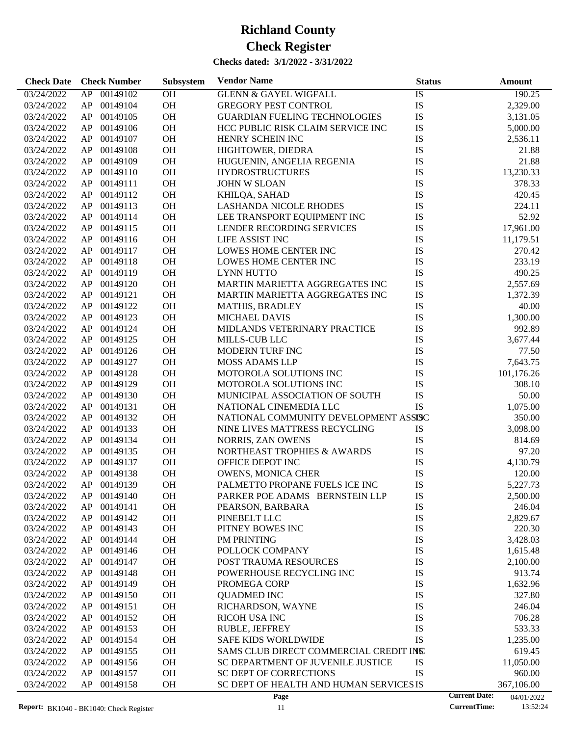| AP 00149102<br>OH<br>IS<br>03/24/2022<br><b>GLENN &amp; GAYEL WIGFALL</b><br>190.25<br>OH<br>IS<br>00149104<br><b>GREGORY PEST CONTROL</b><br>2,329.00<br>03/24/2022<br>AP<br>OH<br>IS<br>00149105<br><b>GUARDIAN FUELING TECHNOLOGIES</b><br>03/24/2022<br>AP<br>3,131.05<br>OH<br>IS<br>00149106<br>03/24/2022<br>AP<br>HCC PUBLIC RISK CLAIM SERVICE INC<br>5,000.00<br>IS<br>OH<br>00149107<br>HENRY SCHEIN INC<br>03/24/2022<br>AP<br>2,536.11<br>OH<br>IS<br>00149108<br>03/24/2022<br>AP<br>HIGHTOWER, DIEDRA<br>21.88<br>OH<br>IS<br>00149109<br>21.88<br>03/24/2022<br>AP<br>HUGUENIN, ANGELIA REGENIA<br>IS<br>OH<br>00149110<br>13,230.33<br>03/24/2022<br>AP<br><b>HYDROSTRUCTURES</b><br>OH<br>IS<br>00149111<br>03/24/2022<br>AP<br><b>JOHN W SLOAN</b><br>378.33<br>OH<br>IS<br>00149112<br>03/24/2022<br>AP<br>KHILQA, SAHAD<br>420.45<br>IS<br>OH<br>00149113<br>03/24/2022<br>AP<br><b>LASHANDA NICOLE RHODES</b><br>224.11<br>IS<br>00149114<br>OH<br>52.92<br>03/24/2022<br>AP<br>LEE TRANSPORT EQUIPMENT INC<br>OH<br>IS<br>00149115<br>03/24/2022<br>AP<br>LENDER RECORDING SERVICES<br>17,961.00<br>OH<br>IS<br>00149116<br>LIFE ASSIST INC<br>03/24/2022<br>AP<br>11,179.51<br>IS<br>00149117<br>OH<br>LOWES HOME CENTER INC<br>03/24/2022<br>AP<br>270.42<br>OH<br>IS<br>00149118<br>233.19<br>03/24/2022<br>AP<br>LOWES HOME CENTER INC<br>OH<br>IS<br>00149119<br>490.25<br>03/24/2022<br>AP<br><b>LYNN HUTTO</b><br>IS<br>00149120<br>OH<br>MARTIN MARIETTA AGGREGATES INC<br>2,557.69<br>03/24/2022<br>AP<br>OH<br>IS<br>00149121<br>03/24/2022<br>AP<br>MARTIN MARIETTA AGGREGATES INC<br>1,372.39<br>IS<br>OH<br>00149122<br>40.00<br>03/24/2022<br>AP<br><b>MATHIS, BRADLEY</b><br>IS<br>00149123<br>OH<br>03/24/2022<br>AP<br><b>MICHAEL DAVIS</b><br>1,300.00<br>OH<br>IS<br>00149124<br>MIDLANDS VETERINARY PRACTICE<br>992.89<br>03/24/2022<br>AP<br>IS<br>OH<br>00149125<br>3,677.44<br>03/24/2022<br>AP<br><b>MILLS-CUB LLC</b><br>IS<br>00149126<br>OH<br>03/24/2022<br>AP<br><b>MODERN TURF INC</b><br>77.50<br>OH<br>IS<br>00149127<br>7,643.75<br>03/24/2022<br>AP<br><b>MOSS ADAMS LLP</b><br>OH<br>IS<br>00149128<br>MOTOROLA SOLUTIONS INC<br>03/24/2022<br>AP<br>101,176.26<br>IS<br>00149129<br>OH<br>03/24/2022<br>AP<br>MOTOROLA SOLUTIONS INC<br>308.10<br>OH<br>IS<br>00149130<br>50.00<br>03/24/2022<br>AP<br>MUNICIPAL ASSOCIATION OF SOUTH<br><b>IS</b><br>OH<br>00149131<br>1,075.00<br>03/24/2022<br>AP<br>NATIONAL CINEMEDIA LLC<br>00149132<br>OH<br>NATIONAL COMMUNITY DEVELOPMENT ASSISC<br>03/24/2022<br>AP<br>350.00<br>OH<br>00149133<br>03/24/2022<br>AP<br>NINE LIVES MATTRESS RECYCLING<br>IS<br>3,098.00<br>OH<br>IS<br>00149134<br>03/24/2022<br>AP<br>NORRIS, ZAN OWENS<br>814.69<br>IS<br>00149135<br>OH<br>NORTHEAST TROPHIES & AWARDS<br>97.20<br>03/24/2022<br>AP<br>IS<br>00149137<br>OH<br>03/24/2022<br>AP<br>OFFICE DEPOT INC<br>4,130.79<br>IS<br>00149138<br>OH<br>03/24/2022<br>AP<br><b>OWENS, MONICA CHER</b><br>120.00<br>IS<br><b>OH</b><br>PALMETTO PROPANE FUELS ICE INC<br>03/24/2022<br>AP 00149139<br>5,227.73<br>03/24/2022<br>AP.<br>00149140<br>OН<br>PARKER POE ADAMS BERNSTEIN LLP<br>IS<br>2,500.00<br>IS<br>00149141<br>OH<br>03/24/2022<br>AP<br>PEARSON, BARBARA<br>246.04<br>IS<br>00149142<br>OH<br>PINEBELT LLC<br>2,829.67<br>03/24/2022<br>AP<br>IS<br>00149143<br>OH<br>03/24/2022<br>AP<br>PITNEY BOWES INC<br>220.30<br>IS<br>00149144<br>OH<br>3,428.03<br>03/24/2022<br>AP<br>PM PRINTING<br>IS<br>00149146<br>OH<br>POLLOCK COMPANY<br>03/24/2022<br>AP<br>1,615.48<br>IS<br>00149147<br>OH<br>POST TRAUMA RESOURCES<br>03/24/2022<br>AP<br>2,100.00<br>IS<br>00149148<br>OH<br>03/24/2022<br>AP<br>POWERHOUSE RECYCLING INC<br>913.74<br>IS<br>00149149<br>OH<br>03/24/2022<br>AP<br>PROMEGA CORP<br>1,632.96<br>IS<br>00149150<br>OH<br><b>QUADMED INC</b><br>327.80<br>03/24/2022<br>AP<br>IS<br>00149151<br>OH<br>03/24/2022<br>AP<br>RICHARDSON, WAYNE<br>246.04<br>IS<br>00149152<br>OH<br>RICOH USA INC<br>03/24/2022<br>AP<br>706.28<br>IS<br>00149153<br>OH<br>RUBLE, JEFFREY<br>533.33<br>03/24/2022<br>AP<br>IS<br>00149154<br>OH<br>1,235.00<br>03/24/2022<br>AP<br><b>SAFE KIDS WORLDWIDE</b><br>00149155<br>OH<br>SAMS CLUB DIRECT COMMERCIAL CREDIT INS<br>03/24/2022<br>AP<br>619.45<br>00149156<br>OH<br>IS<br>11,050.00<br>03/24/2022<br>AP<br>SC DEPARTMENT OF JUVENILE JUSTICE<br>IS<br>00149157<br>OH<br>SC DEPT OF CORRECTIONS<br>03/24/2022<br>AP<br>960.00<br>03/24/2022<br>AP<br>00149158<br>OH<br>SC DEPT OF HEALTH AND HUMAN SERVICES IS<br>367,106.00<br><b>Current Date:</b><br>Page<br>04/01/2022 | <b>Check Date</b> | <b>Check Number</b> | Subsystem | <b>Vendor Name</b> | <b>Status</b> | Amount |
|----------------------------------------------------------------------------------------------------------------------------------------------------------------------------------------------------------------------------------------------------------------------------------------------------------------------------------------------------------------------------------------------------------------------------------------------------------------------------------------------------------------------------------------------------------------------------------------------------------------------------------------------------------------------------------------------------------------------------------------------------------------------------------------------------------------------------------------------------------------------------------------------------------------------------------------------------------------------------------------------------------------------------------------------------------------------------------------------------------------------------------------------------------------------------------------------------------------------------------------------------------------------------------------------------------------------------------------------------------------------------------------------------------------------------------------------------------------------------------------------------------------------------------------------------------------------------------------------------------------------------------------------------------------------------------------------------------------------------------------------------------------------------------------------------------------------------------------------------------------------------------------------------------------------------------------------------------------------------------------------------------------------------------------------------------------------------------------------------------------------------------------------------------------------------------------------------------------------------------------------------------------------------------------------------------------------------------------------------------------------------------------------------------------------------------------------------------------------------------------------------------------------------------------------------------------------------------------------------------------------------------------------------------------------------------------------------------------------------------------------------------------------------------------------------------------------------------------------------------------------------------------------------------------------------------------------------------------------------------------------------------------------------------------------------------------------------------------------------------------------------------------------------------------------------------------------------------------------------------------------------------------------------------------------------------------------------------------------------------------------------------------------------------------------------------------------------------------------------------------------------------------------------------------------------------------------------------------------------------------------------------------------------------------------------------------------------------------------------------------------------------------------------------------------------------------------------------------------------------------------------------------------------------------------------------------------------------------------------------------------------------------------------------------------------------------------------------------------------------------------------------------------------------------------------------------------------------------------------------------------------------------------------------------------------------------------------------------------------------------------------------------------------------------------------------------------------------------------------------------------------------------------------------------------------------------------------------------------------------------------------------------------|-------------------|---------------------|-----------|--------------------|---------------|--------|
|                                                                                                                                                                                                                                                                                                                                                                                                                                                                                                                                                                                                                                                                                                                                                                                                                                                                                                                                                                                                                                                                                                                                                                                                                                                                                                                                                                                                                                                                                                                                                                                                                                                                                                                                                                                                                                                                                                                                                                                                                                                                                                                                                                                                                                                                                                                                                                                                                                                                                                                                                                                                                                                                                                                                                                                                                                                                                                                                                                                                                                                                                                                                                                                                                                                                                                                                                                                                                                                                                                                                                                                                                                                                                                                                                                                                                                                                                                                                                                                                                                                                                                                                                                                                                                                                                                                                                                                                                                                                                                                                                                                                                                              |                   |                     |           |                    |               |        |
|                                                                                                                                                                                                                                                                                                                                                                                                                                                                                                                                                                                                                                                                                                                                                                                                                                                                                                                                                                                                                                                                                                                                                                                                                                                                                                                                                                                                                                                                                                                                                                                                                                                                                                                                                                                                                                                                                                                                                                                                                                                                                                                                                                                                                                                                                                                                                                                                                                                                                                                                                                                                                                                                                                                                                                                                                                                                                                                                                                                                                                                                                                                                                                                                                                                                                                                                                                                                                                                                                                                                                                                                                                                                                                                                                                                                                                                                                                                                                                                                                                                                                                                                                                                                                                                                                                                                                                                                                                                                                                                                                                                                                                              |                   |                     |           |                    |               |        |
|                                                                                                                                                                                                                                                                                                                                                                                                                                                                                                                                                                                                                                                                                                                                                                                                                                                                                                                                                                                                                                                                                                                                                                                                                                                                                                                                                                                                                                                                                                                                                                                                                                                                                                                                                                                                                                                                                                                                                                                                                                                                                                                                                                                                                                                                                                                                                                                                                                                                                                                                                                                                                                                                                                                                                                                                                                                                                                                                                                                                                                                                                                                                                                                                                                                                                                                                                                                                                                                                                                                                                                                                                                                                                                                                                                                                                                                                                                                                                                                                                                                                                                                                                                                                                                                                                                                                                                                                                                                                                                                                                                                                                                              |                   |                     |           |                    |               |        |
|                                                                                                                                                                                                                                                                                                                                                                                                                                                                                                                                                                                                                                                                                                                                                                                                                                                                                                                                                                                                                                                                                                                                                                                                                                                                                                                                                                                                                                                                                                                                                                                                                                                                                                                                                                                                                                                                                                                                                                                                                                                                                                                                                                                                                                                                                                                                                                                                                                                                                                                                                                                                                                                                                                                                                                                                                                                                                                                                                                                                                                                                                                                                                                                                                                                                                                                                                                                                                                                                                                                                                                                                                                                                                                                                                                                                                                                                                                                                                                                                                                                                                                                                                                                                                                                                                                                                                                                                                                                                                                                                                                                                                                              |                   |                     |           |                    |               |        |
|                                                                                                                                                                                                                                                                                                                                                                                                                                                                                                                                                                                                                                                                                                                                                                                                                                                                                                                                                                                                                                                                                                                                                                                                                                                                                                                                                                                                                                                                                                                                                                                                                                                                                                                                                                                                                                                                                                                                                                                                                                                                                                                                                                                                                                                                                                                                                                                                                                                                                                                                                                                                                                                                                                                                                                                                                                                                                                                                                                                                                                                                                                                                                                                                                                                                                                                                                                                                                                                                                                                                                                                                                                                                                                                                                                                                                                                                                                                                                                                                                                                                                                                                                                                                                                                                                                                                                                                                                                                                                                                                                                                                                                              |                   |                     |           |                    |               |        |
|                                                                                                                                                                                                                                                                                                                                                                                                                                                                                                                                                                                                                                                                                                                                                                                                                                                                                                                                                                                                                                                                                                                                                                                                                                                                                                                                                                                                                                                                                                                                                                                                                                                                                                                                                                                                                                                                                                                                                                                                                                                                                                                                                                                                                                                                                                                                                                                                                                                                                                                                                                                                                                                                                                                                                                                                                                                                                                                                                                                                                                                                                                                                                                                                                                                                                                                                                                                                                                                                                                                                                                                                                                                                                                                                                                                                                                                                                                                                                                                                                                                                                                                                                                                                                                                                                                                                                                                                                                                                                                                                                                                                                                              |                   |                     |           |                    |               |        |
|                                                                                                                                                                                                                                                                                                                                                                                                                                                                                                                                                                                                                                                                                                                                                                                                                                                                                                                                                                                                                                                                                                                                                                                                                                                                                                                                                                                                                                                                                                                                                                                                                                                                                                                                                                                                                                                                                                                                                                                                                                                                                                                                                                                                                                                                                                                                                                                                                                                                                                                                                                                                                                                                                                                                                                                                                                                                                                                                                                                                                                                                                                                                                                                                                                                                                                                                                                                                                                                                                                                                                                                                                                                                                                                                                                                                                                                                                                                                                                                                                                                                                                                                                                                                                                                                                                                                                                                                                                                                                                                                                                                                                                              |                   |                     |           |                    |               |        |
|                                                                                                                                                                                                                                                                                                                                                                                                                                                                                                                                                                                                                                                                                                                                                                                                                                                                                                                                                                                                                                                                                                                                                                                                                                                                                                                                                                                                                                                                                                                                                                                                                                                                                                                                                                                                                                                                                                                                                                                                                                                                                                                                                                                                                                                                                                                                                                                                                                                                                                                                                                                                                                                                                                                                                                                                                                                                                                                                                                                                                                                                                                                                                                                                                                                                                                                                                                                                                                                                                                                                                                                                                                                                                                                                                                                                                                                                                                                                                                                                                                                                                                                                                                                                                                                                                                                                                                                                                                                                                                                                                                                                                                              |                   |                     |           |                    |               |        |
|                                                                                                                                                                                                                                                                                                                                                                                                                                                                                                                                                                                                                                                                                                                                                                                                                                                                                                                                                                                                                                                                                                                                                                                                                                                                                                                                                                                                                                                                                                                                                                                                                                                                                                                                                                                                                                                                                                                                                                                                                                                                                                                                                                                                                                                                                                                                                                                                                                                                                                                                                                                                                                                                                                                                                                                                                                                                                                                                                                                                                                                                                                                                                                                                                                                                                                                                                                                                                                                                                                                                                                                                                                                                                                                                                                                                                                                                                                                                                                                                                                                                                                                                                                                                                                                                                                                                                                                                                                                                                                                                                                                                                                              |                   |                     |           |                    |               |        |
|                                                                                                                                                                                                                                                                                                                                                                                                                                                                                                                                                                                                                                                                                                                                                                                                                                                                                                                                                                                                                                                                                                                                                                                                                                                                                                                                                                                                                                                                                                                                                                                                                                                                                                                                                                                                                                                                                                                                                                                                                                                                                                                                                                                                                                                                                                                                                                                                                                                                                                                                                                                                                                                                                                                                                                                                                                                                                                                                                                                                                                                                                                                                                                                                                                                                                                                                                                                                                                                                                                                                                                                                                                                                                                                                                                                                                                                                                                                                                                                                                                                                                                                                                                                                                                                                                                                                                                                                                                                                                                                                                                                                                                              |                   |                     |           |                    |               |        |
|                                                                                                                                                                                                                                                                                                                                                                                                                                                                                                                                                                                                                                                                                                                                                                                                                                                                                                                                                                                                                                                                                                                                                                                                                                                                                                                                                                                                                                                                                                                                                                                                                                                                                                                                                                                                                                                                                                                                                                                                                                                                                                                                                                                                                                                                                                                                                                                                                                                                                                                                                                                                                                                                                                                                                                                                                                                                                                                                                                                                                                                                                                                                                                                                                                                                                                                                                                                                                                                                                                                                                                                                                                                                                                                                                                                                                                                                                                                                                                                                                                                                                                                                                                                                                                                                                                                                                                                                                                                                                                                                                                                                                                              |                   |                     |           |                    |               |        |
|                                                                                                                                                                                                                                                                                                                                                                                                                                                                                                                                                                                                                                                                                                                                                                                                                                                                                                                                                                                                                                                                                                                                                                                                                                                                                                                                                                                                                                                                                                                                                                                                                                                                                                                                                                                                                                                                                                                                                                                                                                                                                                                                                                                                                                                                                                                                                                                                                                                                                                                                                                                                                                                                                                                                                                                                                                                                                                                                                                                                                                                                                                                                                                                                                                                                                                                                                                                                                                                                                                                                                                                                                                                                                                                                                                                                                                                                                                                                                                                                                                                                                                                                                                                                                                                                                                                                                                                                                                                                                                                                                                                                                                              |                   |                     |           |                    |               |        |
|                                                                                                                                                                                                                                                                                                                                                                                                                                                                                                                                                                                                                                                                                                                                                                                                                                                                                                                                                                                                                                                                                                                                                                                                                                                                                                                                                                                                                                                                                                                                                                                                                                                                                                                                                                                                                                                                                                                                                                                                                                                                                                                                                                                                                                                                                                                                                                                                                                                                                                                                                                                                                                                                                                                                                                                                                                                                                                                                                                                                                                                                                                                                                                                                                                                                                                                                                                                                                                                                                                                                                                                                                                                                                                                                                                                                                                                                                                                                                                                                                                                                                                                                                                                                                                                                                                                                                                                                                                                                                                                                                                                                                                              |                   |                     |           |                    |               |        |
|                                                                                                                                                                                                                                                                                                                                                                                                                                                                                                                                                                                                                                                                                                                                                                                                                                                                                                                                                                                                                                                                                                                                                                                                                                                                                                                                                                                                                                                                                                                                                                                                                                                                                                                                                                                                                                                                                                                                                                                                                                                                                                                                                                                                                                                                                                                                                                                                                                                                                                                                                                                                                                                                                                                                                                                                                                                                                                                                                                                                                                                                                                                                                                                                                                                                                                                                                                                                                                                                                                                                                                                                                                                                                                                                                                                                                                                                                                                                                                                                                                                                                                                                                                                                                                                                                                                                                                                                                                                                                                                                                                                                                                              |                   |                     |           |                    |               |        |
|                                                                                                                                                                                                                                                                                                                                                                                                                                                                                                                                                                                                                                                                                                                                                                                                                                                                                                                                                                                                                                                                                                                                                                                                                                                                                                                                                                                                                                                                                                                                                                                                                                                                                                                                                                                                                                                                                                                                                                                                                                                                                                                                                                                                                                                                                                                                                                                                                                                                                                                                                                                                                                                                                                                                                                                                                                                                                                                                                                                                                                                                                                                                                                                                                                                                                                                                                                                                                                                                                                                                                                                                                                                                                                                                                                                                                                                                                                                                                                                                                                                                                                                                                                                                                                                                                                                                                                                                                                                                                                                                                                                                                                              |                   |                     |           |                    |               |        |
|                                                                                                                                                                                                                                                                                                                                                                                                                                                                                                                                                                                                                                                                                                                                                                                                                                                                                                                                                                                                                                                                                                                                                                                                                                                                                                                                                                                                                                                                                                                                                                                                                                                                                                                                                                                                                                                                                                                                                                                                                                                                                                                                                                                                                                                                                                                                                                                                                                                                                                                                                                                                                                                                                                                                                                                                                                                                                                                                                                                                                                                                                                                                                                                                                                                                                                                                                                                                                                                                                                                                                                                                                                                                                                                                                                                                                                                                                                                                                                                                                                                                                                                                                                                                                                                                                                                                                                                                                                                                                                                                                                                                                                              |                   |                     |           |                    |               |        |
|                                                                                                                                                                                                                                                                                                                                                                                                                                                                                                                                                                                                                                                                                                                                                                                                                                                                                                                                                                                                                                                                                                                                                                                                                                                                                                                                                                                                                                                                                                                                                                                                                                                                                                                                                                                                                                                                                                                                                                                                                                                                                                                                                                                                                                                                                                                                                                                                                                                                                                                                                                                                                                                                                                                                                                                                                                                                                                                                                                                                                                                                                                                                                                                                                                                                                                                                                                                                                                                                                                                                                                                                                                                                                                                                                                                                                                                                                                                                                                                                                                                                                                                                                                                                                                                                                                                                                                                                                                                                                                                                                                                                                                              |                   |                     |           |                    |               |        |
|                                                                                                                                                                                                                                                                                                                                                                                                                                                                                                                                                                                                                                                                                                                                                                                                                                                                                                                                                                                                                                                                                                                                                                                                                                                                                                                                                                                                                                                                                                                                                                                                                                                                                                                                                                                                                                                                                                                                                                                                                                                                                                                                                                                                                                                                                                                                                                                                                                                                                                                                                                                                                                                                                                                                                                                                                                                                                                                                                                                                                                                                                                                                                                                                                                                                                                                                                                                                                                                                                                                                                                                                                                                                                                                                                                                                                                                                                                                                                                                                                                                                                                                                                                                                                                                                                                                                                                                                                                                                                                                                                                                                                                              |                   |                     |           |                    |               |        |
|                                                                                                                                                                                                                                                                                                                                                                                                                                                                                                                                                                                                                                                                                                                                                                                                                                                                                                                                                                                                                                                                                                                                                                                                                                                                                                                                                                                                                                                                                                                                                                                                                                                                                                                                                                                                                                                                                                                                                                                                                                                                                                                                                                                                                                                                                                                                                                                                                                                                                                                                                                                                                                                                                                                                                                                                                                                                                                                                                                                                                                                                                                                                                                                                                                                                                                                                                                                                                                                                                                                                                                                                                                                                                                                                                                                                                                                                                                                                                                                                                                                                                                                                                                                                                                                                                                                                                                                                                                                                                                                                                                                                                                              |                   |                     |           |                    |               |        |
|                                                                                                                                                                                                                                                                                                                                                                                                                                                                                                                                                                                                                                                                                                                                                                                                                                                                                                                                                                                                                                                                                                                                                                                                                                                                                                                                                                                                                                                                                                                                                                                                                                                                                                                                                                                                                                                                                                                                                                                                                                                                                                                                                                                                                                                                                                                                                                                                                                                                                                                                                                                                                                                                                                                                                                                                                                                                                                                                                                                                                                                                                                                                                                                                                                                                                                                                                                                                                                                                                                                                                                                                                                                                                                                                                                                                                                                                                                                                                                                                                                                                                                                                                                                                                                                                                                                                                                                                                                                                                                                                                                                                                                              |                   |                     |           |                    |               |        |
|                                                                                                                                                                                                                                                                                                                                                                                                                                                                                                                                                                                                                                                                                                                                                                                                                                                                                                                                                                                                                                                                                                                                                                                                                                                                                                                                                                                                                                                                                                                                                                                                                                                                                                                                                                                                                                                                                                                                                                                                                                                                                                                                                                                                                                                                                                                                                                                                                                                                                                                                                                                                                                                                                                                                                                                                                                                                                                                                                                                                                                                                                                                                                                                                                                                                                                                                                                                                                                                                                                                                                                                                                                                                                                                                                                                                                                                                                                                                                                                                                                                                                                                                                                                                                                                                                                                                                                                                                                                                                                                                                                                                                                              |                   |                     |           |                    |               |        |
|                                                                                                                                                                                                                                                                                                                                                                                                                                                                                                                                                                                                                                                                                                                                                                                                                                                                                                                                                                                                                                                                                                                                                                                                                                                                                                                                                                                                                                                                                                                                                                                                                                                                                                                                                                                                                                                                                                                                                                                                                                                                                                                                                                                                                                                                                                                                                                                                                                                                                                                                                                                                                                                                                                                                                                                                                                                                                                                                                                                                                                                                                                                                                                                                                                                                                                                                                                                                                                                                                                                                                                                                                                                                                                                                                                                                                                                                                                                                                                                                                                                                                                                                                                                                                                                                                                                                                                                                                                                                                                                                                                                                                                              |                   |                     |           |                    |               |        |
|                                                                                                                                                                                                                                                                                                                                                                                                                                                                                                                                                                                                                                                                                                                                                                                                                                                                                                                                                                                                                                                                                                                                                                                                                                                                                                                                                                                                                                                                                                                                                                                                                                                                                                                                                                                                                                                                                                                                                                                                                                                                                                                                                                                                                                                                                                                                                                                                                                                                                                                                                                                                                                                                                                                                                                                                                                                                                                                                                                                                                                                                                                                                                                                                                                                                                                                                                                                                                                                                                                                                                                                                                                                                                                                                                                                                                                                                                                                                                                                                                                                                                                                                                                                                                                                                                                                                                                                                                                                                                                                                                                                                                                              |                   |                     |           |                    |               |        |
|                                                                                                                                                                                                                                                                                                                                                                                                                                                                                                                                                                                                                                                                                                                                                                                                                                                                                                                                                                                                                                                                                                                                                                                                                                                                                                                                                                                                                                                                                                                                                                                                                                                                                                                                                                                                                                                                                                                                                                                                                                                                                                                                                                                                                                                                                                                                                                                                                                                                                                                                                                                                                                                                                                                                                                                                                                                                                                                                                                                                                                                                                                                                                                                                                                                                                                                                                                                                                                                                                                                                                                                                                                                                                                                                                                                                                                                                                                                                                                                                                                                                                                                                                                                                                                                                                                                                                                                                                                                                                                                                                                                                                                              |                   |                     |           |                    |               |        |
|                                                                                                                                                                                                                                                                                                                                                                                                                                                                                                                                                                                                                                                                                                                                                                                                                                                                                                                                                                                                                                                                                                                                                                                                                                                                                                                                                                                                                                                                                                                                                                                                                                                                                                                                                                                                                                                                                                                                                                                                                                                                                                                                                                                                                                                                                                                                                                                                                                                                                                                                                                                                                                                                                                                                                                                                                                                                                                                                                                                                                                                                                                                                                                                                                                                                                                                                                                                                                                                                                                                                                                                                                                                                                                                                                                                                                                                                                                                                                                                                                                                                                                                                                                                                                                                                                                                                                                                                                                                                                                                                                                                                                                              |                   |                     |           |                    |               |        |
|                                                                                                                                                                                                                                                                                                                                                                                                                                                                                                                                                                                                                                                                                                                                                                                                                                                                                                                                                                                                                                                                                                                                                                                                                                                                                                                                                                                                                                                                                                                                                                                                                                                                                                                                                                                                                                                                                                                                                                                                                                                                                                                                                                                                                                                                                                                                                                                                                                                                                                                                                                                                                                                                                                                                                                                                                                                                                                                                                                                                                                                                                                                                                                                                                                                                                                                                                                                                                                                                                                                                                                                                                                                                                                                                                                                                                                                                                                                                                                                                                                                                                                                                                                                                                                                                                                                                                                                                                                                                                                                                                                                                                                              |                   |                     |           |                    |               |        |
|                                                                                                                                                                                                                                                                                                                                                                                                                                                                                                                                                                                                                                                                                                                                                                                                                                                                                                                                                                                                                                                                                                                                                                                                                                                                                                                                                                                                                                                                                                                                                                                                                                                                                                                                                                                                                                                                                                                                                                                                                                                                                                                                                                                                                                                                                                                                                                                                                                                                                                                                                                                                                                                                                                                                                                                                                                                                                                                                                                                                                                                                                                                                                                                                                                                                                                                                                                                                                                                                                                                                                                                                                                                                                                                                                                                                                                                                                                                                                                                                                                                                                                                                                                                                                                                                                                                                                                                                                                                                                                                                                                                                                                              |                   |                     |           |                    |               |        |
|                                                                                                                                                                                                                                                                                                                                                                                                                                                                                                                                                                                                                                                                                                                                                                                                                                                                                                                                                                                                                                                                                                                                                                                                                                                                                                                                                                                                                                                                                                                                                                                                                                                                                                                                                                                                                                                                                                                                                                                                                                                                                                                                                                                                                                                                                                                                                                                                                                                                                                                                                                                                                                                                                                                                                                                                                                                                                                                                                                                                                                                                                                                                                                                                                                                                                                                                                                                                                                                                                                                                                                                                                                                                                                                                                                                                                                                                                                                                                                                                                                                                                                                                                                                                                                                                                                                                                                                                                                                                                                                                                                                                                                              |                   |                     |           |                    |               |        |
|                                                                                                                                                                                                                                                                                                                                                                                                                                                                                                                                                                                                                                                                                                                                                                                                                                                                                                                                                                                                                                                                                                                                                                                                                                                                                                                                                                                                                                                                                                                                                                                                                                                                                                                                                                                                                                                                                                                                                                                                                                                                                                                                                                                                                                                                                                                                                                                                                                                                                                                                                                                                                                                                                                                                                                                                                                                                                                                                                                                                                                                                                                                                                                                                                                                                                                                                                                                                                                                                                                                                                                                                                                                                                                                                                                                                                                                                                                                                                                                                                                                                                                                                                                                                                                                                                                                                                                                                                                                                                                                                                                                                                                              |                   |                     |           |                    |               |        |
|                                                                                                                                                                                                                                                                                                                                                                                                                                                                                                                                                                                                                                                                                                                                                                                                                                                                                                                                                                                                                                                                                                                                                                                                                                                                                                                                                                                                                                                                                                                                                                                                                                                                                                                                                                                                                                                                                                                                                                                                                                                                                                                                                                                                                                                                                                                                                                                                                                                                                                                                                                                                                                                                                                                                                                                                                                                                                                                                                                                                                                                                                                                                                                                                                                                                                                                                                                                                                                                                                                                                                                                                                                                                                                                                                                                                                                                                                                                                                                                                                                                                                                                                                                                                                                                                                                                                                                                                                                                                                                                                                                                                                                              |                   |                     |           |                    |               |        |
|                                                                                                                                                                                                                                                                                                                                                                                                                                                                                                                                                                                                                                                                                                                                                                                                                                                                                                                                                                                                                                                                                                                                                                                                                                                                                                                                                                                                                                                                                                                                                                                                                                                                                                                                                                                                                                                                                                                                                                                                                                                                                                                                                                                                                                                                                                                                                                                                                                                                                                                                                                                                                                                                                                                                                                                                                                                                                                                                                                                                                                                                                                                                                                                                                                                                                                                                                                                                                                                                                                                                                                                                                                                                                                                                                                                                                                                                                                                                                                                                                                                                                                                                                                                                                                                                                                                                                                                                                                                                                                                                                                                                                                              |                   |                     |           |                    |               |        |
|                                                                                                                                                                                                                                                                                                                                                                                                                                                                                                                                                                                                                                                                                                                                                                                                                                                                                                                                                                                                                                                                                                                                                                                                                                                                                                                                                                                                                                                                                                                                                                                                                                                                                                                                                                                                                                                                                                                                                                                                                                                                                                                                                                                                                                                                                                                                                                                                                                                                                                                                                                                                                                                                                                                                                                                                                                                                                                                                                                                                                                                                                                                                                                                                                                                                                                                                                                                                                                                                                                                                                                                                                                                                                                                                                                                                                                                                                                                                                                                                                                                                                                                                                                                                                                                                                                                                                                                                                                                                                                                                                                                                                                              |                   |                     |           |                    |               |        |
|                                                                                                                                                                                                                                                                                                                                                                                                                                                                                                                                                                                                                                                                                                                                                                                                                                                                                                                                                                                                                                                                                                                                                                                                                                                                                                                                                                                                                                                                                                                                                                                                                                                                                                                                                                                                                                                                                                                                                                                                                                                                                                                                                                                                                                                                                                                                                                                                                                                                                                                                                                                                                                                                                                                                                                                                                                                                                                                                                                                                                                                                                                                                                                                                                                                                                                                                                                                                                                                                                                                                                                                                                                                                                                                                                                                                                                                                                                                                                                                                                                                                                                                                                                                                                                                                                                                                                                                                                                                                                                                                                                                                                                              |                   |                     |           |                    |               |        |
|                                                                                                                                                                                                                                                                                                                                                                                                                                                                                                                                                                                                                                                                                                                                                                                                                                                                                                                                                                                                                                                                                                                                                                                                                                                                                                                                                                                                                                                                                                                                                                                                                                                                                                                                                                                                                                                                                                                                                                                                                                                                                                                                                                                                                                                                                                                                                                                                                                                                                                                                                                                                                                                                                                                                                                                                                                                                                                                                                                                                                                                                                                                                                                                                                                                                                                                                                                                                                                                                                                                                                                                                                                                                                                                                                                                                                                                                                                                                                                                                                                                                                                                                                                                                                                                                                                                                                                                                                                                                                                                                                                                                                                              |                   |                     |           |                    |               |        |
|                                                                                                                                                                                                                                                                                                                                                                                                                                                                                                                                                                                                                                                                                                                                                                                                                                                                                                                                                                                                                                                                                                                                                                                                                                                                                                                                                                                                                                                                                                                                                                                                                                                                                                                                                                                                                                                                                                                                                                                                                                                                                                                                                                                                                                                                                                                                                                                                                                                                                                                                                                                                                                                                                                                                                                                                                                                                                                                                                                                                                                                                                                                                                                                                                                                                                                                                                                                                                                                                                                                                                                                                                                                                                                                                                                                                                                                                                                                                                                                                                                                                                                                                                                                                                                                                                                                                                                                                                                                                                                                                                                                                                                              |                   |                     |           |                    |               |        |
|                                                                                                                                                                                                                                                                                                                                                                                                                                                                                                                                                                                                                                                                                                                                                                                                                                                                                                                                                                                                                                                                                                                                                                                                                                                                                                                                                                                                                                                                                                                                                                                                                                                                                                                                                                                                                                                                                                                                                                                                                                                                                                                                                                                                                                                                                                                                                                                                                                                                                                                                                                                                                                                                                                                                                                                                                                                                                                                                                                                                                                                                                                                                                                                                                                                                                                                                                                                                                                                                                                                                                                                                                                                                                                                                                                                                                                                                                                                                                                                                                                                                                                                                                                                                                                                                                                                                                                                                                                                                                                                                                                                                                                              |                   |                     |           |                    |               |        |
|                                                                                                                                                                                                                                                                                                                                                                                                                                                                                                                                                                                                                                                                                                                                                                                                                                                                                                                                                                                                                                                                                                                                                                                                                                                                                                                                                                                                                                                                                                                                                                                                                                                                                                                                                                                                                                                                                                                                                                                                                                                                                                                                                                                                                                                                                                                                                                                                                                                                                                                                                                                                                                                                                                                                                                                                                                                                                                                                                                                                                                                                                                                                                                                                                                                                                                                                                                                                                                                                                                                                                                                                                                                                                                                                                                                                                                                                                                                                                                                                                                                                                                                                                                                                                                                                                                                                                                                                                                                                                                                                                                                                                                              |                   |                     |           |                    |               |        |
|                                                                                                                                                                                                                                                                                                                                                                                                                                                                                                                                                                                                                                                                                                                                                                                                                                                                                                                                                                                                                                                                                                                                                                                                                                                                                                                                                                                                                                                                                                                                                                                                                                                                                                                                                                                                                                                                                                                                                                                                                                                                                                                                                                                                                                                                                                                                                                                                                                                                                                                                                                                                                                                                                                                                                                                                                                                                                                                                                                                                                                                                                                                                                                                                                                                                                                                                                                                                                                                                                                                                                                                                                                                                                                                                                                                                                                                                                                                                                                                                                                                                                                                                                                                                                                                                                                                                                                                                                                                                                                                                                                                                                                              |                   |                     |           |                    |               |        |
|                                                                                                                                                                                                                                                                                                                                                                                                                                                                                                                                                                                                                                                                                                                                                                                                                                                                                                                                                                                                                                                                                                                                                                                                                                                                                                                                                                                                                                                                                                                                                                                                                                                                                                                                                                                                                                                                                                                                                                                                                                                                                                                                                                                                                                                                                                                                                                                                                                                                                                                                                                                                                                                                                                                                                                                                                                                                                                                                                                                                                                                                                                                                                                                                                                                                                                                                                                                                                                                                                                                                                                                                                                                                                                                                                                                                                                                                                                                                                                                                                                                                                                                                                                                                                                                                                                                                                                                                                                                                                                                                                                                                                                              |                   |                     |           |                    |               |        |
|                                                                                                                                                                                                                                                                                                                                                                                                                                                                                                                                                                                                                                                                                                                                                                                                                                                                                                                                                                                                                                                                                                                                                                                                                                                                                                                                                                                                                                                                                                                                                                                                                                                                                                                                                                                                                                                                                                                                                                                                                                                                                                                                                                                                                                                                                                                                                                                                                                                                                                                                                                                                                                                                                                                                                                                                                                                                                                                                                                                                                                                                                                                                                                                                                                                                                                                                                                                                                                                                                                                                                                                                                                                                                                                                                                                                                                                                                                                                                                                                                                                                                                                                                                                                                                                                                                                                                                                                                                                                                                                                                                                                                                              |                   |                     |           |                    |               |        |
|                                                                                                                                                                                                                                                                                                                                                                                                                                                                                                                                                                                                                                                                                                                                                                                                                                                                                                                                                                                                                                                                                                                                                                                                                                                                                                                                                                                                                                                                                                                                                                                                                                                                                                                                                                                                                                                                                                                                                                                                                                                                                                                                                                                                                                                                                                                                                                                                                                                                                                                                                                                                                                                                                                                                                                                                                                                                                                                                                                                                                                                                                                                                                                                                                                                                                                                                                                                                                                                                                                                                                                                                                                                                                                                                                                                                                                                                                                                                                                                                                                                                                                                                                                                                                                                                                                                                                                                                                                                                                                                                                                                                                                              |                   |                     |           |                    |               |        |
|                                                                                                                                                                                                                                                                                                                                                                                                                                                                                                                                                                                                                                                                                                                                                                                                                                                                                                                                                                                                                                                                                                                                                                                                                                                                                                                                                                                                                                                                                                                                                                                                                                                                                                                                                                                                                                                                                                                                                                                                                                                                                                                                                                                                                                                                                                                                                                                                                                                                                                                                                                                                                                                                                                                                                                                                                                                                                                                                                                                                                                                                                                                                                                                                                                                                                                                                                                                                                                                                                                                                                                                                                                                                                                                                                                                                                                                                                                                                                                                                                                                                                                                                                                                                                                                                                                                                                                                                                                                                                                                                                                                                                                              |                   |                     |           |                    |               |        |
|                                                                                                                                                                                                                                                                                                                                                                                                                                                                                                                                                                                                                                                                                                                                                                                                                                                                                                                                                                                                                                                                                                                                                                                                                                                                                                                                                                                                                                                                                                                                                                                                                                                                                                                                                                                                                                                                                                                                                                                                                                                                                                                                                                                                                                                                                                                                                                                                                                                                                                                                                                                                                                                                                                                                                                                                                                                                                                                                                                                                                                                                                                                                                                                                                                                                                                                                                                                                                                                                                                                                                                                                                                                                                                                                                                                                                                                                                                                                                                                                                                                                                                                                                                                                                                                                                                                                                                                                                                                                                                                                                                                                                                              |                   |                     |           |                    |               |        |
|                                                                                                                                                                                                                                                                                                                                                                                                                                                                                                                                                                                                                                                                                                                                                                                                                                                                                                                                                                                                                                                                                                                                                                                                                                                                                                                                                                                                                                                                                                                                                                                                                                                                                                                                                                                                                                                                                                                                                                                                                                                                                                                                                                                                                                                                                                                                                                                                                                                                                                                                                                                                                                                                                                                                                                                                                                                                                                                                                                                                                                                                                                                                                                                                                                                                                                                                                                                                                                                                                                                                                                                                                                                                                                                                                                                                                                                                                                                                                                                                                                                                                                                                                                                                                                                                                                                                                                                                                                                                                                                                                                                                                                              |                   |                     |           |                    |               |        |
|                                                                                                                                                                                                                                                                                                                                                                                                                                                                                                                                                                                                                                                                                                                                                                                                                                                                                                                                                                                                                                                                                                                                                                                                                                                                                                                                                                                                                                                                                                                                                                                                                                                                                                                                                                                                                                                                                                                                                                                                                                                                                                                                                                                                                                                                                                                                                                                                                                                                                                                                                                                                                                                                                                                                                                                                                                                                                                                                                                                                                                                                                                                                                                                                                                                                                                                                                                                                                                                                                                                                                                                                                                                                                                                                                                                                                                                                                                                                                                                                                                                                                                                                                                                                                                                                                                                                                                                                                                                                                                                                                                                                                                              |                   |                     |           |                    |               |        |
|                                                                                                                                                                                                                                                                                                                                                                                                                                                                                                                                                                                                                                                                                                                                                                                                                                                                                                                                                                                                                                                                                                                                                                                                                                                                                                                                                                                                                                                                                                                                                                                                                                                                                                                                                                                                                                                                                                                                                                                                                                                                                                                                                                                                                                                                                                                                                                                                                                                                                                                                                                                                                                                                                                                                                                                                                                                                                                                                                                                                                                                                                                                                                                                                                                                                                                                                                                                                                                                                                                                                                                                                                                                                                                                                                                                                                                                                                                                                                                                                                                                                                                                                                                                                                                                                                                                                                                                                                                                                                                                                                                                                                                              |                   |                     |           |                    |               |        |
|                                                                                                                                                                                                                                                                                                                                                                                                                                                                                                                                                                                                                                                                                                                                                                                                                                                                                                                                                                                                                                                                                                                                                                                                                                                                                                                                                                                                                                                                                                                                                                                                                                                                                                                                                                                                                                                                                                                                                                                                                                                                                                                                                                                                                                                                                                                                                                                                                                                                                                                                                                                                                                                                                                                                                                                                                                                                                                                                                                                                                                                                                                                                                                                                                                                                                                                                                                                                                                                                                                                                                                                                                                                                                                                                                                                                                                                                                                                                                                                                                                                                                                                                                                                                                                                                                                                                                                                                                                                                                                                                                                                                                                              |                   |                     |           |                    |               |        |
|                                                                                                                                                                                                                                                                                                                                                                                                                                                                                                                                                                                                                                                                                                                                                                                                                                                                                                                                                                                                                                                                                                                                                                                                                                                                                                                                                                                                                                                                                                                                                                                                                                                                                                                                                                                                                                                                                                                                                                                                                                                                                                                                                                                                                                                                                                                                                                                                                                                                                                                                                                                                                                                                                                                                                                                                                                                                                                                                                                                                                                                                                                                                                                                                                                                                                                                                                                                                                                                                                                                                                                                                                                                                                                                                                                                                                                                                                                                                                                                                                                                                                                                                                                                                                                                                                                                                                                                                                                                                                                                                                                                                                                              |                   |                     |           |                    |               |        |
|                                                                                                                                                                                                                                                                                                                                                                                                                                                                                                                                                                                                                                                                                                                                                                                                                                                                                                                                                                                                                                                                                                                                                                                                                                                                                                                                                                                                                                                                                                                                                                                                                                                                                                                                                                                                                                                                                                                                                                                                                                                                                                                                                                                                                                                                                                                                                                                                                                                                                                                                                                                                                                                                                                                                                                                                                                                                                                                                                                                                                                                                                                                                                                                                                                                                                                                                                                                                                                                                                                                                                                                                                                                                                                                                                                                                                                                                                                                                                                                                                                                                                                                                                                                                                                                                                                                                                                                                                                                                                                                                                                                                                                              |                   |                     |           |                    |               |        |
|                                                                                                                                                                                                                                                                                                                                                                                                                                                                                                                                                                                                                                                                                                                                                                                                                                                                                                                                                                                                                                                                                                                                                                                                                                                                                                                                                                                                                                                                                                                                                                                                                                                                                                                                                                                                                                                                                                                                                                                                                                                                                                                                                                                                                                                                                                                                                                                                                                                                                                                                                                                                                                                                                                                                                                                                                                                                                                                                                                                                                                                                                                                                                                                                                                                                                                                                                                                                                                                                                                                                                                                                                                                                                                                                                                                                                                                                                                                                                                                                                                                                                                                                                                                                                                                                                                                                                                                                                                                                                                                                                                                                                                              |                   |                     |           |                    |               |        |
|                                                                                                                                                                                                                                                                                                                                                                                                                                                                                                                                                                                                                                                                                                                                                                                                                                                                                                                                                                                                                                                                                                                                                                                                                                                                                                                                                                                                                                                                                                                                                                                                                                                                                                                                                                                                                                                                                                                                                                                                                                                                                                                                                                                                                                                                                                                                                                                                                                                                                                                                                                                                                                                                                                                                                                                                                                                                                                                                                                                                                                                                                                                                                                                                                                                                                                                                                                                                                                                                                                                                                                                                                                                                                                                                                                                                                                                                                                                                                                                                                                                                                                                                                                                                                                                                                                                                                                                                                                                                                                                                                                                                                                              |                   |                     |           |                    |               |        |
|                                                                                                                                                                                                                                                                                                                                                                                                                                                                                                                                                                                                                                                                                                                                                                                                                                                                                                                                                                                                                                                                                                                                                                                                                                                                                                                                                                                                                                                                                                                                                                                                                                                                                                                                                                                                                                                                                                                                                                                                                                                                                                                                                                                                                                                                                                                                                                                                                                                                                                                                                                                                                                                                                                                                                                                                                                                                                                                                                                                                                                                                                                                                                                                                                                                                                                                                                                                                                                                                                                                                                                                                                                                                                                                                                                                                                                                                                                                                                                                                                                                                                                                                                                                                                                                                                                                                                                                                                                                                                                                                                                                                                                              |                   |                     |           |                    |               |        |
|                                                                                                                                                                                                                                                                                                                                                                                                                                                                                                                                                                                                                                                                                                                                                                                                                                                                                                                                                                                                                                                                                                                                                                                                                                                                                                                                                                                                                                                                                                                                                                                                                                                                                                                                                                                                                                                                                                                                                                                                                                                                                                                                                                                                                                                                                                                                                                                                                                                                                                                                                                                                                                                                                                                                                                                                                                                                                                                                                                                                                                                                                                                                                                                                                                                                                                                                                                                                                                                                                                                                                                                                                                                                                                                                                                                                                                                                                                                                                                                                                                                                                                                                                                                                                                                                                                                                                                                                                                                                                                                                                                                                                                              |                   |                     |           |                    |               |        |
|                                                                                                                                                                                                                                                                                                                                                                                                                                                                                                                                                                                                                                                                                                                                                                                                                                                                                                                                                                                                                                                                                                                                                                                                                                                                                                                                                                                                                                                                                                                                                                                                                                                                                                                                                                                                                                                                                                                                                                                                                                                                                                                                                                                                                                                                                                                                                                                                                                                                                                                                                                                                                                                                                                                                                                                                                                                                                                                                                                                                                                                                                                                                                                                                                                                                                                                                                                                                                                                                                                                                                                                                                                                                                                                                                                                                                                                                                                                                                                                                                                                                                                                                                                                                                                                                                                                                                                                                                                                                                                                                                                                                                                              |                   |                     |           |                    |               |        |
|                                                                                                                                                                                                                                                                                                                                                                                                                                                                                                                                                                                                                                                                                                                                                                                                                                                                                                                                                                                                                                                                                                                                                                                                                                                                                                                                                                                                                                                                                                                                                                                                                                                                                                                                                                                                                                                                                                                                                                                                                                                                                                                                                                                                                                                                                                                                                                                                                                                                                                                                                                                                                                                                                                                                                                                                                                                                                                                                                                                                                                                                                                                                                                                                                                                                                                                                                                                                                                                                                                                                                                                                                                                                                                                                                                                                                                                                                                                                                                                                                                                                                                                                                                                                                                                                                                                                                                                                                                                                                                                                                                                                                                              |                   |                     |           |                    |               |        |
|                                                                                                                                                                                                                                                                                                                                                                                                                                                                                                                                                                                                                                                                                                                                                                                                                                                                                                                                                                                                                                                                                                                                                                                                                                                                                                                                                                                                                                                                                                                                                                                                                                                                                                                                                                                                                                                                                                                                                                                                                                                                                                                                                                                                                                                                                                                                                                                                                                                                                                                                                                                                                                                                                                                                                                                                                                                                                                                                                                                                                                                                                                                                                                                                                                                                                                                                                                                                                                                                                                                                                                                                                                                                                                                                                                                                                                                                                                                                                                                                                                                                                                                                                                                                                                                                                                                                                                                                                                                                                                                                                                                                                                              |                   |                     |           |                    |               |        |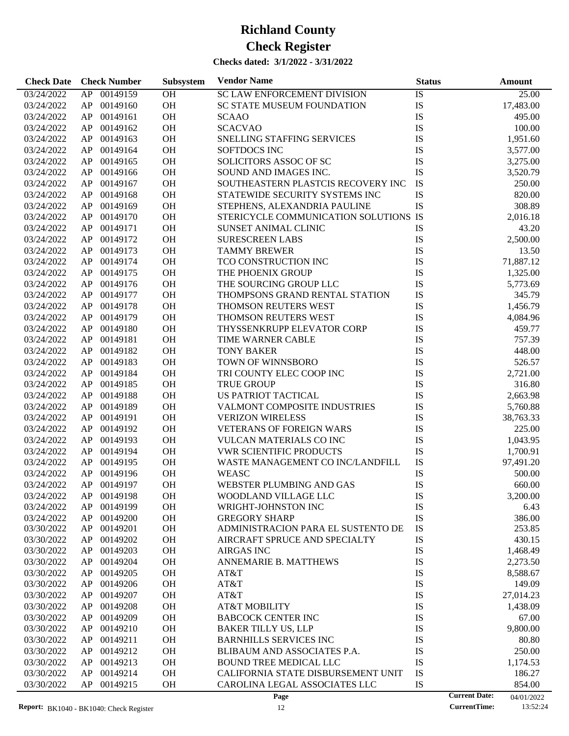| <b>Check Date</b>        | <b>Check Number</b>  | Subsystem | <b>Vendor Name</b>                    | <b>Status</b>        | <b>Amount</b>    |
|--------------------------|----------------------|-----------|---------------------------------------|----------------------|------------------|
| 03/24/2022               | AP 00149159          | OH        | SC LAW ENFORCEMENT DIVISION           | IS                   | 25.00            |
| 03/24/2022               | 00149160<br>AP       | OH        | <b>SC STATE MUSEUM FOUNDATION</b>     | IS                   | 17,483.00        |
| 03/24/2022               | 00149161<br>AP       | OH        | <b>SCAAO</b>                          | IS                   | 495.00           |
| 03/24/2022               | 00149162<br>AP       | <b>OH</b> | <b>SCACVAO</b>                        | IS                   | 100.00           |
| 03/24/2022               | 00149163<br>AP       | OH        | SNELLING STAFFING SERVICES            | IS                   | 1,951.60         |
| 03/24/2022               | 00149164<br>AP       | OH        | <b>SOFTDOCS INC</b>                   | IS                   | 3,577.00         |
| 03/24/2022               | 00149165<br>AP       | OH        | SOLICITORS ASSOC OF SC                | IS                   | 3,275.00         |
| 03/24/2022               | 00149166<br>AP       | OH        | SOUND AND IMAGES INC.                 | IS                   | 3,520.79         |
| 03/24/2022               | 00149167<br>AP       | OH        | SOUTHEASTERN PLASTCIS RECOVERY INC    | ${\rm IS}$           | 250.00           |
| 03/24/2022               | 00149168<br>AP       | <b>OH</b> | STATEWIDE SECURITY SYSTEMS INC        | IS                   | 820.00           |
| 03/24/2022               | 00149169<br>AP       | <b>OH</b> | STEPHENS, ALEXANDRIA PAULINE          | IS                   | 308.89           |
| 03/24/2022               | 00149170<br>AP       | <b>OH</b> | STERICYCLE COMMUNICATION SOLUTIONS IS |                      | 2,016.18         |
| 03/24/2022               | 00149171<br>AP       | <b>OH</b> | SUNSET ANIMAL CLINIC                  | IS                   | 43.20            |
| 03/24/2022               | 00149172<br>AP       | <b>OH</b> | <b>SURESCREEN LABS</b>                | IS                   | 2,500.00         |
| 03/24/2022               | 00149173<br>AP       | <b>OH</b> | <b>TAMMY BREWER</b>                   | IS                   | 13.50            |
| 03/24/2022               | 00149174<br>AP       | <b>OH</b> | TCO CONSTRUCTION INC                  | IS                   | 71,887.12        |
| 03/24/2022               | 00149175<br>AP       | <b>OH</b> | THE PHOENIX GROUP                     | IS                   | 1,325.00         |
| 03/24/2022               | 00149176<br>AP       | <b>OH</b> | THE SOURCING GROUP LLC                | IS                   | 5,773.69         |
| 03/24/2022               | 00149177<br>AP       | <b>OH</b> | THOMPSONS GRAND RENTAL STATION        | IS                   | 345.79           |
| 03/24/2022               | 00149178<br>AP       | OH        | THOMSON REUTERS WEST                  | IS                   | 1,456.79         |
| 03/24/2022               | 00149179<br>AP       | <b>OH</b> | THOMSON REUTERS WEST                  | IS                   | 4,084.96         |
| 03/24/2022               | 00149180<br>AP       | <b>OH</b> | THYSSENKRUPP ELEVATOR CORP            | IS                   | 459.77           |
| 03/24/2022               | 00149181<br>AP       | <b>OH</b> | TIME WARNER CABLE                     | IS                   | 757.39           |
| 03/24/2022               | 00149182<br>AP       | <b>OH</b> | <b>TONY BAKER</b>                     | IS                   | 448.00           |
| 03/24/2022               | 00149183<br>AP       | <b>OH</b> | TOWN OF WINNSBORO                     | IS                   | 526.57           |
| 03/24/2022               | 00149184<br>AP       | <b>OH</b> | TRI COUNTY ELEC COOP INC              | IS                   | 2,721.00         |
| 03/24/2022               | 00149185<br>AP       | <b>OH</b> | <b>TRUE GROUP</b>                     | IS                   | 316.80           |
| 03/24/2022               | 00149188<br>AP       | <b>OH</b> | US PATRIOT TACTICAL                   | IS                   | 2,663.98         |
| 03/24/2022               | 00149189<br>AP       | <b>OH</b> | VALMONT COMPOSITE INDUSTRIES          | IS                   | 5,760.88         |
| 03/24/2022               | 00149191<br>AP       | OH        | <b>VERIZON WIRELESS</b>               | IS                   | 38,763.33        |
| 03/24/2022               | 00149192<br>AP       | OH        | <b>VETERANS OF FOREIGN WARS</b>       | IS                   | 225.00           |
| 03/24/2022               | 00149193<br>AP       | <b>OH</b> | <b>VULCAN MATERIALS CO INC</b>        | IS                   | 1,043.95         |
| 03/24/2022               | 00149194<br>AP       | OH        | <b>VWR SCIENTIFIC PRODUCTS</b>        | IS                   | 1,700.91         |
| 03/24/2022               | 00149195<br>AP       | <b>OH</b> | WASTE MANAGEMENT CO INC/LANDFILL      | ${\rm IS}$           | 97,491.20        |
| 03/24/2022               | AP<br>00149196       | <b>OH</b> | WEASC                                 | IS                   | 500.00           |
| 03/24/2022               | AP 00149197          | <b>OH</b> | WEBSTER PLUMBING AND GAS              | IS                   | 660.00           |
| 03/24/2022               | AP.<br>00149198      | OН        | WOODLAND VILLAGE LLC                  | IS                   | 3,200.00         |
| 03/24/2022               | 00149199<br>AP       | <b>OH</b> | WRIGHT-JOHNSTON INC                   | IS                   | 6.43             |
| 03/24/2022               | 00149200<br>AP       | <b>OH</b> | <b>GREGORY SHARP</b>                  | <b>IS</b>            | 386.00           |
| 03/30/2022               | AP<br>00149201       | OH        | ADMINISTRACION PARA EL SUSTENTO DE    | IS                   | 253.85           |
| 03/30/2022               | 00149202<br>AP       | OH        | AIRCRAFT SPRUCE AND SPECIALTY         | IS                   | 430.15           |
| 03/30/2022               | 00149203<br>AP       | OH        | <b>AIRGAS INC</b>                     | IS                   | 1,468.49         |
| 03/30/2022               | 00149204<br>AP       | OH        | ANNEMARIE B. MATTHEWS                 | IS                   | 2,273.50         |
| 03/30/2022               | 00149205<br>AP       | OH        | AT&T                                  | IS                   | 8,588.67         |
| 03/30/2022               | 00149206<br>AP       | OH        | AT&T                                  | IS                   | 149.09           |
| 03/30/2022               | 00149207<br>AP       | OH        | AT&T                                  | IS                   | 27,014.23        |
| 03/30/2022               | 00149208<br>AP       | OH        | AT&T MOBILITY                         | IS                   | 1,438.09         |
| 03/30/2022               | 00149209<br>AP       | OH        | <b>BABCOCK CENTER INC</b>             | IS                   | 67.00            |
| 03/30/2022               | 00149210<br>AP       | OH        | <b>BAKER TILLY US, LLP</b>            | IS                   | 9,800.00         |
| 03/30/2022               | 00149211<br>AP       | OH        | <b>BARNHILLS SERVICES INC</b>         | IS                   | 80.80            |
| 03/30/2022               | 00149212<br>AP       | OH        | BLIBAUM AND ASSOCIATES P.A.           | IS                   | 250.00           |
|                          | 00149213             | OH        | <b>BOUND TREE MEDICAL LLC</b>         | IS                   |                  |
| 03/30/2022               | AP<br>00149214       | OH        | CALIFORNIA STATE DISBURSEMENT UNIT    | IS                   | 1,174.53         |
| 03/30/2022<br>03/30/2022 | AP<br>AP<br>00149215 | OH        | CAROLINA LEGAL ASSOCIATES LLC         | IS                   | 186.27<br>854.00 |
|                          |                      |           | Page                                  | <b>Current Date:</b> | 04/01/2022       |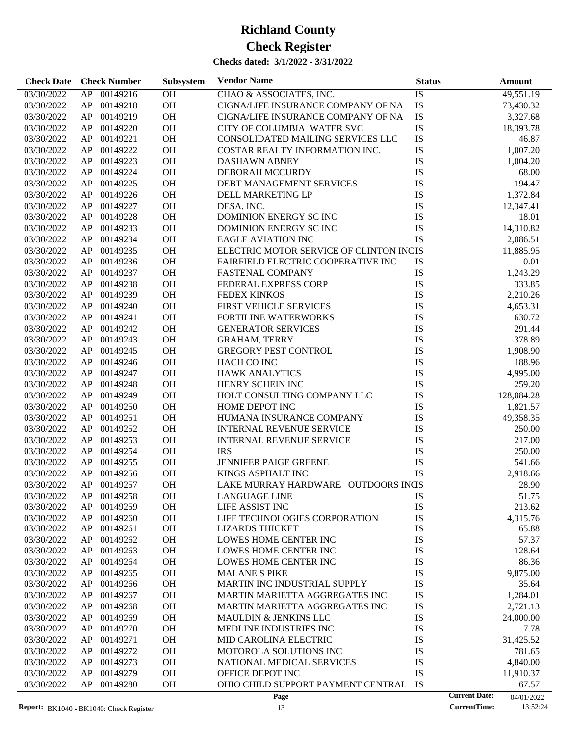| OH<br>CHAO & ASSOCIATES, INC.<br>IS<br>49,551.19<br>03/30/2022<br>AP 00149216<br>OH<br>IS<br>AP 00149218<br>CIGNA/LIFE INSURANCE COMPANY OF NA<br>03/30/2022<br>73,430.32<br>OH<br>IS<br>AP<br>00149219<br>CIGNA/LIFE INSURANCE COMPANY OF NA<br>3,327.68<br>03/30/2022<br>${\rm IS}$<br>OH<br>AP<br>00149220<br>CITY OF COLUMBIA WATER SVC<br>18,393.78<br>03/30/2022<br>OH<br>IS<br>00149221<br>CONSOLIDATED MAILING SERVICES LLC<br>46.87<br>03/30/2022<br>AP<br>OH<br>IS<br>AP<br>00149222<br>COSTAR REALTY INFORMATION INC.<br>1,007.20<br>03/30/2022<br>OH<br>IS<br>AP<br>00149223<br><b>DASHAWN ABNEY</b><br>1,004.20<br>03/30/2022<br>OH<br>IS<br>AP<br>00149224<br>DEBORAH MCCURDY<br>68.00<br>03/30/2022<br>IS<br>00149225<br><b>OH</b><br>DEBT MANAGEMENT SERVICES<br>194.47<br>03/30/2022<br>AP<br>OH<br>IS<br>00149226<br>DELL MARKETING LP<br>1,372.84<br>03/30/2022<br>AP<br>OH<br>IS<br>AP<br>00149227<br>03/30/2022<br>DESA, INC.<br>12,347.41<br>OH<br>IS<br>AP<br>00149228<br>DOMINION ENERGY SC INC<br>18.01<br>03/30/2022<br>OH<br>IS<br>00149233<br>DOMINION ENERGY SC INC<br>14,310.82<br>03/30/2022<br>AP<br>OH<br>IS<br>00149234<br><b>EAGLE AVIATION INC</b><br>2,086.51<br>03/30/2022<br>AP<br>OH<br>ELECTRIC MOTOR SERVICE OF CLINTON INCIS<br>AP<br>00149235<br>11,885.95<br>03/30/2022<br>OH<br>AP<br>00149236<br>FAIRFIELD ELECTRIC COOPERATIVE INC<br>IS<br>0.01<br>03/30/2022<br>IS<br>00149237<br><b>OH</b><br><b>FASTENAL COMPANY</b><br>1,243.29<br>03/30/2022<br>AP<br>OH<br>IS<br>00149238<br>FEDERAL EXPRESS CORP<br>333.85<br>03/30/2022<br>AP<br>OH<br>IS<br>AP<br>00149239<br><b>FEDEX KINKOS</b><br>2,210.26<br>03/30/2022<br>OH<br>IS<br>AP<br>00149240<br>FIRST VEHICLE SERVICES<br>4,653.31<br>03/30/2022<br>OH<br>IS<br>00149241<br>FORTILINE WATERWORKS<br>630.72<br>03/30/2022<br>AP<br>OH<br>IS<br>AP<br>00149242<br><b>GENERATOR SERVICES</b><br>291.44<br>03/30/2022<br>OH<br>IS<br>AP<br>00149243<br><b>GRAHAM, TERRY</b><br>378.89<br>03/30/2022<br>OH<br>IS<br>AP<br>00149245<br><b>GREGORY PEST CONTROL</b><br>1,908.90<br>03/30/2022<br>OH<br>IS<br>00149246<br>HACH CO INC<br>188.96<br>03/30/2022<br>AP<br>OH<br>IS<br>00149247<br>4,995.00<br>03/30/2022<br>AP<br><b>HAWK ANALYTICS</b><br>OH<br>IS<br>AP<br>00149248<br>HENRY SCHEIN INC<br>259.20<br>03/30/2022<br>OH<br>IS<br>AP<br>00149249<br>HOLT CONSULTING COMPANY LLC<br>128,084.28<br>03/30/2022<br>OH<br>IS<br>00149250<br>HOME DEPOT INC<br>03/30/2022<br>AP<br>1,821.57<br>OH<br>IS<br>00149251<br>HUMANA INSURANCE COMPANY<br>49,358.35<br>03/30/2022<br>AP<br>OH<br>IS<br>AP<br>00149252<br><b>INTERNAL REVENUE SERVICE</b><br>250.00<br>03/30/2022<br>OH<br>IS<br>00149253<br><b>INTERNAL REVENUE SERVICE</b><br>217.00<br>03/30/2022<br>AP<br>IS<br>00149254<br><b>OH</b><br><b>IRS</b><br>250.00<br>03/30/2022<br>AP<br>IS<br>00149255<br><b>OH</b><br><b>JENNIFER PAIGE GREENE</b><br>03/30/2022<br>AP<br>541.66<br>IS<br>AP<br>00149256<br>OH<br>KINGS ASPHALT INC<br>2,918.66<br>03/30/2022<br>AP 00149257<br><b>OH</b><br>LAKE MURRAY HARDWARE OUTDOORS INCS<br>03/30/2022<br>28.90<br>03/30/2022<br>00149258<br><b>OH</b><br><b>LANGUAGE LINE</b><br>IS<br>51.75<br>AP<br>03/30/2022<br>00149259<br>OH<br>LIFE ASSIST INC<br>IS<br>AP<br>213.62<br>IS<br>03/30/2022<br>AP<br>00149260<br>OH<br>LIFE TECHNOLOGIES CORPORATION<br>4,315.76<br>IS<br>00149261<br>OH<br>65.88<br>03/30/2022<br>AP<br><b>LIZARDS THICKET</b><br>OH<br>IS<br>57.37<br>03/30/2022<br>00149262<br>LOWES HOME CENTER INC<br>AP<br>IS<br>00149263<br>OH<br>128.64<br>03/30/2022<br>AP<br>LOWES HOME CENTER INC<br>OH<br>IS<br>03/30/2022<br>AP<br>00149264<br>LOWES HOME CENTER INC<br>86.36<br>OH<br>IS<br>9,875.00<br>03/30/2022<br>AP<br>00149265<br><b>MALANE S PIKE</b><br>OH<br>MARTIN INC INDUSTRIAL SUPPLY<br>IS<br>03/30/2022<br>AP<br>00149266<br>35.64<br>00149267<br>OH<br>IS<br>03/30/2022<br>AP<br>MARTIN MARIETTA AGGREGATES INC<br>1,284.01<br>OH<br>IS<br>03/30/2022<br>AP<br>00149268<br>MARTIN MARIETTA AGGREGATES INC<br>2,721.13<br>OH<br>IS<br>03/30/2022<br>AP<br>00149269<br><b>MAULDIN &amp; JENKINS LLC</b><br>24,000.00<br>OH<br>IS<br>03/30/2022<br>AP<br>00149270<br>MEDLINE INDUSTRIES INC<br>7.78<br>00149271<br>OH<br>IS<br>03/30/2022<br>AP<br>MID CAROLINA ELECTRIC<br>31,425.52<br>00149272<br>OH<br>IS<br>03/30/2022<br>AP<br>MOTOROLA SOLUTIONS INC<br>781.65<br>OH<br>IS<br>03/30/2022<br>AP<br>00149273<br>NATIONAL MEDICAL SERVICES<br>4,840.00<br>IS<br>00149279<br>OH<br>OFFICE DEPOT INC<br>03/30/2022<br>AP<br>11,910.37<br>IS<br>00149280<br>OH<br>OHIO CHILD SUPPORT PAYMENT CENTRAL<br>03/30/2022<br>AP<br>67.57 | <b>Check Date</b> | <b>Check Number</b> | Subsystem | <b>Vendor Name</b> | <b>Status</b> | Amount                             |
|--------------------------------------------------------------------------------------------------------------------------------------------------------------------------------------------------------------------------------------------------------------------------------------------------------------------------------------------------------------------------------------------------------------------------------------------------------------------------------------------------------------------------------------------------------------------------------------------------------------------------------------------------------------------------------------------------------------------------------------------------------------------------------------------------------------------------------------------------------------------------------------------------------------------------------------------------------------------------------------------------------------------------------------------------------------------------------------------------------------------------------------------------------------------------------------------------------------------------------------------------------------------------------------------------------------------------------------------------------------------------------------------------------------------------------------------------------------------------------------------------------------------------------------------------------------------------------------------------------------------------------------------------------------------------------------------------------------------------------------------------------------------------------------------------------------------------------------------------------------------------------------------------------------------------------------------------------------------------------------------------------------------------------------------------------------------------------------------------------------------------------------------------------------------------------------------------------------------------------------------------------------------------------------------------------------------------------------------------------------------------------------------------------------------------------------------------------------------------------------------------------------------------------------------------------------------------------------------------------------------------------------------------------------------------------------------------------------------------------------------------------------------------------------------------------------------------------------------------------------------------------------------------------------------------------------------------------------------------------------------------------------------------------------------------------------------------------------------------------------------------------------------------------------------------------------------------------------------------------------------------------------------------------------------------------------------------------------------------------------------------------------------------------------------------------------------------------------------------------------------------------------------------------------------------------------------------------------------------------------------------------------------------------------------------------------------------------------------------------------------------------------------------------------------------------------------------------------------------------------------------------------------------------------------------------------------------------------------------------------------------------------------------------------------------------------------------------------------------------------------------------------------------------------------------------------------------------------------------------------------------------------------------------------------------------------------------------------------------------------------------------------------------------------------------------------------------------------------------------------------------------------------------------------------------------------------------------------------------------------------------------------------------------------------------|-------------------|---------------------|-----------|--------------------|---------------|------------------------------------|
|                                                                                                                                                                                                                                                                                                                                                                                                                                                                                                                                                                                                                                                                                                                                                                                                                                                                                                                                                                                                                                                                                                                                                                                                                                                                                                                                                                                                                                                                                                                                                                                                                                                                                                                                                                                                                                                                                                                                                                                                                                                                                                                                                                                                                                                                                                                                                                                                                                                                                                                                                                                                                                                                                                                                                                                                                                                                                                                                                                                                                                                                                                                                                                                                                                                                                                                                                                                                                                                                                                                                                                                                                                                                                                                                                                                                                                                                                                                                                                                                                                                                                                                                                                                                                                                                                                                                                                                                                                                                                                                                                                                                                                                                          |                   |                     |           |                    |               |                                    |
|                                                                                                                                                                                                                                                                                                                                                                                                                                                                                                                                                                                                                                                                                                                                                                                                                                                                                                                                                                                                                                                                                                                                                                                                                                                                                                                                                                                                                                                                                                                                                                                                                                                                                                                                                                                                                                                                                                                                                                                                                                                                                                                                                                                                                                                                                                                                                                                                                                                                                                                                                                                                                                                                                                                                                                                                                                                                                                                                                                                                                                                                                                                                                                                                                                                                                                                                                                                                                                                                                                                                                                                                                                                                                                                                                                                                                                                                                                                                                                                                                                                                                                                                                                                                                                                                                                                                                                                                                                                                                                                                                                                                                                                                          |                   |                     |           |                    |               |                                    |
|                                                                                                                                                                                                                                                                                                                                                                                                                                                                                                                                                                                                                                                                                                                                                                                                                                                                                                                                                                                                                                                                                                                                                                                                                                                                                                                                                                                                                                                                                                                                                                                                                                                                                                                                                                                                                                                                                                                                                                                                                                                                                                                                                                                                                                                                                                                                                                                                                                                                                                                                                                                                                                                                                                                                                                                                                                                                                                                                                                                                                                                                                                                                                                                                                                                                                                                                                                                                                                                                                                                                                                                                                                                                                                                                                                                                                                                                                                                                                                                                                                                                                                                                                                                                                                                                                                                                                                                                                                                                                                                                                                                                                                                                          |                   |                     |           |                    |               |                                    |
|                                                                                                                                                                                                                                                                                                                                                                                                                                                                                                                                                                                                                                                                                                                                                                                                                                                                                                                                                                                                                                                                                                                                                                                                                                                                                                                                                                                                                                                                                                                                                                                                                                                                                                                                                                                                                                                                                                                                                                                                                                                                                                                                                                                                                                                                                                                                                                                                                                                                                                                                                                                                                                                                                                                                                                                                                                                                                                                                                                                                                                                                                                                                                                                                                                                                                                                                                                                                                                                                                                                                                                                                                                                                                                                                                                                                                                                                                                                                                                                                                                                                                                                                                                                                                                                                                                                                                                                                                                                                                                                                                                                                                                                                          |                   |                     |           |                    |               |                                    |
|                                                                                                                                                                                                                                                                                                                                                                                                                                                                                                                                                                                                                                                                                                                                                                                                                                                                                                                                                                                                                                                                                                                                                                                                                                                                                                                                                                                                                                                                                                                                                                                                                                                                                                                                                                                                                                                                                                                                                                                                                                                                                                                                                                                                                                                                                                                                                                                                                                                                                                                                                                                                                                                                                                                                                                                                                                                                                                                                                                                                                                                                                                                                                                                                                                                                                                                                                                                                                                                                                                                                                                                                                                                                                                                                                                                                                                                                                                                                                                                                                                                                                                                                                                                                                                                                                                                                                                                                                                                                                                                                                                                                                                                                          |                   |                     |           |                    |               |                                    |
|                                                                                                                                                                                                                                                                                                                                                                                                                                                                                                                                                                                                                                                                                                                                                                                                                                                                                                                                                                                                                                                                                                                                                                                                                                                                                                                                                                                                                                                                                                                                                                                                                                                                                                                                                                                                                                                                                                                                                                                                                                                                                                                                                                                                                                                                                                                                                                                                                                                                                                                                                                                                                                                                                                                                                                                                                                                                                                                                                                                                                                                                                                                                                                                                                                                                                                                                                                                                                                                                                                                                                                                                                                                                                                                                                                                                                                                                                                                                                                                                                                                                                                                                                                                                                                                                                                                                                                                                                                                                                                                                                                                                                                                                          |                   |                     |           |                    |               |                                    |
|                                                                                                                                                                                                                                                                                                                                                                                                                                                                                                                                                                                                                                                                                                                                                                                                                                                                                                                                                                                                                                                                                                                                                                                                                                                                                                                                                                                                                                                                                                                                                                                                                                                                                                                                                                                                                                                                                                                                                                                                                                                                                                                                                                                                                                                                                                                                                                                                                                                                                                                                                                                                                                                                                                                                                                                                                                                                                                                                                                                                                                                                                                                                                                                                                                                                                                                                                                                                                                                                                                                                                                                                                                                                                                                                                                                                                                                                                                                                                                                                                                                                                                                                                                                                                                                                                                                                                                                                                                                                                                                                                                                                                                                                          |                   |                     |           |                    |               |                                    |
|                                                                                                                                                                                                                                                                                                                                                                                                                                                                                                                                                                                                                                                                                                                                                                                                                                                                                                                                                                                                                                                                                                                                                                                                                                                                                                                                                                                                                                                                                                                                                                                                                                                                                                                                                                                                                                                                                                                                                                                                                                                                                                                                                                                                                                                                                                                                                                                                                                                                                                                                                                                                                                                                                                                                                                                                                                                                                                                                                                                                                                                                                                                                                                                                                                                                                                                                                                                                                                                                                                                                                                                                                                                                                                                                                                                                                                                                                                                                                                                                                                                                                                                                                                                                                                                                                                                                                                                                                                                                                                                                                                                                                                                                          |                   |                     |           |                    |               |                                    |
|                                                                                                                                                                                                                                                                                                                                                                                                                                                                                                                                                                                                                                                                                                                                                                                                                                                                                                                                                                                                                                                                                                                                                                                                                                                                                                                                                                                                                                                                                                                                                                                                                                                                                                                                                                                                                                                                                                                                                                                                                                                                                                                                                                                                                                                                                                                                                                                                                                                                                                                                                                                                                                                                                                                                                                                                                                                                                                                                                                                                                                                                                                                                                                                                                                                                                                                                                                                                                                                                                                                                                                                                                                                                                                                                                                                                                                                                                                                                                                                                                                                                                                                                                                                                                                                                                                                                                                                                                                                                                                                                                                                                                                                                          |                   |                     |           |                    |               |                                    |
|                                                                                                                                                                                                                                                                                                                                                                                                                                                                                                                                                                                                                                                                                                                                                                                                                                                                                                                                                                                                                                                                                                                                                                                                                                                                                                                                                                                                                                                                                                                                                                                                                                                                                                                                                                                                                                                                                                                                                                                                                                                                                                                                                                                                                                                                                                                                                                                                                                                                                                                                                                                                                                                                                                                                                                                                                                                                                                                                                                                                                                                                                                                                                                                                                                                                                                                                                                                                                                                                                                                                                                                                                                                                                                                                                                                                                                                                                                                                                                                                                                                                                                                                                                                                                                                                                                                                                                                                                                                                                                                                                                                                                                                                          |                   |                     |           |                    |               |                                    |
|                                                                                                                                                                                                                                                                                                                                                                                                                                                                                                                                                                                                                                                                                                                                                                                                                                                                                                                                                                                                                                                                                                                                                                                                                                                                                                                                                                                                                                                                                                                                                                                                                                                                                                                                                                                                                                                                                                                                                                                                                                                                                                                                                                                                                                                                                                                                                                                                                                                                                                                                                                                                                                                                                                                                                                                                                                                                                                                                                                                                                                                                                                                                                                                                                                                                                                                                                                                                                                                                                                                                                                                                                                                                                                                                                                                                                                                                                                                                                                                                                                                                                                                                                                                                                                                                                                                                                                                                                                                                                                                                                                                                                                                                          |                   |                     |           |                    |               |                                    |
|                                                                                                                                                                                                                                                                                                                                                                                                                                                                                                                                                                                                                                                                                                                                                                                                                                                                                                                                                                                                                                                                                                                                                                                                                                                                                                                                                                                                                                                                                                                                                                                                                                                                                                                                                                                                                                                                                                                                                                                                                                                                                                                                                                                                                                                                                                                                                                                                                                                                                                                                                                                                                                                                                                                                                                                                                                                                                                                                                                                                                                                                                                                                                                                                                                                                                                                                                                                                                                                                                                                                                                                                                                                                                                                                                                                                                                                                                                                                                                                                                                                                                                                                                                                                                                                                                                                                                                                                                                                                                                                                                                                                                                                                          |                   |                     |           |                    |               |                                    |
|                                                                                                                                                                                                                                                                                                                                                                                                                                                                                                                                                                                                                                                                                                                                                                                                                                                                                                                                                                                                                                                                                                                                                                                                                                                                                                                                                                                                                                                                                                                                                                                                                                                                                                                                                                                                                                                                                                                                                                                                                                                                                                                                                                                                                                                                                                                                                                                                                                                                                                                                                                                                                                                                                                                                                                                                                                                                                                                                                                                                                                                                                                                                                                                                                                                                                                                                                                                                                                                                                                                                                                                                                                                                                                                                                                                                                                                                                                                                                                                                                                                                                                                                                                                                                                                                                                                                                                                                                                                                                                                                                                                                                                                                          |                   |                     |           |                    |               |                                    |
|                                                                                                                                                                                                                                                                                                                                                                                                                                                                                                                                                                                                                                                                                                                                                                                                                                                                                                                                                                                                                                                                                                                                                                                                                                                                                                                                                                                                                                                                                                                                                                                                                                                                                                                                                                                                                                                                                                                                                                                                                                                                                                                                                                                                                                                                                                                                                                                                                                                                                                                                                                                                                                                                                                                                                                                                                                                                                                                                                                                                                                                                                                                                                                                                                                                                                                                                                                                                                                                                                                                                                                                                                                                                                                                                                                                                                                                                                                                                                                                                                                                                                                                                                                                                                                                                                                                                                                                                                                                                                                                                                                                                                                                                          |                   |                     |           |                    |               |                                    |
|                                                                                                                                                                                                                                                                                                                                                                                                                                                                                                                                                                                                                                                                                                                                                                                                                                                                                                                                                                                                                                                                                                                                                                                                                                                                                                                                                                                                                                                                                                                                                                                                                                                                                                                                                                                                                                                                                                                                                                                                                                                                                                                                                                                                                                                                                                                                                                                                                                                                                                                                                                                                                                                                                                                                                                                                                                                                                                                                                                                                                                                                                                                                                                                                                                                                                                                                                                                                                                                                                                                                                                                                                                                                                                                                                                                                                                                                                                                                                                                                                                                                                                                                                                                                                                                                                                                                                                                                                                                                                                                                                                                                                                                                          |                   |                     |           |                    |               |                                    |
|                                                                                                                                                                                                                                                                                                                                                                                                                                                                                                                                                                                                                                                                                                                                                                                                                                                                                                                                                                                                                                                                                                                                                                                                                                                                                                                                                                                                                                                                                                                                                                                                                                                                                                                                                                                                                                                                                                                                                                                                                                                                                                                                                                                                                                                                                                                                                                                                                                                                                                                                                                                                                                                                                                                                                                                                                                                                                                                                                                                                                                                                                                                                                                                                                                                                                                                                                                                                                                                                                                                                                                                                                                                                                                                                                                                                                                                                                                                                                                                                                                                                                                                                                                                                                                                                                                                                                                                                                                                                                                                                                                                                                                                                          |                   |                     |           |                    |               |                                    |
|                                                                                                                                                                                                                                                                                                                                                                                                                                                                                                                                                                                                                                                                                                                                                                                                                                                                                                                                                                                                                                                                                                                                                                                                                                                                                                                                                                                                                                                                                                                                                                                                                                                                                                                                                                                                                                                                                                                                                                                                                                                                                                                                                                                                                                                                                                                                                                                                                                                                                                                                                                                                                                                                                                                                                                                                                                                                                                                                                                                                                                                                                                                                                                                                                                                                                                                                                                                                                                                                                                                                                                                                                                                                                                                                                                                                                                                                                                                                                                                                                                                                                                                                                                                                                                                                                                                                                                                                                                                                                                                                                                                                                                                                          |                   |                     |           |                    |               |                                    |
|                                                                                                                                                                                                                                                                                                                                                                                                                                                                                                                                                                                                                                                                                                                                                                                                                                                                                                                                                                                                                                                                                                                                                                                                                                                                                                                                                                                                                                                                                                                                                                                                                                                                                                                                                                                                                                                                                                                                                                                                                                                                                                                                                                                                                                                                                                                                                                                                                                                                                                                                                                                                                                                                                                                                                                                                                                                                                                                                                                                                                                                                                                                                                                                                                                                                                                                                                                                                                                                                                                                                                                                                                                                                                                                                                                                                                                                                                                                                                                                                                                                                                                                                                                                                                                                                                                                                                                                                                                                                                                                                                                                                                                                                          |                   |                     |           |                    |               |                                    |
|                                                                                                                                                                                                                                                                                                                                                                                                                                                                                                                                                                                                                                                                                                                                                                                                                                                                                                                                                                                                                                                                                                                                                                                                                                                                                                                                                                                                                                                                                                                                                                                                                                                                                                                                                                                                                                                                                                                                                                                                                                                                                                                                                                                                                                                                                                                                                                                                                                                                                                                                                                                                                                                                                                                                                                                                                                                                                                                                                                                                                                                                                                                                                                                                                                                                                                                                                                                                                                                                                                                                                                                                                                                                                                                                                                                                                                                                                                                                                                                                                                                                                                                                                                                                                                                                                                                                                                                                                                                                                                                                                                                                                                                                          |                   |                     |           |                    |               |                                    |
|                                                                                                                                                                                                                                                                                                                                                                                                                                                                                                                                                                                                                                                                                                                                                                                                                                                                                                                                                                                                                                                                                                                                                                                                                                                                                                                                                                                                                                                                                                                                                                                                                                                                                                                                                                                                                                                                                                                                                                                                                                                                                                                                                                                                                                                                                                                                                                                                                                                                                                                                                                                                                                                                                                                                                                                                                                                                                                                                                                                                                                                                                                                                                                                                                                                                                                                                                                                                                                                                                                                                                                                                                                                                                                                                                                                                                                                                                                                                                                                                                                                                                                                                                                                                                                                                                                                                                                                                                                                                                                                                                                                                                                                                          |                   |                     |           |                    |               |                                    |
|                                                                                                                                                                                                                                                                                                                                                                                                                                                                                                                                                                                                                                                                                                                                                                                                                                                                                                                                                                                                                                                                                                                                                                                                                                                                                                                                                                                                                                                                                                                                                                                                                                                                                                                                                                                                                                                                                                                                                                                                                                                                                                                                                                                                                                                                                                                                                                                                                                                                                                                                                                                                                                                                                                                                                                                                                                                                                                                                                                                                                                                                                                                                                                                                                                                                                                                                                                                                                                                                                                                                                                                                                                                                                                                                                                                                                                                                                                                                                                                                                                                                                                                                                                                                                                                                                                                                                                                                                                                                                                                                                                                                                                                                          |                   |                     |           |                    |               |                                    |
|                                                                                                                                                                                                                                                                                                                                                                                                                                                                                                                                                                                                                                                                                                                                                                                                                                                                                                                                                                                                                                                                                                                                                                                                                                                                                                                                                                                                                                                                                                                                                                                                                                                                                                                                                                                                                                                                                                                                                                                                                                                                                                                                                                                                                                                                                                                                                                                                                                                                                                                                                                                                                                                                                                                                                                                                                                                                                                                                                                                                                                                                                                                                                                                                                                                                                                                                                                                                                                                                                                                                                                                                                                                                                                                                                                                                                                                                                                                                                                                                                                                                                                                                                                                                                                                                                                                                                                                                                                                                                                                                                                                                                                                                          |                   |                     |           |                    |               |                                    |
|                                                                                                                                                                                                                                                                                                                                                                                                                                                                                                                                                                                                                                                                                                                                                                                                                                                                                                                                                                                                                                                                                                                                                                                                                                                                                                                                                                                                                                                                                                                                                                                                                                                                                                                                                                                                                                                                                                                                                                                                                                                                                                                                                                                                                                                                                                                                                                                                                                                                                                                                                                                                                                                                                                                                                                                                                                                                                                                                                                                                                                                                                                                                                                                                                                                                                                                                                                                                                                                                                                                                                                                                                                                                                                                                                                                                                                                                                                                                                                                                                                                                                                                                                                                                                                                                                                                                                                                                                                                                                                                                                                                                                                                                          |                   |                     |           |                    |               |                                    |
|                                                                                                                                                                                                                                                                                                                                                                                                                                                                                                                                                                                                                                                                                                                                                                                                                                                                                                                                                                                                                                                                                                                                                                                                                                                                                                                                                                                                                                                                                                                                                                                                                                                                                                                                                                                                                                                                                                                                                                                                                                                                                                                                                                                                                                                                                                                                                                                                                                                                                                                                                                                                                                                                                                                                                                                                                                                                                                                                                                                                                                                                                                                                                                                                                                                                                                                                                                                                                                                                                                                                                                                                                                                                                                                                                                                                                                                                                                                                                                                                                                                                                                                                                                                                                                                                                                                                                                                                                                                                                                                                                                                                                                                                          |                   |                     |           |                    |               |                                    |
|                                                                                                                                                                                                                                                                                                                                                                                                                                                                                                                                                                                                                                                                                                                                                                                                                                                                                                                                                                                                                                                                                                                                                                                                                                                                                                                                                                                                                                                                                                                                                                                                                                                                                                                                                                                                                                                                                                                                                                                                                                                                                                                                                                                                                                                                                                                                                                                                                                                                                                                                                                                                                                                                                                                                                                                                                                                                                                                                                                                                                                                                                                                                                                                                                                                                                                                                                                                                                                                                                                                                                                                                                                                                                                                                                                                                                                                                                                                                                                                                                                                                                                                                                                                                                                                                                                                                                                                                                                                                                                                                                                                                                                                                          |                   |                     |           |                    |               |                                    |
|                                                                                                                                                                                                                                                                                                                                                                                                                                                                                                                                                                                                                                                                                                                                                                                                                                                                                                                                                                                                                                                                                                                                                                                                                                                                                                                                                                                                                                                                                                                                                                                                                                                                                                                                                                                                                                                                                                                                                                                                                                                                                                                                                                                                                                                                                                                                                                                                                                                                                                                                                                                                                                                                                                                                                                                                                                                                                                                                                                                                                                                                                                                                                                                                                                                                                                                                                                                                                                                                                                                                                                                                                                                                                                                                                                                                                                                                                                                                                                                                                                                                                                                                                                                                                                                                                                                                                                                                                                                                                                                                                                                                                                                                          |                   |                     |           |                    |               |                                    |
|                                                                                                                                                                                                                                                                                                                                                                                                                                                                                                                                                                                                                                                                                                                                                                                                                                                                                                                                                                                                                                                                                                                                                                                                                                                                                                                                                                                                                                                                                                                                                                                                                                                                                                                                                                                                                                                                                                                                                                                                                                                                                                                                                                                                                                                                                                                                                                                                                                                                                                                                                                                                                                                                                                                                                                                                                                                                                                                                                                                                                                                                                                                                                                                                                                                                                                                                                                                                                                                                                                                                                                                                                                                                                                                                                                                                                                                                                                                                                                                                                                                                                                                                                                                                                                                                                                                                                                                                                                                                                                                                                                                                                                                                          |                   |                     |           |                    |               |                                    |
|                                                                                                                                                                                                                                                                                                                                                                                                                                                                                                                                                                                                                                                                                                                                                                                                                                                                                                                                                                                                                                                                                                                                                                                                                                                                                                                                                                                                                                                                                                                                                                                                                                                                                                                                                                                                                                                                                                                                                                                                                                                                                                                                                                                                                                                                                                                                                                                                                                                                                                                                                                                                                                                                                                                                                                                                                                                                                                                                                                                                                                                                                                                                                                                                                                                                                                                                                                                                                                                                                                                                                                                                                                                                                                                                                                                                                                                                                                                                                                                                                                                                                                                                                                                                                                                                                                                                                                                                                                                                                                                                                                                                                                                                          |                   |                     |           |                    |               |                                    |
|                                                                                                                                                                                                                                                                                                                                                                                                                                                                                                                                                                                                                                                                                                                                                                                                                                                                                                                                                                                                                                                                                                                                                                                                                                                                                                                                                                                                                                                                                                                                                                                                                                                                                                                                                                                                                                                                                                                                                                                                                                                                                                                                                                                                                                                                                                                                                                                                                                                                                                                                                                                                                                                                                                                                                                                                                                                                                                                                                                                                                                                                                                                                                                                                                                                                                                                                                                                                                                                                                                                                                                                                                                                                                                                                                                                                                                                                                                                                                                                                                                                                                                                                                                                                                                                                                                                                                                                                                                                                                                                                                                                                                                                                          |                   |                     |           |                    |               |                                    |
|                                                                                                                                                                                                                                                                                                                                                                                                                                                                                                                                                                                                                                                                                                                                                                                                                                                                                                                                                                                                                                                                                                                                                                                                                                                                                                                                                                                                                                                                                                                                                                                                                                                                                                                                                                                                                                                                                                                                                                                                                                                                                                                                                                                                                                                                                                                                                                                                                                                                                                                                                                                                                                                                                                                                                                                                                                                                                                                                                                                                                                                                                                                                                                                                                                                                                                                                                                                                                                                                                                                                                                                                                                                                                                                                                                                                                                                                                                                                                                                                                                                                                                                                                                                                                                                                                                                                                                                                                                                                                                                                                                                                                                                                          |                   |                     |           |                    |               |                                    |
|                                                                                                                                                                                                                                                                                                                                                                                                                                                                                                                                                                                                                                                                                                                                                                                                                                                                                                                                                                                                                                                                                                                                                                                                                                                                                                                                                                                                                                                                                                                                                                                                                                                                                                                                                                                                                                                                                                                                                                                                                                                                                                                                                                                                                                                                                                                                                                                                                                                                                                                                                                                                                                                                                                                                                                                                                                                                                                                                                                                                                                                                                                                                                                                                                                                                                                                                                                                                                                                                                                                                                                                                                                                                                                                                                                                                                                                                                                                                                                                                                                                                                                                                                                                                                                                                                                                                                                                                                                                                                                                                                                                                                                                                          |                   |                     |           |                    |               |                                    |
|                                                                                                                                                                                                                                                                                                                                                                                                                                                                                                                                                                                                                                                                                                                                                                                                                                                                                                                                                                                                                                                                                                                                                                                                                                                                                                                                                                                                                                                                                                                                                                                                                                                                                                                                                                                                                                                                                                                                                                                                                                                                                                                                                                                                                                                                                                                                                                                                                                                                                                                                                                                                                                                                                                                                                                                                                                                                                                                                                                                                                                                                                                                                                                                                                                                                                                                                                                                                                                                                                                                                                                                                                                                                                                                                                                                                                                                                                                                                                                                                                                                                                                                                                                                                                                                                                                                                                                                                                                                                                                                                                                                                                                                                          |                   |                     |           |                    |               |                                    |
|                                                                                                                                                                                                                                                                                                                                                                                                                                                                                                                                                                                                                                                                                                                                                                                                                                                                                                                                                                                                                                                                                                                                                                                                                                                                                                                                                                                                                                                                                                                                                                                                                                                                                                                                                                                                                                                                                                                                                                                                                                                                                                                                                                                                                                                                                                                                                                                                                                                                                                                                                                                                                                                                                                                                                                                                                                                                                                                                                                                                                                                                                                                                                                                                                                                                                                                                                                                                                                                                                                                                                                                                                                                                                                                                                                                                                                                                                                                                                                                                                                                                                                                                                                                                                                                                                                                                                                                                                                                                                                                                                                                                                                                                          |                   |                     |           |                    |               |                                    |
|                                                                                                                                                                                                                                                                                                                                                                                                                                                                                                                                                                                                                                                                                                                                                                                                                                                                                                                                                                                                                                                                                                                                                                                                                                                                                                                                                                                                                                                                                                                                                                                                                                                                                                                                                                                                                                                                                                                                                                                                                                                                                                                                                                                                                                                                                                                                                                                                                                                                                                                                                                                                                                                                                                                                                                                                                                                                                                                                                                                                                                                                                                                                                                                                                                                                                                                                                                                                                                                                                                                                                                                                                                                                                                                                                                                                                                                                                                                                                                                                                                                                                                                                                                                                                                                                                                                                                                                                                                                                                                                                                                                                                                                                          |                   |                     |           |                    |               |                                    |
|                                                                                                                                                                                                                                                                                                                                                                                                                                                                                                                                                                                                                                                                                                                                                                                                                                                                                                                                                                                                                                                                                                                                                                                                                                                                                                                                                                                                                                                                                                                                                                                                                                                                                                                                                                                                                                                                                                                                                                                                                                                                                                                                                                                                                                                                                                                                                                                                                                                                                                                                                                                                                                                                                                                                                                                                                                                                                                                                                                                                                                                                                                                                                                                                                                                                                                                                                                                                                                                                                                                                                                                                                                                                                                                                                                                                                                                                                                                                                                                                                                                                                                                                                                                                                                                                                                                                                                                                                                                                                                                                                                                                                                                                          |                   |                     |           |                    |               |                                    |
|                                                                                                                                                                                                                                                                                                                                                                                                                                                                                                                                                                                                                                                                                                                                                                                                                                                                                                                                                                                                                                                                                                                                                                                                                                                                                                                                                                                                                                                                                                                                                                                                                                                                                                                                                                                                                                                                                                                                                                                                                                                                                                                                                                                                                                                                                                                                                                                                                                                                                                                                                                                                                                                                                                                                                                                                                                                                                                                                                                                                                                                                                                                                                                                                                                                                                                                                                                                                                                                                                                                                                                                                                                                                                                                                                                                                                                                                                                                                                                                                                                                                                                                                                                                                                                                                                                                                                                                                                                                                                                                                                                                                                                                                          |                   |                     |           |                    |               |                                    |
|                                                                                                                                                                                                                                                                                                                                                                                                                                                                                                                                                                                                                                                                                                                                                                                                                                                                                                                                                                                                                                                                                                                                                                                                                                                                                                                                                                                                                                                                                                                                                                                                                                                                                                                                                                                                                                                                                                                                                                                                                                                                                                                                                                                                                                                                                                                                                                                                                                                                                                                                                                                                                                                                                                                                                                                                                                                                                                                                                                                                                                                                                                                                                                                                                                                                                                                                                                                                                                                                                                                                                                                                                                                                                                                                                                                                                                                                                                                                                                                                                                                                                                                                                                                                                                                                                                                                                                                                                                                                                                                                                                                                                                                                          |                   |                     |           |                    |               |                                    |
|                                                                                                                                                                                                                                                                                                                                                                                                                                                                                                                                                                                                                                                                                                                                                                                                                                                                                                                                                                                                                                                                                                                                                                                                                                                                                                                                                                                                                                                                                                                                                                                                                                                                                                                                                                                                                                                                                                                                                                                                                                                                                                                                                                                                                                                                                                                                                                                                                                                                                                                                                                                                                                                                                                                                                                                                                                                                                                                                                                                                                                                                                                                                                                                                                                                                                                                                                                                                                                                                                                                                                                                                                                                                                                                                                                                                                                                                                                                                                                                                                                                                                                                                                                                                                                                                                                                                                                                                                                                                                                                                                                                                                                                                          |                   |                     |           |                    |               |                                    |
|                                                                                                                                                                                                                                                                                                                                                                                                                                                                                                                                                                                                                                                                                                                                                                                                                                                                                                                                                                                                                                                                                                                                                                                                                                                                                                                                                                                                                                                                                                                                                                                                                                                                                                                                                                                                                                                                                                                                                                                                                                                                                                                                                                                                                                                                                                                                                                                                                                                                                                                                                                                                                                                                                                                                                                                                                                                                                                                                                                                                                                                                                                                                                                                                                                                                                                                                                                                                                                                                                                                                                                                                                                                                                                                                                                                                                                                                                                                                                                                                                                                                                                                                                                                                                                                                                                                                                                                                                                                                                                                                                                                                                                                                          |                   |                     |           |                    |               |                                    |
|                                                                                                                                                                                                                                                                                                                                                                                                                                                                                                                                                                                                                                                                                                                                                                                                                                                                                                                                                                                                                                                                                                                                                                                                                                                                                                                                                                                                                                                                                                                                                                                                                                                                                                                                                                                                                                                                                                                                                                                                                                                                                                                                                                                                                                                                                                                                                                                                                                                                                                                                                                                                                                                                                                                                                                                                                                                                                                                                                                                                                                                                                                                                                                                                                                                                                                                                                                                                                                                                                                                                                                                                                                                                                                                                                                                                                                                                                                                                                                                                                                                                                                                                                                                                                                                                                                                                                                                                                                                                                                                                                                                                                                                                          |                   |                     |           |                    |               |                                    |
|                                                                                                                                                                                                                                                                                                                                                                                                                                                                                                                                                                                                                                                                                                                                                                                                                                                                                                                                                                                                                                                                                                                                                                                                                                                                                                                                                                                                                                                                                                                                                                                                                                                                                                                                                                                                                                                                                                                                                                                                                                                                                                                                                                                                                                                                                                                                                                                                                                                                                                                                                                                                                                                                                                                                                                                                                                                                                                                                                                                                                                                                                                                                                                                                                                                                                                                                                                                                                                                                                                                                                                                                                                                                                                                                                                                                                                                                                                                                                                                                                                                                                                                                                                                                                                                                                                                                                                                                                                                                                                                                                                                                                                                                          |                   |                     |           |                    |               |                                    |
|                                                                                                                                                                                                                                                                                                                                                                                                                                                                                                                                                                                                                                                                                                                                                                                                                                                                                                                                                                                                                                                                                                                                                                                                                                                                                                                                                                                                                                                                                                                                                                                                                                                                                                                                                                                                                                                                                                                                                                                                                                                                                                                                                                                                                                                                                                                                                                                                                                                                                                                                                                                                                                                                                                                                                                                                                                                                                                                                                                                                                                                                                                                                                                                                                                                                                                                                                                                                                                                                                                                                                                                                                                                                                                                                                                                                                                                                                                                                                                                                                                                                                                                                                                                                                                                                                                                                                                                                                                                                                                                                                                                                                                                                          |                   |                     |           |                    |               |                                    |
|                                                                                                                                                                                                                                                                                                                                                                                                                                                                                                                                                                                                                                                                                                                                                                                                                                                                                                                                                                                                                                                                                                                                                                                                                                                                                                                                                                                                                                                                                                                                                                                                                                                                                                                                                                                                                                                                                                                                                                                                                                                                                                                                                                                                                                                                                                                                                                                                                                                                                                                                                                                                                                                                                                                                                                                                                                                                                                                                                                                                                                                                                                                                                                                                                                                                                                                                                                                                                                                                                                                                                                                                                                                                                                                                                                                                                                                                                                                                                                                                                                                                                                                                                                                                                                                                                                                                                                                                                                                                                                                                                                                                                                                                          |                   |                     |           |                    |               |                                    |
|                                                                                                                                                                                                                                                                                                                                                                                                                                                                                                                                                                                                                                                                                                                                                                                                                                                                                                                                                                                                                                                                                                                                                                                                                                                                                                                                                                                                                                                                                                                                                                                                                                                                                                                                                                                                                                                                                                                                                                                                                                                                                                                                                                                                                                                                                                                                                                                                                                                                                                                                                                                                                                                                                                                                                                                                                                                                                                                                                                                                                                                                                                                                                                                                                                                                                                                                                                                                                                                                                                                                                                                                                                                                                                                                                                                                                                                                                                                                                                                                                                                                                                                                                                                                                                                                                                                                                                                                                                                                                                                                                                                                                                                                          |                   |                     |           |                    |               |                                    |
|                                                                                                                                                                                                                                                                                                                                                                                                                                                                                                                                                                                                                                                                                                                                                                                                                                                                                                                                                                                                                                                                                                                                                                                                                                                                                                                                                                                                                                                                                                                                                                                                                                                                                                                                                                                                                                                                                                                                                                                                                                                                                                                                                                                                                                                                                                                                                                                                                                                                                                                                                                                                                                                                                                                                                                                                                                                                                                                                                                                                                                                                                                                                                                                                                                                                                                                                                                                                                                                                                                                                                                                                                                                                                                                                                                                                                                                                                                                                                                                                                                                                                                                                                                                                                                                                                                                                                                                                                                                                                                                                                                                                                                                                          |                   |                     |           |                    |               |                                    |
|                                                                                                                                                                                                                                                                                                                                                                                                                                                                                                                                                                                                                                                                                                                                                                                                                                                                                                                                                                                                                                                                                                                                                                                                                                                                                                                                                                                                                                                                                                                                                                                                                                                                                                                                                                                                                                                                                                                                                                                                                                                                                                                                                                                                                                                                                                                                                                                                                                                                                                                                                                                                                                                                                                                                                                                                                                                                                                                                                                                                                                                                                                                                                                                                                                                                                                                                                                                                                                                                                                                                                                                                                                                                                                                                                                                                                                                                                                                                                                                                                                                                                                                                                                                                                                                                                                                                                                                                                                                                                                                                                                                                                                                                          |                   |                     |           |                    |               |                                    |
|                                                                                                                                                                                                                                                                                                                                                                                                                                                                                                                                                                                                                                                                                                                                                                                                                                                                                                                                                                                                                                                                                                                                                                                                                                                                                                                                                                                                                                                                                                                                                                                                                                                                                                                                                                                                                                                                                                                                                                                                                                                                                                                                                                                                                                                                                                                                                                                                                                                                                                                                                                                                                                                                                                                                                                                                                                                                                                                                                                                                                                                                                                                                                                                                                                                                                                                                                                                                                                                                                                                                                                                                                                                                                                                                                                                                                                                                                                                                                                                                                                                                                                                                                                                                                                                                                                                                                                                                                                                                                                                                                                                                                                                                          |                   |                     |           |                    |               |                                    |
|                                                                                                                                                                                                                                                                                                                                                                                                                                                                                                                                                                                                                                                                                                                                                                                                                                                                                                                                                                                                                                                                                                                                                                                                                                                                                                                                                                                                                                                                                                                                                                                                                                                                                                                                                                                                                                                                                                                                                                                                                                                                                                                                                                                                                                                                                                                                                                                                                                                                                                                                                                                                                                                                                                                                                                                                                                                                                                                                                                                                                                                                                                                                                                                                                                                                                                                                                                                                                                                                                                                                                                                                                                                                                                                                                                                                                                                                                                                                                                                                                                                                                                                                                                                                                                                                                                                                                                                                                                                                                                                                                                                                                                                                          |                   |                     |           |                    |               |                                    |
|                                                                                                                                                                                                                                                                                                                                                                                                                                                                                                                                                                                                                                                                                                                                                                                                                                                                                                                                                                                                                                                                                                                                                                                                                                                                                                                                                                                                                                                                                                                                                                                                                                                                                                                                                                                                                                                                                                                                                                                                                                                                                                                                                                                                                                                                                                                                                                                                                                                                                                                                                                                                                                                                                                                                                                                                                                                                                                                                                                                                                                                                                                                                                                                                                                                                                                                                                                                                                                                                                                                                                                                                                                                                                                                                                                                                                                                                                                                                                                                                                                                                                                                                                                                                                                                                                                                                                                                                                                                                                                                                                                                                                                                                          |                   |                     |           |                    |               |                                    |
|                                                                                                                                                                                                                                                                                                                                                                                                                                                                                                                                                                                                                                                                                                                                                                                                                                                                                                                                                                                                                                                                                                                                                                                                                                                                                                                                                                                                                                                                                                                                                                                                                                                                                                                                                                                                                                                                                                                                                                                                                                                                                                                                                                                                                                                                                                                                                                                                                                                                                                                                                                                                                                                                                                                                                                                                                                                                                                                                                                                                                                                                                                                                                                                                                                                                                                                                                                                                                                                                                                                                                                                                                                                                                                                                                                                                                                                                                                                                                                                                                                                                                                                                                                                                                                                                                                                                                                                                                                                                                                                                                                                                                                                                          |                   |                     |           |                    |               |                                    |
|                                                                                                                                                                                                                                                                                                                                                                                                                                                                                                                                                                                                                                                                                                                                                                                                                                                                                                                                                                                                                                                                                                                                                                                                                                                                                                                                                                                                                                                                                                                                                                                                                                                                                                                                                                                                                                                                                                                                                                                                                                                                                                                                                                                                                                                                                                                                                                                                                                                                                                                                                                                                                                                                                                                                                                                                                                                                                                                                                                                                                                                                                                                                                                                                                                                                                                                                                                                                                                                                                                                                                                                                                                                                                                                                                                                                                                                                                                                                                                                                                                                                                                                                                                                                                                                                                                                                                                                                                                                                                                                                                                                                                                                                          |                   |                     |           |                    |               |                                    |
|                                                                                                                                                                                                                                                                                                                                                                                                                                                                                                                                                                                                                                                                                                                                                                                                                                                                                                                                                                                                                                                                                                                                                                                                                                                                                                                                                                                                                                                                                                                                                                                                                                                                                                                                                                                                                                                                                                                                                                                                                                                                                                                                                                                                                                                                                                                                                                                                                                                                                                                                                                                                                                                                                                                                                                                                                                                                                                                                                                                                                                                                                                                                                                                                                                                                                                                                                                                                                                                                                                                                                                                                                                                                                                                                                                                                                                                                                                                                                                                                                                                                                                                                                                                                                                                                                                                                                                                                                                                                                                                                                                                                                                                                          |                   |                     |           |                    |               |                                    |
|                                                                                                                                                                                                                                                                                                                                                                                                                                                                                                                                                                                                                                                                                                                                                                                                                                                                                                                                                                                                                                                                                                                                                                                                                                                                                                                                                                                                                                                                                                                                                                                                                                                                                                                                                                                                                                                                                                                                                                                                                                                                                                                                                                                                                                                                                                                                                                                                                                                                                                                                                                                                                                                                                                                                                                                                                                                                                                                                                                                                                                                                                                                                                                                                                                                                                                                                                                                                                                                                                                                                                                                                                                                                                                                                                                                                                                                                                                                                                                                                                                                                                                                                                                                                                                                                                                                                                                                                                                                                                                                                                                                                                                                                          |                   |                     |           |                    |               |                                    |
|                                                                                                                                                                                                                                                                                                                                                                                                                                                                                                                                                                                                                                                                                                                                                                                                                                                                                                                                                                                                                                                                                                                                                                                                                                                                                                                                                                                                                                                                                                                                                                                                                                                                                                                                                                                                                                                                                                                                                                                                                                                                                                                                                                                                                                                                                                                                                                                                                                                                                                                                                                                                                                                                                                                                                                                                                                                                                                                                                                                                                                                                                                                                                                                                                                                                                                                                                                                                                                                                                                                                                                                                                                                                                                                                                                                                                                                                                                                                                                                                                                                                                                                                                                                                                                                                                                                                                                                                                                                                                                                                                                                                                                                                          |                   |                     |           |                    |               |                                    |
|                                                                                                                                                                                                                                                                                                                                                                                                                                                                                                                                                                                                                                                                                                                                                                                                                                                                                                                                                                                                                                                                                                                                                                                                                                                                                                                                                                                                                                                                                                                                                                                                                                                                                                                                                                                                                                                                                                                                                                                                                                                                                                                                                                                                                                                                                                                                                                                                                                                                                                                                                                                                                                                                                                                                                                                                                                                                                                                                                                                                                                                                                                                                                                                                                                                                                                                                                                                                                                                                                                                                                                                                                                                                                                                                                                                                                                                                                                                                                                                                                                                                                                                                                                                                                                                                                                                                                                                                                                                                                                                                                                                                                                                                          |                   |                     |           | Page               |               | <b>Current Date:</b><br>04/01/2022 |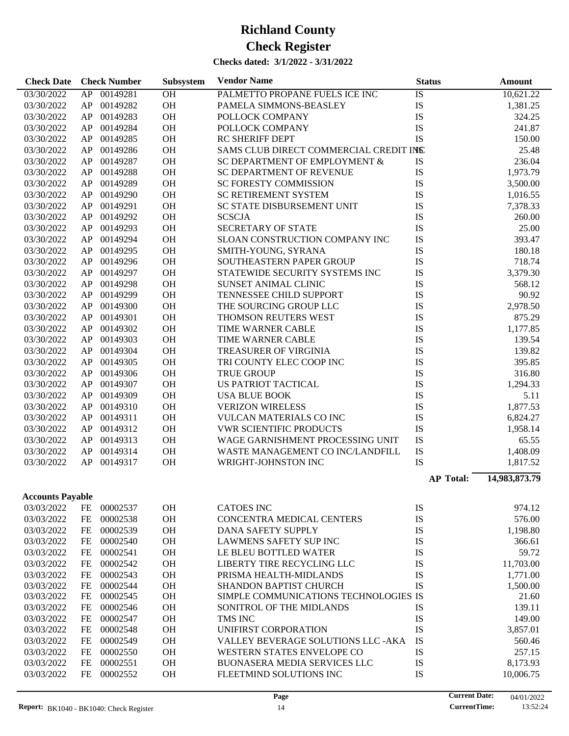| <b>Check Date</b>       |    | <b>Check Number</b> | Subsystem | <b>Vendor Name</b>                     | <b>Status</b>    | <b>Amount</b> |
|-------------------------|----|---------------------|-----------|----------------------------------------|------------------|---------------|
| 03/30/2022              |    | AP 00149281         | <b>OH</b> | PALMETTO PROPANE FUELS ICE INC         | IS               | 10,621.22     |
| 03/30/2022              | AP | 00149282            | OH        | PAMELA SIMMONS-BEASLEY                 | IS               | 1,381.25      |
| 03/30/2022              | AP | 00149283            | OH        | POLLOCK COMPANY                        | IS               | 324.25        |
| 03/30/2022              | AP | 00149284            | OH        | POLLOCK COMPANY                        | IS               | 241.87        |
| 03/30/2022              | AP | 00149285            | OH        | <b>RC SHERIFF DEPT</b>                 | IS               | 150.00        |
| 03/30/2022              | AP | 00149286            | OH        | SAMS CLUB DIRECT COMMERCIAL CREDIT INS |                  | 25.48         |
| 03/30/2022              | AP | 00149287            | OH        | SC DEPARTMENT OF EMPLOYMENT &          | IS               | 236.04        |
| 03/30/2022              | AP | 00149288            | OH        | <b>SC DEPARTMENT OF REVENUE</b>        | IS               | 1,973.79      |
| 03/30/2022              | AP | 00149289            | OH        | <b>SC FORESTY COMMISSION</b>           | IS               | 3,500.00      |
| 03/30/2022              | AP | 00149290            | OH        | <b>SC RETIREMENT SYSTEM</b>            | IS               | 1,016.55      |
| 03/30/2022              | AP | 00149291            | OH        | SC STATE DISBURSEMENT UNIT             | IS               | 7,378.33      |
| 03/30/2022              | AP | 00149292            | OH        | <b>SCSCJA</b>                          | IS               | 260.00        |
| 03/30/2022              | AP | 00149293            | OH        | <b>SECRETARY OF STATE</b>              | IS               | 25.00         |
| 03/30/2022              | AP | 00149294            | OH        | SLOAN CONSTRUCTION COMPANY INC         | IS               | 393.47        |
| 03/30/2022              | AP | 00149295            | OH        | SMITH-YOUNG, SYRANA                    | IS               | 180.18        |
| 03/30/2022              | AP | 00149296            | OH        | SOUTHEASTERN PAPER GROUP               | IS               | 718.74        |
| 03/30/2022              | AP | 00149297            | OH        | STATEWIDE SECURITY SYSTEMS INC         | IS               | 3,379.30      |
| 03/30/2022              | AP | 00149298            | OH        | SUNSET ANIMAL CLINIC                   | IS               | 568.12        |
| 03/30/2022              | AP | 00149299            | OH        | TENNESSEE CHILD SUPPORT                | IS               | 90.92         |
| 03/30/2022              | AP | 00149300            | OH        | THE SOURCING GROUP LLC                 | IS               | 2,978.50      |
| 03/30/2022              | AP | 00149301            | OH        | THOMSON REUTERS WEST                   | IS               | 875.29        |
| 03/30/2022              | AP | 00149302            | OH        | TIME WARNER CABLE                      | IS               | 1,177.85      |
| 03/30/2022              | AP | 00149303            | OH        | <b>TIME WARNER CABLE</b>               | IS               | 139.54        |
| 03/30/2022              | AP | 00149304            | OH        | TREASURER OF VIRGINIA                  | IS               | 139.82        |
| 03/30/2022              | AP | 00149305            | OH        | TRI COUNTY ELEC COOP INC               | IS               | 395.85        |
| 03/30/2022              | AP | 00149306            | OH        | <b>TRUE GROUP</b>                      | IS               | 316.80        |
| 03/30/2022              | AP | 00149307            | OH        | <b>US PATRIOT TACTICAL</b>             | IS               | 1,294.33      |
| 03/30/2022              | AP | 00149309            | OH        | <b>USA BLUE BOOK</b>                   | IS               | 5.11          |
| 03/30/2022              | AP | 00149310            | OH        | <b>VERIZON WIRELESS</b>                | IS               | 1,877.53      |
| 03/30/2022              | AP | 00149311            | OH        | VULCAN MATERIALS CO INC                | IS               | 6,824.27      |
| 03/30/2022              | AP | 00149312            | OH        | <b>VWR SCIENTIFIC PRODUCTS</b>         | IS               | 1,958.14      |
| 03/30/2022              | AP | 00149313            | OH        | WAGE GARNISHMENT PROCESSING UNIT       | IS               | 65.55         |
| 03/30/2022              | AP | 00149314            | OH        | WASTE MANAGEMENT CO INC/LANDFILL       | IS               | 1,408.09      |
| 03/30/2022              | AP | 00149317            | OH        | WRIGHT-JOHNSTON INC                    | IS               | 1,817.52      |
|                         |    |                     |           |                                        |                  |               |
|                         |    |                     |           |                                        | <b>AP Total:</b> | 14,983,873.79 |
| <b>Accounts Payable</b> |    |                     |           |                                        |                  |               |
| 03/03/2022              | FE | 00002537            | <b>OH</b> | <b>CATOES INC</b>                      | IS               | 974.12        |
| 03/03/2022              | FE | 00002538            | <b>OH</b> | <b>CONCENTRA MEDICAL CENTERS</b>       | IS               | 576.00        |
| 03/03/2022              | FE | 00002539            | <b>OH</b> | <b>DANA SAFETY SUPPLY</b>              | IS               | 1,198.80      |
| 03/03/2022              | FE | 00002540            | <b>OH</b> | <b>LAWMENS SAFETY SUP INC</b>          | IS               | 366.61        |
| 03/03/2022              | FE | 00002541            | <b>OH</b> | LE BLEU BOTTLED WATER                  | IS               | 59.72         |
| 03/03/2022              | FE | 00002542            | <b>OH</b> | LIBERTY TIRE RECYCLING LLC             | IS               | 11,703.00     |
| 03/03/2022              | FE | 00002543            | <b>OH</b> | PRISMA HEALTH-MIDLANDS                 | IS               | 1,771.00      |
| 03/03/2022              | FE | 00002544            | <b>OH</b> | <b>SHANDON BAPTIST CHURCH</b>          | IS               | 1,500.00      |
| 03/03/2022              | FE | 00002545            | <b>OH</b> | SIMPLE COMMUNICATIONS TECHNOLOGIES IS  |                  | 21.60         |
| 03/03/2022              | FE | 00002546            | <b>OH</b> | SONITROL OF THE MIDLANDS               | IS               | 139.11        |
| 03/03/2022              | FE | 00002547            | <b>OH</b> | TMS INC                                | IS               | 149.00        |
| 03/03/2022              | FE | 00002548            | <b>OH</b> | UNIFIRST CORPORATION                   | IS               | 3,857.01      |
| 03/03/2022              | FE | 00002549            | <b>OH</b> | VALLEY BEVERAGE SOLUTIONS LLC - AKA    | IS               | 560.46        |
| 03/03/2022              | FE | 00002550            | <b>OH</b> | WESTERN STATES ENVELOPE CO             | IS               | 257.15        |
| 03/03/2022              | FE | 00002551            | <b>OH</b> | BUONASERA MEDIA SERVICES LLC           | IS               | 8,173.93      |
| 03/03/2022              | FE | 00002552            | OH        | FLEETMIND SOLUTIONS INC                | IS               | 10,006.75     |
|                         |    |                     |           |                                        |                  |               |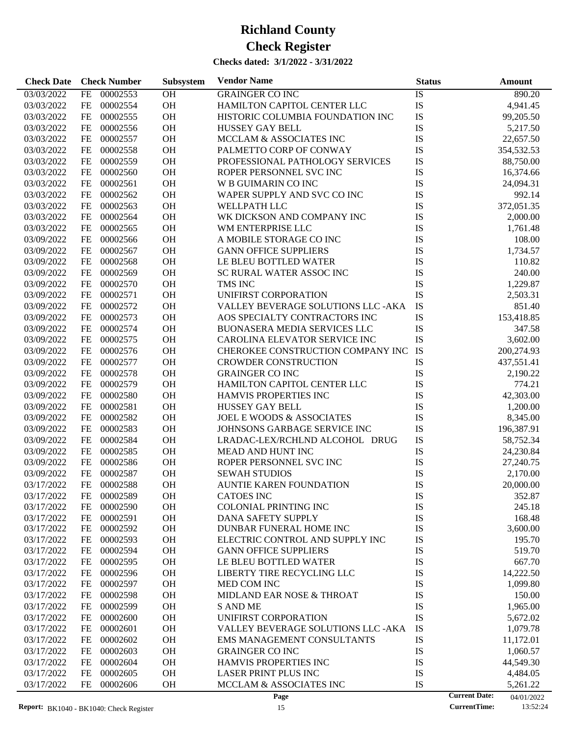| <b>Check Date</b>        | <b>Check Number</b>              | Subsystem       | <b>Vendor Name</b>                            | <b>Status</b> | Amount                             |
|--------------------------|----------------------------------|-----------------|-----------------------------------------------|---------------|------------------------------------|
| 03/03/2022               | 00002553<br>FE                   | OH              | <b>GRAINGER CO INC</b>                        | IS            | 890.20                             |
| 03/03/2022               | 00002554<br>FE                   | <b>OH</b>       | HAMILTON CAPITOL CENTER LLC                   | IS            | 4,941.45                           |
| 03/03/2022               | 00002555<br>FE                   | OH              | HISTORIC COLUMBIA FOUNDATION INC              | IS            | 99,205.50                          |
| 03/03/2022               | 00002556<br>FE                   | <b>OH</b>       | <b>HUSSEY GAY BELL</b>                        | IS            | 5,217.50                           |
| 03/03/2022               | 00002557<br>FE                   | <b>OH</b>       | MCCLAM & ASSOCIATES INC                       | IS            | 22,657.50                          |
| 03/03/2022               | 00002558<br>FE                   | OH              | PALMETTO CORP OF CONWAY                       | IS            | 354,532.53                         |
| 03/03/2022               | 00002559<br>FE                   | OH              | PROFESSIONAL PATHOLOGY SERVICES               | IS            | 88,750.00                          |
| 03/03/2022               | 00002560<br>FE                   | OH              | ROPER PERSONNEL SVC INC                       | IS            | 16,374.66                          |
| 03/03/2022               | 00002561<br>FE                   | OH              | W B GUIMARIN CO INC                           | IS            | 24,094.31                          |
| 03/03/2022               | 00002562<br>FE                   | OH              | WAPER SUPPLY AND SVC CO INC                   | IS            | 992.14                             |
| 03/03/2022               | 00002563<br>FE                   | OH              | <b>WELLPATH LLC</b>                           | IS            | 372,051.35                         |
| 03/03/2022               | 00002564<br>FE                   | OH              | WK DICKSON AND COMPANY INC                    | IS            | 2,000.00                           |
| 03/03/2022               | 00002565<br>FE                   | <b>OH</b>       | WM ENTERPRISE LLC                             | IS            | 1,761.48                           |
| 03/09/2022               | 00002566<br>FE                   | OH              | A MOBILE STORAGE CO INC                       | IS            | 108.00                             |
| 03/09/2022               | 00002567<br>FE                   | OH              | <b>GANN OFFICE SUPPLIERS</b>                  | IS            | 1,734.57                           |
| 03/09/2022               | 00002568<br>FE                   | OH              | LE BLEU BOTTLED WATER                         | IS            | 110.82                             |
| 03/09/2022               | 00002569<br>FE                   | <b>OH</b>       | SC RURAL WATER ASSOC INC                      | IS            | 240.00                             |
| 03/09/2022               | 00002570<br>FE                   | <b>OH</b>       | TMS INC                                       | IS            | 1,229.87                           |
| 03/09/2022               | 00002571<br>FE                   | OH              | UNIFIRST CORPORATION                          | IS            | 2,503.31                           |
| 03/09/2022               | 00002572<br>FE                   | <b>OH</b>       | VALLEY BEVERAGE SOLUTIONS LLC -AKA            | IS            | 851.40                             |
| 03/09/2022               | 00002573<br>FE                   | <b>OH</b>       | AOS SPECIALTY CONTRACTORS INC                 | IS            | 153,418.85                         |
| 03/09/2022               | 00002574<br>FE                   | OH              | <b>BUONASERA MEDIA SERVICES LLC</b>           | IS            | 347.58                             |
| 03/09/2022               | 00002575<br>FE                   | OH              | CAROLINA ELEVATOR SERVICE INC                 | IS            | 3,602.00                           |
| 03/09/2022               | 00002576<br>FE                   | <b>OH</b>       | CHEROKEE CONSTRUCTION COMPANY INC             | IS            | 200,274.93                         |
| 03/09/2022               | 00002577<br>FE                   | <b>OH</b>       | <b>CROWDER CONSTRUCTION</b>                   | IS            | 437,551.41                         |
| 03/09/2022               | 00002578<br>FE                   | <b>OH</b>       | <b>GRAINGER CO INC</b>                        | IS            | 2,190.22                           |
| 03/09/2022               | 00002579<br>FE                   | OH              | HAMILTON CAPITOL CENTER LLC                   | IS            | 774.21                             |
| 03/09/2022               | 00002580<br>FE                   | <b>OH</b>       | <b>HAMVIS PROPERTIES INC</b>                  | IS            | 42,303.00                          |
| 03/09/2022               | 00002581<br>FE                   | <b>OH</b>       | <b>HUSSEY GAY BELL</b>                        | IS            | 1,200.00                           |
| 03/09/2022               | 00002582<br>FE                   | <b>OH</b>       | <b>JOEL E WOODS &amp; ASSOCIATES</b>          | IS            | 8,345.00                           |
| 03/09/2022               | 00002583<br>FE                   | OH              | JOHNSONS GARBAGE SERVICE INC                  | IS            | 196,387.91                         |
| 03/09/2022               | 00002584<br>FE                   | <b>OH</b>       | LRADAC-LEX/RCHLND ALCOHOL DRUG                | IS            | 58,752.34                          |
| 03/09/2022               | 00002585<br>FE                   | <b>OH</b>       | <b>MEAD AND HUNT INC</b>                      | IS            | 24,230.84                          |
| 03/09/2022               | 00002586<br>FE                   | OH              | ROPER PERSONNEL SVC INC                       | IS            | 27,240.75                          |
| 03/09/2022               | 00002587<br>FE                   | OH              | <b>SEWAH STUDIOS</b>                          | IS            | 2,170.00                           |
|                          | 00002588                         | OH              | <b>AUNTIE KAREN FOUNDATION</b>                |               |                                    |
| 03/17/2022               | FE                               |                 |                                               | IS            | 20,000.00                          |
| 03/17/2022               | 00002589<br>FE.<br>00002590      | ОH<br><b>OH</b> | <b>CATOES INC</b>                             | IS            | 352.87                             |
| 03/17/2022               | FE                               |                 | <b>COLONIAL PRINTING INC</b>                  | IS            | 245.18                             |
| 03/17/2022<br>03/17/2022 | 00002591<br>FE<br>00002592<br>FE | OH<br>OH        | DANA SAFETY SUPPLY<br>DUNBAR FUNERAL HOME INC | IS<br>IS      | 168.48<br>3,600.00                 |
| 03/17/2022               | 00002593<br>FE                   | OH              | ELECTRIC CONTROL AND SUPPLY INC               | IS            | 195.70                             |
| 03/17/2022               | 00002594<br>FE                   | OH              | <b>GANN OFFICE SUPPLIERS</b>                  | IS            | 519.70                             |
| 03/17/2022               | 00002595<br>FE                   | OH              | LE BLEU BOTTLED WATER                         | IS            | 667.70                             |
|                          | 00002596                         | OH              | LIBERTY TIRE RECYCLING LLC                    | IS            |                                    |
| 03/17/2022               | FE                               |                 |                                               |               | 14,222.50                          |
| 03/17/2022               | 00002597<br>FE                   | OH              | MED COM INC                                   | IS            | 1,099.80                           |
| 03/17/2022               | 00002598<br>FE                   | OH              | MIDLAND EAR NOSE & THROAT                     | IS            | 150.00                             |
| 03/17/2022               | 00002599<br>FE                   | OH              | <b>S AND ME</b>                               | IS            | 1,965.00                           |
| 03/17/2022               | 00002600<br>FE                   | OH              | UNIFIRST CORPORATION                          | IS            | 5,672.02                           |
| 03/17/2022               | 00002601<br>FE                   | OH              | VALLEY BEVERAGE SOLUTIONS LLC -AKA            | IS            | 1,079.78                           |
| 03/17/2022               | 00002602<br>FE                   | OH              | EMS MANAGEMENT CONSULTANTS                    | IS            | 11,172.01                          |
| 03/17/2022               | 00002603<br>FE                   | OH              | <b>GRAINGER CO INC</b>                        | IS            | 1,060.57                           |
| 03/17/2022               | 00002604<br>FE                   | OH              | HAMVIS PROPERTIES INC                         | IS            | 44,549.30                          |
| 03/17/2022               | 00002605<br>FE                   | OH              | LASER PRINT PLUS INC                          | IS            | 4,484.05                           |
| 03/17/2022               | FE<br>00002606                   | OH              | MCCLAM & ASSOCIATES INC                       | IS            | 5,261.22                           |
|                          |                                  |                 | Page                                          |               | <b>Current Date:</b><br>04/01/2022 |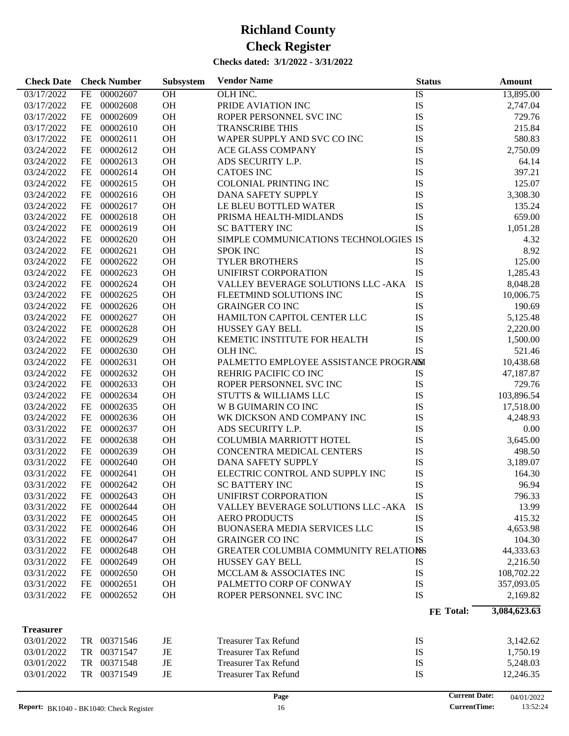| OH<br>OLH INC.<br>03/17/2022<br>00002607<br>IS<br>13,895.00<br>FE<br>OH<br>IS<br>00002608<br>PRIDE AVIATION INC<br>03/17/2022<br>FE<br>2,747.04<br>IS<br>00002609<br>OH<br>03/17/2022<br>FE<br>ROPER PERSONNEL SVC INC<br>729.76<br>IS<br>00002610<br>OH<br>215.84<br>03/17/2022<br>FE<br><b>TRANSCRIBE THIS</b><br>OH<br>IS<br>FE<br>00002611<br>WAPER SUPPLY AND SVC CO INC<br>03/17/2022<br>580.83<br>IS<br>00002612<br>OH<br>2,750.09<br>03/24/2022<br>FE<br><b>ACE GLASS COMPANY</b><br>IS<br>00002613<br>OH<br>03/24/2022<br>FE<br>ADS SECURITY L.P.<br>64.14<br>OH<br>IS<br>00002614<br><b>CATOES INC</b><br>397.21<br>03/24/2022<br>FE<br>IS<br>00002615<br>OH<br><b>COLONIAL PRINTING INC</b><br>125.07<br>03/24/2022<br>FE<br>IS<br>00002616<br>OH<br>03/24/2022<br>FE<br>DANA SAFETY SUPPLY<br>3,308.30<br>IS<br>00002617<br>OH<br>03/24/2022<br>FE<br>LE BLEU BOTTLED WATER<br>135.24<br>OH<br>IS<br>00002618<br>659.00<br>03/24/2022<br>FE<br>PRISMA HEALTH-MIDLANDS<br><b>IS</b><br>00002619<br>OH<br>03/24/2022<br>FE<br><b>SC BATTERY INC</b><br>1,051.28<br>SIMPLE COMMUNICATIONS TECHNOLOGIES IS<br>00002620<br>OH<br>03/24/2022<br>FE<br>4.32<br>00002621<br>OH<br>8.92<br>03/24/2022<br>FE<br><b>SPOK INC</b><br>IS<br>IS<br>FE<br>00002622<br>OH<br><b>TYLER BROTHERS</b><br>125.00<br>03/24/2022<br>IS<br>00002623<br>OH<br>1,285.43<br>03/24/2022<br>FE<br>UNIFIRST CORPORATION<br>IS<br>00002624<br>OH<br>VALLEY BEVERAGE SOLUTIONS LLC - AKA<br>03/24/2022<br>FE<br>8,048.28<br>OH<br>IS<br>FE<br>00002625<br>03/24/2022<br>FLEETMIND SOLUTIONS INC<br>10,006.75<br>IS<br>00002626<br>OH<br><b>GRAINGER CO INC</b><br>03/24/2022<br>FE<br>190.69<br>IS<br>00002627<br>OH<br>03/24/2022<br>FE<br>HAMILTON CAPITOL CENTER LLC<br>5,125.48<br>IS<br>00002628<br>OH<br>03/24/2022<br>FE<br><b>HUSSEY GAY BELL</b><br>2,220.00<br>OH<br>IS<br>FE<br>00002629<br>KEMETIC INSTITUTE FOR HEALTH<br>03/24/2022<br>1,500.00<br>IS<br>00002630<br>OH<br>03/24/2022<br>FE<br>OLH INC.<br>521.46<br>00002631<br>OH<br>PALMETTO EMPLOYEE ASSISTANCE PROGRAIM<br>03/24/2022<br>FE<br>10,438.68<br>OH<br>00002632<br>REHRIG PACIFIC CO INC<br>03/24/2022<br>FE<br>IS<br>47,187.87<br>00002633<br>OH<br>IS<br>03/24/2022<br>FE<br>ROPER PERSONNEL SVC INC<br>729.76<br>00002634<br>OH<br>IS<br>103,896.54<br>03/24/2022<br>FE<br><b>STUTTS &amp; WILLIAMS LLC</b><br>IS<br>00002635<br>OH<br>03/24/2022<br>FE<br>W B GUIMARIN CO INC<br>17,518.00<br>OH<br>IS<br>FE<br>00002636<br>03/24/2022<br>WK DICKSON AND COMPANY INC<br>4,248.93<br>00002637<br>OH<br>IS<br>03/31/2022<br>FE<br>ADS SECURITY L.P.<br>0.00<br>00002638<br>OH<br>IS<br>03/31/2022<br>FE<br><b>COLUMBIA MARRIOTT HOTEL</b><br>3,645.00<br>IS<br>00002639<br>OH<br>03/31/2022<br>FE<br>CONCENTRA MEDICAL CENTERS<br>498.50<br>IS<br>00002640<br>OH<br>03/31/2022<br>FE<br>DANA SAFETY SUPPLY<br>3,189.07<br>OH<br>ELECTRIC CONTROL AND SUPPLY INC<br>IS<br>03/31/2022<br>FE<br>00002641<br>164.30<br>FE<br><b>OH</b><br>IS<br>03/31/2022<br>00002642<br><b>SC BATTERY INC</b><br>96.94<br>03/31/2022<br>FE<br>00002643<br><b>OH</b><br>UNIFIRST CORPORATION<br>IS<br>796.33<br>00002644<br><b>OH</b><br>IS<br>03/31/2022<br>FE<br>VALLEY BEVERAGE SOLUTIONS LLC -AKA<br>13.99<br>IS<br>00002645<br><b>OH</b><br><b>AERO PRODUCTS</b><br>415.32<br>03/31/2022<br>FE<br>IS<br>00002646<br>OH<br><b>BUONASERA MEDIA SERVICES LLC</b><br>4,653.98<br>03/31/2022<br>FE<br><b>IS</b><br>00002647<br>OH<br>104.30<br>03/31/2022<br>FE<br><b>GRAINGER CO INC</b><br>00002648<br>OH<br>GREATER COLUMBIA COMMUNITY RELATIONS<br>44,333.63<br>03/31/2022<br>FE<br>00002649<br>OH<br>IS<br>2,216.50<br>03/31/2022<br>FE<br><b>HUSSEY GAY BELL</b><br>IS<br>00002650<br>OH<br>MCCLAM & ASSOCIATES INC<br>108,702.22<br>03/31/2022<br>FE<br>IS<br>00002651<br><b>OH</b><br>PALMETTO CORP OF CONWAY<br>03/31/2022<br>FE<br>357,093.05<br><b>IS</b><br>FE<br>00002652<br><b>OH</b><br>ROPER PERSONNEL SVC INC<br>03/31/2022<br>2,169.82<br>3,084,623.63<br>FE Total:<br><b>Treasurer</b><br>TR 00371546<br>03/01/2022<br><b>Treasurer Tax Refund</b><br>IS<br>3,142.62<br>JE<br>00371547<br>IS<br>03/01/2022<br>TR<br>JE<br><b>Treasurer Tax Refund</b><br>1,750.19<br>00371548<br><b>Treasurer Tax Refund</b><br>IS<br>03/01/2022<br>TR<br>JE<br>5,248.03<br>00371549<br><b>Treasurer Tax Refund</b><br>IS<br>03/01/2022<br>TR<br>JE<br>12,246.35<br><b>Current Date:</b><br>Page<br>04/01/2022 | <b>Check Date</b> | <b>Check Number</b> | Subsystem | <b>Vendor Name</b> | <b>Status</b> | Amount |
|-------------------------------------------------------------------------------------------------------------------------------------------------------------------------------------------------------------------------------------------------------------------------------------------------------------------------------------------------------------------------------------------------------------------------------------------------------------------------------------------------------------------------------------------------------------------------------------------------------------------------------------------------------------------------------------------------------------------------------------------------------------------------------------------------------------------------------------------------------------------------------------------------------------------------------------------------------------------------------------------------------------------------------------------------------------------------------------------------------------------------------------------------------------------------------------------------------------------------------------------------------------------------------------------------------------------------------------------------------------------------------------------------------------------------------------------------------------------------------------------------------------------------------------------------------------------------------------------------------------------------------------------------------------------------------------------------------------------------------------------------------------------------------------------------------------------------------------------------------------------------------------------------------------------------------------------------------------------------------------------------------------------------------------------------------------------------------------------------------------------------------------------------------------------------------------------------------------------------------------------------------------------------------------------------------------------------------------------------------------------------------------------------------------------------------------------------------------------------------------------------------------------------------------------------------------------------------------------------------------------------------------------------------------------------------------------------------------------------------------------------------------------------------------------------------------------------------------------------------------------------------------------------------------------------------------------------------------------------------------------------------------------------------------------------------------------------------------------------------------------------------------------------------------------------------------------------------------------------------------------------------------------------------------------------------------------------------------------------------------------------------------------------------------------------------------------------------------------------------------------------------------------------------------------------------------------------------------------------------------------------------------------------------------------------------------------------------------------------------------------------------------------------------------------------------------------------------------------------------------------------------------------------------------------------------------------------------------------------------------------------------------------------------------------------------------------------------------------------------------------------------------------------------------------------------------------------------------------------------------------------------------------------------------------------------------------------------------------------------------------------------------------------------------------------------------------------------------|-------------------|---------------------|-----------|--------------------|---------------|--------|
|                                                                                                                                                                                                                                                                                                                                                                                                                                                                                                                                                                                                                                                                                                                                                                                                                                                                                                                                                                                                                                                                                                                                                                                                                                                                                                                                                                                                                                                                                                                                                                                                                                                                                                                                                                                                                                                                                                                                                                                                                                                                                                                                                                                                                                                                                                                                                                                                                                                                                                                                                                                                                                                                                                                                                                                                                                                                                                                                                                                                                                                                                                                                                                                                                                                                                                                                                                                                                                                                                                                                                                                                                                                                                                                                                                                                                                                                                                                                                                                                                                                                                                                                                                                                                                                                                                                                                                                                                                                             |                   |                     |           |                    |               |        |
|                                                                                                                                                                                                                                                                                                                                                                                                                                                                                                                                                                                                                                                                                                                                                                                                                                                                                                                                                                                                                                                                                                                                                                                                                                                                                                                                                                                                                                                                                                                                                                                                                                                                                                                                                                                                                                                                                                                                                                                                                                                                                                                                                                                                                                                                                                                                                                                                                                                                                                                                                                                                                                                                                                                                                                                                                                                                                                                                                                                                                                                                                                                                                                                                                                                                                                                                                                                                                                                                                                                                                                                                                                                                                                                                                                                                                                                                                                                                                                                                                                                                                                                                                                                                                                                                                                                                                                                                                                                             |                   |                     |           |                    |               |        |
|                                                                                                                                                                                                                                                                                                                                                                                                                                                                                                                                                                                                                                                                                                                                                                                                                                                                                                                                                                                                                                                                                                                                                                                                                                                                                                                                                                                                                                                                                                                                                                                                                                                                                                                                                                                                                                                                                                                                                                                                                                                                                                                                                                                                                                                                                                                                                                                                                                                                                                                                                                                                                                                                                                                                                                                                                                                                                                                                                                                                                                                                                                                                                                                                                                                                                                                                                                                                                                                                                                                                                                                                                                                                                                                                                                                                                                                                                                                                                                                                                                                                                                                                                                                                                                                                                                                                                                                                                                                             |                   |                     |           |                    |               |        |
|                                                                                                                                                                                                                                                                                                                                                                                                                                                                                                                                                                                                                                                                                                                                                                                                                                                                                                                                                                                                                                                                                                                                                                                                                                                                                                                                                                                                                                                                                                                                                                                                                                                                                                                                                                                                                                                                                                                                                                                                                                                                                                                                                                                                                                                                                                                                                                                                                                                                                                                                                                                                                                                                                                                                                                                                                                                                                                                                                                                                                                                                                                                                                                                                                                                                                                                                                                                                                                                                                                                                                                                                                                                                                                                                                                                                                                                                                                                                                                                                                                                                                                                                                                                                                                                                                                                                                                                                                                                             |                   |                     |           |                    |               |        |
|                                                                                                                                                                                                                                                                                                                                                                                                                                                                                                                                                                                                                                                                                                                                                                                                                                                                                                                                                                                                                                                                                                                                                                                                                                                                                                                                                                                                                                                                                                                                                                                                                                                                                                                                                                                                                                                                                                                                                                                                                                                                                                                                                                                                                                                                                                                                                                                                                                                                                                                                                                                                                                                                                                                                                                                                                                                                                                                                                                                                                                                                                                                                                                                                                                                                                                                                                                                                                                                                                                                                                                                                                                                                                                                                                                                                                                                                                                                                                                                                                                                                                                                                                                                                                                                                                                                                                                                                                                                             |                   |                     |           |                    |               |        |
|                                                                                                                                                                                                                                                                                                                                                                                                                                                                                                                                                                                                                                                                                                                                                                                                                                                                                                                                                                                                                                                                                                                                                                                                                                                                                                                                                                                                                                                                                                                                                                                                                                                                                                                                                                                                                                                                                                                                                                                                                                                                                                                                                                                                                                                                                                                                                                                                                                                                                                                                                                                                                                                                                                                                                                                                                                                                                                                                                                                                                                                                                                                                                                                                                                                                                                                                                                                                                                                                                                                                                                                                                                                                                                                                                                                                                                                                                                                                                                                                                                                                                                                                                                                                                                                                                                                                                                                                                                                             |                   |                     |           |                    |               |        |
|                                                                                                                                                                                                                                                                                                                                                                                                                                                                                                                                                                                                                                                                                                                                                                                                                                                                                                                                                                                                                                                                                                                                                                                                                                                                                                                                                                                                                                                                                                                                                                                                                                                                                                                                                                                                                                                                                                                                                                                                                                                                                                                                                                                                                                                                                                                                                                                                                                                                                                                                                                                                                                                                                                                                                                                                                                                                                                                                                                                                                                                                                                                                                                                                                                                                                                                                                                                                                                                                                                                                                                                                                                                                                                                                                                                                                                                                                                                                                                                                                                                                                                                                                                                                                                                                                                                                                                                                                                                             |                   |                     |           |                    |               |        |
|                                                                                                                                                                                                                                                                                                                                                                                                                                                                                                                                                                                                                                                                                                                                                                                                                                                                                                                                                                                                                                                                                                                                                                                                                                                                                                                                                                                                                                                                                                                                                                                                                                                                                                                                                                                                                                                                                                                                                                                                                                                                                                                                                                                                                                                                                                                                                                                                                                                                                                                                                                                                                                                                                                                                                                                                                                                                                                                                                                                                                                                                                                                                                                                                                                                                                                                                                                                                                                                                                                                                                                                                                                                                                                                                                                                                                                                                                                                                                                                                                                                                                                                                                                                                                                                                                                                                                                                                                                                             |                   |                     |           |                    |               |        |
|                                                                                                                                                                                                                                                                                                                                                                                                                                                                                                                                                                                                                                                                                                                                                                                                                                                                                                                                                                                                                                                                                                                                                                                                                                                                                                                                                                                                                                                                                                                                                                                                                                                                                                                                                                                                                                                                                                                                                                                                                                                                                                                                                                                                                                                                                                                                                                                                                                                                                                                                                                                                                                                                                                                                                                                                                                                                                                                                                                                                                                                                                                                                                                                                                                                                                                                                                                                                                                                                                                                                                                                                                                                                                                                                                                                                                                                                                                                                                                                                                                                                                                                                                                                                                                                                                                                                                                                                                                                             |                   |                     |           |                    |               |        |
|                                                                                                                                                                                                                                                                                                                                                                                                                                                                                                                                                                                                                                                                                                                                                                                                                                                                                                                                                                                                                                                                                                                                                                                                                                                                                                                                                                                                                                                                                                                                                                                                                                                                                                                                                                                                                                                                                                                                                                                                                                                                                                                                                                                                                                                                                                                                                                                                                                                                                                                                                                                                                                                                                                                                                                                                                                                                                                                                                                                                                                                                                                                                                                                                                                                                                                                                                                                                                                                                                                                                                                                                                                                                                                                                                                                                                                                                                                                                                                                                                                                                                                                                                                                                                                                                                                                                                                                                                                                             |                   |                     |           |                    |               |        |
|                                                                                                                                                                                                                                                                                                                                                                                                                                                                                                                                                                                                                                                                                                                                                                                                                                                                                                                                                                                                                                                                                                                                                                                                                                                                                                                                                                                                                                                                                                                                                                                                                                                                                                                                                                                                                                                                                                                                                                                                                                                                                                                                                                                                                                                                                                                                                                                                                                                                                                                                                                                                                                                                                                                                                                                                                                                                                                                                                                                                                                                                                                                                                                                                                                                                                                                                                                                                                                                                                                                                                                                                                                                                                                                                                                                                                                                                                                                                                                                                                                                                                                                                                                                                                                                                                                                                                                                                                                                             |                   |                     |           |                    |               |        |
|                                                                                                                                                                                                                                                                                                                                                                                                                                                                                                                                                                                                                                                                                                                                                                                                                                                                                                                                                                                                                                                                                                                                                                                                                                                                                                                                                                                                                                                                                                                                                                                                                                                                                                                                                                                                                                                                                                                                                                                                                                                                                                                                                                                                                                                                                                                                                                                                                                                                                                                                                                                                                                                                                                                                                                                                                                                                                                                                                                                                                                                                                                                                                                                                                                                                                                                                                                                                                                                                                                                                                                                                                                                                                                                                                                                                                                                                                                                                                                                                                                                                                                                                                                                                                                                                                                                                                                                                                                                             |                   |                     |           |                    |               |        |
|                                                                                                                                                                                                                                                                                                                                                                                                                                                                                                                                                                                                                                                                                                                                                                                                                                                                                                                                                                                                                                                                                                                                                                                                                                                                                                                                                                                                                                                                                                                                                                                                                                                                                                                                                                                                                                                                                                                                                                                                                                                                                                                                                                                                                                                                                                                                                                                                                                                                                                                                                                                                                                                                                                                                                                                                                                                                                                                                                                                                                                                                                                                                                                                                                                                                                                                                                                                                                                                                                                                                                                                                                                                                                                                                                                                                                                                                                                                                                                                                                                                                                                                                                                                                                                                                                                                                                                                                                                                             |                   |                     |           |                    |               |        |
|                                                                                                                                                                                                                                                                                                                                                                                                                                                                                                                                                                                                                                                                                                                                                                                                                                                                                                                                                                                                                                                                                                                                                                                                                                                                                                                                                                                                                                                                                                                                                                                                                                                                                                                                                                                                                                                                                                                                                                                                                                                                                                                                                                                                                                                                                                                                                                                                                                                                                                                                                                                                                                                                                                                                                                                                                                                                                                                                                                                                                                                                                                                                                                                                                                                                                                                                                                                                                                                                                                                                                                                                                                                                                                                                                                                                                                                                                                                                                                                                                                                                                                                                                                                                                                                                                                                                                                                                                                                             |                   |                     |           |                    |               |        |
|                                                                                                                                                                                                                                                                                                                                                                                                                                                                                                                                                                                                                                                                                                                                                                                                                                                                                                                                                                                                                                                                                                                                                                                                                                                                                                                                                                                                                                                                                                                                                                                                                                                                                                                                                                                                                                                                                                                                                                                                                                                                                                                                                                                                                                                                                                                                                                                                                                                                                                                                                                                                                                                                                                                                                                                                                                                                                                                                                                                                                                                                                                                                                                                                                                                                                                                                                                                                                                                                                                                                                                                                                                                                                                                                                                                                                                                                                                                                                                                                                                                                                                                                                                                                                                                                                                                                                                                                                                                             |                   |                     |           |                    |               |        |
|                                                                                                                                                                                                                                                                                                                                                                                                                                                                                                                                                                                                                                                                                                                                                                                                                                                                                                                                                                                                                                                                                                                                                                                                                                                                                                                                                                                                                                                                                                                                                                                                                                                                                                                                                                                                                                                                                                                                                                                                                                                                                                                                                                                                                                                                                                                                                                                                                                                                                                                                                                                                                                                                                                                                                                                                                                                                                                                                                                                                                                                                                                                                                                                                                                                                                                                                                                                                                                                                                                                                                                                                                                                                                                                                                                                                                                                                                                                                                                                                                                                                                                                                                                                                                                                                                                                                                                                                                                                             |                   |                     |           |                    |               |        |
|                                                                                                                                                                                                                                                                                                                                                                                                                                                                                                                                                                                                                                                                                                                                                                                                                                                                                                                                                                                                                                                                                                                                                                                                                                                                                                                                                                                                                                                                                                                                                                                                                                                                                                                                                                                                                                                                                                                                                                                                                                                                                                                                                                                                                                                                                                                                                                                                                                                                                                                                                                                                                                                                                                                                                                                                                                                                                                                                                                                                                                                                                                                                                                                                                                                                                                                                                                                                                                                                                                                                                                                                                                                                                                                                                                                                                                                                                                                                                                                                                                                                                                                                                                                                                                                                                                                                                                                                                                                             |                   |                     |           |                    |               |        |
|                                                                                                                                                                                                                                                                                                                                                                                                                                                                                                                                                                                                                                                                                                                                                                                                                                                                                                                                                                                                                                                                                                                                                                                                                                                                                                                                                                                                                                                                                                                                                                                                                                                                                                                                                                                                                                                                                                                                                                                                                                                                                                                                                                                                                                                                                                                                                                                                                                                                                                                                                                                                                                                                                                                                                                                                                                                                                                                                                                                                                                                                                                                                                                                                                                                                                                                                                                                                                                                                                                                                                                                                                                                                                                                                                                                                                                                                                                                                                                                                                                                                                                                                                                                                                                                                                                                                                                                                                                                             |                   |                     |           |                    |               |        |
|                                                                                                                                                                                                                                                                                                                                                                                                                                                                                                                                                                                                                                                                                                                                                                                                                                                                                                                                                                                                                                                                                                                                                                                                                                                                                                                                                                                                                                                                                                                                                                                                                                                                                                                                                                                                                                                                                                                                                                                                                                                                                                                                                                                                                                                                                                                                                                                                                                                                                                                                                                                                                                                                                                                                                                                                                                                                                                                                                                                                                                                                                                                                                                                                                                                                                                                                                                                                                                                                                                                                                                                                                                                                                                                                                                                                                                                                                                                                                                                                                                                                                                                                                                                                                                                                                                                                                                                                                                                             |                   |                     |           |                    |               |        |
|                                                                                                                                                                                                                                                                                                                                                                                                                                                                                                                                                                                                                                                                                                                                                                                                                                                                                                                                                                                                                                                                                                                                                                                                                                                                                                                                                                                                                                                                                                                                                                                                                                                                                                                                                                                                                                                                                                                                                                                                                                                                                                                                                                                                                                                                                                                                                                                                                                                                                                                                                                                                                                                                                                                                                                                                                                                                                                                                                                                                                                                                                                                                                                                                                                                                                                                                                                                                                                                                                                                                                                                                                                                                                                                                                                                                                                                                                                                                                                                                                                                                                                                                                                                                                                                                                                                                                                                                                                                             |                   |                     |           |                    |               |        |
|                                                                                                                                                                                                                                                                                                                                                                                                                                                                                                                                                                                                                                                                                                                                                                                                                                                                                                                                                                                                                                                                                                                                                                                                                                                                                                                                                                                                                                                                                                                                                                                                                                                                                                                                                                                                                                                                                                                                                                                                                                                                                                                                                                                                                                                                                                                                                                                                                                                                                                                                                                                                                                                                                                                                                                                                                                                                                                                                                                                                                                                                                                                                                                                                                                                                                                                                                                                                                                                                                                                                                                                                                                                                                                                                                                                                                                                                                                                                                                                                                                                                                                                                                                                                                                                                                                                                                                                                                                                             |                   |                     |           |                    |               |        |
|                                                                                                                                                                                                                                                                                                                                                                                                                                                                                                                                                                                                                                                                                                                                                                                                                                                                                                                                                                                                                                                                                                                                                                                                                                                                                                                                                                                                                                                                                                                                                                                                                                                                                                                                                                                                                                                                                                                                                                                                                                                                                                                                                                                                                                                                                                                                                                                                                                                                                                                                                                                                                                                                                                                                                                                                                                                                                                                                                                                                                                                                                                                                                                                                                                                                                                                                                                                                                                                                                                                                                                                                                                                                                                                                                                                                                                                                                                                                                                                                                                                                                                                                                                                                                                                                                                                                                                                                                                                             |                   |                     |           |                    |               |        |
|                                                                                                                                                                                                                                                                                                                                                                                                                                                                                                                                                                                                                                                                                                                                                                                                                                                                                                                                                                                                                                                                                                                                                                                                                                                                                                                                                                                                                                                                                                                                                                                                                                                                                                                                                                                                                                                                                                                                                                                                                                                                                                                                                                                                                                                                                                                                                                                                                                                                                                                                                                                                                                                                                                                                                                                                                                                                                                                                                                                                                                                                                                                                                                                                                                                                                                                                                                                                                                                                                                                                                                                                                                                                                                                                                                                                                                                                                                                                                                                                                                                                                                                                                                                                                                                                                                                                                                                                                                                             |                   |                     |           |                    |               |        |
|                                                                                                                                                                                                                                                                                                                                                                                                                                                                                                                                                                                                                                                                                                                                                                                                                                                                                                                                                                                                                                                                                                                                                                                                                                                                                                                                                                                                                                                                                                                                                                                                                                                                                                                                                                                                                                                                                                                                                                                                                                                                                                                                                                                                                                                                                                                                                                                                                                                                                                                                                                                                                                                                                                                                                                                                                                                                                                                                                                                                                                                                                                                                                                                                                                                                                                                                                                                                                                                                                                                                                                                                                                                                                                                                                                                                                                                                                                                                                                                                                                                                                                                                                                                                                                                                                                                                                                                                                                                             |                   |                     |           |                    |               |        |
|                                                                                                                                                                                                                                                                                                                                                                                                                                                                                                                                                                                                                                                                                                                                                                                                                                                                                                                                                                                                                                                                                                                                                                                                                                                                                                                                                                                                                                                                                                                                                                                                                                                                                                                                                                                                                                                                                                                                                                                                                                                                                                                                                                                                                                                                                                                                                                                                                                                                                                                                                                                                                                                                                                                                                                                                                                                                                                                                                                                                                                                                                                                                                                                                                                                                                                                                                                                                                                                                                                                                                                                                                                                                                                                                                                                                                                                                                                                                                                                                                                                                                                                                                                                                                                                                                                                                                                                                                                                             |                   |                     |           |                    |               |        |
|                                                                                                                                                                                                                                                                                                                                                                                                                                                                                                                                                                                                                                                                                                                                                                                                                                                                                                                                                                                                                                                                                                                                                                                                                                                                                                                                                                                                                                                                                                                                                                                                                                                                                                                                                                                                                                                                                                                                                                                                                                                                                                                                                                                                                                                                                                                                                                                                                                                                                                                                                                                                                                                                                                                                                                                                                                                                                                                                                                                                                                                                                                                                                                                                                                                                                                                                                                                                                                                                                                                                                                                                                                                                                                                                                                                                                                                                                                                                                                                                                                                                                                                                                                                                                                                                                                                                                                                                                                                             |                   |                     |           |                    |               |        |
|                                                                                                                                                                                                                                                                                                                                                                                                                                                                                                                                                                                                                                                                                                                                                                                                                                                                                                                                                                                                                                                                                                                                                                                                                                                                                                                                                                                                                                                                                                                                                                                                                                                                                                                                                                                                                                                                                                                                                                                                                                                                                                                                                                                                                                                                                                                                                                                                                                                                                                                                                                                                                                                                                                                                                                                                                                                                                                                                                                                                                                                                                                                                                                                                                                                                                                                                                                                                                                                                                                                                                                                                                                                                                                                                                                                                                                                                                                                                                                                                                                                                                                                                                                                                                                                                                                                                                                                                                                                             |                   |                     |           |                    |               |        |
|                                                                                                                                                                                                                                                                                                                                                                                                                                                                                                                                                                                                                                                                                                                                                                                                                                                                                                                                                                                                                                                                                                                                                                                                                                                                                                                                                                                                                                                                                                                                                                                                                                                                                                                                                                                                                                                                                                                                                                                                                                                                                                                                                                                                                                                                                                                                                                                                                                                                                                                                                                                                                                                                                                                                                                                                                                                                                                                                                                                                                                                                                                                                                                                                                                                                                                                                                                                                                                                                                                                                                                                                                                                                                                                                                                                                                                                                                                                                                                                                                                                                                                                                                                                                                                                                                                                                                                                                                                                             |                   |                     |           |                    |               |        |
|                                                                                                                                                                                                                                                                                                                                                                                                                                                                                                                                                                                                                                                                                                                                                                                                                                                                                                                                                                                                                                                                                                                                                                                                                                                                                                                                                                                                                                                                                                                                                                                                                                                                                                                                                                                                                                                                                                                                                                                                                                                                                                                                                                                                                                                                                                                                                                                                                                                                                                                                                                                                                                                                                                                                                                                                                                                                                                                                                                                                                                                                                                                                                                                                                                                                                                                                                                                                                                                                                                                                                                                                                                                                                                                                                                                                                                                                                                                                                                                                                                                                                                                                                                                                                                                                                                                                                                                                                                                             |                   |                     |           |                    |               |        |
|                                                                                                                                                                                                                                                                                                                                                                                                                                                                                                                                                                                                                                                                                                                                                                                                                                                                                                                                                                                                                                                                                                                                                                                                                                                                                                                                                                                                                                                                                                                                                                                                                                                                                                                                                                                                                                                                                                                                                                                                                                                                                                                                                                                                                                                                                                                                                                                                                                                                                                                                                                                                                                                                                                                                                                                                                                                                                                                                                                                                                                                                                                                                                                                                                                                                                                                                                                                                                                                                                                                                                                                                                                                                                                                                                                                                                                                                                                                                                                                                                                                                                                                                                                                                                                                                                                                                                                                                                                                             |                   |                     |           |                    |               |        |
|                                                                                                                                                                                                                                                                                                                                                                                                                                                                                                                                                                                                                                                                                                                                                                                                                                                                                                                                                                                                                                                                                                                                                                                                                                                                                                                                                                                                                                                                                                                                                                                                                                                                                                                                                                                                                                                                                                                                                                                                                                                                                                                                                                                                                                                                                                                                                                                                                                                                                                                                                                                                                                                                                                                                                                                                                                                                                                                                                                                                                                                                                                                                                                                                                                                                                                                                                                                                                                                                                                                                                                                                                                                                                                                                                                                                                                                                                                                                                                                                                                                                                                                                                                                                                                                                                                                                                                                                                                                             |                   |                     |           |                    |               |        |
|                                                                                                                                                                                                                                                                                                                                                                                                                                                                                                                                                                                                                                                                                                                                                                                                                                                                                                                                                                                                                                                                                                                                                                                                                                                                                                                                                                                                                                                                                                                                                                                                                                                                                                                                                                                                                                                                                                                                                                                                                                                                                                                                                                                                                                                                                                                                                                                                                                                                                                                                                                                                                                                                                                                                                                                                                                                                                                                                                                                                                                                                                                                                                                                                                                                                                                                                                                                                                                                                                                                                                                                                                                                                                                                                                                                                                                                                                                                                                                                                                                                                                                                                                                                                                                                                                                                                                                                                                                                             |                   |                     |           |                    |               |        |
|                                                                                                                                                                                                                                                                                                                                                                                                                                                                                                                                                                                                                                                                                                                                                                                                                                                                                                                                                                                                                                                                                                                                                                                                                                                                                                                                                                                                                                                                                                                                                                                                                                                                                                                                                                                                                                                                                                                                                                                                                                                                                                                                                                                                                                                                                                                                                                                                                                                                                                                                                                                                                                                                                                                                                                                                                                                                                                                                                                                                                                                                                                                                                                                                                                                                                                                                                                                                                                                                                                                                                                                                                                                                                                                                                                                                                                                                                                                                                                                                                                                                                                                                                                                                                                                                                                                                                                                                                                                             |                   |                     |           |                    |               |        |
|                                                                                                                                                                                                                                                                                                                                                                                                                                                                                                                                                                                                                                                                                                                                                                                                                                                                                                                                                                                                                                                                                                                                                                                                                                                                                                                                                                                                                                                                                                                                                                                                                                                                                                                                                                                                                                                                                                                                                                                                                                                                                                                                                                                                                                                                                                                                                                                                                                                                                                                                                                                                                                                                                                                                                                                                                                                                                                                                                                                                                                                                                                                                                                                                                                                                                                                                                                                                                                                                                                                                                                                                                                                                                                                                                                                                                                                                                                                                                                                                                                                                                                                                                                                                                                                                                                                                                                                                                                                             |                   |                     |           |                    |               |        |
|                                                                                                                                                                                                                                                                                                                                                                                                                                                                                                                                                                                                                                                                                                                                                                                                                                                                                                                                                                                                                                                                                                                                                                                                                                                                                                                                                                                                                                                                                                                                                                                                                                                                                                                                                                                                                                                                                                                                                                                                                                                                                                                                                                                                                                                                                                                                                                                                                                                                                                                                                                                                                                                                                                                                                                                                                                                                                                                                                                                                                                                                                                                                                                                                                                                                                                                                                                                                                                                                                                                                                                                                                                                                                                                                                                                                                                                                                                                                                                                                                                                                                                                                                                                                                                                                                                                                                                                                                                                             |                   |                     |           |                    |               |        |
|                                                                                                                                                                                                                                                                                                                                                                                                                                                                                                                                                                                                                                                                                                                                                                                                                                                                                                                                                                                                                                                                                                                                                                                                                                                                                                                                                                                                                                                                                                                                                                                                                                                                                                                                                                                                                                                                                                                                                                                                                                                                                                                                                                                                                                                                                                                                                                                                                                                                                                                                                                                                                                                                                                                                                                                                                                                                                                                                                                                                                                                                                                                                                                                                                                                                                                                                                                                                                                                                                                                                                                                                                                                                                                                                                                                                                                                                                                                                                                                                                                                                                                                                                                                                                                                                                                                                                                                                                                                             |                   |                     |           |                    |               |        |
|                                                                                                                                                                                                                                                                                                                                                                                                                                                                                                                                                                                                                                                                                                                                                                                                                                                                                                                                                                                                                                                                                                                                                                                                                                                                                                                                                                                                                                                                                                                                                                                                                                                                                                                                                                                                                                                                                                                                                                                                                                                                                                                                                                                                                                                                                                                                                                                                                                                                                                                                                                                                                                                                                                                                                                                                                                                                                                                                                                                                                                                                                                                                                                                                                                                                                                                                                                                                                                                                                                                                                                                                                                                                                                                                                                                                                                                                                                                                                                                                                                                                                                                                                                                                                                                                                                                                                                                                                                                             |                   |                     |           |                    |               |        |
|                                                                                                                                                                                                                                                                                                                                                                                                                                                                                                                                                                                                                                                                                                                                                                                                                                                                                                                                                                                                                                                                                                                                                                                                                                                                                                                                                                                                                                                                                                                                                                                                                                                                                                                                                                                                                                                                                                                                                                                                                                                                                                                                                                                                                                                                                                                                                                                                                                                                                                                                                                                                                                                                                                                                                                                                                                                                                                                                                                                                                                                                                                                                                                                                                                                                                                                                                                                                                                                                                                                                                                                                                                                                                                                                                                                                                                                                                                                                                                                                                                                                                                                                                                                                                                                                                                                                                                                                                                                             |                   |                     |           |                    |               |        |
|                                                                                                                                                                                                                                                                                                                                                                                                                                                                                                                                                                                                                                                                                                                                                                                                                                                                                                                                                                                                                                                                                                                                                                                                                                                                                                                                                                                                                                                                                                                                                                                                                                                                                                                                                                                                                                                                                                                                                                                                                                                                                                                                                                                                                                                                                                                                                                                                                                                                                                                                                                                                                                                                                                                                                                                                                                                                                                                                                                                                                                                                                                                                                                                                                                                                                                                                                                                                                                                                                                                                                                                                                                                                                                                                                                                                                                                                                                                                                                                                                                                                                                                                                                                                                                                                                                                                                                                                                                                             |                   |                     |           |                    |               |        |
|                                                                                                                                                                                                                                                                                                                                                                                                                                                                                                                                                                                                                                                                                                                                                                                                                                                                                                                                                                                                                                                                                                                                                                                                                                                                                                                                                                                                                                                                                                                                                                                                                                                                                                                                                                                                                                                                                                                                                                                                                                                                                                                                                                                                                                                                                                                                                                                                                                                                                                                                                                                                                                                                                                                                                                                                                                                                                                                                                                                                                                                                                                                                                                                                                                                                                                                                                                                                                                                                                                                                                                                                                                                                                                                                                                                                                                                                                                                                                                                                                                                                                                                                                                                                                                                                                                                                                                                                                                                             |                   |                     |           |                    |               |        |
|                                                                                                                                                                                                                                                                                                                                                                                                                                                                                                                                                                                                                                                                                                                                                                                                                                                                                                                                                                                                                                                                                                                                                                                                                                                                                                                                                                                                                                                                                                                                                                                                                                                                                                                                                                                                                                                                                                                                                                                                                                                                                                                                                                                                                                                                                                                                                                                                                                                                                                                                                                                                                                                                                                                                                                                                                                                                                                                                                                                                                                                                                                                                                                                                                                                                                                                                                                                                                                                                                                                                                                                                                                                                                                                                                                                                                                                                                                                                                                                                                                                                                                                                                                                                                                                                                                                                                                                                                                                             |                   |                     |           |                    |               |        |
|                                                                                                                                                                                                                                                                                                                                                                                                                                                                                                                                                                                                                                                                                                                                                                                                                                                                                                                                                                                                                                                                                                                                                                                                                                                                                                                                                                                                                                                                                                                                                                                                                                                                                                                                                                                                                                                                                                                                                                                                                                                                                                                                                                                                                                                                                                                                                                                                                                                                                                                                                                                                                                                                                                                                                                                                                                                                                                                                                                                                                                                                                                                                                                                                                                                                                                                                                                                                                                                                                                                                                                                                                                                                                                                                                                                                                                                                                                                                                                                                                                                                                                                                                                                                                                                                                                                                                                                                                                                             |                   |                     |           |                    |               |        |
|                                                                                                                                                                                                                                                                                                                                                                                                                                                                                                                                                                                                                                                                                                                                                                                                                                                                                                                                                                                                                                                                                                                                                                                                                                                                                                                                                                                                                                                                                                                                                                                                                                                                                                                                                                                                                                                                                                                                                                                                                                                                                                                                                                                                                                                                                                                                                                                                                                                                                                                                                                                                                                                                                                                                                                                                                                                                                                                                                                                                                                                                                                                                                                                                                                                                                                                                                                                                                                                                                                                                                                                                                                                                                                                                                                                                                                                                                                                                                                                                                                                                                                                                                                                                                                                                                                                                                                                                                                                             |                   |                     |           |                    |               |        |
|                                                                                                                                                                                                                                                                                                                                                                                                                                                                                                                                                                                                                                                                                                                                                                                                                                                                                                                                                                                                                                                                                                                                                                                                                                                                                                                                                                                                                                                                                                                                                                                                                                                                                                                                                                                                                                                                                                                                                                                                                                                                                                                                                                                                                                                                                                                                                                                                                                                                                                                                                                                                                                                                                                                                                                                                                                                                                                                                                                                                                                                                                                                                                                                                                                                                                                                                                                                                                                                                                                                                                                                                                                                                                                                                                                                                                                                                                                                                                                                                                                                                                                                                                                                                                                                                                                                                                                                                                                                             |                   |                     |           |                    |               |        |
|                                                                                                                                                                                                                                                                                                                                                                                                                                                                                                                                                                                                                                                                                                                                                                                                                                                                                                                                                                                                                                                                                                                                                                                                                                                                                                                                                                                                                                                                                                                                                                                                                                                                                                                                                                                                                                                                                                                                                                                                                                                                                                                                                                                                                                                                                                                                                                                                                                                                                                                                                                                                                                                                                                                                                                                                                                                                                                                                                                                                                                                                                                                                                                                                                                                                                                                                                                                                                                                                                                                                                                                                                                                                                                                                                                                                                                                                                                                                                                                                                                                                                                                                                                                                                                                                                                                                                                                                                                                             |                   |                     |           |                    |               |        |
|                                                                                                                                                                                                                                                                                                                                                                                                                                                                                                                                                                                                                                                                                                                                                                                                                                                                                                                                                                                                                                                                                                                                                                                                                                                                                                                                                                                                                                                                                                                                                                                                                                                                                                                                                                                                                                                                                                                                                                                                                                                                                                                                                                                                                                                                                                                                                                                                                                                                                                                                                                                                                                                                                                                                                                                                                                                                                                                                                                                                                                                                                                                                                                                                                                                                                                                                                                                                                                                                                                                                                                                                                                                                                                                                                                                                                                                                                                                                                                                                                                                                                                                                                                                                                                                                                                                                                                                                                                                             |                   |                     |           |                    |               |        |
|                                                                                                                                                                                                                                                                                                                                                                                                                                                                                                                                                                                                                                                                                                                                                                                                                                                                                                                                                                                                                                                                                                                                                                                                                                                                                                                                                                                                                                                                                                                                                                                                                                                                                                                                                                                                                                                                                                                                                                                                                                                                                                                                                                                                                                                                                                                                                                                                                                                                                                                                                                                                                                                                                                                                                                                                                                                                                                                                                                                                                                                                                                                                                                                                                                                                                                                                                                                                                                                                                                                                                                                                                                                                                                                                                                                                                                                                                                                                                                                                                                                                                                                                                                                                                                                                                                                                                                                                                                                             |                   |                     |           |                    |               |        |
|                                                                                                                                                                                                                                                                                                                                                                                                                                                                                                                                                                                                                                                                                                                                                                                                                                                                                                                                                                                                                                                                                                                                                                                                                                                                                                                                                                                                                                                                                                                                                                                                                                                                                                                                                                                                                                                                                                                                                                                                                                                                                                                                                                                                                                                                                                                                                                                                                                                                                                                                                                                                                                                                                                                                                                                                                                                                                                                                                                                                                                                                                                                                                                                                                                                                                                                                                                                                                                                                                                                                                                                                                                                                                                                                                                                                                                                                                                                                                                                                                                                                                                                                                                                                                                                                                                                                                                                                                                                             |                   |                     |           |                    |               |        |
|                                                                                                                                                                                                                                                                                                                                                                                                                                                                                                                                                                                                                                                                                                                                                                                                                                                                                                                                                                                                                                                                                                                                                                                                                                                                                                                                                                                                                                                                                                                                                                                                                                                                                                                                                                                                                                                                                                                                                                                                                                                                                                                                                                                                                                                                                                                                                                                                                                                                                                                                                                                                                                                                                                                                                                                                                                                                                                                                                                                                                                                                                                                                                                                                                                                                                                                                                                                                                                                                                                                                                                                                                                                                                                                                                                                                                                                                                                                                                                                                                                                                                                                                                                                                                                                                                                                                                                                                                                                             |                   |                     |           |                    |               |        |
|                                                                                                                                                                                                                                                                                                                                                                                                                                                                                                                                                                                                                                                                                                                                                                                                                                                                                                                                                                                                                                                                                                                                                                                                                                                                                                                                                                                                                                                                                                                                                                                                                                                                                                                                                                                                                                                                                                                                                                                                                                                                                                                                                                                                                                                                                                                                                                                                                                                                                                                                                                                                                                                                                                                                                                                                                                                                                                                                                                                                                                                                                                                                                                                                                                                                                                                                                                                                                                                                                                                                                                                                                                                                                                                                                                                                                                                                                                                                                                                                                                                                                                                                                                                                                                                                                                                                                                                                                                                             |                   |                     |           |                    |               |        |
|                                                                                                                                                                                                                                                                                                                                                                                                                                                                                                                                                                                                                                                                                                                                                                                                                                                                                                                                                                                                                                                                                                                                                                                                                                                                                                                                                                                                                                                                                                                                                                                                                                                                                                                                                                                                                                                                                                                                                                                                                                                                                                                                                                                                                                                                                                                                                                                                                                                                                                                                                                                                                                                                                                                                                                                                                                                                                                                                                                                                                                                                                                                                                                                                                                                                                                                                                                                                                                                                                                                                                                                                                                                                                                                                                                                                                                                                                                                                                                                                                                                                                                                                                                                                                                                                                                                                                                                                                                                             |                   |                     |           |                    |               |        |
|                                                                                                                                                                                                                                                                                                                                                                                                                                                                                                                                                                                                                                                                                                                                                                                                                                                                                                                                                                                                                                                                                                                                                                                                                                                                                                                                                                                                                                                                                                                                                                                                                                                                                                                                                                                                                                                                                                                                                                                                                                                                                                                                                                                                                                                                                                                                                                                                                                                                                                                                                                                                                                                                                                                                                                                                                                                                                                                                                                                                                                                                                                                                                                                                                                                                                                                                                                                                                                                                                                                                                                                                                                                                                                                                                                                                                                                                                                                                                                                                                                                                                                                                                                                                                                                                                                                                                                                                                                                             |                   |                     |           |                    |               |        |
|                                                                                                                                                                                                                                                                                                                                                                                                                                                                                                                                                                                                                                                                                                                                                                                                                                                                                                                                                                                                                                                                                                                                                                                                                                                                                                                                                                                                                                                                                                                                                                                                                                                                                                                                                                                                                                                                                                                                                                                                                                                                                                                                                                                                                                                                                                                                                                                                                                                                                                                                                                                                                                                                                                                                                                                                                                                                                                                                                                                                                                                                                                                                                                                                                                                                                                                                                                                                                                                                                                                                                                                                                                                                                                                                                                                                                                                                                                                                                                                                                                                                                                                                                                                                                                                                                                                                                                                                                                                             |                   |                     |           |                    |               |        |
|                                                                                                                                                                                                                                                                                                                                                                                                                                                                                                                                                                                                                                                                                                                                                                                                                                                                                                                                                                                                                                                                                                                                                                                                                                                                                                                                                                                                                                                                                                                                                                                                                                                                                                                                                                                                                                                                                                                                                                                                                                                                                                                                                                                                                                                                                                                                                                                                                                                                                                                                                                                                                                                                                                                                                                                                                                                                                                                                                                                                                                                                                                                                                                                                                                                                                                                                                                                                                                                                                                                                                                                                                                                                                                                                                                                                                                                                                                                                                                                                                                                                                                                                                                                                                                                                                                                                                                                                                                                             |                   |                     |           |                    |               |        |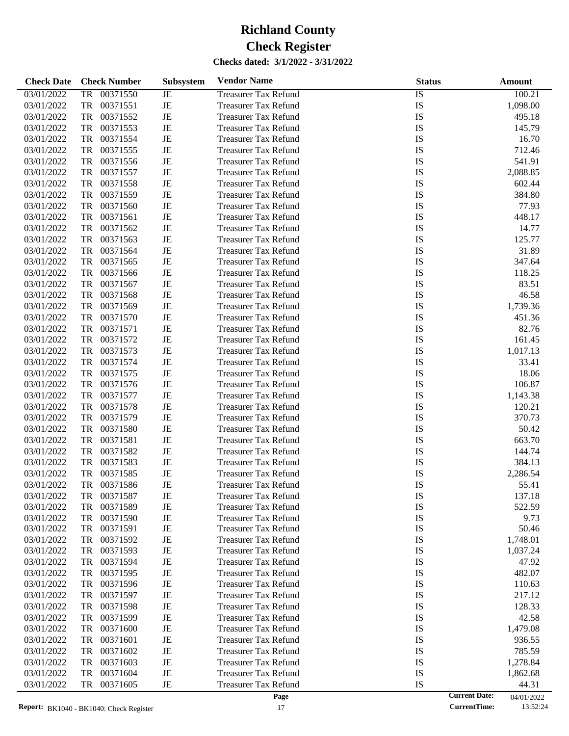| <b>Check Date</b> | <b>Check Number</b>   | <b>Subsystem</b> | <b>Vendor Name</b>          | <b>Status</b>        | Amount     |
|-------------------|-----------------------|------------------|-----------------------------|----------------------|------------|
| 03/01/2022        | <b>TR</b><br>00371550 | JE               | <b>Treasurer Tax Refund</b> | $\overline{1S}$      | 100.21     |
| 03/01/2022        | TR<br>00371551        | JE               | <b>Treasurer Tax Refund</b> | IS                   | 1,098.00   |
| 03/01/2022        | TR<br>00371552        | JE               | <b>Treasurer Tax Refund</b> | IS                   | 495.18     |
| 03/01/2022        | TR<br>00371553        | JE               | <b>Treasurer Tax Refund</b> | IS                   | 145.79     |
| 03/01/2022        | TR<br>00371554        | JE               | <b>Treasurer Tax Refund</b> | IS                   | 16.70      |
| 03/01/2022        | TR<br>00371555        | JE               | <b>Treasurer Tax Refund</b> | IS                   | 712.46     |
| 03/01/2022        | TR<br>00371556        | JE               | <b>Treasurer Tax Refund</b> | IS                   | 541.91     |
| 03/01/2022        | TR<br>00371557        | JE               | <b>Treasurer Tax Refund</b> | IS                   | 2,088.85   |
| 03/01/2022        | TR<br>00371558        | JE               | <b>Treasurer Tax Refund</b> | IS                   | 602.44     |
| 03/01/2022        | TR<br>00371559        | JE               | <b>Treasurer Tax Refund</b> | IS                   | 384.80     |
| 03/01/2022        | TR<br>00371560        | JE               | <b>Treasurer Tax Refund</b> | IS                   | 77.93      |
| 03/01/2022        | TR<br>00371561        | JE               | <b>Treasurer Tax Refund</b> | IS                   | 448.17     |
| 03/01/2022        | TR<br>00371562        | JE               | <b>Treasurer Tax Refund</b> | IS                   | 14.77      |
| 03/01/2022        | TR<br>00371563        | JE               | <b>Treasurer Tax Refund</b> | IS                   | 125.77     |
| 03/01/2022        | TR<br>00371564        | JE               | <b>Treasurer Tax Refund</b> | IS                   | 31.89      |
| 03/01/2022        | TR<br>00371565        | JE               | <b>Treasurer Tax Refund</b> | IS                   | 347.64     |
| 03/01/2022        | TR<br>00371566        | JE               | <b>Treasurer Tax Refund</b> | IS                   | 118.25     |
| 03/01/2022        | TR<br>00371567        | JE               | <b>Treasurer Tax Refund</b> | IS                   | 83.51      |
| 03/01/2022        | TR<br>00371568        | JE               | <b>Treasurer Tax Refund</b> | IS                   | 46.58      |
| 03/01/2022        | TR<br>00371569        | JE               | <b>Treasurer Tax Refund</b> | IS                   | 1,739.36   |
| 03/01/2022        | TR<br>00371570        | JE               | <b>Treasurer Tax Refund</b> | IS                   | 451.36     |
| 03/01/2022        | TR<br>00371571        | JE               | <b>Treasurer Tax Refund</b> | IS                   | 82.76      |
| 03/01/2022        | TR<br>00371572        | JE               | <b>Treasurer Tax Refund</b> | IS                   | 161.45     |
| 03/01/2022        | TR<br>00371573        | JE               | <b>Treasurer Tax Refund</b> | IS                   | 1,017.13   |
| 03/01/2022        | TR<br>00371574        | JE               | <b>Treasurer Tax Refund</b> | IS                   | 33.41      |
| 03/01/2022        | TR<br>00371575        | JE               | <b>Treasurer Tax Refund</b> | IS                   | 18.06      |
| 03/01/2022        | TR<br>00371576        | JE               | <b>Treasurer Tax Refund</b> | IS                   | 106.87     |
| 03/01/2022        | TR<br>00371577        | JE               | <b>Treasurer Tax Refund</b> | IS                   | 1,143.38   |
| 03/01/2022        | TR<br>00371578        | JE               | <b>Treasurer Tax Refund</b> | IS                   | 120.21     |
| 03/01/2022        | TR<br>00371579        | JE               | <b>Treasurer Tax Refund</b> | IS                   | 370.73     |
| 03/01/2022        | TR<br>00371580        | JE               | <b>Treasurer Tax Refund</b> | IS                   | 50.42      |
| 03/01/2022        | TR<br>00371581        | JE               | <b>Treasurer Tax Refund</b> | IS                   | 663.70     |
| 03/01/2022        | TR<br>00371582        | JE               | <b>Treasurer Tax Refund</b> | IS                   | 144.74     |
| 03/01/2022        | TR<br>00371583        | JE               | <b>Treasurer Tax Refund</b> | IS                   | 384.13     |
| 03/01/2022        | TR<br>00371585        | JE               | <b>Treasurer Tax Refund</b> | IS                   | 2,286.54   |
| 03/01/2022        | TR<br>00371586        | JE               | <b>Treasurer Tax Refund</b> | IS                   | 55.41      |
| 03/01/2022        | 00371587<br>TR        | JE               | <b>Treasurer Tax Refund</b> | IS                   | 137.18     |
| 03/01/2022        | 00371589<br>TR        | JE               | <b>Treasurer Tax Refund</b> | IS                   | 522.59     |
| 03/01/2022        | 00371590<br>TR        | JE               | <b>Treasurer Tax Refund</b> | IS                   | 9.73       |
| 03/01/2022        | TR<br>00371591        | JE               | <b>Treasurer Tax Refund</b> | IS                   | 50.46      |
| 03/01/2022        | 00371592<br>TR        | JE               | <b>Treasurer Tax Refund</b> | IS                   | 1,748.01   |
| 03/01/2022        | 00371593<br>TR        | JE               | <b>Treasurer Tax Refund</b> | IS                   | 1,037.24   |
| 03/01/2022        | 00371594<br>TR        | JE               | Treasurer Tax Refund        | IS                   | 47.92      |
| 03/01/2022        | 00371595<br>TR        | JE               | <b>Treasurer Tax Refund</b> | IS                   | 482.07     |
| 03/01/2022        | 00371596<br>TR        | JE               | <b>Treasurer Tax Refund</b> | IS                   | 110.63     |
| 03/01/2022        | 00371597<br>TR        | JE               | <b>Treasurer Tax Refund</b> | IS                   | 217.12     |
| 03/01/2022        | 00371598<br>TR        | JE               | Treasurer Tax Refund        | IS                   | 128.33     |
| 03/01/2022        | 00371599<br>TR        | JE               | <b>Treasurer Tax Refund</b> | IS                   | 42.58      |
| 03/01/2022        | 00371600<br>TR        | JE               | <b>Treasurer Tax Refund</b> | IS                   | 1,479.08   |
| 03/01/2022        | 00371601<br>TR        | JE               | <b>Treasurer Tax Refund</b> | IS                   | 936.55     |
| 03/01/2022        | 00371602<br>TR        | JE               | Treasurer Tax Refund        | IS                   | 785.59     |
| 03/01/2022        | 00371603<br>TR        | JE               | <b>Treasurer Tax Refund</b> | IS                   | 1,278.84   |
| 03/01/2022        | 00371604<br>TR        | JE               | <b>Treasurer Tax Refund</b> | IS                   | 1,862.68   |
| 03/01/2022        | 00371605<br>TR        | JE               | <b>Treasurer Tax Refund</b> | IS                   | 44.31      |
|                   |                       |                  | Page                        | <b>Current Date:</b> | 04/01/2022 |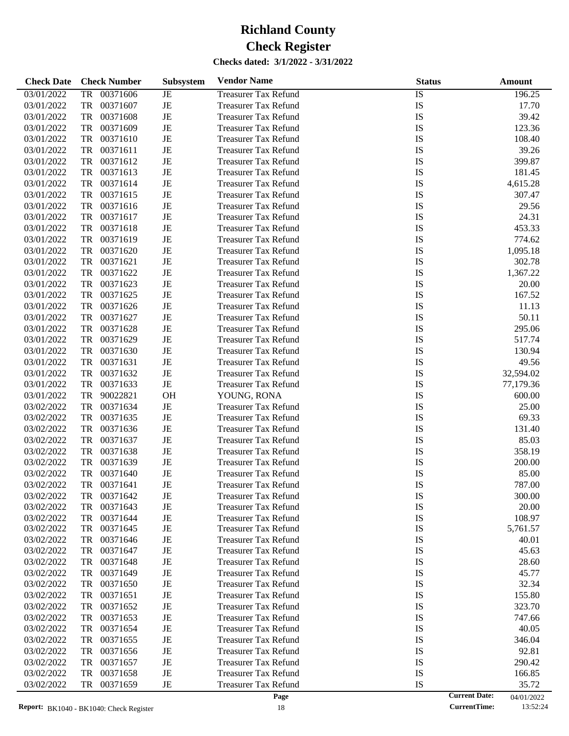| <b>Check Date</b> | <b>Check Number</b>   | Subsystem   | <b>Vendor Name</b>          | <b>Status</b>   | Amount    |
|-------------------|-----------------------|-------------|-----------------------------|-----------------|-----------|
| 03/01/2022        | <b>TR</b><br>00371606 | $\rm{JE}$   | <b>Treasurer Tax Refund</b> | $\overline{IS}$ | 196.25    |
| 03/01/2022        | <b>TR</b><br>00371607 | $\rm{JE}$   | <b>Treasurer Tax Refund</b> | IS              | 17.70     |
| 03/01/2022        | <b>TR</b><br>00371608 | $\rm{JE}$   | <b>Treasurer Tax Refund</b> | IS              | 39.42     |
| 03/01/2022        | <b>TR</b><br>00371609 | $\rm{JE}$   | <b>Treasurer Tax Refund</b> | IS              | 123.36    |
| 03/01/2022        | <b>TR</b><br>00371610 | $\rm{JE}$   | <b>Treasurer Tax Refund</b> | IS              | 108.40    |
| 03/01/2022        | <b>TR</b><br>00371611 | $\rm{JE}$   | <b>Treasurer Tax Refund</b> | IS              | 39.26     |
| 03/01/2022        | <b>TR</b><br>00371612 | $\rm{JE}$   | <b>Treasurer Tax Refund</b> | IS              | 399.87    |
| 03/01/2022        | <b>TR</b><br>00371613 | $\rm{JE}$   | <b>Treasurer Tax Refund</b> | IS              | 181.45    |
| 03/01/2022        | <b>TR</b><br>00371614 | $\rm{JE}$   | <b>Treasurer Tax Refund</b> | IS              | 4,615.28  |
| 03/01/2022        | <b>TR</b><br>00371615 | $\rm{JE}$   | <b>Treasurer Tax Refund</b> | IS              | 307.47    |
| 03/01/2022        | <b>TR</b><br>00371616 | $\rm{JE}$   | <b>Treasurer Tax Refund</b> | IS              | 29.56     |
| 03/01/2022        | <b>TR</b><br>00371617 | $\rm{JE}$   | <b>Treasurer Tax Refund</b> | IS              | 24.31     |
| 03/01/2022        | <b>TR</b><br>00371618 | $\rm{JE}$   | <b>Treasurer Tax Refund</b> | IS              | 453.33    |
| 03/01/2022        | <b>TR</b><br>00371619 | $\rm{JE}$   | <b>Treasurer Tax Refund</b> | IS              | 774.62    |
| 03/01/2022        | <b>TR</b><br>00371620 | $\rm{JE}$   | <b>Treasurer Tax Refund</b> | IS              | 1,095.18  |
| 03/01/2022        | <b>TR</b><br>00371621 | $\rm{JE}$   | <b>Treasurer Tax Refund</b> | IS              | 302.78    |
| 03/01/2022        | <b>TR</b><br>00371622 | $\rm{JE}$   | <b>Treasurer Tax Refund</b> | IS              | 1,367.22  |
| 03/01/2022        | <b>TR</b><br>00371623 | $\rm{JE}$   | <b>Treasurer Tax Refund</b> | IS              | 20.00     |
| 03/01/2022        | <b>TR</b><br>00371625 | $\rm{JE}$   | <b>Treasurer Tax Refund</b> | IS              | 167.52    |
| 03/01/2022        | <b>TR</b><br>00371626 | $\rm{JE}$   | <b>Treasurer Tax Refund</b> | IS              | 11.13     |
| 03/01/2022        | <b>TR</b><br>00371627 | $\rm{JE}$   | <b>Treasurer Tax Refund</b> | IS              | 50.11     |
| 03/01/2022        | <b>TR</b><br>00371628 | $\rm{JE}$   | <b>Treasurer Tax Refund</b> | IS              | 295.06    |
| 03/01/2022        | <b>TR</b><br>00371629 | $\rm{JE}$   | <b>Treasurer Tax Refund</b> | IS              | 517.74    |
| 03/01/2022        | <b>TR</b><br>00371630 | $\rm{JE}$   | <b>Treasurer Tax Refund</b> | IS              | 130.94    |
| 03/01/2022        | <b>TR</b><br>00371631 | $\rm{JE}$   | <b>Treasurer Tax Refund</b> | IS              | 49.56     |
| 03/01/2022        | <b>TR</b><br>00371632 | $\rm{JE}$   | <b>Treasurer Tax Refund</b> | IS              | 32,594.02 |
| 03/01/2022        | <b>TR</b><br>00371633 | $\rm{JE}$   | <b>Treasurer Tax Refund</b> | IS              | 77,179.36 |
| 03/01/2022        | <b>TR</b><br>90022821 | <b>OH</b>   | YOUNG, RONA                 | IS              | 600.00    |
| 03/02/2022        | <b>TR</b><br>00371634 | $\rm{JE}$   | <b>Treasurer Tax Refund</b> | IS              | 25.00     |
| 03/02/2022        | <b>TR</b><br>00371635 | $\rm{JE}$   | <b>Treasurer Tax Refund</b> | IS              | 69.33     |
| 03/02/2022        | <b>TR</b><br>00371636 | $\rm{JE}$   | <b>Treasurer Tax Refund</b> | IS              | 131.40    |
| 03/02/2022        | <b>TR</b><br>00371637 | $\rm{JE}$   | <b>Treasurer Tax Refund</b> | IS              | 85.03     |
| 03/02/2022        | <b>TR</b><br>00371638 | $\rm{JE}$   | <b>Treasurer Tax Refund</b> | IS              | 358.19    |
| 03/02/2022        | <b>TR</b><br>00371639 | $\rm{JE}$   | <b>Treasurer Tax Refund</b> | IS              | 200.00    |
| 03/02/2022        | <b>TR</b><br>00371640 | $_{\rm JE}$ | <b>Treasurer Tax Refund</b> | IS              | 85.00     |
| 03/02/2022        | <b>TR</b><br>00371641 | $\rm{JE}$   | <b>Treasurer Tax Refund</b> | IS              | 787.00    |
| 03/02/2022        | 00371642<br>TR        | JE          | <b>Treasurer Tax Refund</b> | IS              | 300.00    |
| 03/02/2022        | 00371643<br>TR        | $_{\rm JE}$ | <b>Treasurer Tax Refund</b> | IS              | 20.00     |
| 03/02/2022        | 00371644<br>TR        | $\rm{JE}$   | <b>Treasurer Tax Refund</b> | IS              | 108.97    |
| 03/02/2022        | 00371645<br>TR        | JE          | <b>Treasurer Tax Refund</b> | IS              | 5,761.57  |
| 03/02/2022        | 00371646<br>TR        | JE          | <b>Treasurer Tax Refund</b> | IS              | 40.01     |
| 03/02/2022        | 00371647<br>TR        | JE          | <b>Treasurer Tax Refund</b> | IS              | 45.63     |
| 03/02/2022        | 00371648<br>TR        | $\rm{JE}$   | <b>Treasurer Tax Refund</b> | IS              | 28.60     |
| 03/02/2022        | 00371649<br>TR        | JE          | <b>Treasurer Tax Refund</b> | IS              | 45.77     |
| 03/02/2022        | 00371650<br>TR        | JE          | <b>Treasurer Tax Refund</b> | IS              | 32.34     |
| 03/02/2022        | 00371651<br>TR        | $\rm{JE}$   | <b>Treasurer Tax Refund</b> | IS              | 155.80    |
| 03/02/2022        | 00371652<br>TR        | JE          | <b>Treasurer Tax Refund</b> | IS              | 323.70    |
| 03/02/2022        | 00371653<br>TR        | JE          | <b>Treasurer Tax Refund</b> | IS              | 747.66    |
| 03/02/2022        | 00371654<br>TR        | JE          | <b>Treasurer Tax Refund</b> | IS              | 40.05     |
| 03/02/2022        | 00371655<br>TR        | JE          | <b>Treasurer Tax Refund</b> | IS              | 346.04    |
| 03/02/2022        | 00371656<br>TR        | JE          | <b>Treasurer Tax Refund</b> | IS              | 92.81     |
| 03/02/2022        | 00371657<br>TR        | JE          | <b>Treasurer Tax Refund</b> | IS              | 290.42    |
| 03/02/2022        | 00371658<br>TR        | $\rm{JE}$   | <b>Treasurer Tax Refund</b> | IS              | 166.85    |
| 03/02/2022        | TR<br>00371659        | $_{\rm JE}$ | <b>Treasurer Tax Refund</b> | IS              | 35.72     |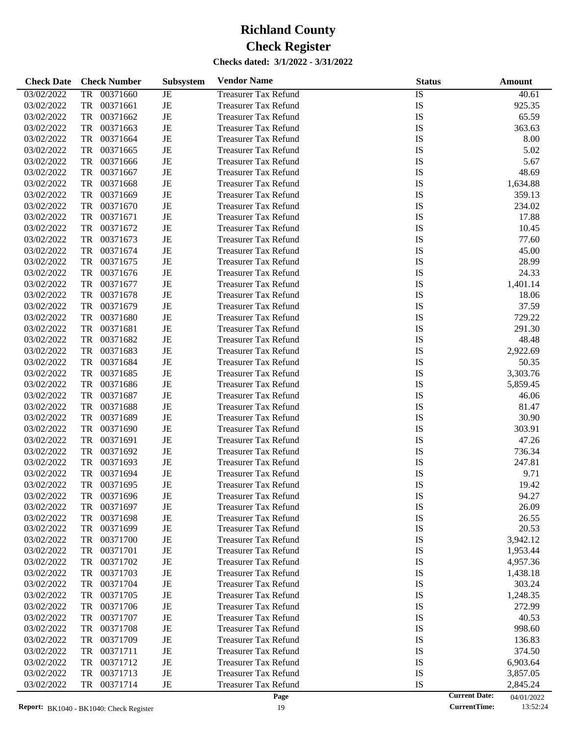| <b>Check Date</b> | <b>Check Number</b>   | <b>Subsystem</b> | <b>Vendor Name</b>          | <b>Status</b>   | Amount   |
|-------------------|-----------------------|------------------|-----------------------------|-----------------|----------|
| 03/02/2022        | <b>TR</b><br>00371660 | <b>JE</b>        | <b>Treasurer Tax Refund</b> | $\overline{IS}$ | 40.61    |
| 03/02/2022        | TR<br>00371661        | JE               | <b>Treasurer Tax Refund</b> | IS              | 925.35   |
| 03/02/2022        | TR<br>00371662        | JE               | <b>Treasurer Tax Refund</b> | IS              | 65.59    |
| 03/02/2022        | TR<br>00371663        | JE               | <b>Treasurer Tax Refund</b> | IS              | 363.63   |
| 03/02/2022        | TR<br>00371664        | JE               | <b>Treasurer Tax Refund</b> | IS              | 8.00     |
| 03/02/2022        | TR<br>00371665        | JE               | <b>Treasurer Tax Refund</b> | IS              | 5.02     |
| 03/02/2022        | TR<br>00371666        | JE               | <b>Treasurer Tax Refund</b> | IS              | 5.67     |
| 03/02/2022        | TR<br>00371667        | JE               | <b>Treasurer Tax Refund</b> | IS              | 48.69    |
| 03/02/2022        | TR<br>00371668        | JE               | <b>Treasurer Tax Refund</b> | IS              | 1,634.88 |
| 03/02/2022        | TR<br>00371669        | JE               | <b>Treasurer Tax Refund</b> | IS              | 359.13   |
| 03/02/2022        | TR<br>00371670        | JE               | <b>Treasurer Tax Refund</b> | IS              | 234.02   |
| 03/02/2022        | TR<br>00371671        | JE               | <b>Treasurer Tax Refund</b> | IS              | 17.88    |
| 03/02/2022        | TR<br>00371672        | JE               | <b>Treasurer Tax Refund</b> | IS              | 10.45    |
| 03/02/2022        | TR<br>00371673        | JE               | <b>Treasurer Tax Refund</b> | IS              | 77.60    |
| 03/02/2022        | TR<br>00371674        | JE               | <b>Treasurer Tax Refund</b> | IS              | 45.00    |
| 03/02/2022        | TR<br>00371675        | JE               | <b>Treasurer Tax Refund</b> | IS              | 28.99    |
| 03/02/2022        | TR<br>00371676        | JE               | <b>Treasurer Tax Refund</b> | IS              | 24.33    |
| 03/02/2022        | TR<br>00371677        | JE               | <b>Treasurer Tax Refund</b> | IS              | 1,401.14 |
| 03/02/2022        | TR<br>00371678        | JE               | <b>Treasurer Tax Refund</b> | IS              | 18.06    |
| 03/02/2022        | TR<br>00371679        | JE               | <b>Treasurer Tax Refund</b> | IS              | 37.59    |
| 03/02/2022        | TR<br>00371680        | JE               | <b>Treasurer Tax Refund</b> | IS              | 729.22   |
| 03/02/2022        | TR<br>00371681        | JE               | <b>Treasurer Tax Refund</b> | IS              | 291.30   |
| 03/02/2022        | TR<br>00371682        | JE               | <b>Treasurer Tax Refund</b> | IS              | 48.48    |
| 03/02/2022        | TR<br>00371683        | JE               | <b>Treasurer Tax Refund</b> | IS              | 2,922.69 |
| 03/02/2022        | TR<br>00371684        | JE               | <b>Treasurer Tax Refund</b> | IS              | 50.35    |
| 03/02/2022        | TR<br>00371685        | JE               | <b>Treasurer Tax Refund</b> | IS              | 3,303.76 |
| 03/02/2022        | TR<br>00371686        | JE               | <b>Treasurer Tax Refund</b> | IS              | 5,859.45 |
| 03/02/2022        | TR<br>00371687        | JE               | <b>Treasurer Tax Refund</b> | IS              | 46.06    |
| 03/02/2022        | TR<br>00371688        | JE               | <b>Treasurer Tax Refund</b> | IS              | 81.47    |
| 03/02/2022        | TR<br>00371689        | JE               | <b>Treasurer Tax Refund</b> | IS              | 30.90    |
| 03/02/2022        | TR<br>00371690        | JE               | <b>Treasurer Tax Refund</b> | IS              | 303.91   |
| 03/02/2022        | 00371691<br>TR        | JE               | <b>Treasurer Tax Refund</b> | IS              | 47.26    |
| 03/02/2022        | TR<br>00371692        | JE               | <b>Treasurer Tax Refund</b> | IS              | 736.34   |
| 03/02/2022        | TR<br>00371693        | JE               | <b>Treasurer Tax Refund</b> | IS              | 247.81   |
| 03/02/2022        | 00371694<br>TR        | JE               | <b>Treasurer Tax Refund</b> | IS              | 9.71     |
| 03/02/2022        | 00371695<br>TR        | JE               | <b>Treasurer Tax Refund</b> | IS              | 19.42    |
| 03/02/2022        | 00371696<br>TR        | JE               | <b>Treasurer Tax Refund</b> | IS              | 94.27    |
| 03/02/2022        | TR<br>00371697        | JE               | <b>Treasurer Tax Refund</b> | IS              | 26.09    |
| 03/02/2022        | 00371698<br>TR        | JE               | <b>Treasurer Tax Refund</b> | IS              | 26.55    |
| 03/02/2022        | TR<br>00371699        | JE               | <b>Treasurer Tax Refund</b> | IS              | 20.53    |
| 03/02/2022        | 00371700<br>TR        | JE               | <b>Treasurer Tax Refund</b> | IS              | 3,942.12 |
| 03/02/2022        | TR<br>00371701        | JE               | <b>Treasurer Tax Refund</b> | IS              | 1,953.44 |
| 03/02/2022        | TR<br>00371702        | JE               | <b>Treasurer Tax Refund</b> | IS              | 4,957.36 |
| 03/02/2022        | TR<br>00371703        | JE               | <b>Treasurer Tax Refund</b> | IS              | 1,438.18 |
| 03/02/2022        | TR<br>00371704        | JE               | <b>Treasurer Tax Refund</b> | IS              | 303.24   |
| 03/02/2022        | TR<br>00371705        | JE               | Treasurer Tax Refund        | IS              | 1,248.35 |
| 03/02/2022        | TR<br>00371706        | JE               | <b>Treasurer Tax Refund</b> | IS              | 272.99   |
| 03/02/2022        | TR<br>00371707        | JE               | <b>Treasurer Tax Refund</b> | IS              | 40.53    |
| 03/02/2022        | TR<br>00371708        | JE               | <b>Treasurer Tax Refund</b> | IS              | 998.60   |
| 03/02/2022        | TR<br>00371709        | JE               | Treasurer Tax Refund        | IS              | 136.83   |
| 03/02/2022        | TR<br>00371711        | JE               | <b>Treasurer Tax Refund</b> | IS              | 374.50   |
| 03/02/2022        | TR<br>00371712        | JE               | <b>Treasurer Tax Refund</b> | IS              | 6,903.64 |
| 03/02/2022        | TR<br>00371713        | JE               | <b>Treasurer Tax Refund</b> | IS              | 3,857.05 |
| 03/02/2022        | 00371714<br>TR        | $_{\rm JE}$      | <b>Treasurer Tax Refund</b> | IS              | 2,845.24 |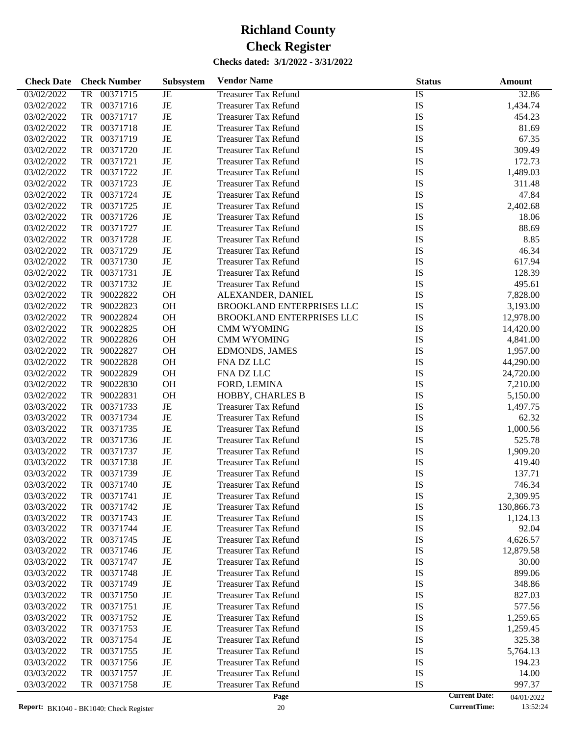| <b>Check Date</b> | <b>Check Number</b>   | Subsystem | <b>Vendor Name</b>               | <b>Status</b>   | Amount     |
|-------------------|-----------------------|-----------|----------------------------------|-----------------|------------|
| 03/02/2022        | 00371715<br><b>TR</b> | JE        | <b>Treasurer Tax Refund</b>      | $\overline{1S}$ | 32.86      |
| 03/02/2022        | TR<br>00371716        | JE        | <b>Treasurer Tax Refund</b>      | IS              | 1,434.74   |
| 03/02/2022        | TR<br>00371717        | JE        | <b>Treasurer Tax Refund</b>      | IS              | 454.23     |
| 03/02/2022        | TR<br>00371718        | JE        | <b>Treasurer Tax Refund</b>      | IS              | 81.69      |
| 03/02/2022        | TR<br>00371719        | JE        | <b>Treasurer Tax Refund</b>      | IS              | 67.35      |
| 03/02/2022        | TR<br>00371720        | JE        | <b>Treasurer Tax Refund</b>      | IS              | 309.49     |
| 03/02/2022        | TR<br>00371721        | JE        | <b>Treasurer Tax Refund</b>      | IS              | 172.73     |
| 03/02/2022        | TR<br>00371722        | JE        | <b>Treasurer Tax Refund</b>      | IS              | 1,489.03   |
| 03/02/2022        | TR<br>00371723        | JE        | <b>Treasurer Tax Refund</b>      | IS              | 311.48     |
| 03/02/2022        | TR<br>00371724        | JE        | <b>Treasurer Tax Refund</b>      | IS              | 47.84      |
| 03/02/2022        | TR<br>00371725        | JE        | <b>Treasurer Tax Refund</b>      | IS              | 2,402.68   |
| 03/02/2022        | TR<br>00371726        | JE        | <b>Treasurer Tax Refund</b>      | IS              | 18.06      |
| 03/02/2022        | TR<br>00371727        | JE        | <b>Treasurer Tax Refund</b>      | IS              | 88.69      |
| 03/02/2022        | TR<br>00371728        | JE        | <b>Treasurer Tax Refund</b>      | IS              | 8.85       |
| 03/02/2022        | TR<br>00371729        | JE        | <b>Treasurer Tax Refund</b>      | IS              | 46.34      |
| 03/02/2022        | TR<br>00371730        | JE        | <b>Treasurer Tax Refund</b>      | IS              | 617.94     |
| 03/02/2022        | TR<br>00371731        | JE        | <b>Treasurer Tax Refund</b>      | IS              | 128.39     |
| 03/02/2022        | TR<br>00371732        | $\rm{JE}$ | <b>Treasurer Tax Refund</b>      | IS              | 495.61     |
| 03/02/2022        | TR<br>90022822        | <b>OH</b> | ALEXANDER, DANIEL                | IS              | 7,828.00   |
| 03/02/2022        | TR<br>90022823        | OH        | BROOKLAND ENTERPRISES LLC        | IS              | 3,193.00   |
| 03/02/2022        | TR<br>90022824        | OH        | <b>BROOKLAND ENTERPRISES LLC</b> | IS              | 12,978.00  |
| 03/02/2022        | TR<br>90022825        | OH        | <b>CMM WYOMING</b>               | IS              | 14,420.00  |
| 03/02/2022        | TR<br>90022826        | OH        | <b>CMM WYOMING</b>               | IS              | 4,841.00   |
| 03/02/2022        | TR<br>90022827        | OH        | <b>EDMONDS, JAMES</b>            | IS              | 1,957.00   |
| 03/02/2022        | TR<br>90022828        | OH        | FNA DZ LLC                       | IS              | 44,290.00  |
| 03/02/2022        | TR<br>90022829        | OH        | FNA DZ LLC                       | IS              | 24,720.00  |
| 03/02/2022        | TR<br>90022830        | <b>OH</b> | FORD, LEMINA                     | IS              | 7,210.00   |
| 03/02/2022        | TR<br>90022831        | <b>OH</b> | HOBBY, CHARLES B                 | IS              | 5,150.00   |
| 03/03/2022        | TR<br>00371733        | $\rm{JE}$ | <b>Treasurer Tax Refund</b>      | IS              | 1,497.75   |
| 03/03/2022        | TR<br>00371734        | JE        | <b>Treasurer Tax Refund</b>      | IS              | 62.32      |
| 03/03/2022        | TR<br>00371735        | JE        | <b>Treasurer Tax Refund</b>      | IS              | 1,000.56   |
| 03/03/2022        | TR<br>00371736        | JE        | <b>Treasurer Tax Refund</b>      | IS              | 525.78     |
| 03/03/2022        | TR<br>00371737        | JE        | <b>Treasurer Tax Refund</b>      | IS              | 1,909.20   |
| 03/03/2022        | TR<br>00371738        | JE        | <b>Treasurer Tax Refund</b>      | IS              | 419.40     |
| 03/03/2022        | TR<br>00371739        | JE        | <b>Treasurer Tax Refund</b>      | IS              | 137.71     |
| 03/03/2022        | TR<br>00371740        | JE        | <b>Treasurer Tax Refund</b>      | IS              | 746.34     |
| 03/03/2022        | 00371741<br>TR        | JE        | <b>Treasurer Tax Refund</b>      | IS              | 2,309.95   |
| 03/03/2022        | 00371742<br>TR        | JE        | <b>Treasurer Tax Refund</b>      | IS              | 130,866.73 |
| 03/03/2022        | 00371743<br>TR        | JE        | <b>Treasurer Tax Refund</b>      | IS              | 1,124.13   |
| 03/03/2022        | 00371744<br>TR        | JE        | <b>Treasurer Tax Refund</b>      | IS              | 92.04      |
| 03/03/2022        | 00371745<br>TR        | JE        | <b>Treasurer Tax Refund</b>      | IS              | 4,626.57   |
| 03/03/2022        | 00371746<br>TR        | JE        | <b>Treasurer Tax Refund</b>      | IS              | 12,879.58  |
| 03/03/2022        | 00371747<br>TR        | JE        | Treasurer Tax Refund             | IS              | 30.00      |
| 03/03/2022        | 00371748<br>TR        | JE        | Treasurer Tax Refund             | IS              | 899.06     |
| 03/03/2022        | 00371749<br>TR        | JE        | <b>Treasurer Tax Refund</b>      | IS              | 348.86     |
| 03/03/2022        | 00371750<br>TR        | JE        | Treasurer Tax Refund             | IS              | 827.03     |
| 03/03/2022        | 00371751<br>TR        | JE        | Treasurer Tax Refund             | IS              | 577.56     |
| 03/03/2022        | 00371752<br>TR        | JE        | <b>Treasurer Tax Refund</b>      | IS              | 1,259.65   |
| 03/03/2022        | 00371753<br>TR        | JE        | <b>Treasurer Tax Refund</b>      | IS              | 1,259.45   |
| 03/03/2022        | 00371754<br>TR        | JE        | <b>Treasurer Tax Refund</b>      | IS              | 325.38     |
| 03/03/2022        | 00371755<br>TR        | JE        | Treasurer Tax Refund             | IS              | 5,764.13   |
| 03/03/2022        | 00371756<br>TR        | JE        | <b>Treasurer Tax Refund</b>      | IS              | 194.23     |
| 03/03/2022        | 00371757<br>TR        | JE        | <b>Treasurer Tax Refund</b>      | IS              | 14.00      |
| 03/03/2022        | TR<br>00371758        | JE        | <b>Treasurer Tax Refund</b>      | IS              | 997.37     |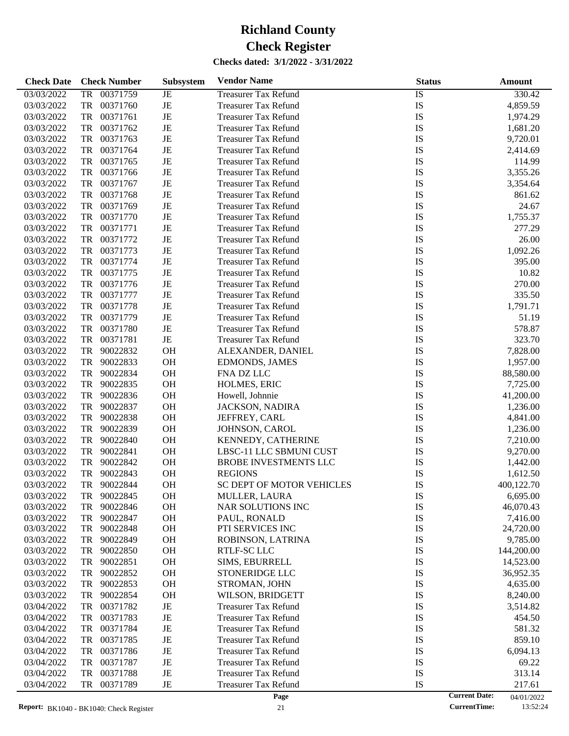| <b>Check Date</b> | <b>Check Number</b>   | Subsystem | <b>Vendor Name</b>           | <b>Status</b>   | Amount                             |
|-------------------|-----------------------|-----------|------------------------------|-----------------|------------------------------------|
| 03/03/2022        | 00371759<br><b>TR</b> | $\rm{JE}$ | <b>Treasurer Tax Refund</b>  | $\overline{1S}$ | 330.42                             |
| 03/03/2022        | TR<br>00371760        | $\rm{JE}$ | <b>Treasurer Tax Refund</b>  | IS              | 4,859.59                           |
| 03/03/2022        | <b>TR</b><br>00371761 | $\rm{JE}$ | <b>Treasurer Tax Refund</b>  | IS              | 1,974.29                           |
| 03/03/2022        | <b>TR</b><br>00371762 | $\rm{JE}$ | <b>Treasurer Tax Refund</b>  | IS              | 1,681.20                           |
| 03/03/2022        | <b>TR</b><br>00371763 | $\rm{JE}$ | <b>Treasurer Tax Refund</b>  | IS              | 9,720.01                           |
| 03/03/2022        | <b>TR</b><br>00371764 | $\rm{JE}$ | <b>Treasurer Tax Refund</b>  | IS              | 2,414.69                           |
| 03/03/2022        | <b>TR</b><br>00371765 | $\rm{JE}$ | <b>Treasurer Tax Refund</b>  | IS              | 114.99                             |
| 03/03/2022        | <b>TR</b><br>00371766 | $\rm{JE}$ | <b>Treasurer Tax Refund</b>  | IS              | 3,355.26                           |
| 03/03/2022        | <b>TR</b><br>00371767 | $\rm{JE}$ | <b>Treasurer Tax Refund</b>  | IS              | 3,354.64                           |
| 03/03/2022        | <b>TR</b><br>00371768 | $\rm{JE}$ | <b>Treasurer Tax Refund</b>  | IS              | 861.62                             |
| 03/03/2022        | <b>TR</b><br>00371769 | $\rm{JE}$ | <b>Treasurer Tax Refund</b>  | IS              | 24.67                              |
| 03/03/2022        | <b>TR</b><br>00371770 | $\rm{JE}$ | <b>Treasurer Tax Refund</b>  | IS              | 1,755.37                           |
| 03/03/2022        | <b>TR</b><br>00371771 | $\rm{JE}$ | <b>Treasurer Tax Refund</b>  | IS              | 277.29                             |
| 03/03/2022        | <b>TR</b><br>00371772 | $\rm{JE}$ | <b>Treasurer Tax Refund</b>  | IS              | 26.00                              |
| 03/03/2022        | <b>TR</b><br>00371773 | $\rm{JE}$ | <b>Treasurer Tax Refund</b>  | IS              | 1,092.26                           |
| 03/03/2022        | <b>TR</b><br>00371774 | $\rm{JE}$ | <b>Treasurer Tax Refund</b>  | IS              | 395.00                             |
| 03/03/2022        | <b>TR</b><br>00371775 | $\rm{JE}$ | <b>Treasurer Tax Refund</b>  | IS              | 10.82                              |
| 03/03/2022        | <b>TR</b><br>00371776 | $\rm{JE}$ | <b>Treasurer Tax Refund</b>  | IS              | 270.00                             |
| 03/03/2022        | <b>TR</b><br>00371777 | $\rm{JE}$ | <b>Treasurer Tax Refund</b>  | IS              | 335.50                             |
| 03/03/2022        | <b>TR</b><br>00371778 | $\rm{JE}$ | <b>Treasurer Tax Refund</b>  | IS              | 1,791.71                           |
| 03/03/2022        | <b>TR</b><br>00371779 | $\rm{JE}$ | <b>Treasurer Tax Refund</b>  | IS              | 51.19                              |
| 03/03/2022        | <b>TR</b><br>00371780 | $\rm{JE}$ | <b>Treasurer Tax Refund</b>  | IS              | 578.87                             |
| 03/03/2022        | <b>TR</b><br>00371781 | $\rm{JE}$ | <b>Treasurer Tax Refund</b>  | IS              | 323.70                             |
| 03/03/2022        | <b>TR</b><br>90022832 | OH        | ALEXANDER, DANIEL            | IS              | 7,828.00                           |
| 03/03/2022        | <b>TR</b><br>90022833 | OH        | <b>EDMONDS, JAMES</b>        | IS              | 1,957.00                           |
| 03/03/2022        | <b>TR</b><br>90022834 | OH        | FNA DZ LLC                   | IS              | 88,580.00                          |
| 03/03/2022        | <b>TR</b><br>90022835 | OH        | HOLMES, ERIC                 | IS              | 7,725.00                           |
| 03/03/2022        | <b>TR</b><br>90022836 | OH        | Howell, Johnnie              | IS              | 41,200.00                          |
| 03/03/2022        | <b>TR</b><br>90022837 | OH        | JACKSON, NADIRA              | IS              | 1,236.00                           |
| 03/03/2022        | <b>TR</b><br>90022838 | OH        | JEFFREY, CARL                | IS              | 4,841.00                           |
| 03/03/2022        | <b>TR</b><br>90022839 | OH        | JOHNSON, CAROL               | IS              | 1,236.00                           |
| 03/03/2022        | <b>TR</b><br>90022840 | OH        | KENNEDY, CATHERINE           | IS              | 7,210.00                           |
| 03/03/2022        | <b>TR</b><br>90022841 | OH        | LBSC-11 LLC SBMUNI CUST      | IS              | 9,270.00                           |
| 03/03/2022        | <b>TR</b><br>90022842 | OH        | <b>BROBE INVESTMENTS LLC</b> | IS              | 1,442.00                           |
| 03/03/2022        | <b>TR</b><br>90022843 | OH        | <b>REGIONS</b>               | IS              | 1,612.50                           |
| 03/03/2022        | <b>TR</b><br>90022844 | <b>OH</b> | SC DEPT OF MOTOR VEHICLES    | IS              | 400,122.70                         |
| 03/03/2022        | 90022845<br>TR        | <b>OH</b> | MULLER, LAURA                | IS              | 6,695.00                           |
| 03/03/2022        | 90022846<br>TR        | <b>OH</b> | NAR SOLUTIONS INC            | IS              | 46,070.43                          |
| 03/03/2022        | 90022847<br>TR        | OH        | PAUL, RONALD                 | IS              | 7,416.00                           |
| 03/03/2022        | TR<br>90022848        | OH        | PTI SERVICES INC             | IS              | 24,720.00                          |
| 03/03/2022        | 90022849<br>TR        | OH        | ROBINSON, LATRINA            | IS              | 9,785.00                           |
| 03/03/2022        | 90022850<br>TR        | OH        | RTLF-SC LLC                  | IS              | 144,200.00                         |
| 03/03/2022        | 90022851<br>TR        | OH        | SIMS, EBURRELL               | IS              | 14,523.00                          |
| 03/03/2022        | 90022852<br>TR        | OH        | STONERIDGE LLC               | IS              | 36,952.35                          |
| 03/03/2022        | 90022853<br>TR        | OH        | STROMAN, JOHN                | IS              | 4,635.00                           |
| 03/03/2022        | 90022854<br>TR        | OH        | WILSON, BRIDGETT             | IS              | 8,240.00                           |
| 03/04/2022        | 00371782<br>TR        | $\rm{JE}$ | <b>Treasurer Tax Refund</b>  | IS              | 3,514.82                           |
| 03/04/2022        | 00371783<br>TR        | $\rm{JE}$ | <b>Treasurer Tax Refund</b>  | IS              | 454.50                             |
| 03/04/2022        | 00371784<br>TR        | $\rm{JE}$ | <b>Treasurer Tax Refund</b>  | IS              | 581.32                             |
| 03/04/2022        | 00371785<br>TR        | JE        | <b>Treasurer Tax Refund</b>  | IS              | 859.10                             |
| 03/04/2022        | 00371786<br>TR        | JE        | <b>Treasurer Tax Refund</b>  | IS              | 6,094.13                           |
| 03/04/2022        | 00371787<br>TR        | $\rm{JE}$ | <b>Treasurer Tax Refund</b>  | IS              | 69.22                              |
| 03/04/2022        | 00371788<br>TR        | $\rm{JE}$ | <b>Treasurer Tax Refund</b>  | IS              | 313.14                             |
| 03/04/2022        | 00371789<br>TR        | JE        | <b>Treasurer Tax Refund</b>  | IS              | 217.61                             |
|                   |                       |           | Page                         |                 | <b>Current Date:</b><br>04/01/2022 |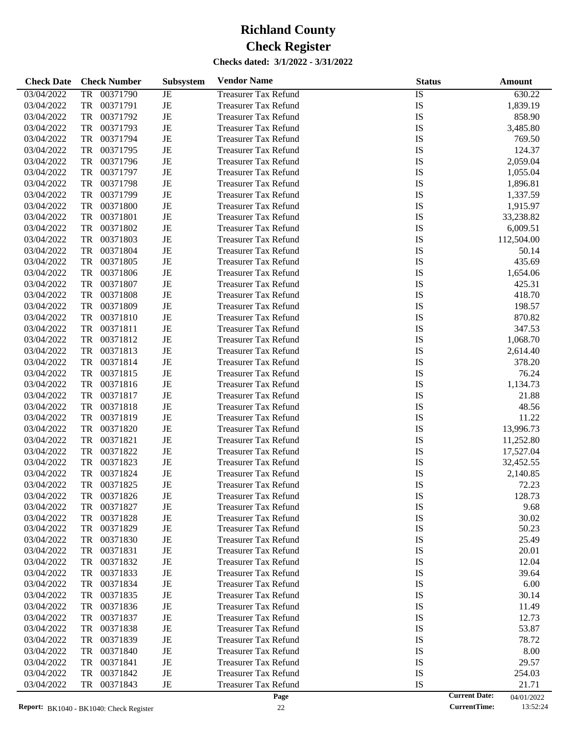| <b>Check Date</b> | <b>Check Number</b>   | <b>Subsystem</b> | <b>Vendor Name</b>          | <b>Status</b>   | Amount     |
|-------------------|-----------------------|------------------|-----------------------------|-----------------|------------|
| 03/04/2022        | <b>TR</b><br>00371790 | $\rm{JE}$        | <b>Treasurer Tax Refund</b> | $\overline{IS}$ | 630.22     |
| 03/04/2022        | TR<br>00371791        | $\rm{JE}$        | <b>Treasurer Tax Refund</b> | IS              | 1,839.19   |
| 03/04/2022        | <b>TR</b><br>00371792 | $\rm{JE}$        | <b>Treasurer Tax Refund</b> | IS              | 858.90     |
| 03/04/2022        | 00371793<br><b>TR</b> | $\rm{JE}$        | <b>Treasurer Tax Refund</b> | IS              | 3,485.80   |
| 03/04/2022        | <b>TR</b><br>00371794 | $\rm{JE}$        | <b>Treasurer Tax Refund</b> | IS              | 769.50     |
| 03/04/2022        | <b>TR</b><br>00371795 | $\rm{JE}$        | <b>Treasurer Tax Refund</b> | IS              | 124.37     |
| 03/04/2022        | <b>TR</b><br>00371796 | $\rm{JE}$        | <b>Treasurer Tax Refund</b> | IS              | 2,059.04   |
| 03/04/2022        | 00371797<br><b>TR</b> | $\rm{JE}$        | <b>Treasurer Tax Refund</b> | IS              | 1,055.04   |
| 03/04/2022        | <b>TR</b><br>00371798 | $\rm{JE}$        | <b>Treasurer Tax Refund</b> | IS              | 1,896.81   |
| 03/04/2022        | 00371799<br><b>TR</b> | $\rm{JE}$        | <b>Treasurer Tax Refund</b> | IS              | 1,337.59   |
| 03/04/2022        | 00371800<br><b>TR</b> | $\rm{JE}$        | <b>Treasurer Tax Refund</b> | IS              | 1,915.97   |
| 03/04/2022        | <b>TR</b><br>00371801 | $\rm{JE}$        | <b>Treasurer Tax Refund</b> | IS              | 33,238.82  |
| 03/04/2022        | <b>TR</b><br>00371802 | $\rm{JE}$        | <b>Treasurer Tax Refund</b> | IS              | 6,009.51   |
| 03/04/2022        | 00371803<br><b>TR</b> | JE               | <b>Treasurer Tax Refund</b> | IS              | 112,504.00 |
| 03/04/2022        | 00371804<br><b>TR</b> | $\rm{JE}$        | <b>Treasurer Tax Refund</b> | IS              | 50.14      |
| 03/04/2022        | <b>TR</b><br>00371805 | $\rm{JE}$        | <b>Treasurer Tax Refund</b> | IS              | 435.69     |
| 03/04/2022        | <b>TR</b><br>00371806 | JE               | <b>Treasurer Tax Refund</b> | IS              | 1,654.06   |
| 03/04/2022        | 00371807<br><b>TR</b> | $\rm{JE}$        | <b>Treasurer Tax Refund</b> | IS              | 425.31     |
| 03/04/2022        | <b>TR</b><br>00371808 | $\rm{JE}$        | <b>Treasurer Tax Refund</b> | IS              | 418.70     |
| 03/04/2022        | <b>TR</b><br>00371809 | $\rm{JE}$        | <b>Treasurer Tax Refund</b> | IS              | 198.57     |
| 03/04/2022        | <b>TR</b><br>00371810 | JE               | <b>Treasurer Tax Refund</b> | IS              | 870.82     |
| 03/04/2022        | 00371811<br><b>TR</b> | $\rm{JE}$        | <b>Treasurer Tax Refund</b> | IS              | 347.53     |
| 03/04/2022        | <b>TR</b><br>00371812 | $\rm{JE}$        | <b>Treasurer Tax Refund</b> | IS              | 1,068.70   |
| 03/04/2022        | <b>TR</b><br>00371813 | $\rm{JE}$        | <b>Treasurer Tax Refund</b> | IS              | 2,614.40   |
| 03/04/2022        | <b>TR</b><br>00371814 | $\rm{JE}$        | <b>Treasurer Tax Refund</b> | IS              | 378.20     |
| 03/04/2022        | <b>TR</b><br>00371815 | $\rm{JE}$        | <b>Treasurer Tax Refund</b> | IS              | 76.24      |
| 03/04/2022        | <b>TR</b><br>00371816 | $\rm{JE}$        | <b>Treasurer Tax Refund</b> | IS              | 1,134.73   |
| 03/04/2022        | <b>TR</b><br>00371817 | $\rm{JE}$        | <b>Treasurer Tax Refund</b> | IS              | 21.88      |
| 03/04/2022        | 00371818<br><b>TR</b> | $\rm{JE}$        | <b>Treasurer Tax Refund</b> | IS              | 48.56      |
| 03/04/2022        | <b>TR</b><br>00371819 | $\rm{JE}$        | <b>Treasurer Tax Refund</b> | IS              | 11.22      |
| 03/04/2022        | <b>TR</b><br>00371820 | $\rm{JE}$        | <b>Treasurer Tax Refund</b> | IS              | 13,996.73  |
| 03/04/2022        | 00371821<br><b>TR</b> | $\rm{JE}$        | <b>Treasurer Tax Refund</b> | IS              | 11,252.80  |
| 03/04/2022        | <b>TR</b><br>00371822 | $\rm{JE}$        | <b>Treasurer Tax Refund</b> | IS              | 17,527.04  |
| 03/04/2022        | <b>TR</b><br>00371823 | $_{\rm JE}$      | <b>Treasurer Tax Refund</b> | IS              | 32,452.55  |
| 03/04/2022        | 00371824<br><b>TR</b> | JE               | <b>Treasurer Tax Refund</b> | IS              | 2,140.85   |
| 03/04/2022        | TR<br>00371825        | $\rm{JE}$        | <b>Treasurer Tax Refund</b> | IS              | 72.23      |
| 03/04/2022        | 00371826<br>TR        | JE               | <b>Treasurer Tax Refund</b> | IS              | 128.73     |
| 03/04/2022        | 00371827<br>TR        | $\rm{JE}$        | <b>Treasurer Tax Refund</b> | IS              | 9.68       |
| 03/04/2022        | TR<br>00371828        | $\rm{JE}$        | <b>Treasurer Tax Refund</b> | IS              | 30.02      |
| 03/04/2022        | 00371829<br>TR        | $\rm{JE}$        | <b>Treasurer Tax Refund</b> | IS              | 50.23      |
| 03/04/2022        | 00371830<br>TR        | $\rm{JE}$        | <b>Treasurer Tax Refund</b> | IS              | 25.49      |
| 03/04/2022        | <b>TR</b><br>00371831 | $\rm{JE}$        | <b>Treasurer Tax Refund</b> | IS              | 20.01      |
| 03/04/2022        | 00371832<br>TR        | $\rm{JE}$        | <b>Treasurer Tax Refund</b> | IS              | 12.04      |
| 03/04/2022        | 00371833<br>TR        | $\rm{JE}$        | <b>Treasurer Tax Refund</b> | IS              | 39.64      |
| 03/04/2022        | <b>TR</b><br>00371834 | $\rm{JE}$        | <b>Treasurer Tax Refund</b> | IS              | 6.00       |
| 03/04/2022        | <b>TR</b><br>00371835 | $\rm{JE}$        | <b>Treasurer Tax Refund</b> | IS              | 30.14      |
| 03/04/2022        | 00371836<br>TR        | $\rm{JE}$        | <b>Treasurer Tax Refund</b> | IS              | 11.49      |
| 03/04/2022        | 00371837<br>TR        | $\rm{JE}$        | <b>Treasurer Tax Refund</b> | IS              | 12.73      |
| 03/04/2022        | <b>TR</b><br>00371838 | $\rm{JE}$        | <b>Treasurer Tax Refund</b> | IS              | 53.87      |
| 03/04/2022        | 00371839<br>TR        | $\rm{JE}$        | <b>Treasurer Tax Refund</b> | IS              | 78.72      |
| 03/04/2022        | 00371840<br>TR        | $\rm{JE}$        | <b>Treasurer Tax Refund</b> | IS              | 8.00       |
| 03/04/2022        | 00371841<br>TR        | $\rm{JE}$        | <b>Treasurer Tax Refund</b> | IS              | 29.57      |
| 03/04/2022        | <b>TR</b><br>00371842 | $\rm{JE}$        | <b>Treasurer Tax Refund</b> | IS              | 254.03     |
| 03/04/2022        | <b>TR</b><br>00371843 | $_{\rm JE}$      | <b>Treasurer Tax Refund</b> | IS              | 21.71      |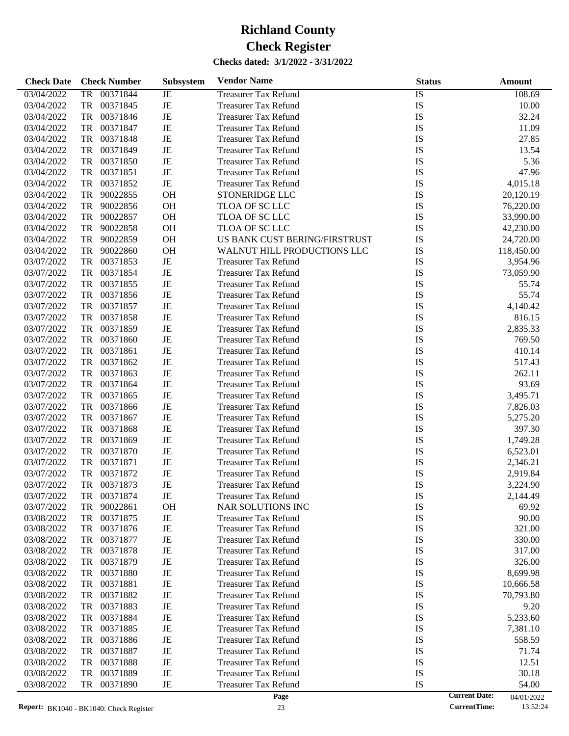| <b>Check Date</b> |           | <b>Check Number</b> | Subsystem | <b>Vendor Name</b>            | <b>Status</b> |                      | <b>Amount</b> |
|-------------------|-----------|---------------------|-----------|-------------------------------|---------------|----------------------|---------------|
| 03/04/2022        |           | TR 00371844         | JE        | <b>Treasurer Tax Refund</b>   | IS            |                      | 108.69        |
| 03/04/2022        | TR        | 00371845            | JE        | <b>Treasurer Tax Refund</b>   | IS            |                      | 10.00         |
| 03/04/2022        | TR        | 00371846            | JE        | <b>Treasurer Tax Refund</b>   | IS            |                      | 32.24         |
| 03/04/2022        | TR        | 00371847            | JE        | <b>Treasurer Tax Refund</b>   | IS            |                      | 11.09         |
| 03/04/2022        | TR        | 00371848            | JE        | <b>Treasurer Tax Refund</b>   | IS            |                      | 27.85         |
| 03/04/2022        | TR        | 00371849            | JE        | <b>Treasurer Tax Refund</b>   | <b>IS</b>     |                      | 13.54         |
| 03/04/2022        | TR        | 00371850            | JE        | <b>Treasurer Tax Refund</b>   | <b>IS</b>     |                      | 5.36          |
| 03/04/2022        | TR        | 00371851            | JE        | <b>Treasurer Tax Refund</b>   | <b>IS</b>     |                      | 47.96         |
| 03/04/2022        | TR        | 00371852            | JE        | <b>Treasurer Tax Refund</b>   | <b>IS</b>     |                      | 4,015.18      |
|                   |           |                     |           |                               |               |                      |               |
| 03/04/2022        | TR        | 90022855            | OH        | <b>STONERIDGE LLC</b>         | IS            |                      | 20,120.19     |
| 03/04/2022        | TR        | 90022856            | OH        | TLOA OF SC LLC                | IS            |                      | 76,220.00     |
| 03/04/2022        | TR        | 90022857            | OH        | TLOA OF SC LLC                | IS            |                      | 33,990.00     |
| 03/04/2022        | TR        | 90022858            | OH        | TLOA OF SC LLC                | IS            |                      | 42,230.00     |
| 03/04/2022        | TR        | 90022859            | OH        | US BANK CUST BERING/FIRSTRUST | IS            |                      | 24,720.00     |
| 03/04/2022        | TR        | 90022860            | OH        | WALNUT HILL PRODUCTIONS LLC   | IS            |                      | 118,450.00    |
| 03/07/2022        | TR        | 00371853            | $\rm{JE}$ | <b>Treasurer Tax Refund</b>   | IS            |                      | 3,954.96      |
| 03/07/2022        | TR        | 00371854            | JE        | <b>Treasurer Tax Refund</b>   | IS            |                      | 73,059.90     |
| 03/07/2022        | TR        | 00371855            | JE        | <b>Treasurer Tax Refund</b>   | IS            |                      | 55.74         |
| 03/07/2022        | TR        | 00371856            | JE        | <b>Treasurer Tax Refund</b>   | IS            |                      | 55.74         |
| 03/07/2022        | TR        | 00371857            | JE        | <b>Treasurer Tax Refund</b>   | IS            |                      | 4,140.42      |
| 03/07/2022        | TR        | 00371858            | JE        | <b>Treasurer Tax Refund</b>   | IS            |                      | 816.15        |
| 03/07/2022        | TR        | 00371859            | JE        | <b>Treasurer Tax Refund</b>   | IS            |                      | 2,835.33      |
| 03/07/2022        | TR        | 00371860            | $\rm{JE}$ | <b>Treasurer Tax Refund</b>   | IS            |                      | 769.50        |
| 03/07/2022        | TR        | 00371861            | $\rm{JE}$ | <b>Treasurer Tax Refund</b>   | <b>IS</b>     |                      | 410.14        |
| 03/07/2022        | TR        | 00371862            | JE        | <b>Treasurer Tax Refund</b>   | <b>IS</b>     |                      | 517.43        |
| 03/07/2022        | TR        | 00371863            | JE        | <b>Treasurer Tax Refund</b>   | <b>IS</b>     |                      | 262.11        |
| 03/07/2022        | TR        | 00371864            | JE        | <b>Treasurer Tax Refund</b>   | IS            |                      | 93.69         |
| 03/07/2022        | TR        | 00371865            | JE        | <b>Treasurer Tax Refund</b>   | IS            |                      | 3,495.71      |
| 03/07/2022        | TR        | 00371866            | JE        | <b>Treasurer Tax Refund</b>   | IS            |                      | 7,826.03      |
| 03/07/2022        | TR        | 00371867            | JE        | <b>Treasurer Tax Refund</b>   | IS            |                      | 5,275.20      |
| 03/07/2022        | TR        | 00371868            | $\rm{JE}$ | <b>Treasurer Tax Refund</b>   | IS            |                      | 397.30        |
| 03/07/2022        | TR        | 00371869            | $\rm{JE}$ | <b>Treasurer Tax Refund</b>   | <b>IS</b>     |                      | 1,749.28      |
| 03/07/2022        | TR        | 00371870            | $\rm{JE}$ |                               | <b>IS</b>     |                      |               |
|                   |           |                     |           | <b>Treasurer Tax Refund</b>   |               |                      | 6,523.01      |
| 03/07/2022        | TR        | 00371871            | JE        | <b>Treasurer Tax Refund</b>   | IS            |                      | 2,346.21      |
| 03/07/2022        | TR        | 00371872            | JE        | <b>Treasurer Tax Refund</b>   | IS            |                      | 2,919.84      |
| 03/07/2022        |           | TR 00371873         | <b>JE</b> | <b>Treasurer Tax Refund</b>   | IS            |                      | 3,224.90      |
| 03/07/2022        | TR        | 00371874            | JE        | <b>Treasurer Tax Refund</b>   | IS            |                      | 2,144.49      |
| 03/07/2022        | TR        | 90022861            | <b>OH</b> | NAR SOLUTIONS INC             | IS            |                      | 69.92         |
| 03/08/2022        | TR        | 00371875            | JE        | <b>Treasurer Tax Refund</b>   | IS            |                      | 90.00         |
| 03/08/2022        | TR        | 00371876            | JE        | <b>Treasurer Tax Refund</b>   | IS            |                      | 321.00        |
| 03/08/2022        | TR        | 00371877            | JE        | <b>Treasurer Tax Refund</b>   | IS            |                      | 330.00        |
| 03/08/2022        | TR        | 00371878            | JE        | <b>Treasurer Tax Refund</b>   | IS            |                      | 317.00        |
| 03/08/2022        | TR        | 00371879            | JE        | <b>Treasurer Tax Refund</b>   | IS            |                      | 326.00        |
| 03/08/2022        | TR        | 00371880            | JE        | <b>Treasurer Tax Refund</b>   | IS            |                      | 8,699.98      |
| 03/08/2022        | TR        | 00371881            | JE        | <b>Treasurer Tax Refund</b>   | IS            |                      | 10,666.58     |
| 03/08/2022        | <b>TR</b> | 00371882            | JE        | <b>Treasurer Tax Refund</b>   | IS            |                      | 70,793.80     |
| 03/08/2022        | TR        | 00371883            | JE        | <b>Treasurer Tax Refund</b>   | IS            |                      | 9.20          |
| 03/08/2022        | TR        | 00371884            | JE        | <b>Treasurer Tax Refund</b>   | IS            |                      | 5,233.60      |
| 03/08/2022        | TR        | 00371885            | JE        | <b>Treasurer Tax Refund</b>   | IS            |                      | 7,381.10      |
| 03/08/2022        | TR        | 00371886            | JE        | <b>Treasurer Tax Refund</b>   | IS            |                      | 558.59        |
| 03/08/2022        | TR        | 00371887            | JE        | <b>Treasurer Tax Refund</b>   | IS            |                      | 71.74         |
| 03/08/2022        | TR        | 00371888            | JE        | <b>Treasurer Tax Refund</b>   | IS            |                      | 12.51         |
| 03/08/2022        | TR        | 00371889            | JE        | <b>Treasurer Tax Refund</b>   | IS            |                      | 30.18         |
| 03/08/2022        | TR        | 00371890            | JE        | <b>Treasurer Tax Refund</b>   | IS            |                      | 54.00         |
|                   |           |                     |           | Page                          |               | <b>Current Date:</b> | 04/01/2022    |

<sup>04/01/2022&</sup>lt;br>13:52:24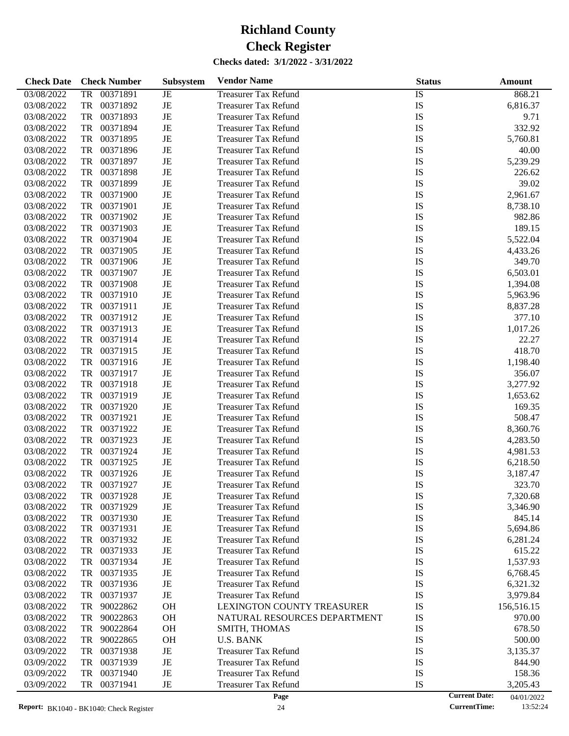| <b>Check Date</b>        | <b>Check Number</b>        | Subsystem   | <b>Vendor Name</b>                                         | <b>Status</b>   | Amount             |
|--------------------------|----------------------------|-------------|------------------------------------------------------------|-----------------|--------------------|
| 03/08/2022               | 00371891<br><b>TR</b>      | JE          | <b>Treasurer Tax Refund</b>                                | $\overline{1S}$ | 868.21             |
| 03/08/2022               | 00371892<br>TR             | $\rm{JE}$   | <b>Treasurer Tax Refund</b>                                | IS              | 6,816.37           |
| 03/08/2022               | 00371893<br>TR             | $\rm{JE}$   | <b>Treasurer Tax Refund</b>                                | IS              | 9.71               |
| 03/08/2022               | 00371894<br>TR             | JE          | <b>Treasurer Tax Refund</b>                                | IS              | 332.92             |
| 03/08/2022               | 00371895<br>TR             | JE          | <b>Treasurer Tax Refund</b>                                | IS              | 5,760.81           |
| 03/08/2022               | 00371896<br>TR             | $\rm{JE}$   | <b>Treasurer Tax Refund</b>                                | IS              | 40.00              |
| 03/08/2022               | 00371897<br>TR             | $\rm{JE}$   | <b>Treasurer Tax Refund</b>                                | IS              | 5,239.29           |
| 03/08/2022               | 00371898<br>TR             | $\rm{JE}$   | <b>Treasurer Tax Refund</b>                                | IS              | 226.62             |
| 03/08/2022               | TR<br>00371899             | $\rm{JE}$   | <b>Treasurer Tax Refund</b>                                | IS              | 39.02              |
| 03/08/2022               | 00371900<br>TR             | $\rm{JE}$   | <b>Treasurer Tax Refund</b>                                | IS              | 2,961.67           |
| 03/08/2022               | 00371901<br>TR             | $\rm{JE}$   | <b>Treasurer Tax Refund</b>                                | IS              | 8,738.10           |
| 03/08/2022               | 00371902<br>TR             | $\rm{JE}$   | <b>Treasurer Tax Refund</b>                                | IS              | 982.86             |
| 03/08/2022               | 00371903<br>TR             | $\rm{JE}$   | <b>Treasurer Tax Refund</b>                                | IS              | 189.15             |
| 03/08/2022               | 00371904<br>TR             | $\rm{JE}$   | <b>Treasurer Tax Refund</b>                                | IS              | 5,522.04           |
| 03/08/2022               | 00371905<br>TR             | $\rm{JE}$   | <b>Treasurer Tax Refund</b>                                | IS              | 4,433.26           |
| 03/08/2022               | 00371906<br>TR             | $\rm{JE}$   | <b>Treasurer Tax Refund</b>                                | IS              | 349.70             |
| 03/08/2022               | 00371907<br>TR             | $\rm{JE}$   | <b>Treasurer Tax Refund</b>                                | IS              | 6,503.01           |
| 03/08/2022               | 00371908<br>TR             | $\rm{JE}$   | <b>Treasurer Tax Refund</b>                                | IS              | 1,394.08           |
| 03/08/2022               | 00371910<br>TR             | $\rm{JE}$   | <b>Treasurer Tax Refund</b>                                | IS              | 5,963.96           |
| 03/08/2022               | 00371911<br>TR             | $\rm{JE}$   | <b>Treasurer Tax Refund</b>                                | IS              | 8,837.28           |
| 03/08/2022               | 00371912<br>TR             | $\rm{JE}$   | <b>Treasurer Tax Refund</b>                                | IS              | 377.10             |
| 03/08/2022               | 00371913<br>TR             | $\rm{JE}$   | <b>Treasurer Tax Refund</b>                                | IS              | 1,017.26           |
| 03/08/2022               | 00371914<br>TR             | $\rm{JE}$   | <b>Treasurer Tax Refund</b>                                | IS              | 22.27              |
| 03/08/2022               | 00371915<br>TR             | $\rm{JE}$   | <b>Treasurer Tax Refund</b>                                | IS              | 418.70             |
| 03/08/2022               | 00371916<br>TR             | $\rm{JE}$   | <b>Treasurer Tax Refund</b>                                | IS              | 1,198.40           |
| 03/08/2022               | 00371917<br>TR             | $\rm{JE}$   | <b>Treasurer Tax Refund</b>                                | IS              | 356.07             |
| 03/08/2022               | 00371918<br>TR             | $\rm{JE}$   | <b>Treasurer Tax Refund</b>                                | IS              | 3,277.92           |
| 03/08/2022               | 00371919<br>TR             | $\rm{JE}$   | <b>Treasurer Tax Refund</b>                                | IS              | 1,653.62           |
| 03/08/2022               | TR<br>00371920             | $\rm{JE}$   | <b>Treasurer Tax Refund</b>                                | IS              | 169.35             |
| 03/08/2022               | 00371921<br>TR             | $\rm{JE}$   | <b>Treasurer Tax Refund</b>                                | IS              | 508.47             |
| 03/08/2022               | 00371922<br>TR             | $\rm{JE}$   | <b>Treasurer Tax Refund</b>                                | IS              | 8,360.76           |
| 03/08/2022               | 00371923<br>TR             | $\rm{JE}$   | <b>Treasurer Tax Refund</b>                                | IS              |                    |
| 03/08/2022               | TR<br>00371924             | $\rm{JE}$   |                                                            | IS              | 4,283.50           |
|                          | 00371925<br>TR             | $\rm{JE}$   | <b>Treasurer Tax Refund</b><br><b>Treasurer Tax Refund</b> |                 | 4,981.53           |
| 03/08/2022<br>03/08/2022 | 00371926<br>TR             | $\rm{JE}$   | <b>Treasurer Tax Refund</b>                                | IS              | 6,218.50           |
|                          | 00371927                   | JE          |                                                            | IS              | 3,187.47           |
| 03/08/2022               | TR                         |             | <b>Treasurer Tax Refund</b>                                | IS              | 323.70             |
| 03/08/2022               | TR<br>00371928             | JE          | <b>Treasurer Tax Refund</b>                                | IS              | 7,320.68           |
| 03/08/2022               | TR<br>00371929<br>00371930 | JE          | <b>Treasurer Tax Refund</b>                                | IS              | 3,346.90           |
| 03/08/2022<br>03/08/2022 | TR<br>00371931<br>TR       | JE<br>JE    | <b>Treasurer Tax Refund</b><br><b>Treasurer Tax Refund</b> | IS<br>IS        | 845.14<br>5,694.86 |
| 03/08/2022               | 00371932<br>TR             | JE          | <b>Treasurer Tax Refund</b>                                | IS              | 6,281.24           |
| 03/08/2022               | 00371933                   | JE          | <b>Treasurer Tax Refund</b>                                | IS              | 615.22             |
| 03/08/2022               | TR                         |             | <b>Treasurer Tax Refund</b>                                |                 |                    |
|                          | 00371934<br>TR             | JE          |                                                            | IS              | 1,537.93           |
| 03/08/2022               | 00371935<br>TR             | JE          | <b>Treasurer Tax Refund</b><br><b>Treasurer Tax Refund</b> | IS              | 6,768.45           |
| 03/08/2022               | 00371936<br>TR             | JE          |                                                            | IS              | 6,321.32           |
| 03/08/2022               | 00371937<br>TR             | $\rm{JE}$   | <b>Treasurer Tax Refund</b>                                | IS              | 3,979.84           |
| 03/08/2022               | TR<br>90022862             | <b>OH</b>   | LEXINGTON COUNTY TREASURER                                 | IS              | 156,516.15         |
| 03/08/2022               | TR<br>90022863             | <b>OH</b>   | NATURAL RESOURCES DEPARTMENT                               | IS              | 970.00             |
| 03/08/2022               | TR<br>90022864             | <b>OH</b>   | SMITH, THOMAS                                              | IS              | 678.50             |
| 03/08/2022               | TR<br>90022865             | <b>OH</b>   | <b>U.S. BANK</b>                                           | IS              | 500.00             |
| 03/09/2022               | 00371938<br>TR             | $\rm{JE}$   | <b>Treasurer Tax Refund</b>                                | IS              | 3,135.37           |
| 03/09/2022               | 00371939<br>TR             | JE          | <b>Treasurer Tax Refund</b>                                | IS              | 844.90             |
| 03/09/2022               | 00371940<br>TR             | JE          | <b>Treasurer Tax Refund</b>                                | IS              | 158.36             |
| 03/09/2022               | TR<br>00371941             | $_{\rm JE}$ | <b>Treasurer Tax Refund</b>                                | IS              | 3,205.43           |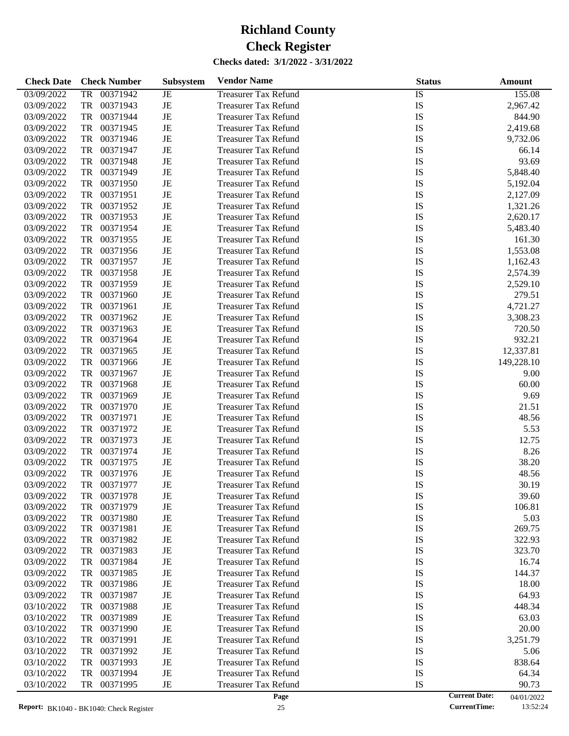| <b>Check Date</b> | <b>Check Number</b>   | Subsystem   | <b>Vendor Name</b>          | <b>Status</b>   | Amount     |
|-------------------|-----------------------|-------------|-----------------------------|-----------------|------------|
| 03/09/2022        | <b>TR</b><br>00371942 | JE          | <b>Treasurer Tax Refund</b> | $\overline{IS}$ | 155.08     |
| 03/09/2022        | TR<br>00371943        | JE          | <b>Treasurer Tax Refund</b> | IS              | 2,967.42   |
| 03/09/2022        | TR<br>00371944        | JE          | <b>Treasurer Tax Refund</b> | IS              | 844.90     |
| 03/09/2022        | TR<br>00371945        | JE          | <b>Treasurer Tax Refund</b> | IS              | 2,419.68   |
| 03/09/2022        | TR<br>00371946        | JE          | <b>Treasurer Tax Refund</b> | IS              | 9,732.06   |
| 03/09/2022        | TR<br>00371947        | JE          | <b>Treasurer Tax Refund</b> | IS              | 66.14      |
| 03/09/2022        | TR<br>00371948        | JE          | <b>Treasurer Tax Refund</b> | IS              | 93.69      |
| 03/09/2022        | TR<br>00371949        | JE          | <b>Treasurer Tax Refund</b> | IS              | 5,848.40   |
| 03/09/2022        | TR<br>00371950        | JE          | <b>Treasurer Tax Refund</b> | IS              | 5,192.04   |
| 03/09/2022        | TR<br>00371951        | JE          | <b>Treasurer Tax Refund</b> | IS              | 2,127.09   |
| 03/09/2022        | TR<br>00371952        | JE          | <b>Treasurer Tax Refund</b> | IS              | 1,321.26   |
| 03/09/2022        | TR<br>00371953        | JE          | <b>Treasurer Tax Refund</b> | IS              | 2,620.17   |
| 03/09/2022        | TR<br>00371954        | JE          | <b>Treasurer Tax Refund</b> | IS              | 5,483.40   |
| 03/09/2022        | TR<br>00371955        | JE          | <b>Treasurer Tax Refund</b> | IS              | 161.30     |
| 03/09/2022        | TR<br>00371956        | JE          | <b>Treasurer Tax Refund</b> | IS              | 1,553.08   |
| 03/09/2022        | TR<br>00371957        | JE          | <b>Treasurer Tax Refund</b> | IS              | 1,162.43   |
| 03/09/2022        | TR<br>00371958        | JE          | <b>Treasurer Tax Refund</b> | IS              | 2,574.39   |
| 03/09/2022        | TR<br>00371959        | JE          | <b>Treasurer Tax Refund</b> | IS              | 2,529.10   |
| 03/09/2022        | TR<br>00371960        | JE          | <b>Treasurer Tax Refund</b> | IS              | 279.51     |
| 03/09/2022        | TR<br>00371961        | JE          | <b>Treasurer Tax Refund</b> | IS              | 4,721.27   |
| 03/09/2022        | TR<br>00371962        | JE          | <b>Treasurer Tax Refund</b> | IS              | 3,308.23   |
| 03/09/2022        | TR<br>00371963        | JE          | <b>Treasurer Tax Refund</b> | IS              | 720.50     |
| 03/09/2022        | TR<br>00371964        | JE          | <b>Treasurer Tax Refund</b> | IS              | 932.21     |
| 03/09/2022        | TR<br>00371965        | JE          | <b>Treasurer Tax Refund</b> | IS              | 12,337.81  |
| 03/09/2022        | TR<br>00371966        | JE          | <b>Treasurer Tax Refund</b> | IS              | 149,228.10 |
| 03/09/2022        | TR<br>00371967        | JE          | <b>Treasurer Tax Refund</b> | IS              | 9.00       |
| 03/09/2022        | TR<br>00371968        | JE          | <b>Treasurer Tax Refund</b> | IS              | 60.00      |
| 03/09/2022        | TR<br>00371969        | JE          | <b>Treasurer Tax Refund</b> | IS              | 9.69       |
| 03/09/2022        | TR<br>00371970        | JE          | <b>Treasurer Tax Refund</b> | IS              | 21.51      |
| 03/09/2022        | TR<br>00371971        | JE          | <b>Treasurer Tax Refund</b> | IS              | 48.56      |
| 03/09/2022        | 00371972<br>TR        | JE          | <b>Treasurer Tax Refund</b> | IS              | 5.53       |
| 03/09/2022        | 00371973<br>TR        | JE          | <b>Treasurer Tax Refund</b> | IS              | 12.75      |
| 03/09/2022        | TR<br>00371974        | JE          | <b>Treasurer Tax Refund</b> | IS              | 8.26       |
| 03/09/2022        | TR<br>00371975        | JE          | <b>Treasurer Tax Refund</b> | IS              | 38.20      |
| 03/09/2022        | 00371976<br>TR        | JE          | <b>Treasurer Tax Refund</b> | IS              | 48.56      |
| 03/09/2022        | TR<br>00371977        | JE          | <b>Treasurer Tax Refund</b> | IS              | 30.19      |
| 03/09/2022        | 00371978<br>TR        | JE          | <b>Treasurer Tax Refund</b> | IS              | 39.60      |
| 03/09/2022        | 00371979<br>TR        | JE          | <b>Treasurer Tax Refund</b> | IS              | 106.81     |
| 03/09/2022        | TR<br>00371980        | JE          | <b>Treasurer Tax Refund</b> | IS              | 5.03       |
| 03/09/2022        | TR<br>00371981        | JE          | <b>Treasurer Tax Refund</b> | IS              | 269.75     |
| 03/09/2022        | 00371982<br>TR        | JE          | <b>Treasurer Tax Refund</b> | IS              | 322.93     |
| 03/09/2022        | TR<br>00371983        | JE          | <b>Treasurer Tax Refund</b> | IS              | 323.70     |
| 03/09/2022        | TR<br>00371984        | JE          | <b>Treasurer Tax Refund</b> | IS              | 16.74      |
| 03/09/2022        | 00371985<br>TR        | JE          | <b>Treasurer Tax Refund</b> | IS              | 144.37     |
| 03/09/2022        | 00371986<br>TR        | JE          | <b>Treasurer Tax Refund</b> | IS              | 18.00      |
| 03/09/2022        | TR<br>00371987        | JE          | <b>Treasurer Tax Refund</b> | IS              | 64.93      |
| 03/10/2022        | TR<br>00371988        | JE          | <b>Treasurer Tax Refund</b> | IS              | 448.34     |
| 03/10/2022        | 00371989<br>TR        | JE          | <b>Treasurer Tax Refund</b> | IS              | 63.03      |
| 03/10/2022        | 00371990<br>TR        | JE          | <b>Treasurer Tax Refund</b> | IS              | 20.00      |
| 03/10/2022        | TR<br>00371991        | JE          | <b>Treasurer Tax Refund</b> | IS              | 3,251.79   |
| 03/10/2022        | TR<br>00371992        | JE          | <b>Treasurer Tax Refund</b> | IS              | 5.06       |
| 03/10/2022        | 00371993<br>TR        | JE          | <b>Treasurer Tax Refund</b> | IS              | 838.64     |
| 03/10/2022        | 00371994<br>TR        | JE          | <b>Treasurer Tax Refund</b> | IS              | 64.34      |
| 03/10/2022        | 00371995<br>TR        | $_{\rm JE}$ | <b>Treasurer Tax Refund</b> | IS              | 90.73      |
|                   |                       |             |                             |                 |            |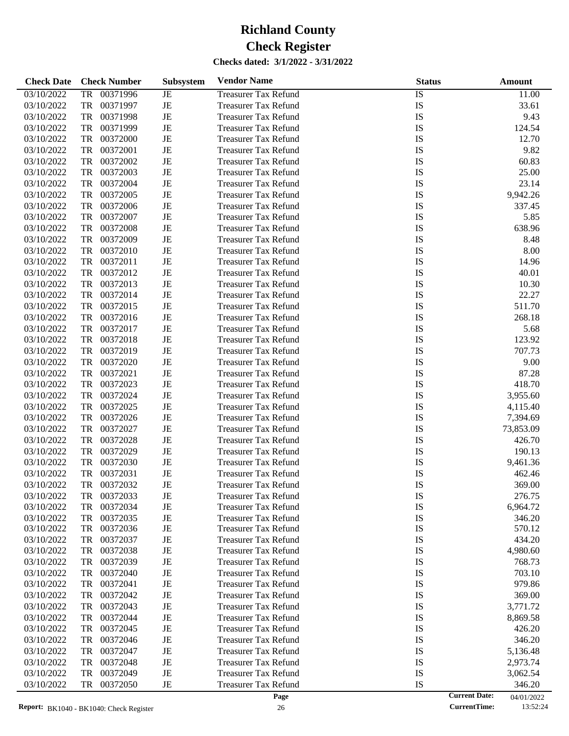| <b>Check Date</b> | <b>Check Number</b> | <b>Subsystem</b> | <b>Vendor Name</b>          | <b>Status</b>   | <b>Amount</b>                      |
|-------------------|---------------------|------------------|-----------------------------|-----------------|------------------------------------|
| 03/10/2022        | 00371996<br>TR      | JE               | <b>Treasurer Tax Refund</b> | $\overline{IS}$ | 11.00                              |
| 03/10/2022        | TR<br>00371997      | JE               | <b>Treasurer Tax Refund</b> | IS              | 33.61                              |
| 03/10/2022        | TR<br>00371998      | JE               | <b>Treasurer Tax Refund</b> | IS              | 9.43                               |
| 03/10/2022        | TR<br>00371999      | JE               | <b>Treasurer Tax Refund</b> | IS              | 124.54                             |
| 03/10/2022        | TR<br>00372000      | JE               | <b>Treasurer Tax Refund</b> | IS              | 12.70                              |
| 03/10/2022        | TR<br>00372001      | JE               | <b>Treasurer Tax Refund</b> | IS              | 9.82                               |
| 03/10/2022        | TR<br>00372002      | JE               | <b>Treasurer Tax Refund</b> | IS              | 60.83                              |
| 03/10/2022        | TR<br>00372003      | JE               | <b>Treasurer Tax Refund</b> | IS              | 25.00                              |
| 03/10/2022        | TR<br>00372004      | JE               | <b>Treasurer Tax Refund</b> | IS              | 23.14                              |
| 03/10/2022        | TR<br>00372005      | JE               | <b>Treasurer Tax Refund</b> | IS              | 9,942.26                           |
| 03/10/2022        | TR<br>00372006      | JE               | <b>Treasurer Tax Refund</b> | IS              | 337.45                             |
| 03/10/2022        | TR<br>00372007      | JE               | <b>Treasurer Tax Refund</b> | IS              | 5.85                               |
| 03/10/2022        | TR<br>00372008      | JE               | <b>Treasurer Tax Refund</b> | IS              | 638.96                             |
| 03/10/2022        | TR<br>00372009      | JE               | <b>Treasurer Tax Refund</b> | IS              | 8.48                               |
| 03/10/2022        | TR<br>00372010      | JE               | <b>Treasurer Tax Refund</b> | IS              | 8.00                               |
| 03/10/2022        | TR<br>00372011      | JE               | <b>Treasurer Tax Refund</b> | IS              | 14.96                              |
| 03/10/2022        | TR<br>00372012      | JE               | <b>Treasurer Tax Refund</b> | IS              | 40.01                              |
| 03/10/2022        | TR<br>00372013      | JE               | <b>Treasurer Tax Refund</b> | IS              | 10.30                              |
| 03/10/2022        | TR<br>00372014      | JE               | <b>Treasurer Tax Refund</b> | IS              | 22.27                              |
| 03/10/2022        | TR<br>00372015      | JE               | <b>Treasurer Tax Refund</b> | IS              | 511.70                             |
| 03/10/2022        | TR<br>00372016      | JE               | <b>Treasurer Tax Refund</b> | IS              | 268.18                             |
| 03/10/2022        | TR<br>00372017      | JE               | <b>Treasurer Tax Refund</b> | IS              | 5.68                               |
| 03/10/2022        | TR<br>00372018      | JE               | <b>Treasurer Tax Refund</b> | IS              | 123.92                             |
| 03/10/2022        | TR<br>00372019      | JE               | <b>Treasurer Tax Refund</b> | IS              | 707.73                             |
| 03/10/2022        | TR<br>00372020      | JE               | <b>Treasurer Tax Refund</b> | IS              | 9.00                               |
| 03/10/2022        | TR<br>00372021      | JE               | <b>Treasurer Tax Refund</b> | IS              | 87.28                              |
| 03/10/2022        | TR<br>00372023      | JE               | <b>Treasurer Tax Refund</b> | IS              | 418.70                             |
| 03/10/2022        | TR<br>00372024      | JE               | <b>Treasurer Tax Refund</b> | IS              | 3,955.60                           |
| 03/10/2022        | TR<br>00372025      | JE               | <b>Treasurer Tax Refund</b> | IS              | 4,115.40                           |
| 03/10/2022        | TR<br>00372026      | JE               | <b>Treasurer Tax Refund</b> | IS              | 7,394.69                           |
| 03/10/2022        | TR<br>00372027      | JE               | <b>Treasurer Tax Refund</b> | IS              | 73,853.09                          |
| 03/10/2022        | TR<br>00372028      | JE               | <b>Treasurer Tax Refund</b> | IS              | 426.70                             |
| 03/10/2022        | TR<br>00372029      | JE               | <b>Treasurer Tax Refund</b> | IS              | 190.13                             |
| 03/10/2022        | TR<br>00372030      | JE               | <b>Treasurer Tax Refund</b> | IS              | 9,461.36                           |
| 03/10/2022        | TR<br>00372031      | JE               | <b>Treasurer Tax Refund</b> | IS              | 462.46                             |
| 03/10/2022        | TR<br>00372032      | JE               | <b>Treasurer Tax Refund</b> | IS              | 369.00                             |
| 03/10/2022        | 00372033<br>TR      | JE               | <b>Treasurer Tax Refund</b> | IS              | 276.75                             |
| 03/10/2022        | 00372034<br>TR      | JE               | <b>Treasurer Tax Refund</b> | IS              | 6,964.72                           |
| 03/10/2022        | 00372035<br>TR      | JE               | <b>Treasurer Tax Refund</b> | IS              | 346.20                             |
| 03/10/2022        | TR<br>00372036      | JE               | <b>Treasurer Tax Refund</b> | IS              | 570.12                             |
| 03/10/2022        | TR<br>00372037      | JE               | <b>Treasurer Tax Refund</b> | IS              | 434.20                             |
| 03/10/2022        | 00372038<br>TR      | JE               | <b>Treasurer Tax Refund</b> | IS              | 4,980.60                           |
| 03/10/2022        | 00372039<br>TR      | JE               | Treasurer Tax Refund        | IS              | 768.73                             |
| 03/10/2022        | 00372040<br>TR      | JE               | <b>Treasurer Tax Refund</b> | IS              | 703.10                             |
| 03/10/2022        | 00372041<br>TR      | JE               | <b>Treasurer Tax Refund</b> | IS              | 979.86                             |
| 03/10/2022        | 00372042<br>TR      | JE               | <b>Treasurer Tax Refund</b> | IS              | 369.00                             |
| 03/10/2022        | 00372043<br>TR      | JE               | Treasurer Tax Refund        | IS              | 3,771.72                           |
| 03/10/2022        | 00372044<br>TR      | JE               | <b>Treasurer Tax Refund</b> | IS              | 8,869.58                           |
| 03/10/2022        | 00372045<br>TR      | JE               | <b>Treasurer Tax Refund</b> | IS              | 426.20                             |
| 03/10/2022        | 00372046<br>TR      | JE               | <b>Treasurer Tax Refund</b> | IS              | 346.20                             |
| 03/10/2022        | 00372047<br>TR      | JE               | Treasurer Tax Refund        | IS              | 5,136.48                           |
| 03/10/2022        | 00372048<br>TR      | JE               | <b>Treasurer Tax Refund</b> | IS              | 2,973.74                           |
| 03/10/2022        | 00372049<br>TR      | JE               | <b>Treasurer Tax Refund</b> | IS              | 3,062.54                           |
| 03/10/2022        | 00372050<br>TR      | JE               | <b>Treasurer Tax Refund</b> | IS              | 346.20                             |
|                   |                     |                  | Page                        |                 | <b>Current Date:</b><br>04/01/2022 |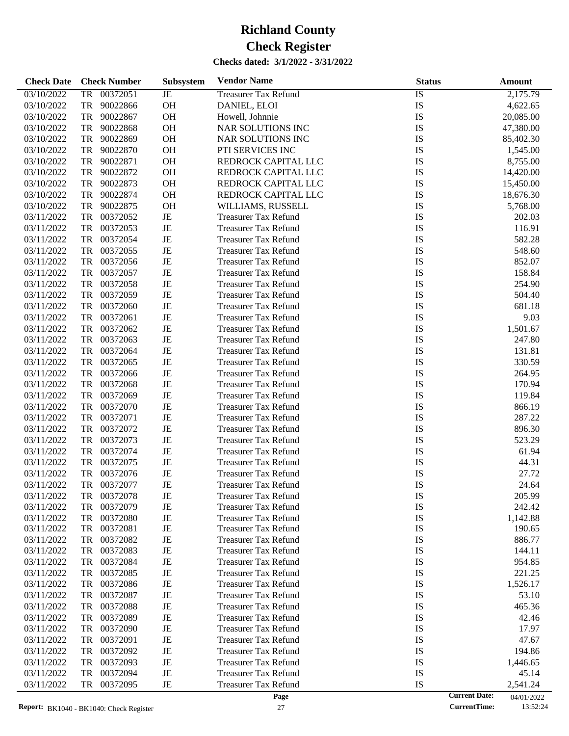| <b>Check Date</b> | <b>Check Number</b>        | Subsystem | <b>Vendor Name</b>                                         | <b>Status</b>        | <b>Amount</b>    |
|-------------------|----------------------------|-----------|------------------------------------------------------------|----------------------|------------------|
| 03/10/2022        | 00372051<br>TR             | JE        | <b>Treasurer Tax Refund</b>                                | IS                   | 2,175.79         |
| 03/10/2022        | TR<br>90022866             | OH        | DANIEL, ELOI                                               | IS                   | 4,622.65         |
| 03/10/2022        | 90022867<br>TR             | OH        | Howell, Johnnie                                            | <b>IS</b>            | 20,085.00        |
| 03/10/2022        | <b>TR</b><br>90022868      | OH        | NAR SOLUTIONS INC                                          | <b>IS</b>            | 47,380.00        |
| 03/10/2022        | TR<br>90022869             | OH        | <b>NAR SOLUTIONS INC</b>                                   | IS                   | 85,402.30        |
| 03/10/2022        | 90022870<br>TR             | OH        | PTI SERVICES INC                                           | IS                   | 1,545.00         |
| 03/10/2022        | 90022871<br>TR             | OH        | REDROCK CAPITAL LLC                                        | <b>IS</b>            | 8,755.00         |
| 03/10/2022        | TR<br>90022872             | OH        | REDROCK CAPITAL LLC                                        | <b>IS</b>            | 14,420.00        |
| 03/10/2022        | 90022873<br>TR             | OH        | REDROCK CAPITAL LLC                                        | IS                   | 15,450.00        |
| 03/10/2022        | 90022874<br>TR             | OH        | REDROCK CAPITAL LLC                                        | IS                   |                  |
|                   |                            |           |                                                            |                      | 18,676.30        |
| 03/10/2022        | 90022875<br>TR             | OH        | WILLIAMS, RUSSELL                                          | IS                   | 5,768.00         |
| 03/11/2022        | 00372052<br>TR             | $\rm{JE}$ | <b>Treasurer Tax Refund</b>                                | IS                   | 202.03           |
| 03/11/2022        | TR<br>00372053             | JE        | <b>Treasurer Tax Refund</b>                                | IS                   | 116.91           |
| 03/11/2022        | 00372054<br>TR             | JE        | <b>Treasurer Tax Refund</b>                                | IS                   | 582.28           |
| 03/11/2022        | TR<br>00372055             | JE        | <b>Treasurer Tax Refund</b>                                | <b>IS</b>            | 548.60           |
| 03/11/2022        | TR<br>00372056             | JE        | <b>Treasurer Tax Refund</b>                                | <b>IS</b>            | 852.07           |
| 03/11/2022        | TR<br>00372057             | JE        | <b>Treasurer Tax Refund</b>                                | IS                   | 158.84           |
| 03/11/2022        | 00372058<br>TR             | JE        | <b>Treasurer Tax Refund</b>                                | IS                   | 254.90           |
| 03/11/2022        | TR<br>00372059             | JE        | <b>Treasurer Tax Refund</b>                                | <b>IS</b>            | 504.40           |
| 03/11/2022        | TR<br>00372060             | JE        | <b>Treasurer Tax Refund</b>                                | IS                   | 681.18           |
| 03/11/2022        | TR<br>00372061             | JE        | <b>Treasurer Tax Refund</b>                                | IS                   | 9.03             |
| 03/11/2022        | TR<br>00372062             | JE        | <b>Treasurer Tax Refund</b>                                | IS                   | 1,501.67         |
| 03/11/2022        | TR<br>00372063             | JE        | <b>Treasurer Tax Refund</b>                                | <b>IS</b>            | 247.80           |
| 03/11/2022        | TR<br>00372064             | JE        | <b>Treasurer Tax Refund</b>                                | IS                   | 131.81           |
| 03/11/2022        | TR<br>00372065             | JE        | <b>Treasurer Tax Refund</b>                                | IS                   | 330.59           |
| 03/11/2022        | TR<br>00372066             | JE        | <b>Treasurer Tax Refund</b>                                | IS                   | 264.95           |
| 03/11/2022        | TR<br>00372068             | JE        | <b>Treasurer Tax Refund</b>                                | <b>IS</b>            | 170.94           |
| 03/11/2022        | TR<br>00372069             | JE        | <b>Treasurer Tax Refund</b>                                | IS                   | 119.84           |
| 03/11/2022        | TR<br>00372070             | JE        | <b>Treasurer Tax Refund</b>                                | IS                   | 866.19           |
| 03/11/2022        | 00372071<br>TR             | JE        | <b>Treasurer Tax Refund</b>                                | IS                   | 287.22           |
| 03/11/2022        | TR<br>00372072             | JE        | <b>Treasurer Tax Refund</b>                                | <b>IS</b>            | 896.30           |
| 03/11/2022        | TR<br>00372073             | JE        | <b>Treasurer Tax Refund</b>                                | IS                   | 523.29           |
| 03/11/2022        | TR<br>00372074             | JE        | <b>Treasurer Tax Refund</b>                                | IS                   | 61.94            |
| 03/11/2022        | 00372075<br>TR             | JE        | <b>Treasurer Tax Refund</b>                                | IS                   | 44.31            |
| 03/11/2022        | 00372076<br>TR             | JE        | <b>Treasurer Tax Refund</b>                                | IS                   | 27.72            |
| 03/11/2022        | TR<br>00372077             | JE        | <b>Treasurer Tax Refund</b>                                | IS                   | 24.64            |
| 03/11/2022        | TR<br>00372078             | JE        | <b>Treasurer Tax Refund</b>                                | IS                   | 205.99           |
| 03/11/2022        | 00372079<br>TR             | JE        | <b>Treasurer Tax Refund</b>                                | IS                   | 242.42           |
| 03/11/2022        | TR<br>00372080             | JE        | <b>Treasurer Tax Refund</b>                                | IS                   | 1,142.88         |
| 03/11/2022        | TR<br>00372081             | JE        | <b>Treasurer Tax Refund</b>                                | IS                   | 190.65           |
| 03/11/2022        | TR<br>00372082             | JE        | <b>Treasurer Tax Refund</b>                                | IS                   | 886.77           |
| 03/11/2022        | TR<br>00372083             | JE        | <b>Treasurer Tax Refund</b>                                | IS                   | 144.11           |
|                   | TR                         |           |                                                            | IS                   |                  |
| 03/11/2022        | 00372084<br>TR<br>00372085 | JE<br>JE  | <b>Treasurer Tax Refund</b><br><b>Treasurer Tax Refund</b> | IS                   | 954.85<br>221.25 |
| 03/11/2022        |                            |           |                                                            |                      |                  |
| 03/11/2022        | TR<br>00372086             | JE        | <b>Treasurer Tax Refund</b>                                | IS                   | 1,526.17         |
| 03/11/2022        | TR<br>00372087             | JE        | <b>Treasurer Tax Refund</b>                                | IS                   | 53.10            |
| 03/11/2022        | TR<br>00372088             | JE        | <b>Treasurer Tax Refund</b>                                | IS                   | 465.36           |
| 03/11/2022        | TR<br>00372089             | JE        | <b>Treasurer Tax Refund</b>                                | IS                   | 42.46            |
| 03/11/2022        | TR<br>00372090             | JE        | <b>Treasurer Tax Refund</b>                                | IS                   | 17.97            |
| 03/11/2022        | TR<br>00372091             | JE        | <b>Treasurer Tax Refund</b>                                | IS                   | 47.67            |
| 03/11/2022        | TR<br>00372092             | JE        | <b>Treasurer Tax Refund</b>                                | IS                   | 194.86           |
| 03/11/2022        | TR<br>00372093             | JE        | <b>Treasurer Tax Refund</b>                                | IS                   | 1,446.65         |
| 03/11/2022        | TR<br>00372094             | JE        | <b>Treasurer Tax Refund</b>                                | IS                   | 45.14            |
| 03/11/2022        | TR<br>00372095             | JE        | <b>Treasurer Tax Refund</b>                                | IS                   | 2,541.24         |
|                   |                            |           | Page                                                       | <b>Current Date:</b> | 04/01/2022       |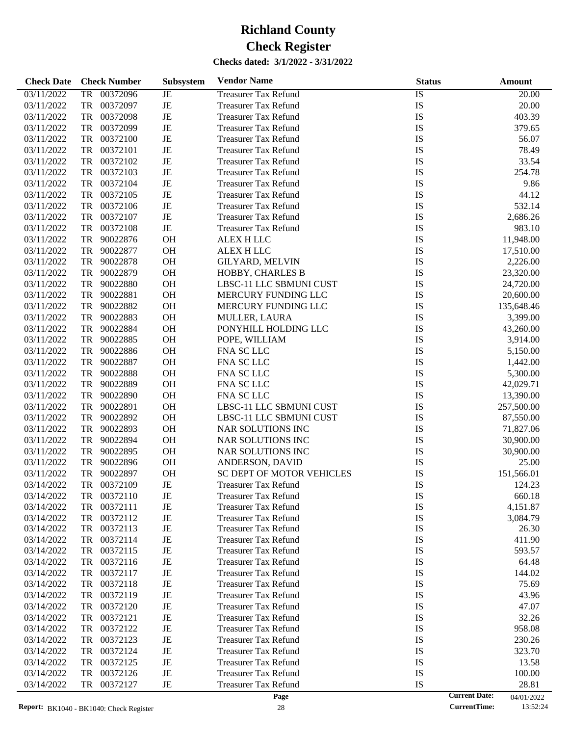| <b>Check Date</b> | <b>Check Number</b>    | Subsystem | <b>Vendor Name</b>                    | <b>Status</b> | <b>Amount</b> |
|-------------------|------------------------|-----------|---------------------------------------|---------------|---------------|
| 03/11/2022        | 00372096<br>TR         | JE        | <b>Treasurer Tax Refund</b>           | IS            | 20.00         |
| 03/11/2022        | TR<br>00372097         | JE        | <b>Treasurer Tax Refund</b>           | IS            | 20.00         |
| 03/11/2022        | 00372098<br>TR         | JE        | <b>Treasurer Tax Refund</b>           | IS            | 403.39        |
| 03/11/2022        | TR<br>00372099         | JE        | <b>Treasurer Tax Refund</b>           | IS            | 379.65        |
| 03/11/2022        | 00372100<br>TR         | JE        | <b>Treasurer Tax Refund</b>           | IS            | 56.07         |
| 03/11/2022        | TR<br>00372101         | JE        | <b>Treasurer Tax Refund</b>           | IS            | 78.49         |
| 03/11/2022        | TR<br>00372102         | JE        | <b>Treasurer Tax Refund</b>           | IS            | 33.54         |
| 03/11/2022        | 00372103<br>TR         | JE        | <b>Treasurer Tax Refund</b>           | IS            | 254.78        |
| 03/11/2022        | TR<br>00372104         | JE        | <b>Treasurer Tax Refund</b>           | IS            | 9.86          |
| 03/11/2022        | TR<br>00372105         | JE        | <b>Treasurer Tax Refund</b>           | IS            | 44.12         |
| 03/11/2022        | 00372106<br>TR         | JE        | <b>Treasurer Tax Refund</b>           | IS            | 532.14        |
| 03/11/2022        | TR<br>00372107         | JE        | <b>Treasurer Tax Refund</b>           | IS            | 2,686.26      |
| 03/11/2022        | 00372108<br>TR         | JE        | <b>Treasurer Tax Refund</b>           | IS            | 983.10        |
| 03/11/2022        | TR<br>90022876         | OH        | ALEX H LLC                            | IS            | 11,948.00     |
| 03/11/2022        | TR<br>90022877         | OH        | <b>ALEX H LLC</b>                     | IS            | 17,510.00     |
| 03/11/2022        | 90022878<br>TR         | OH        | <b>GILYARD, MELVIN</b>                | IS            | 2,226.00      |
| 03/11/2022        | TR<br>90022879         | OH        | HOBBY, CHARLES B                      | IS            | 23,320.00     |
| 03/11/2022        | TR<br>90022880         | OH        | LBSC-11 LLC SBMUNI CUST               | IS            | 24,720.00     |
| 03/11/2022        | TR<br>90022881         | OH        | MERCURY FUNDING LLC                   | IS            | 20,600.00     |
| 03/11/2022        | TR<br>90022882         | OH        | MERCURY FUNDING LLC                   | IS            | 135,648.46    |
| 03/11/2022        | 90022883<br>TR         | OH        |                                       | IS            | 3,399.00      |
| 03/11/2022        | TR<br>90022884         | OH        | MULLER, LAURA<br>PONYHILL HOLDING LLC | IS            |               |
|                   | TR<br>90022885         | OH        |                                       | IS            | 43,260.00     |
| 03/11/2022        |                        |           | POPE, WILLIAM                         |               | 3,914.00      |
| 03/11/2022        | 90022886<br>TR         | OH        | FNA SC LLC                            | IS            | 5,150.00      |
| 03/11/2022        | TR<br>90022887         | OH        | FNA SC LLC                            | IS            | 1,442.00      |
| 03/11/2022        | 90022888<br>TR         | OH        | FNA SC LLC                            | IS            | 5,300.00      |
| 03/11/2022        | TR<br>90022889         | OH        | FNA SC LLC                            | IS            | 42,029.71     |
| 03/11/2022        | TR<br>90022890         | OH        | FNA SC LLC                            | IS            | 13,390.00     |
| 03/11/2022        | 90022891<br>TR         | OH        | LBSC-11 LLC SBMUNI CUST               | IS            | 257,500.00    |
| 03/11/2022        | TR<br>90022892         | OH        | LBSC-11 LLC SBMUNI CUST               | IS            | 87,550.00     |
| 03/11/2022        | 90022893<br>TR         | OH        | NAR SOLUTIONS INC                     | IS            | 71,827.06     |
| 03/11/2022        | TR<br>90022894         | OH        | NAR SOLUTIONS INC                     | IS            | 30,900.00     |
| 03/11/2022        | TR<br>90022895         | OH        | NAR SOLUTIONS INC                     | IS            | 30,900.00     |
| 03/11/2022        | 90022896<br>TR         | OH        | ANDERSON, DAVID                       | IS            | 25.00         |
| 03/11/2022        | TR<br>90022897         | OH        | SC DEPT OF MOTOR VEHICLES             | IS            | 151,566.01    |
| 03/14/2022        | <b>TR</b><br>00372109  | JE        | <b>Treasurer Tax Refund</b>           | IS            | 124.23        |
| 03/14/2022        | ${\rm TR}$<br>00372110 | JE        | <b>Treasurer Tax Refund</b>           | IS            | 660.18        |
| 03/14/2022        | 00372111<br>TR         | JE        | <b>Treasurer Tax Refund</b>           | IS            | 4,151.87      |
| 03/14/2022        | 00372112<br>TR         | JE        | <b>Treasurer Tax Refund</b>           | IS            | 3,084.79      |
| 03/14/2022        | TR 00372113            | JE        | Treasurer Tax Refund                  | IS            | 26.30         |
| 03/14/2022        | TR 00372114            | JE        | <b>Treasurer Tax Refund</b>           | IS            | 411.90        |
| 03/14/2022        | TR 00372115            | JE        | <b>Treasurer Tax Refund</b>           | IS            | 593.57        |
| 03/14/2022        | TR 00372116            | JE        | <b>Treasurer Tax Refund</b>           | IS            | 64.48         |
| 03/14/2022        | TR 00372117            | JE        | <b>Treasurer Tax Refund</b>           | IS            | 144.02        |
| 03/14/2022        | TR 00372118            | JE        | <b>Treasurer Tax Refund</b>           | IS            | 75.69         |
| 03/14/2022        | TR 00372119            | JE        | <b>Treasurer Tax Refund</b>           | IS            | 43.96         |
| 03/14/2022        | TR 00372120            | JE        | <b>Treasurer Tax Refund</b>           | IS            | 47.07         |
| 03/14/2022        | TR 00372121            | JE        | <b>Treasurer Tax Refund</b>           | IS            | 32.26         |
| 03/14/2022        | TR 00372122            | JE        | <b>Treasurer Tax Refund</b>           | IS            | 958.08        |
| 03/14/2022        | TR 00372123            | JE        | <b>Treasurer Tax Refund</b>           | IS            | 230.26        |
| 03/14/2022        | TR 00372124            | JE        | <b>Treasurer Tax Refund</b>           | IS            | 323.70        |
| 03/14/2022        | TR 00372125            | JE        | <b>Treasurer Tax Refund</b>           | IS            | 13.58         |
| 03/14/2022        | TR 00372126            | JE        | <b>Treasurer Tax Refund</b>           | IS            | 100.00        |
| 03/14/2022        | TR 00372127            | JE        | <b>Treasurer Tax Refund</b>           | IS            | 28.81         |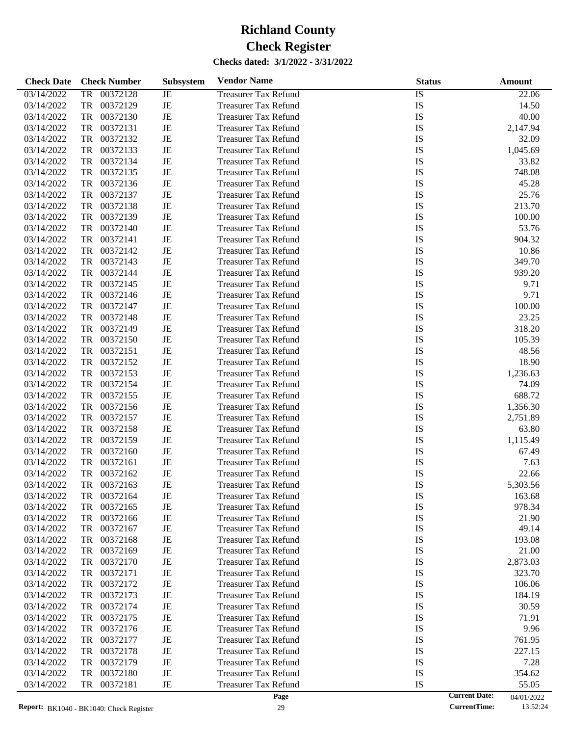| <b>Check Date</b> | <b>Check Number</b>   | <b>Subsystem</b> | <b>Vendor Name</b>          | <b>Status</b>   | <b>Amount</b> |
|-------------------|-----------------------|------------------|-----------------------------|-----------------|---------------|
| 03/14/2022        | <b>TR</b><br>00372128 | JE               | <b>Treasurer Tax Refund</b> | $\overline{IS}$ | 22.06         |
| 03/14/2022        | TR<br>00372129        | JE               | <b>Treasurer Tax Refund</b> | IS              | 14.50         |
| 03/14/2022        | TR<br>00372130        | JE               | <b>Treasurer Tax Refund</b> | IS              | 40.00         |
| 03/14/2022        | TR<br>00372131        | JE               | <b>Treasurer Tax Refund</b> | IS              | 2,147.94      |
| 03/14/2022        | TR<br>00372132        | JE               | <b>Treasurer Tax Refund</b> | IS              | 32.09         |
| 03/14/2022        | TR<br>00372133        | JE               | <b>Treasurer Tax Refund</b> | IS              | 1,045.69      |
| 03/14/2022        | TR<br>00372134        | JE               | <b>Treasurer Tax Refund</b> | IS              | 33.82         |
| 03/14/2022        | TR<br>00372135        | JE               | <b>Treasurer Tax Refund</b> | IS              | 748.08        |
| 03/14/2022        | TR<br>00372136        | JE               | <b>Treasurer Tax Refund</b> | IS              | 45.28         |
| 03/14/2022        | TR<br>00372137        | JE               | <b>Treasurer Tax Refund</b> | IS              | 25.76         |
| 03/14/2022        | TR<br>00372138        | JE               | <b>Treasurer Tax Refund</b> | IS              | 213.70        |
| 03/14/2022        | TR<br>00372139        | JE               | <b>Treasurer Tax Refund</b> | IS              | 100.00        |
| 03/14/2022        | TR<br>00372140        | JE               | <b>Treasurer Tax Refund</b> | IS              | 53.76         |
| 03/14/2022        | TR<br>00372141        | JE               | <b>Treasurer Tax Refund</b> | IS              | 904.32        |
| 03/14/2022        | TR<br>00372142        | JE               | <b>Treasurer Tax Refund</b> | IS              | 10.86         |
| 03/14/2022        | TR<br>00372143        | JE               | <b>Treasurer Tax Refund</b> | IS              | 349.70        |
| 03/14/2022        | TR<br>00372144        | JE               | <b>Treasurer Tax Refund</b> | IS              | 939.20        |
| 03/14/2022        | TR<br>00372145        | JE               | <b>Treasurer Tax Refund</b> | IS              | 9.71          |
| 03/14/2022        | TR<br>00372146        | JE               | <b>Treasurer Tax Refund</b> | IS              | 9.71          |
| 03/14/2022        | TR<br>00372147        | JE               | <b>Treasurer Tax Refund</b> | IS              | 100.00        |
| 03/14/2022        | TR<br>00372148        | JE               | <b>Treasurer Tax Refund</b> | IS              | 23.25         |
| 03/14/2022        | TR<br>00372149        | JE               | <b>Treasurer Tax Refund</b> | IS              | 318.20        |
| 03/14/2022        | TR<br>00372150        | JE               | <b>Treasurer Tax Refund</b> | IS              | 105.39        |
| 03/14/2022        | TR<br>00372151        | JE               | <b>Treasurer Tax Refund</b> | IS              | 48.56         |
| 03/14/2022        | TR<br>00372152        | JE               | <b>Treasurer Tax Refund</b> | IS              | 18.90         |
| 03/14/2022        | TR<br>00372153        | JE               | <b>Treasurer Tax Refund</b> | IS              | 1,236.63      |
| 03/14/2022        | TR<br>00372154        | JE               | <b>Treasurer Tax Refund</b> | IS              | 74.09         |
| 03/14/2022        | TR<br>00372155        | JE               | <b>Treasurer Tax Refund</b> | IS              | 688.72        |
| 03/14/2022        | TR<br>00372156        | JE               | <b>Treasurer Tax Refund</b> | IS              | 1,356.30      |
| 03/14/2022        | TR<br>00372157        | JE               | <b>Treasurer Tax Refund</b> | IS              | 2,751.89      |
| 03/14/2022        | TR<br>00372158        | JE               | <b>Treasurer Tax Refund</b> | IS              | 63.80         |
| 03/14/2022        | TR<br>00372159        | JE               | <b>Treasurer Tax Refund</b> | IS              | 1,115.49      |
| 03/14/2022        | TR<br>00372160        | JE               | <b>Treasurer Tax Refund</b> | IS              | 67.49         |
| 03/14/2022        | TR<br>00372161        | JE               | <b>Treasurer Tax Refund</b> | IS              | 7.63          |
| 03/14/2022        | 00372162<br>TR        | JE               | <b>Treasurer Tax Refund</b> | IS              | 22.66         |
| 03/14/2022        | 00372163<br>TR        | JE               | <b>Treasurer Tax Refund</b> | IS              | 5,303.56      |
| 03/14/2022        | TR<br>00372164        | JE               | <b>Treasurer Tax Refund</b> | IS              | 163.68        |
| 03/14/2022        | 00372165<br>TR        | JE               | <b>Treasurer Tax Refund</b> | IS              | 978.34        |
| 03/14/2022        | TR<br>00372166        | JE               | <b>Treasurer Tax Refund</b> | IS              | 21.90         |
| 03/14/2022        | TR<br>00372167        | JE               | <b>Treasurer Tax Refund</b> | IS              | 49.14         |
| 03/14/2022        | 00372168<br>TR        | JE               | <b>Treasurer Tax Refund</b> | IS              | 193.08        |
| 03/14/2022        | 00372169<br>TR        | JE               | <b>Treasurer Tax Refund</b> | IS              | 21.00         |
| 03/14/2022        | TR<br>00372170        | JE               | <b>Treasurer Tax Refund</b> | IS              | 2,873.03      |
| 03/14/2022        | 00372171<br>TR        | JE               | <b>Treasurer Tax Refund</b> | IS              | 323.70        |
| 03/14/2022        | 00372172<br>TR        | JE               | <b>Treasurer Tax Refund</b> | IS              | 106.06        |
| 03/14/2022        | TR<br>00372173        | JE               | <b>Treasurer Tax Refund</b> | IS              | 184.19        |
| 03/14/2022        | TR<br>00372174        | JE               | <b>Treasurer Tax Refund</b> | IS              | 30.59         |
| 03/14/2022        | 00372175<br>TR        | JE               | <b>Treasurer Tax Refund</b> | IS              | 71.91         |
| 03/14/2022        | 00372176<br>TR        | JE               | <b>Treasurer Tax Refund</b> | IS              | 9.96          |
| 03/14/2022        | TR<br>00372177        | JE               | <b>Treasurer Tax Refund</b> | IS              | 761.95        |
| 03/14/2022        | TR<br>00372178        | JE               | <b>Treasurer Tax Refund</b> | IS              | 227.15        |
| 03/14/2022        | 00372179<br>TR        | JE               | <b>Treasurer Tax Refund</b> | IS              | 7.28          |
| 03/14/2022        | 00372180<br>TR        | JE               | <b>Treasurer Tax Refund</b> | IS              | 354.62        |
| 03/14/2022        | TR<br>00372181        | $_{\rm JE}$      | <b>Treasurer Tax Refund</b> | IS              | 55.05         |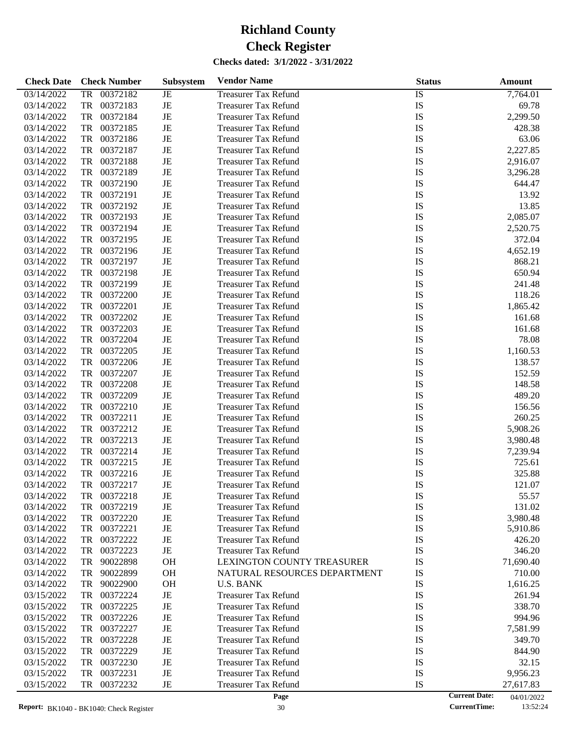| <b>Check Date</b> | <b>Check Number</b>   | <b>Subsystem</b> | <b>Vendor Name</b>           | <b>Status</b>   | Amount                             |
|-------------------|-----------------------|------------------|------------------------------|-----------------|------------------------------------|
| 03/14/2022        | <b>TR</b><br>00372182 | $\rm{JE}$        | <b>Treasurer Tax Refund</b>  | $\overline{IS}$ | 7,764.01                           |
| 03/14/2022        | TR<br>00372183        | $\rm{JE}$        | <b>Treasurer Tax Refund</b>  | IS              | 69.78                              |
| 03/14/2022        | <b>TR</b><br>00372184 | $\rm{JE}$        | <b>Treasurer Tax Refund</b>  | IS              | 2,299.50                           |
| 03/14/2022        | <b>TR</b><br>00372185 | $\rm{JE}$        | <b>Treasurer Tax Refund</b>  | IS              | 428.38                             |
| 03/14/2022        | TR<br>00372186        | $\rm{JE}$        | <b>Treasurer Tax Refund</b>  | IS              | 63.06                              |
| 03/14/2022        | <b>TR</b><br>00372187 | $\rm{JE}$        | <b>Treasurer Tax Refund</b>  | IS              | 2,227.85                           |
| 03/14/2022        | <b>TR</b><br>00372188 | $\rm{JE}$        | <b>Treasurer Tax Refund</b>  | IS              | 2,916.07                           |
| 03/14/2022        | <b>TR</b><br>00372189 | $\rm{JE}$        | <b>Treasurer Tax Refund</b>  | IS              | 3,296.28                           |
| 03/14/2022        | <b>TR</b><br>00372190 | $\rm{JE}$        | <b>Treasurer Tax Refund</b>  | IS              | 644.47                             |
| 03/14/2022        | <b>TR</b><br>00372191 | $\rm{JE}$        | <b>Treasurer Tax Refund</b>  | IS              | 13.92                              |
| 03/14/2022        | 00372192<br><b>TR</b> | $\rm{JE}$        | <b>Treasurer Tax Refund</b>  | IS              | 13.85                              |
| 03/14/2022        | <b>TR</b><br>00372193 | $\rm{JE}$        | <b>Treasurer Tax Refund</b>  | IS              | 2,085.07                           |
| 03/14/2022        | <b>TR</b><br>00372194 | $\rm{JE}$        | <b>Treasurer Tax Refund</b>  | IS              | 2,520.75                           |
| 03/14/2022        | <b>TR</b><br>00372195 | $\rm{JE}$        | <b>Treasurer Tax Refund</b>  | IS              | 372.04                             |
| 03/14/2022        | <b>TR</b><br>00372196 | $\rm{JE}$        | <b>Treasurer Tax Refund</b>  | IS              | 4,652.19                           |
| 03/14/2022        | <b>TR</b><br>00372197 | $\rm{JE}$        | <b>Treasurer Tax Refund</b>  | IS              | 868.21                             |
| 03/14/2022        | <b>TR</b><br>00372198 | $\rm{JE}$        | <b>Treasurer Tax Refund</b>  | IS              | 650.94                             |
| 03/14/2022        | <b>TR</b><br>00372199 | $\rm{JE}$        | <b>Treasurer Tax Refund</b>  | IS              | 241.48                             |
| 03/14/2022        | <b>TR</b><br>00372200 | $\rm{JE}$        | <b>Treasurer Tax Refund</b>  | IS              | 118.26                             |
| 03/14/2022        | <b>TR</b><br>00372201 | $\rm{JE}$        | <b>Treasurer Tax Refund</b>  | IS              | 1,865.42                           |
| 03/14/2022        | <b>TR</b><br>00372202 | $\rm{JE}$        | <b>Treasurer Tax Refund</b>  | IS              | 161.68                             |
| 03/14/2022        | <b>TR</b><br>00372203 | $\rm{JE}$        | <b>Treasurer Tax Refund</b>  | IS              | 161.68                             |
| 03/14/2022        | <b>TR</b><br>00372204 | $\rm{JE}$        | <b>Treasurer Tax Refund</b>  | IS              | 78.08                              |
| 03/14/2022        | <b>TR</b><br>00372205 | $\rm{JE}$        | <b>Treasurer Tax Refund</b>  | IS              | 1,160.53                           |
| 03/14/2022        | <b>TR</b><br>00372206 | $\rm{JE}$        | <b>Treasurer Tax Refund</b>  | IS              | 138.57                             |
| 03/14/2022        | <b>TR</b><br>00372207 | $\rm{JE}$        | <b>Treasurer Tax Refund</b>  | IS              | 152.59                             |
| 03/14/2022        | <b>TR</b><br>00372208 | $\rm{JE}$        | <b>Treasurer Tax Refund</b>  | IS              | 148.58                             |
| 03/14/2022        | <b>TR</b><br>00372209 | $\rm{JE}$        | <b>Treasurer Tax Refund</b>  | IS              | 489.20                             |
| 03/14/2022        | <b>TR</b><br>00372210 | $\rm{JE}$        | <b>Treasurer Tax Refund</b>  | IS              | 156.56                             |
| 03/14/2022        | <b>TR</b><br>00372211 | $\rm{JE}$        | <b>Treasurer Tax Refund</b>  | IS              | 260.25                             |
| 03/14/2022        | <b>TR</b><br>00372212 | $\rm{JE}$        | <b>Treasurer Tax Refund</b>  | IS              | 5,908.26                           |
| 03/14/2022        | <b>TR</b><br>00372213 | $\rm{JE}$        | <b>Treasurer Tax Refund</b>  | IS              | 3,980.48                           |
| 03/14/2022        | <b>TR</b><br>00372214 | $\rm{JE}$        | <b>Treasurer Tax Refund</b>  | IS              | 7,239.94                           |
| 03/14/2022        | <b>TR</b><br>00372215 | $_{\rm JE}$      | <b>Treasurer Tax Refund</b>  | IS              | 725.61                             |
| 03/14/2022        | 00372216<br><b>TR</b> | JE               | <b>Treasurer Tax Refund</b>  | IS              | 325.88                             |
| 03/14/2022        | <b>TR</b><br>00372217 | $\rm{JE}$        | <b>Treasurer Tax Refund</b>  | IS              | 121.07                             |
| 03/14/2022        | 00372218<br>TR        | JE               | <b>Treasurer Tax Refund</b>  | IS              | 55.57                              |
| 03/14/2022        | 00372219<br>TR        | $\rm{JE}$        | <b>Treasurer Tax Refund</b>  | IS              | 131.02                             |
| 03/14/2022        | TR<br>00372220        | $\rm{JE}$        | <b>Treasurer Tax Refund</b>  | IS              | 3,980.48                           |
| 03/14/2022        | TR<br>00372221        | $\rm{JE}$        | <b>Treasurer Tax Refund</b>  | IS              | 5,910.86                           |
| 03/14/2022        | 00372222<br>TR        | $\rm{JE}$        | <b>Treasurer Tax Refund</b>  | IS              | 426.20                             |
| 03/14/2022        | <b>TR</b><br>00372223 | $_{\rm JE}$      | <b>Treasurer Tax Refund</b>  | IS              | 346.20                             |
| 03/14/2022        | <b>TR</b><br>90022898 | <b>OH</b>        | LEXINGTON COUNTY TREASURER   | IS              | 71,690.40                          |
| 03/14/2022        | 90022899<br>TR        | <b>OH</b>        | NATURAL RESOURCES DEPARTMENT | IS              | 710.00                             |
| 03/14/2022        | 90022900<br>TR        | <b>OH</b>        | <b>U.S. BANK</b>             | IS              | 1,616.25                           |
| 03/15/2022        | <b>TR</b><br>00372224 | $\rm{JE}$        | <b>Treasurer Tax Refund</b>  | IS              | 261.94                             |
| 03/15/2022        | 00372225<br>TR        | $\rm{JE}$        | <b>Treasurer Tax Refund</b>  | IS              | 338.70                             |
| 03/15/2022        | 00372226<br>TR        | $\rm{JE}$        | <b>Treasurer Tax Refund</b>  | IS              | 994.96                             |
| 03/15/2022        | <b>TR</b><br>00372227 | $\rm{JE}$        | <b>Treasurer Tax Refund</b>  | IS              | 7,581.99                           |
| 03/15/2022        | <b>TR</b><br>00372228 | $\rm{JE}$        | <b>Treasurer Tax Refund</b>  | IS              | 349.70                             |
| 03/15/2022        | 00372229<br>TR        | $\rm{JE}$        | <b>Treasurer Tax Refund</b>  | IS              | 844.90                             |
| 03/15/2022        | <b>TR</b><br>00372230 | $\rm{JE}$        | Treasurer Tax Refund         | IS              | 32.15                              |
| 03/15/2022        | <b>TR</b><br>00372231 | $\rm{JE}$        | <b>Treasurer Tax Refund</b>  | IS              | 9,956.23                           |
| 03/15/2022        | <b>TR</b><br>00372232 | $_{\rm JE}$      | <b>Treasurer Tax Refund</b>  | IS              | 27,617.83                          |
|                   |                       |                  | Page                         |                 | <b>Current Date:</b><br>04/01/2022 |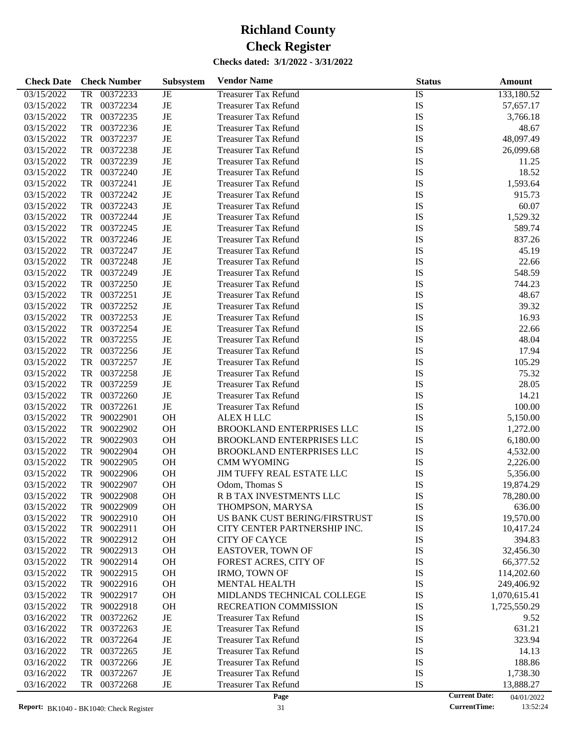| <b>Check Date</b> | <b>Check Number</b>   | <b>Subsystem</b> | <b>Vendor Name</b>            | <b>Status</b>   | Amount       |
|-------------------|-----------------------|------------------|-------------------------------|-----------------|--------------|
| 03/15/2022        | <b>TR</b><br>00372233 | JE               | <b>Treasurer Tax Refund</b>   | $\overline{1S}$ | 133,180.52   |
| 03/15/2022        | TR<br>00372234        | JE               | <b>Treasurer Tax Refund</b>   | IS              | 57,657.17    |
| 03/15/2022        | TR<br>00372235        | JE               | <b>Treasurer Tax Refund</b>   | IS              | 3,766.18     |
| 03/15/2022        | TR<br>00372236        | JE               | <b>Treasurer Tax Refund</b>   | <b>IS</b>       | 48.67        |
| 03/15/2022        | TR<br>00372237        | JE               | <b>Treasurer Tax Refund</b>   | IS              | 48,097.49    |
| 03/15/2022        | TR<br>00372238        | JE               | <b>Treasurer Tax Refund</b>   | IS              | 26,099.68    |
| 03/15/2022        | TR<br>00372239        | JE               | <b>Treasurer Tax Refund</b>   | <b>IS</b>       | 11.25        |
| 03/15/2022        | TR<br>00372240        | JE               | <b>Treasurer Tax Refund</b>   | IS              | 18.52        |
| 03/15/2022        | TR<br>00372241        | JE               | <b>Treasurer Tax Refund</b>   | IS              | 1,593.64     |
| 03/15/2022        | TR<br>00372242        | JE               | <b>Treasurer Tax Refund</b>   | IS              | 915.73       |
| 03/15/2022        | TR<br>00372243        | JE               | <b>Treasurer Tax Refund</b>   | <b>IS</b>       | 60.07        |
| 03/15/2022        | TR<br>00372244        | JE               | <b>Treasurer Tax Refund</b>   | IS              | 1,529.32     |
| 03/15/2022        | TR<br>00372245        | JE               | <b>Treasurer Tax Refund</b>   | IS              | 589.74       |
| 03/15/2022        | TR<br>00372246        | JE               | <b>Treasurer Tax Refund</b>   | IS              | 837.26       |
| 03/15/2022        | TR<br>00372247        | JE               | <b>Treasurer Tax Refund</b>   | IS              | 45.19        |
| 03/15/2022        | TR<br>00372248        | JE               | <b>Treasurer Tax Refund</b>   | IS              | 22.66        |
| 03/15/2022        | TR<br>00372249        | JE               | <b>Treasurer Tax Refund</b>   | IS              | 548.59       |
| 03/15/2022        | TR<br>00372250        | JE               | <b>Treasurer Tax Refund</b>   | <b>IS</b>       | 744.23       |
| 03/15/2022        | TR<br>00372251        | JE               | <b>Treasurer Tax Refund</b>   | IS              | 48.67        |
| 03/15/2022        | TR<br>00372252        | JE               | <b>Treasurer Tax Refund</b>   | <b>IS</b>       | 39.32        |
| 03/15/2022        | TR<br>00372253        | JE               | <b>Treasurer Tax Refund</b>   | IS              | 16.93        |
| 03/15/2022        | TR<br>00372254        | JE               | <b>Treasurer Tax Refund</b>   | <b>IS</b>       | 22.66        |
| 03/15/2022        | TR<br>00372255        | JE               | <b>Treasurer Tax Refund</b>   | <b>IS</b>       | 48.04        |
| 03/15/2022        | TR<br>00372256        | JE               | <b>Treasurer Tax Refund</b>   | IS              | 17.94        |
| 03/15/2022        | TR<br>00372257        | JE               | <b>Treasurer Tax Refund</b>   | <b>IS</b>       | 105.29       |
| 03/15/2022        | TR<br>00372258        | JE               | <b>Treasurer Tax Refund</b>   | <b>IS</b>       | 75.32        |
| 03/15/2022        | TR<br>00372259        | JE               | <b>Treasurer Tax Refund</b>   | IS              | 28.05        |
| 03/15/2022        | TR<br>00372260        | JE               | <b>Treasurer Tax Refund</b>   | IS              | 14.21        |
| 03/15/2022        | TR<br>00372261        | JE               | <b>Treasurer Tax Refund</b>   | IS              | 100.00       |
| 03/15/2022        | TR<br>90022901        | OH               | <b>ALEX H LLC</b>             | <b>IS</b>       | 5,150.00     |
| 03/15/2022        | 90022902<br>TR        | OH               | BROOKLAND ENTERPRISES LLC     | IS              | 1,272.00     |
| 03/15/2022        | 90022903<br>TR        | OH               | BROOKLAND ENTERPRISES LLC     | IS              | 6,180.00     |
| 03/15/2022        | TR<br>90022904        | OH               | BROOKLAND ENTERPRISES LLC     | IS              | 4,532.00     |
| 03/15/2022        | TR<br>90022905        | OH               | <b>CMM WYOMING</b>            | IS              | 2,226.00     |
| 03/15/2022        | 90022906<br>TR        | OH               | JIM TUFFY REAL ESTATE LLC     | IS              | 5,356.00     |
| 03/15/2022        | 90022907<br>TR        | OH               | Odom, Thomas S                | <b>IS</b>       | 19,874.29    |
| 03/15/2022        | 90022908<br>TR        | <b>OH</b>        | R B TAX INVESTMENTS LLC       | IS              | 78,280.00    |
| 03/15/2022        | 90022909<br>TR        | OH               | THOMPSON, MARYSA              | IS              | 636.00       |
| 03/15/2022        | TR<br>90022910        | OH               | US BANK CUST BERING/FIRSTRUST | IS              | 19,570.00    |
| 03/15/2022        | TR<br>90022911        | <b>OH</b>        | CITY CENTER PARTNERSHIP INC.  | IS              | 10,417.24    |
| 03/15/2022        | 90022912<br>TR        | OH               | <b>CITY OF CAYCE</b>          | IS              | 394.83       |
| 03/15/2022        | TR<br>90022913        | OH               | EASTOVER, TOWN OF             | IS              | 32,456.30    |
| 03/15/2022        | TR<br>90022914        | OH               | FOREST ACRES, CITY OF         | IS              | 66,377.52    |
| 03/15/2022        | 90022915<br>TR        | <b>OH</b>        | <b>IRMO, TOWN OF</b>          | IS              | 114,202.60   |
| 03/15/2022        | TR<br>90022916        | OH               | MENTAL HEALTH                 | IS              | 249,406.92   |
| 03/15/2022        | TR<br>90022917        | OH               | MIDLANDS TECHNICAL COLLEGE    | IS              | 1,070,615.41 |
| 03/15/2022        | 90022918<br>TR        | <b>OH</b>        | RECREATION COMMISSION         | IS              | 1,725,550.29 |
| 03/16/2022        | 00372262<br>TR        | JE               | <b>Treasurer Tax Refund</b>   | IS              | 9.52         |
| 03/16/2022        | TR<br>00372263        | JE               | <b>Treasurer Tax Refund</b>   | IS              | 631.21       |
| 03/16/2022        | TR<br>00372264        | JE               | <b>Treasurer Tax Refund</b>   | IS              | 323.94       |
| 03/16/2022        | 00372265<br>TR        | JE               | <b>Treasurer Tax Refund</b>   | IS              | 14.13        |
| 03/16/2022        | TR<br>00372266        | JE               | <b>Treasurer Tax Refund</b>   | IS              | 188.86       |
| 03/16/2022        | TR<br>00372267        | JE               | <b>Treasurer Tax Refund</b>   | IS              | 1,738.30     |
| 03/16/2022        | TR<br>00372268        | JE               | <b>Treasurer Tax Refund</b>   | IS              | 13,888.27    |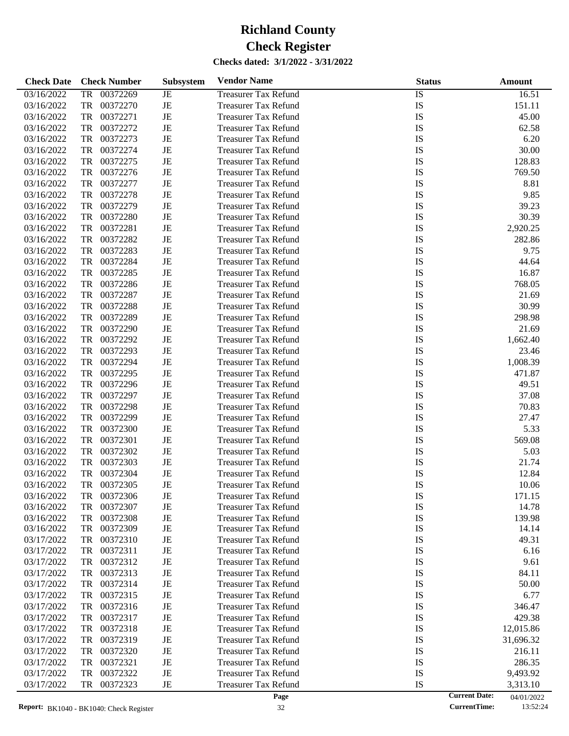| <b>Check Date</b> | <b>Check Number</b>   | <b>Subsystem</b> | <b>Vendor Name</b>          | <b>Status</b>   | <b>Amount</b>                      |
|-------------------|-----------------------|------------------|-----------------------------|-----------------|------------------------------------|
| 03/16/2022        | <b>TR</b><br>00372269 | JE               | <b>Treasurer Tax Refund</b> | $\overline{1S}$ | 16.51                              |
| 03/16/2022        | TR<br>00372270        | JE               | <b>Treasurer Tax Refund</b> | IS              | 151.11                             |
| 03/16/2022        | TR<br>00372271        | JE               | <b>Treasurer Tax Refund</b> | IS              | 45.00                              |
| 03/16/2022        | TR<br>00372272        | JE               | <b>Treasurer Tax Refund</b> | IS              | 62.58                              |
| 03/16/2022        | TR<br>00372273        | JE               | <b>Treasurer Tax Refund</b> | IS              | 6.20                               |
| 03/16/2022        | TR<br>00372274        | JE               | <b>Treasurer Tax Refund</b> | IS              | 30.00                              |
| 03/16/2022        | TR<br>00372275        | JE               | <b>Treasurer Tax Refund</b> | IS              | 128.83                             |
| 03/16/2022        | TR<br>00372276        | JE               | <b>Treasurer Tax Refund</b> | IS              | 769.50                             |
| 03/16/2022        | TR<br>00372277        | JE               | <b>Treasurer Tax Refund</b> | IS              | 8.81                               |
| 03/16/2022        | TR<br>00372278        | JE               | <b>Treasurer Tax Refund</b> | IS              | 9.85                               |
| 03/16/2022        | TR<br>00372279        | JE               | <b>Treasurer Tax Refund</b> | IS              | 39.23                              |
| 03/16/2022        | TR<br>00372280        | JE               | <b>Treasurer Tax Refund</b> | IS              | 30.39                              |
| 03/16/2022        | TR<br>00372281        | JE               | <b>Treasurer Tax Refund</b> | IS              | 2,920.25                           |
| 03/16/2022        | TR<br>00372282        | JE               | <b>Treasurer Tax Refund</b> | IS              | 282.86                             |
| 03/16/2022        | TR<br>00372283        | JE               | <b>Treasurer Tax Refund</b> | IS              | 9.75                               |
| 03/16/2022        | TR<br>00372284        | JE               | <b>Treasurer Tax Refund</b> | IS              | 44.64                              |
| 03/16/2022        | TR<br>00372285        | JE               | <b>Treasurer Tax Refund</b> | IS              | 16.87                              |
| 03/16/2022        | TR<br>00372286        | JE               | <b>Treasurer Tax Refund</b> | IS              | 768.05                             |
| 03/16/2022        | TR<br>00372287        | JE               | <b>Treasurer Tax Refund</b> | IS              | 21.69                              |
| 03/16/2022        | TR<br>00372288        | JE               | <b>Treasurer Tax Refund</b> | IS              | 30.99                              |
| 03/16/2022        | TR<br>00372289        | JE               | <b>Treasurer Tax Refund</b> | IS              | 298.98                             |
| 03/16/2022        | TR<br>00372290        | JE               | <b>Treasurer Tax Refund</b> | IS              | 21.69                              |
| 03/16/2022        | TR<br>00372292        | JE               | <b>Treasurer Tax Refund</b> | IS              | 1,662.40                           |
| 03/16/2022        | TR<br>00372293        | JE               | <b>Treasurer Tax Refund</b> | IS              | 23.46                              |
| 03/16/2022        | TR<br>00372294        | JE               | <b>Treasurer Tax Refund</b> | IS              | 1,008.39                           |
| 03/16/2022        | TR<br>00372295        | JE               | <b>Treasurer Tax Refund</b> | IS              | 471.87                             |
| 03/16/2022        | TR<br>00372296        | JE               | <b>Treasurer Tax Refund</b> | IS              | 49.51                              |
| 03/16/2022        | TR<br>00372297        | JE               | <b>Treasurer Tax Refund</b> | IS              | 37.08                              |
| 03/16/2022        | TR<br>00372298        | JE               | <b>Treasurer Tax Refund</b> | IS              | 70.83                              |
| 03/16/2022        | TR<br>00372299        | JE               | <b>Treasurer Tax Refund</b> | IS              | 27.47                              |
| 03/16/2022        | TR<br>00372300        | JE               | <b>Treasurer Tax Refund</b> | IS              | 5.33                               |
| 03/16/2022        | TR<br>00372301        | JE               | <b>Treasurer Tax Refund</b> | IS              | 569.08                             |
| 03/16/2022        | TR<br>00372302        | JE               | <b>Treasurer Tax Refund</b> | IS              | 5.03                               |
| 03/16/2022        | TR<br>00372303        | JE               | <b>Treasurer Tax Refund</b> | IS              | 21.74                              |
| 03/16/2022        | TR<br>00372304        | JE               | <b>Treasurer Tax Refund</b> | IS              | 12.84                              |
| 03/16/2022        | TR<br>00372305        | JE               | <b>Treasurer Tax Refund</b> | IS              | 10.06                              |
| 03/16/2022        | 00372306<br>TR        | JE               | <b>Treasurer Tax Refund</b> | IS              | 171.15                             |
| 03/16/2022        | 00372307<br>TR        | JE               | <b>Treasurer Tax Refund</b> | IS              | 14.78                              |
| 03/16/2022        | 00372308<br>TR        | JE               | <b>Treasurer Tax Refund</b> | IS              | 139.98                             |
| 03/16/2022        | TR<br>00372309        | JE               | <b>Treasurer Tax Refund</b> | IS              | 14.14                              |
| 03/17/2022        | 00372310<br>TR        | JE               | <b>Treasurer Tax Refund</b> | IS              | 49.31                              |
| 03/17/2022        | 00372311<br>TR        | JE               | <b>Treasurer Tax Refund</b> | IS              | 6.16                               |
| 03/17/2022        | 00372312<br>TR        | JE               | Treasurer Tax Refund        | IS              | 9.61                               |
| 03/17/2022        | 00372313<br>TR        | JE               | <b>Treasurer Tax Refund</b> | IS              | 84.11                              |
| 03/17/2022        | 00372314<br>TR        | JE               | <b>Treasurer Tax Refund</b> | IS              | 50.00                              |
| 03/17/2022        | 00372315<br>TR        | JE               | <b>Treasurer Tax Refund</b> | IS              | 6.77                               |
| 03/17/2022        | 00372316<br>TR        | JE               | Treasurer Tax Refund        | IS              | 346.47                             |
| 03/17/2022        | 00372317<br>TR        | JE               | <b>Treasurer Tax Refund</b> | IS              | 429.38                             |
| 03/17/2022        | 00372318<br>TR        | JE               | <b>Treasurer Tax Refund</b> | IS              | 12,015.86                          |
| 03/17/2022        | 00372319<br>TR        | JE               | <b>Treasurer Tax Refund</b> | IS              | 31,696.32                          |
| 03/17/2022        | 00372320<br>TR        | JE               | <b>Treasurer Tax Refund</b> | IS              | 216.11                             |
| 03/17/2022        | 00372321<br>TR        | JE               | <b>Treasurer Tax Refund</b> | IS              | 286.35                             |
| 03/17/2022        | 00372322<br>TR        | JE               | <b>Treasurer Tax Refund</b> | IS              | 9,493.92                           |
| 03/17/2022        | 00372323<br>TR        | JE               | <b>Treasurer Tax Refund</b> | IS              | 3,313.10                           |
|                   |                       |                  | Page                        |                 | <b>Current Date:</b><br>04/01/2022 |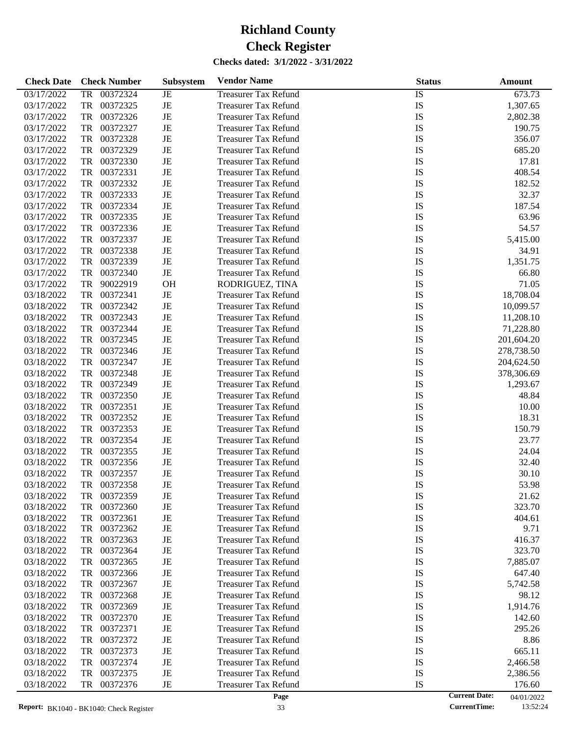| <b>Check Date</b> | <b>Check Number</b>   | <b>Subsystem</b> | <b>Vendor Name</b>          | <b>Status</b>   | Amount                             |
|-------------------|-----------------------|------------------|-----------------------------|-----------------|------------------------------------|
| 03/17/2022        | <b>TR</b><br>00372324 | JE               | <b>Treasurer Tax Refund</b> | $\overline{IS}$ | 673.73                             |
| 03/17/2022        | TR<br>00372325        | JE               | <b>Treasurer Tax Refund</b> | IS              | 1,307.65                           |
| 03/17/2022        | TR<br>00372326        | JE               | <b>Treasurer Tax Refund</b> | IS              | 2,802.38                           |
| 03/17/2022        | TR<br>00372327        | JE               | <b>Treasurer Tax Refund</b> | IS              | 190.75                             |
| 03/17/2022        | TR<br>00372328        | JE               | <b>Treasurer Tax Refund</b> | IS              | 356.07                             |
| 03/17/2022        | TR<br>00372329        | JE               | <b>Treasurer Tax Refund</b> | <b>IS</b>       | 685.20                             |
| 03/17/2022        | TR<br>00372330        | JE               | <b>Treasurer Tax Refund</b> | IS              | 17.81                              |
| 03/17/2022        | TR<br>00372331        | JE               | <b>Treasurer Tax Refund</b> | IS              | 408.54                             |
| 03/17/2022        | TR<br>00372332        | JE               | <b>Treasurer Tax Refund</b> | IS              | 182.52                             |
| 03/17/2022        | TR<br>00372333        | JE               | <b>Treasurer Tax Refund</b> | IS              | 32.37                              |
| 03/17/2022        | TR<br>00372334        | JE               | <b>Treasurer Tax Refund</b> | IS              | 187.54                             |
| 03/17/2022        | TR<br>00372335        | JE               | <b>Treasurer Tax Refund</b> | IS              | 63.96                              |
| 03/17/2022        | TR<br>00372336        | JE               | <b>Treasurer Tax Refund</b> | IS              | 54.57                              |
| 03/17/2022        | TR<br>00372337        | JE               | <b>Treasurer Tax Refund</b> | IS              | 5,415.00                           |
| 03/17/2022        | TR<br>00372338        | JE               | <b>Treasurer Tax Refund</b> | IS              | 34.91                              |
| 03/17/2022        | TR<br>00372339        | JE               | <b>Treasurer Tax Refund</b> | IS              | 1,351.75                           |
| 03/17/2022        | TR<br>00372340        | JE               | <b>Treasurer Tax Refund</b> | IS              | 66.80                              |
| 03/17/2022        | TR<br>90022919        | <b>OH</b>        | RODRIGUEZ, TINA             | IS              | 71.05                              |
| 03/18/2022        | TR<br>00372341        | $\rm{JE}$        | <b>Treasurer Tax Refund</b> | IS              | 18,708.04                          |
| 03/18/2022        | TR<br>00372342        | JE               | <b>Treasurer Tax Refund</b> | IS              | 10,099.57                          |
| 03/18/2022        | TR<br>00372343        | JE               | <b>Treasurer Tax Refund</b> | IS              | 11,208.10                          |
| 03/18/2022        | TR<br>00372344        | JE               | <b>Treasurer Tax Refund</b> | IS              | 71,228.80                          |
| 03/18/2022        | TR<br>00372345        | JE               | <b>Treasurer Tax Refund</b> | IS              | 201,604.20                         |
| 03/18/2022        | TR<br>00372346        | JE               | <b>Treasurer Tax Refund</b> | IS              | 278,738.50                         |
| 03/18/2022        | TR<br>00372347        | JE               | <b>Treasurer Tax Refund</b> | IS              | 204,624.50                         |
| 03/18/2022        | TR<br>00372348        | $\rm{JE}$        | <b>Treasurer Tax Refund</b> | IS              | 378,306.69                         |
| 03/18/2022        | TR<br>00372349        | JE               | <b>Treasurer Tax Refund</b> | IS              | 1,293.67                           |
| 03/18/2022        | TR<br>00372350        | JE               | <b>Treasurer Tax Refund</b> | IS              | 48.84                              |
| 03/18/2022        | TR<br>00372351        | $\rm{JE}$        | <b>Treasurer Tax Refund</b> | IS              | 10.00                              |
| 03/18/2022        | TR<br>00372352        | JE               | <b>Treasurer Tax Refund</b> | IS              | 18.31                              |
| 03/18/2022        | TR<br>00372353        | JE               | <b>Treasurer Tax Refund</b> | IS              | 150.79                             |
| 03/18/2022        | TR<br>00372354        | JE               | <b>Treasurer Tax Refund</b> | IS              | 23.77                              |
| 03/18/2022        | TR<br>00372355        | $\rm{JE}$        | <b>Treasurer Tax Refund</b> | IS              | 24.04                              |
| 03/18/2022        | TR<br>00372356        | JE               | <b>Treasurer Tax Refund</b> | IS              | 32.40                              |
| 03/18/2022        | TR<br>00372357        | JE               | <b>Treasurer Tax Refund</b> | IS              | 30.10                              |
| 03/18/2022        | TR<br>00372358        | JE               | <b>Treasurer Tax Refund</b> | IS              | 53.98                              |
| 03/18/2022        | 00372359<br>TR        | JE               | <b>Treasurer Tax Refund</b> | IS              | 21.62                              |
| 03/18/2022        | 00372360<br>TR        | JE               | <b>Treasurer Tax Refund</b> | IS              | 323.70                             |
| 03/18/2022        | 00372361<br>TR        | JE               | <b>Treasurer Tax Refund</b> | IS              | 404.61                             |
| 03/18/2022        | TR<br>00372362        | JE               | <b>Treasurer Tax Refund</b> | IS              | 9.71                               |
| 03/18/2022        | 00372363<br>TR        | JE               | <b>Treasurer Tax Refund</b> | IS              | 416.37                             |
| 03/18/2022        | 00372364<br>TR        | JE               | <b>Treasurer Tax Refund</b> | IS              | 323.70                             |
| 03/18/2022        | 00372365<br>TR        | JE               | Treasurer Tax Refund        | IS              | 7,885.07                           |
| 03/18/2022        | 00372366<br>TR        | JE               | <b>Treasurer Tax Refund</b> | IS              | 647.40                             |
| 03/18/2022        | 00372367<br>TR        | JE               | <b>Treasurer Tax Refund</b> | IS              | 5,742.58                           |
| 03/18/2022        | 00372368<br>TR        | JE               | Treasurer Tax Refund        | IS              | 98.12                              |
| 03/18/2022        | 00372369<br>TR        | JE               | <b>Treasurer Tax Refund</b> | IS              | 1,914.76                           |
| 03/18/2022        | 00372370<br>TR        | JE               | <b>Treasurer Tax Refund</b> | IS              | 142.60                             |
| 03/18/2022        | 00372371<br>TR        | JE               | <b>Treasurer Tax Refund</b> | IS              | 295.26                             |
| 03/18/2022        | 00372372<br>TR        | JE               | <b>Treasurer Tax Refund</b> | IS              | 8.86                               |
| 03/18/2022        | 00372373<br>TR        | JE               | <b>Treasurer Tax Refund</b> | IS              | 665.11                             |
| 03/18/2022        | 00372374<br>TR        | JE               | <b>Treasurer Tax Refund</b> | IS              | 2,466.58                           |
| 03/18/2022        | 00372375<br>TR        | JE               | <b>Treasurer Tax Refund</b> | IS              | 2,386.56                           |
| 03/18/2022        | 00372376<br>TR        | JE               | <b>Treasurer Tax Refund</b> | IS              | 176.60                             |
|                   |                       |                  | Page                        |                 | <b>Current Date:</b><br>04/01/2022 |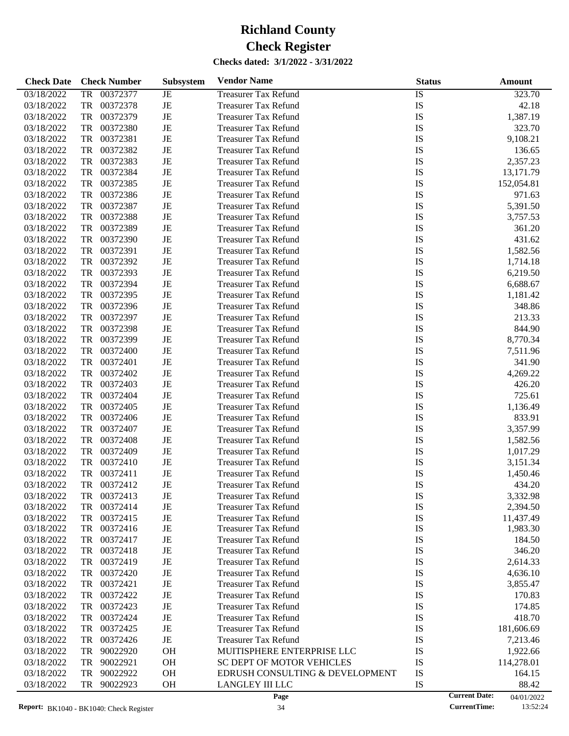| <b>Check Date</b> | <b>Check Number</b>   | <b>Subsystem</b> | <b>Vendor Name</b>               | <b>Status</b>   | Amount                             |
|-------------------|-----------------------|------------------|----------------------------------|-----------------|------------------------------------|
| 03/18/2022        | <b>TR</b><br>00372377 | JE               | <b>Treasurer Tax Refund</b>      | $\overline{1S}$ | 323.70                             |
| 03/18/2022        | TR<br>00372378        | JE               | <b>Treasurer Tax Refund</b>      | IS              | 42.18                              |
| 03/18/2022        | TR<br>00372379        | JE               | <b>Treasurer Tax Refund</b>      | IS              | 1,387.19                           |
| 03/18/2022        | TR<br>00372380        | JE               | <b>Treasurer Tax Refund</b>      | IS              | 323.70                             |
| 03/18/2022        | TR<br>00372381        | JE               | <b>Treasurer Tax Refund</b>      | IS              | 9,108.21                           |
| 03/18/2022        | TR<br>00372382        | JE               | <b>Treasurer Tax Refund</b>      | IS              | 136.65                             |
| 03/18/2022        | TR<br>00372383        | JE               | <b>Treasurer Tax Refund</b>      | IS              | 2,357.23                           |
| 03/18/2022        | TR<br>00372384        | JE               | <b>Treasurer Tax Refund</b>      | IS              | 13,171.79                          |
| 03/18/2022        | TR<br>00372385        | JE               | <b>Treasurer Tax Refund</b>      | IS              | 152,054.81                         |
| 03/18/2022        | TR<br>00372386        | JE               | <b>Treasurer Tax Refund</b>      | IS              | 971.63                             |
| 03/18/2022        | TR<br>00372387        | JE               | <b>Treasurer Tax Refund</b>      | IS              | 5,391.50                           |
| 03/18/2022        | TR<br>00372388        | JE               | <b>Treasurer Tax Refund</b>      | IS              | 3,757.53                           |
| 03/18/2022        | TR<br>00372389        | JE               | <b>Treasurer Tax Refund</b>      | IS              | 361.20                             |
| 03/18/2022        | TR<br>00372390        | JE               | <b>Treasurer Tax Refund</b>      | IS              | 431.62                             |
| 03/18/2022        | TR<br>00372391        | JE               | <b>Treasurer Tax Refund</b>      | IS              | 1,582.56                           |
| 03/18/2022        | TR<br>00372392        | JE               | <b>Treasurer Tax Refund</b>      | IS              | 1,714.18                           |
| 03/18/2022        | TR<br>00372393        | JE               | <b>Treasurer Tax Refund</b>      | IS              | 6,219.50                           |
| 03/18/2022        | TR<br>00372394        | JE               | <b>Treasurer Tax Refund</b>      | IS              | 6,688.67                           |
| 03/18/2022        | TR<br>00372395        | JE               | <b>Treasurer Tax Refund</b>      | IS              | 1,181.42                           |
| 03/18/2022        | TR<br>00372396        | JE               | <b>Treasurer Tax Refund</b>      | IS              | 348.86                             |
| 03/18/2022        | TR<br>00372397        | JE               | <b>Treasurer Tax Refund</b>      | IS              | 213.33                             |
| 03/18/2022        | TR<br>00372398        | JE               | <b>Treasurer Tax Refund</b>      | IS              | 844.90                             |
| 03/18/2022        | TR<br>00372399        | JE               | <b>Treasurer Tax Refund</b>      | IS              | 8,770.34                           |
| 03/18/2022        | TR<br>00372400        | JE               | <b>Treasurer Tax Refund</b>      | IS              | 7,511.96                           |
| 03/18/2022        | TR<br>00372401        | JE               | <b>Treasurer Tax Refund</b>      | IS              | 341.90                             |
| 03/18/2022        | TR<br>00372402        | JE               | <b>Treasurer Tax Refund</b>      | IS              | 4,269.22                           |
| 03/18/2022        | TR<br>00372403        | JE               | <b>Treasurer Tax Refund</b>      | IS              | 426.20                             |
| 03/18/2022        | TR<br>00372404        | JE               | <b>Treasurer Tax Refund</b>      | IS              | 725.61                             |
| 03/18/2022        | TR<br>00372405        | JE               | <b>Treasurer Tax Refund</b>      | IS              | 1,136.49                           |
| 03/18/2022        | TR<br>00372406        | JE               | <b>Treasurer Tax Refund</b>      | IS              | 833.91                             |
| 03/18/2022        | TR<br>00372407        | JE               | <b>Treasurer Tax Refund</b>      | IS              | 3,357.99                           |
| 03/18/2022        | TR<br>00372408        | JE               | <b>Treasurer Tax Refund</b>      | IS              | 1,582.56                           |
| 03/18/2022        | TR<br>00372409        | JE               | <b>Treasurer Tax Refund</b>      | IS              | 1,017.29                           |
| 03/18/2022        | TR<br>00372410        | JE               | <b>Treasurer Tax Refund</b>      | IS              | 3,151.34                           |
| 03/18/2022        | 00372411<br>TR        | JE               | <b>Treasurer Tax Refund</b>      | IS              | 1,450.46                           |
| 03/18/2022        | 00372412<br>TR        | JE               | <b>Treasurer Tax Refund</b>      | IS              | 434.20                             |
| 03/18/2022        | 00372413<br>TR        | JE               | <b>Treasurer Tax Refund</b>      | IS              | 3,332.98                           |
| 03/18/2022        | 00372414<br>TR        | JE               | <b>Treasurer Tax Refund</b>      | IS              | 2,394.50                           |
| 03/18/2022        | TR<br>00372415        | JE               | <b>Treasurer Tax Refund</b>      | IS              | 11,437.49                          |
| 03/18/2022        | TR<br>00372416        | JE               | <b>Treasurer Tax Refund</b>      | IS              | 1,983.30                           |
| 03/18/2022        | 00372417<br>TR        | JE               | <b>Treasurer Tax Refund</b>      | IS              | 184.50                             |
| 03/18/2022        | TR<br>00372418        | JE               | <b>Treasurer Tax Refund</b>      | IS              | 346.20                             |
| 03/18/2022        | 00372419<br>TR        | JE               | <b>Treasurer Tax Refund</b>      | IS              | 2,614.33                           |
| 03/18/2022        | 00372420<br>TR        | JE               | <b>Treasurer Tax Refund</b>      | IS              | 4,636.10                           |
| 03/18/2022        | 00372421<br>TR        | JE               | <b>Treasurer Tax Refund</b>      | IS              | 3,855.47                           |
| 03/18/2022        | TR<br>00372422        | JE               | <b>Treasurer Tax Refund</b>      | IS              | 170.83                             |
| 03/18/2022        | 00372423<br>TR        | JE               | <b>Treasurer Tax Refund</b>      | IS              | 174.85                             |
| 03/18/2022        | 00372424<br>TR        | JE               | <b>Treasurer Tax Refund</b>      | IS              | 418.70                             |
| 03/18/2022        | TR<br>00372425        | JE               | <b>Treasurer Tax Refund</b>      | IS              | 181,606.69                         |
| 03/18/2022        | 00372426<br>TR        | JE               | <b>Treasurer Tax Refund</b>      | IS              | 7,213.46                           |
| 03/18/2022        | 90022920<br>TR        | <b>OH</b>        | MUITISPHERE ENTERPRISE LLC       | IS              | 1,922.66                           |
| 03/18/2022        | 90022921<br>TR        | <b>OH</b>        | <b>SC DEPT OF MOTOR VEHICLES</b> | IS              | 114,278.01                         |
| 03/18/2022        | TR<br>90022922        | <b>OH</b>        | EDRUSH CONSULTING & DEVELOPMENT  | IS              | 164.15                             |
| 03/18/2022        | TR<br>90022923        | <b>OH</b>        | <b>LANGLEY III LLC</b>           | IS              | 88.42                              |
|                   |                       |                  | Page                             |                 | <b>Current Date:</b><br>04/01/2022 |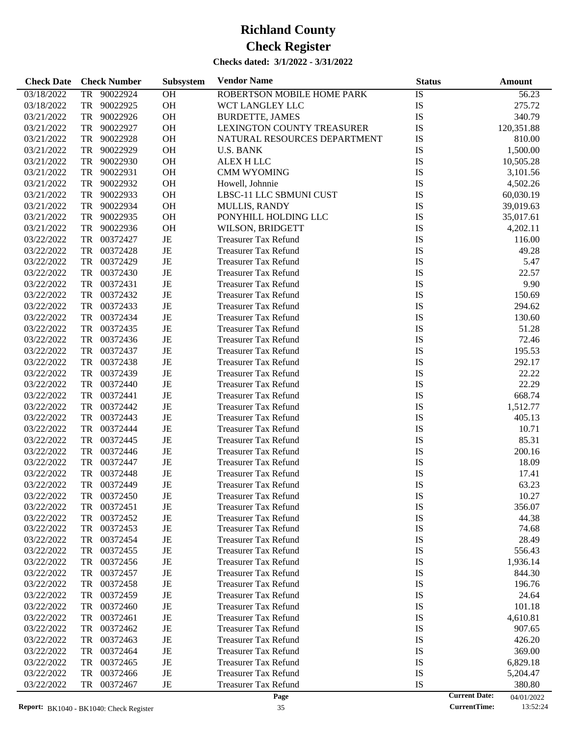| <b>Check Date</b>        | <b>Check Number</b>  | Subsystem | <b>Vendor Name</b>           | <b>Status</b> | Amount                             |
|--------------------------|----------------------|-----------|------------------------------|---------------|------------------------------------|
| 03/18/2022               | 90022924<br>TR       | OH        | ROBERTSON MOBILE HOME PARK   | IS            | 56.23                              |
| 03/18/2022               | TR<br>90022925       | OH        | WCT LANGLEY LLC              | IS            | 275.72                             |
| 03/21/2022               | TR<br>90022926       | OH        | <b>BURDETTE, JAMES</b>       | IS            | 340.79                             |
| 03/21/2022               | TR<br>90022927       | OH        | LEXINGTON COUNTY TREASURER   | IS            | 120,351.88                         |
| 03/21/2022               | TR<br>90022928       | OH        | NATURAL RESOURCES DEPARTMENT | IS            | 810.00                             |
| 03/21/2022               | TR<br>90022929       | OH        | <b>U.S. BANK</b>             | IS            | 1,500.00                           |
| 03/21/2022               | TR<br>90022930       | OH        | ALEX H LLC                   | IS            | 10,505.28                          |
| 03/21/2022               | TR<br>90022931       | OH        | <b>CMM WYOMING</b>           | IS            | 3,101.56                           |
| 03/21/2022               | TR<br>90022932       | OH        | Howell, Johnnie              | IS            | 4,502.26                           |
| 03/21/2022               | TR<br>90022933       | OH        | LBSC-11 LLC SBMUNI CUST      | IS            | 60,030.19                          |
| 03/21/2022               | TR<br>90022934       | OH        | MULLIS, RANDY                | IS            | 39,019.63                          |
| 03/21/2022               | TR<br>90022935       | OH        | PONYHILL HOLDING LLC         | IS            | 35,017.61                          |
| 03/21/2022               | TR<br>90022936       | OH        | WILSON, BRIDGETT             | IS            | 4,202.11                           |
| 03/22/2022               | TR<br>00372427       | JE        | <b>Treasurer Tax Refund</b>  | IS            | 116.00                             |
| 03/22/2022               | 00372428<br>TR       | JE        | <b>Treasurer Tax Refund</b>  | IS            | 49.28                              |
| 03/22/2022               | 00372429<br>TR       | JE        | <b>Treasurer Tax Refund</b>  | IS            | 5.47                               |
| 03/22/2022               | TR<br>00372430       | JE        | <b>Treasurer Tax Refund</b>  | IS            | 22.57                              |
| 03/22/2022               | TR<br>00372431       | JE        | <b>Treasurer Tax Refund</b>  | IS            | 9.90                               |
| 03/22/2022               | TR<br>00372432       | JE        | <b>Treasurer Tax Refund</b>  | IS            | 150.69                             |
| 03/22/2022               | 00372433<br>TR       | JE        | <b>Treasurer Tax Refund</b>  | IS            | 294.62                             |
| 03/22/2022               | 00372434<br>TR       | JE        | <b>Treasurer Tax Refund</b>  | IS            | 130.60                             |
| 03/22/2022               | TR<br>00372435       | JE        | <b>Treasurer Tax Refund</b>  | IS            | 51.28                              |
| 03/22/2022               | TR<br>00372436       | JE        | <b>Treasurer Tax Refund</b>  | IS            | 72.46                              |
|                          | TR<br>00372437       | JE        | <b>Treasurer Tax Refund</b>  | IS            | 195.53                             |
| 03/22/2022<br>03/22/2022 | 00372438<br>TR       | JE        | <b>Treasurer Tax Refund</b>  | IS            | 292.17                             |
| 03/22/2022               | 00372439<br>TR       | JE        | <b>Treasurer Tax Refund</b>  | IS            | 22.22                              |
| 03/22/2022               | TR<br>00372440       | JE        | <b>Treasurer Tax Refund</b>  | IS            | 22.29                              |
| 03/22/2022               | TR<br>00372441       | JE        | <b>Treasurer Tax Refund</b>  | IS            | 668.74                             |
| 03/22/2022               | TR<br>00372442       | JE        | <b>Treasurer Tax Refund</b>  | IS            | 1,512.77                           |
| 03/22/2022               | 00372443<br>TR       | JE        | <b>Treasurer Tax Refund</b>  | IS            | 405.13                             |
| 03/22/2022               | 00372444<br>TR       | JE        | <b>Treasurer Tax Refund</b>  | IS            | 10.71                              |
| 03/22/2022               | TR<br>00372445       | JE        | <b>Treasurer Tax Refund</b>  | IS            | 85.31                              |
| 03/22/2022               | TR<br>00372446       | JE        | <b>Treasurer Tax Refund</b>  | IS            | 200.16                             |
| 03/22/2022               | TR<br>00372447       | JE        | <b>Treasurer Tax Refund</b>  | IS            | 18.09                              |
| 03/22/2022               | 00372448<br>TR       | JE        | <b>Treasurer Tax Refund</b>  | IS            | 17.41                              |
| 03/22/2022               | TR<br>00372449       | JE        | <b>Treasurer Tax Refund</b>  | IS            | 63.23                              |
| 03/22/2022               | 00372450             |           | <b>Treasurer Tax Refund</b>  | IS            | 10.27                              |
| 03/22/2022               | TR<br>TR<br>00372451 | JE<br>JE  | <b>Treasurer Tax Refund</b>  | IS            | 356.07                             |
| 03/22/2022               | 00372452<br>TR       | JE        | <b>Treasurer Tax Refund</b>  | IS            | 44.38                              |
| 03/22/2022               | 00372453<br>TR       | JE        | <b>Treasurer Tax Refund</b>  | IS            | 74.68                              |
| 03/22/2022               | TR<br>00372454       | JE        | <b>Treasurer Tax Refund</b>  | IS            | 28.49                              |
| 03/22/2022               | TR<br>00372455       | JE        | <b>Treasurer Tax Refund</b>  | IS            | 556.43                             |
| 03/22/2022               | TR<br>00372456       | JE        | <b>Treasurer Tax Refund</b>  | IS            | 1,936.14                           |
| 03/22/2022               | TR<br>00372457       | JE        | <b>Treasurer Tax Refund</b>  | IS            | 844.30                             |
| 03/22/2022               | TR<br>00372458       | JE        | <b>Treasurer Tax Refund</b>  | IS            | 196.76                             |
| 03/22/2022               | TR<br>00372459       | JE        | <b>Treasurer Tax Refund</b>  | IS            | 24.64                              |
| 03/22/2022               | TR<br>00372460       | JE        | <b>Treasurer Tax Refund</b>  | IS            | 101.18                             |
| 03/22/2022               | TR<br>00372461       | JE        | <b>Treasurer Tax Refund</b>  | IS            | 4,610.81                           |
| 03/22/2022               | TR<br>00372462       | JE        | <b>Treasurer Tax Refund</b>  | IS            | 907.65                             |
| 03/22/2022               | TR<br>00372463       | JE        | <b>Treasurer Tax Refund</b>  | IS            | 426.20                             |
| 03/22/2022               | TR<br>00372464       | JE        | <b>Treasurer Tax Refund</b>  | IS            | 369.00                             |
| 03/22/2022               | TR<br>00372465       | JE        | <b>Treasurer Tax Refund</b>  | IS            | 6,829.18                           |
| 03/22/2022               | 00372466<br>TR       | JE        | <b>Treasurer Tax Refund</b>  | IS            | 5,204.47                           |
| 03/22/2022               | TR<br>00372467       | JE        | <b>Treasurer Tax Refund</b>  | IS            | 380.80                             |
|                          |                      |           | Page                         |               | <b>Current Date:</b><br>04/01/2022 |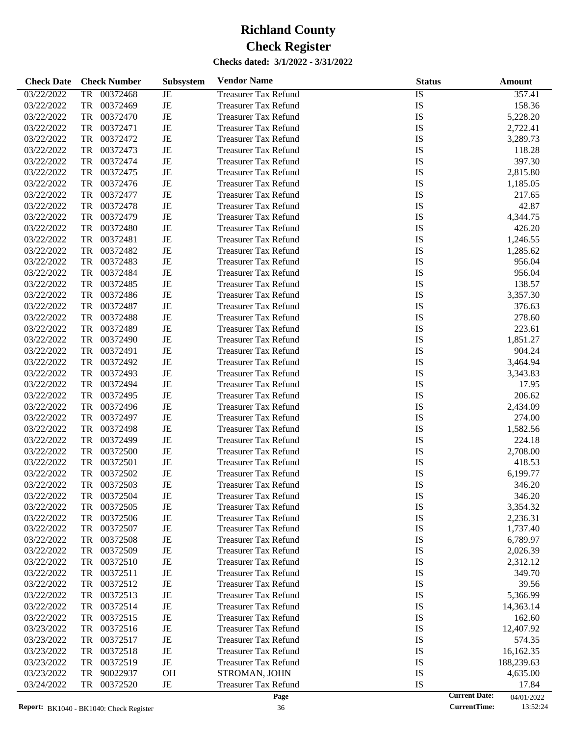| <b>Check Date</b> | <b>Check Number</b>   | <b>Subsystem</b> | <b>Vendor Name</b>          | <b>Status</b>   | Amount     |
|-------------------|-----------------------|------------------|-----------------------------|-----------------|------------|
| 03/22/2022        | <b>TR</b><br>00372468 | JE               | <b>Treasurer Tax Refund</b> | $\overline{IS}$ | 357.41     |
| 03/22/2022        | TR<br>00372469        | JE               | <b>Treasurer Tax Refund</b> | IS              | 158.36     |
| 03/22/2022        | TR<br>00372470        | JE               | <b>Treasurer Tax Refund</b> | IS              | 5,228.20   |
| 03/22/2022        | TR<br>00372471        | JE               | <b>Treasurer Tax Refund</b> | IS              | 2,722.41   |
| 03/22/2022        | TR<br>00372472        | JE               | <b>Treasurer Tax Refund</b> | IS              | 3,289.73   |
| 03/22/2022        | TR<br>00372473        | JE               | <b>Treasurer Tax Refund</b> | IS              | 118.28     |
| 03/22/2022        | TR<br>00372474        | JE               | <b>Treasurer Tax Refund</b> | IS              | 397.30     |
| 03/22/2022        | TR<br>00372475        | JE               | <b>Treasurer Tax Refund</b> | IS              | 2,815.80   |
| 03/22/2022        | TR<br>00372476        | JE               | <b>Treasurer Tax Refund</b> | IS              | 1,185.05   |
| 03/22/2022        | TR<br>00372477        | JE               | <b>Treasurer Tax Refund</b> | IS              | 217.65     |
| 03/22/2022        | TR<br>00372478        | JE               | <b>Treasurer Tax Refund</b> | IS              | 42.87      |
| 03/22/2022        | TR<br>00372479        | JE               | <b>Treasurer Tax Refund</b> | IS              | 4,344.75   |
| 03/22/2022        | TR<br>00372480        | JE               | <b>Treasurer Tax Refund</b> | IS              | 426.20     |
| 03/22/2022        | TR<br>00372481        | JE               | <b>Treasurer Tax Refund</b> | IS              | 1,246.55   |
| 03/22/2022        | TR<br>00372482        | JE               | <b>Treasurer Tax Refund</b> | IS              | 1,285.62   |
| 03/22/2022        | TR<br>00372483        | JE               | <b>Treasurer Tax Refund</b> | IS              | 956.04     |
| 03/22/2022        | TR<br>00372484        | JE               | <b>Treasurer Tax Refund</b> | IS              | 956.04     |
| 03/22/2022        | TR<br>00372485        | JE               | <b>Treasurer Tax Refund</b> | IS              | 138.57     |
| 03/22/2022        | TR<br>00372486        | $\rm{JE}$        | <b>Treasurer Tax Refund</b> | IS              | 3,357.30   |
| 03/22/2022        | TR<br>00372487        | JE               | <b>Treasurer Tax Refund</b> | IS              | 376.63     |
| 03/22/2022        | TR<br>00372488        | JE               | <b>Treasurer Tax Refund</b> | IS              | 278.60     |
| 03/22/2022        | TR<br>00372489        | JE               | <b>Treasurer Tax Refund</b> | IS              | 223.61     |
| 03/22/2022        | TR<br>00372490        | JE               | <b>Treasurer Tax Refund</b> | IS              | 1,851.27   |
|                   |                       |                  |                             |                 |            |
| 03/22/2022        | TR<br>00372491        | JE               | <b>Treasurer Tax Refund</b> | IS              | 904.24     |
| 03/22/2022        | TR<br>00372492        | JE               | <b>Treasurer Tax Refund</b> | IS              | 3,464.94   |
| 03/22/2022        | TR<br>00372493        | JE               | <b>Treasurer Tax Refund</b> | IS              | 3,343.83   |
| 03/22/2022        | TR<br>00372494        | JE               | <b>Treasurer Tax Refund</b> | IS              | 17.95      |
| 03/22/2022        | TR<br>00372495        | JE               | <b>Treasurer Tax Refund</b> | IS              | 206.62     |
| 03/22/2022        | TR<br>00372496        | $\rm{JE}$        | <b>Treasurer Tax Refund</b> | IS              | 2,434.09   |
| 03/22/2022        | TR<br>00372497        | JE               | <b>Treasurer Tax Refund</b> | IS              | 274.00     |
| 03/22/2022        | TR<br>00372498        | JE               | <b>Treasurer Tax Refund</b> | IS              | 1,582.56   |
| 03/22/2022        | TR<br>00372499        | JE               | <b>Treasurer Tax Refund</b> | IS              | 224.18     |
| 03/22/2022        | TR<br>00372500        | $\rm{JE}$        | <b>Treasurer Tax Refund</b> | IS              | 2,708.00   |
| 03/22/2022        | TR<br>00372501        | JE               | <b>Treasurer Tax Refund</b> | IS              | 418.53     |
| 03/22/2022        | TR<br>00372502        | JE               | <b>Treasurer Tax Refund</b> | IS              | 6,199.77   |
| 03/22/2022        | TR<br>00372503        | JE               | <b>Treasurer Tax Refund</b> | IS              | 346.20     |
| 03/22/2022        | 00372504<br>TR        | JE               | <b>Treasurer Tax Refund</b> | IS              | 346.20     |
| 03/22/2022        | 00372505<br>TR        | JE               | <b>Treasurer Tax Refund</b> | IS              | 3,354.32   |
| 03/22/2022        | 00372506<br>TR        | JE               | <b>Treasurer Tax Refund</b> | IS              | 2,236.31   |
| 03/22/2022        | 00372507<br>TR        | JE               | <b>Treasurer Tax Refund</b> | IS              | 1,737.40   |
| 03/22/2022        | 00372508<br>TR        | JE               | <b>Treasurer Tax Refund</b> | IS              | 6,789.97   |
| 03/22/2022        | 00372509<br>TR        | JE               | Treasurer Tax Refund        | IS              | 2,026.39   |
| 03/22/2022        | 00372510<br>TR        | JE               | <b>Treasurer Tax Refund</b> | IS              | 2,312.12   |
| 03/22/2022        | 00372511<br>TR        | JE               | <b>Treasurer Tax Refund</b> | IS              | 349.70     |
| 03/22/2022        | 00372512<br>TR        | JE               | Treasurer Tax Refund        | IS              | 39.56      |
| 03/22/2022        | 00372513<br>TR        | JE               | Treasurer Tax Refund        | IS              | 5,366.99   |
| 03/22/2022        | 00372514<br>TR        | JE               | <b>Treasurer Tax Refund</b> | IS              | 14,363.14  |
| 03/22/2022        | 00372515<br>TR        | JE               | <b>Treasurer Tax Refund</b> | IS              | 162.60     |
| 03/23/2022        | 00372516<br>TR        | JE               | Treasurer Tax Refund        | IS              | 12,407.92  |
| 03/23/2022        | 00372517<br>TR        | JE               | <b>Treasurer Tax Refund</b> | IS              | 574.35     |
| 03/23/2022        | 00372518<br>TR        | JE               | Treasurer Tax Refund        | IS              | 16,162.35  |
| 03/23/2022        | 00372519<br>TR        | JE               | <b>Treasurer Tax Refund</b> | IS              | 188,239.63 |
| 03/23/2022        | 90022937<br>TR        | <b>OH</b>        | STROMAN, JOHN               | IS              | 4,635.00   |
| 03/24/2022        | TR<br>00372520        | $_{\rm JE}$      | <b>Treasurer Tax Refund</b> | IS              | 17.84      |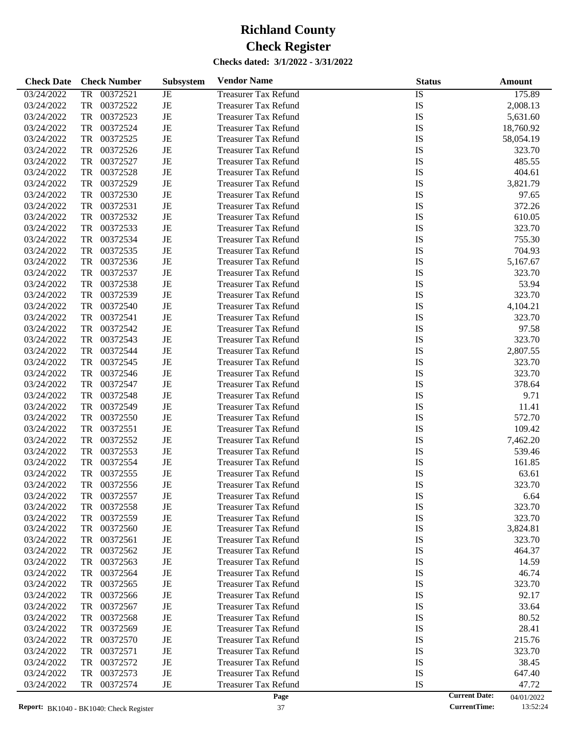| <b>Check Date</b> | <b>Check Number</b>   | <b>Subsystem</b> | <b>Vendor Name</b>          | <b>Status</b>   | <b>Amount</b> |
|-------------------|-----------------------|------------------|-----------------------------|-----------------|---------------|
| 03/24/2022        | <b>TR</b><br>00372521 | JE               | <b>Treasurer Tax Refund</b> | $\overline{IS}$ | 175.89        |
| 03/24/2022        | TR<br>00372522        | JE               | <b>Treasurer Tax Refund</b> | IS              | 2,008.13      |
| 03/24/2022        | TR<br>00372523        | JE               | <b>Treasurer Tax Refund</b> | IS              | 5,631.60      |
| 03/24/2022        | TR<br>00372524        | JE               | <b>Treasurer Tax Refund</b> | IS              | 18,760.92     |
| 03/24/2022        | TR<br>00372525        | JE               | <b>Treasurer Tax Refund</b> | IS              | 58,054.19     |
| 03/24/2022        | TR<br>00372526        | JE               | <b>Treasurer Tax Refund</b> | IS              | 323.70        |
| 03/24/2022        | TR<br>00372527        | JE               | <b>Treasurer Tax Refund</b> | IS              | 485.55        |
| 03/24/2022        | TR<br>00372528        | JE               | <b>Treasurer Tax Refund</b> | IS              | 404.61        |
| 03/24/2022        | TR<br>00372529        | JE               | <b>Treasurer Tax Refund</b> | IS              | 3,821.79      |
| 03/24/2022        | TR<br>00372530        | JE               | <b>Treasurer Tax Refund</b> | IS              | 97.65         |
| 03/24/2022        | TR<br>00372531        | JE               | <b>Treasurer Tax Refund</b> | IS              | 372.26        |
| 03/24/2022        | TR<br>00372532        | JE               | <b>Treasurer Tax Refund</b> | IS              | 610.05        |
| 03/24/2022        | TR<br>00372533        | JE               | <b>Treasurer Tax Refund</b> | IS              | 323.70        |
| 03/24/2022        | TR<br>00372534        | JE               | <b>Treasurer Tax Refund</b> | IS              | 755.30        |
| 03/24/2022        | TR<br>00372535        | JE               | <b>Treasurer Tax Refund</b> | IS              | 704.93        |
| 03/24/2022        | TR<br>00372536        | JE               | <b>Treasurer Tax Refund</b> | IS              | 5,167.67      |
| 03/24/2022        | TR<br>00372537        | JE               | <b>Treasurer Tax Refund</b> | IS              | 323.70        |
| 03/24/2022        | TR<br>00372538        | JE               | <b>Treasurer Tax Refund</b> | IS              | 53.94         |
| 03/24/2022        | TR<br>00372539        | JE               | <b>Treasurer Tax Refund</b> | IS              | 323.70        |
| 03/24/2022        | TR<br>00372540        | JE               | <b>Treasurer Tax Refund</b> | IS              | 4,104.21      |
| 03/24/2022        | TR<br>00372541        | JE               | <b>Treasurer Tax Refund</b> | IS              | 323.70        |
| 03/24/2022        | TR<br>00372542        | JE               | <b>Treasurer Tax Refund</b> | IS              | 97.58         |
| 03/24/2022        | TR<br>00372543        | JE               | <b>Treasurer Tax Refund</b> | IS              | 323.70        |
| 03/24/2022        | TR<br>00372544        | JE               | <b>Treasurer Tax Refund</b> | IS              | 2,807.55      |
| 03/24/2022        | TR<br>00372545        | JE               | <b>Treasurer Tax Refund</b> | IS              | 323.70        |
| 03/24/2022        | TR<br>00372546        | JE               | <b>Treasurer Tax Refund</b> | IS              | 323.70        |
| 03/24/2022        | TR<br>00372547        | JE               | <b>Treasurer Tax Refund</b> | IS              | 378.64        |
| 03/24/2022        | TR<br>00372548        | JE               | <b>Treasurer Tax Refund</b> | IS              | 9.71          |
| 03/24/2022        | TR<br>00372549        | JE               | <b>Treasurer Tax Refund</b> | IS              | 11.41         |
| 03/24/2022        | TR<br>00372550        | JE               | <b>Treasurer Tax Refund</b> | IS              | 572.70        |
| 03/24/2022        | TR<br>00372551        | JE               | <b>Treasurer Tax Refund</b> | IS              | 109.42        |
| 03/24/2022        | TR<br>00372552        | JE               | <b>Treasurer Tax Refund</b> | IS              | 7,462.20      |
| 03/24/2022        | TR<br>00372553        | JE               | <b>Treasurer Tax Refund</b> | IS              | 539.46        |
| 03/24/2022        | TR<br>00372554        | JE               | <b>Treasurer Tax Refund</b> | IS              | 161.85        |
| 03/24/2022        | 00372555<br>TR        | JE               | <b>Treasurer Tax Refund</b> | IS              | 63.61         |
| 03/24/2022        | 00372556<br>TR        | JE               | <b>Treasurer Tax Refund</b> | IS              | 323.70        |
| 03/24/2022        | TR<br>00372557        | JE               | <b>Treasurer Tax Refund</b> | IS              | 6.64          |
| 03/24/2022        | 00372558<br>TR        | JE               | <b>Treasurer Tax Refund</b> | IS              | 323.70        |
| 03/24/2022        | TR<br>00372559        | JE               | <b>Treasurer Tax Refund</b> | IS              | 323.70        |
| 03/24/2022        | TR<br>00372560        | JE               | <b>Treasurer Tax Refund</b> | IS              | 3,824.81      |
| 03/24/2022        | 00372561<br>TR        | JE               | <b>Treasurer Tax Refund</b> | IS              | 323.70        |
| 03/24/2022        | TR<br>00372562        | JE               | <b>Treasurer Tax Refund</b> | IS              | 464.37        |
| 03/24/2022        | TR<br>00372563        | JE               | <b>Treasurer Tax Refund</b> | IS              | 14.59         |
| 03/24/2022        | 00372564<br>TR        | JE               | <b>Treasurer Tax Refund</b> | IS              | 46.74         |
| 03/24/2022        | 00372565<br>TR        | JE               | <b>Treasurer Tax Refund</b> | IS              | 323.70        |
| 03/24/2022        | TR<br>00372566        | JE               | <b>Treasurer Tax Refund</b> | IS              | 92.17         |
| 03/24/2022        | TR<br>00372567        | JE               | <b>Treasurer Tax Refund</b> | IS              | 33.64         |
| 03/24/2022        | 00372568<br>TR        | JE               | <b>Treasurer Tax Refund</b> | IS              | 80.52         |
| 03/24/2022        | 00372569<br>TR        | JE               | <b>Treasurer Tax Refund</b> | IS              | 28.41         |
| 03/24/2022        | TR<br>00372570        | JE               | <b>Treasurer Tax Refund</b> | IS              | 215.76        |
| 03/24/2022        | TR<br>00372571        | JE               | <b>Treasurer Tax Refund</b> | IS              | 323.70        |
| 03/24/2022        | 00372572<br>TR        | JE               | <b>Treasurer Tax Refund</b> | IS              | 38.45         |
| 03/24/2022        | 00372573<br>TR        | JE               | <b>Treasurer Tax Refund</b> | IS              | 647.40        |
| 03/24/2022        | 00372574<br>TR        | $_{\rm JE}$      | <b>Treasurer Tax Refund</b> | IS              | 47.72         |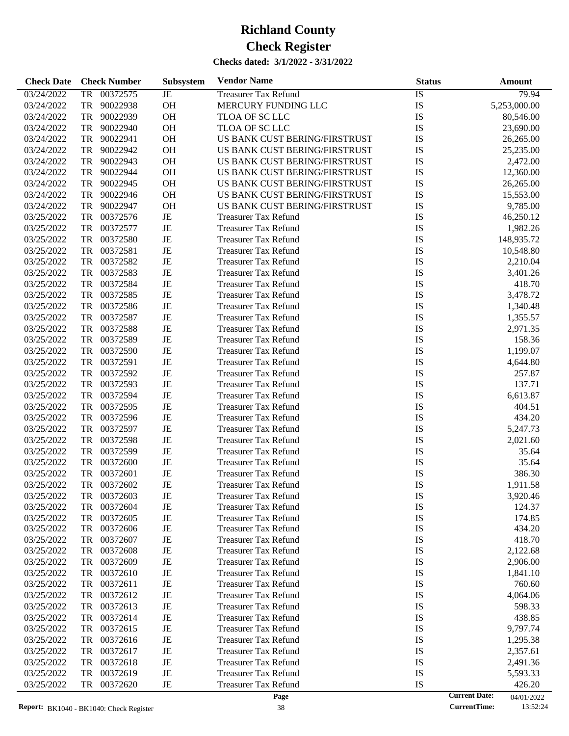| 00372575<br><b>Treasurer Tax Refund</b><br>IS<br>03/24/2022<br>TR<br>JE<br>79.94<br><b>OH</b><br>03/24/2022<br>TR<br>90022938<br>MERCURY FUNDING LLC<br>IS<br>5,253,000.00<br>OH<br>IS<br>03/24/2022<br>TR<br>90022939<br>TLOA OF SC LLC<br>80,546.00<br>OH<br>IS<br>03/24/2022<br>TR<br>90022940<br>TLOA OF SC LLC<br>23,690.00<br>OH<br>IS<br>03/24/2022<br>TR<br>90022941<br>US BANK CUST BERING/FIRSTRUST<br>26,265.00<br>OH<br>03/24/2022<br>TR<br>90022942<br>US BANK CUST BERING/FIRSTRUST<br>IS<br>25,235.00<br>OH<br>03/24/2022<br>TR<br>90022943<br>US BANK CUST BERING/FIRSTRUST<br>IS<br>2,472.00<br>OH<br>IS<br>03/24/2022<br>TR<br>90022944<br>US BANK CUST BERING/FIRSTRUST<br>12,360.00<br>OH<br>03/24/2022<br>TR<br>90022945<br>US BANK CUST BERING/FIRSTRUST<br>IS<br>26,265.00<br><b>OH</b><br>03/24/2022<br>TR<br>90022946<br>US BANK CUST BERING/FIRSTRUST<br>IS<br>15,553.00<br>03/24/2022<br>TR<br>90022947<br><b>OH</b><br>US BANK CUST BERING/FIRSTRUST<br>IS<br>9,785.00<br>IS<br>03/25/2022<br>TR<br>00372576<br>JE<br>Treasurer Tax Refund<br>46,250.12<br>03/25/2022<br>TR<br>00372577<br>JE<br>IS<br>1,982.26<br><b>Treasurer Tax Refund</b><br>03/25/2022<br>TR<br>00372580<br>JE<br>IS<br>148,935.72<br><b>Treasurer Tax Refund</b><br>IS<br>03/25/2022<br>TR<br>00372581<br>JE<br><b>Treasurer Tax Refund</b><br>10,548.80<br>IS<br>03/25/2022<br>TR<br>00372582<br>JE<br>2,210.04<br><b>Treasurer Tax Refund</b><br>IS<br>03/25/2022<br>TR<br>00372583<br>JE<br>3,401.26<br><b>Treasurer Tax Refund</b><br>IS<br>03/25/2022<br>TR<br>00372584<br>JE<br>418.70<br><b>Treasurer Tax Refund</b><br>IS<br>03/25/2022<br>TR<br>00372585<br>JE<br>3,478.72<br><b>Treasurer Tax Refund</b><br>IS<br>03/25/2022<br>TR<br>00372586<br>JE<br><b>Treasurer Tax Refund</b><br>1,340.48<br>IS<br>03/25/2022<br>TR<br>00372587<br>JE<br><b>Treasurer Tax Refund</b><br>1,355.57<br>IS<br>03/25/2022<br>TR<br>00372588<br>JE<br>2,971.35<br><b>Treasurer Tax Refund</b><br>IS<br>03/25/2022<br>TR<br>00372589<br>JE<br>158.36<br><b>Treasurer Tax Refund</b><br>IS<br>03/25/2022<br>TR<br>00372590<br>JE<br>1,199.07<br><b>Treasurer Tax Refund</b><br>IS<br>03/25/2022<br>TR<br>00372591<br>JE<br><b>Treasurer Tax Refund</b><br>4,644.80<br>IS<br>03/25/2022<br>TR<br>00372592<br>JE<br>257.87<br><b>Treasurer Tax Refund</b><br>IS<br>03/25/2022<br>TR<br>00372593<br>JE<br>137.71<br><b>Treasurer Tax Refund</b><br>IS<br>03/25/2022<br>TR<br>00372594<br>JE<br>6,613.87<br><b>Treasurer Tax Refund</b><br>03/25/2022<br>TR<br>00372595<br>JE<br>IS<br><b>Treasurer Tax Refund</b><br>404.51<br>03/25/2022<br>TR<br>00372596<br>JE<br>IS<br>434.20<br><b>Treasurer Tax Refund</b><br>IS<br>03/25/2022<br>TR<br>00372597<br>JE<br>5,247.73<br><b>Treasurer Tax Refund</b><br>IS<br>03/25/2022<br>TR<br>00372598<br>JE<br>2,021.60<br><b>Treasurer Tax Refund</b><br>03/25/2022<br>00372599<br>JE<br>IS<br>35.64<br>TR<br><b>Treasurer Tax Refund</b><br>03/25/2022<br>00372600<br>JE<br>IS<br>35.64<br>TR<br><b>Treasurer Tax Refund</b><br>03/25/2022<br><b>TR</b><br>00372601<br>JE<br>IS<br>386.30<br><b>Treasurer Tax Refund</b><br>IS<br>03/25/2022<br>TR<br>00372602<br>JE<br><b>Treasurer Tax Refund</b><br>1,911.58<br>03/25/2022<br>TR<br>00372603<br>JE<br><b>Treasurer Tax Refund</b><br>IS<br>3,920.46<br>03/25/2022<br>00372604<br>IS<br>TR<br>JE<br><b>Treasurer Tax Refund</b><br>124.37<br>IS<br>03/25/2022<br>00372605<br>JE<br><b>Treasurer Tax Refund</b><br>174.85<br>TR<br>IS<br>03/25/2022<br>00372606<br>JE<br>TR<br>Treasurer Tax Refund<br>434.20<br>IS<br>03/25/2022<br>TR<br>00372607<br>JE<br><b>Treasurer Tax Refund</b><br>418.70<br>IS<br>00372608<br>JE<br>03/25/2022<br>TR<br><b>Treasurer Tax Refund</b><br>2,122.68<br>IS<br>03/25/2022<br>TR<br>00372609<br>JE<br><b>Treasurer Tax Refund</b><br>2,906.00<br>IS<br>03/25/2022<br>TR<br>00372610<br>JE<br><b>Treasurer Tax Refund</b><br>1,841.10<br>IS<br>03/25/2022<br>TR<br>00372611<br>JE<br><b>Treasurer Tax Refund</b><br>760.60<br>IS<br>00372612<br>JE<br>03/25/2022<br>TR<br><b>Treasurer Tax Refund</b><br>4,064.06<br>IS<br>03/25/2022<br>TR<br>00372613<br>JE<br><b>Treasurer Tax Refund</b><br>598.33<br>IS<br>03/25/2022<br>TR<br>00372614<br>JE<br><b>Treasurer Tax Refund</b><br>438.85<br>IS<br>03/25/2022<br>TR<br>00372615<br>JE<br><b>Treasurer Tax Refund</b><br>9,797.74<br>IS<br>JE<br>03/25/2022<br>TR<br>00372616<br><b>Treasurer Tax Refund</b><br>1,295.38<br>IS<br>03/25/2022<br>TR<br>00372617<br>JE<br><b>Treasurer Tax Refund</b><br>2,357.61<br>IS<br>03/25/2022<br>TR<br>00372618<br>JE<br><b>Treasurer Tax Refund</b><br>2,491.36<br>IS<br>00372619<br>JE<br>03/25/2022<br>TR<br><b>Treasurer Tax Refund</b><br>5,593.33<br>03/25/2022<br>00372620<br>JE<br>IS<br>TR<br><b>Treasurer Tax Refund</b><br>426.20 | <b>Check Date</b> | <b>Check Number</b> | Subsystem | <b>Vendor Name</b> | <b>Status</b> | <b>Amount</b>                      |
|----------------------------------------------------------------------------------------------------------------------------------------------------------------------------------------------------------------------------------------------------------------------------------------------------------------------------------------------------------------------------------------------------------------------------------------------------------------------------------------------------------------------------------------------------------------------------------------------------------------------------------------------------------------------------------------------------------------------------------------------------------------------------------------------------------------------------------------------------------------------------------------------------------------------------------------------------------------------------------------------------------------------------------------------------------------------------------------------------------------------------------------------------------------------------------------------------------------------------------------------------------------------------------------------------------------------------------------------------------------------------------------------------------------------------------------------------------------------------------------------------------------------------------------------------------------------------------------------------------------------------------------------------------------------------------------------------------------------------------------------------------------------------------------------------------------------------------------------------------------------------------------------------------------------------------------------------------------------------------------------------------------------------------------------------------------------------------------------------------------------------------------------------------------------------------------------------------------------------------------------------------------------------------------------------------------------------------------------------------------------------------------------------------------------------------------------------------------------------------------------------------------------------------------------------------------------------------------------------------------------------------------------------------------------------------------------------------------------------------------------------------------------------------------------------------------------------------------------------------------------------------------------------------------------------------------------------------------------------------------------------------------------------------------------------------------------------------------------------------------------------------------------------------------------------------------------------------------------------------------------------------------------------------------------------------------------------------------------------------------------------------------------------------------------------------------------------------------------------------------------------------------------------------------------------------------------------------------------------------------------------------------------------------------------------------------------------------------------------------------------------------------------------------------------------------------------------------------------------------------------------------------------------------------------------------------------------------------------------------------------------------------------------------------------------------------------------------------------------------------------------------------------------------------------------------------------------------------------------------------------------------------------------------------------------------------------------------------------------------------------------------------------------------------------------------------------------------------------------------------------------------------------------------------------------------------------------------------------------------------------------------------------------------------------------------------------------------------------------------------------------------------------------------------------------------------------------------------------------------|-------------------|---------------------|-----------|--------------------|---------------|------------------------------------|
|                                                                                                                                                                                                                                                                                                                                                                                                                                                                                                                                                                                                                                                                                                                                                                                                                                                                                                                                                                                                                                                                                                                                                                                                                                                                                                                                                                                                                                                                                                                                                                                                                                                                                                                                                                                                                                                                                                                                                                                                                                                                                                                                                                                                                                                                                                                                                                                                                                                                                                                                                                                                                                                                                                                                                                                                                                                                                                                                                                                                                                                                                                                                                                                                                                                                                                                                                                                                                                                                                                                                                                                                                                                                                                                                                                                                                                                                                                                                                                                                                                                                                                                                                                                                                                                                                                                                                                                                                                                                                                                                                                                                                                                                                                                                                                                                                                                          |                   |                     |           |                    |               |                                    |
|                                                                                                                                                                                                                                                                                                                                                                                                                                                                                                                                                                                                                                                                                                                                                                                                                                                                                                                                                                                                                                                                                                                                                                                                                                                                                                                                                                                                                                                                                                                                                                                                                                                                                                                                                                                                                                                                                                                                                                                                                                                                                                                                                                                                                                                                                                                                                                                                                                                                                                                                                                                                                                                                                                                                                                                                                                                                                                                                                                                                                                                                                                                                                                                                                                                                                                                                                                                                                                                                                                                                                                                                                                                                                                                                                                                                                                                                                                                                                                                                                                                                                                                                                                                                                                                                                                                                                                                                                                                                                                                                                                                                                                                                                                                                                                                                                                                          |                   |                     |           |                    |               |                                    |
|                                                                                                                                                                                                                                                                                                                                                                                                                                                                                                                                                                                                                                                                                                                                                                                                                                                                                                                                                                                                                                                                                                                                                                                                                                                                                                                                                                                                                                                                                                                                                                                                                                                                                                                                                                                                                                                                                                                                                                                                                                                                                                                                                                                                                                                                                                                                                                                                                                                                                                                                                                                                                                                                                                                                                                                                                                                                                                                                                                                                                                                                                                                                                                                                                                                                                                                                                                                                                                                                                                                                                                                                                                                                                                                                                                                                                                                                                                                                                                                                                                                                                                                                                                                                                                                                                                                                                                                                                                                                                                                                                                                                                                                                                                                                                                                                                                                          |                   |                     |           |                    |               |                                    |
|                                                                                                                                                                                                                                                                                                                                                                                                                                                                                                                                                                                                                                                                                                                                                                                                                                                                                                                                                                                                                                                                                                                                                                                                                                                                                                                                                                                                                                                                                                                                                                                                                                                                                                                                                                                                                                                                                                                                                                                                                                                                                                                                                                                                                                                                                                                                                                                                                                                                                                                                                                                                                                                                                                                                                                                                                                                                                                                                                                                                                                                                                                                                                                                                                                                                                                                                                                                                                                                                                                                                                                                                                                                                                                                                                                                                                                                                                                                                                                                                                                                                                                                                                                                                                                                                                                                                                                                                                                                                                                                                                                                                                                                                                                                                                                                                                                                          |                   |                     |           |                    |               |                                    |
|                                                                                                                                                                                                                                                                                                                                                                                                                                                                                                                                                                                                                                                                                                                                                                                                                                                                                                                                                                                                                                                                                                                                                                                                                                                                                                                                                                                                                                                                                                                                                                                                                                                                                                                                                                                                                                                                                                                                                                                                                                                                                                                                                                                                                                                                                                                                                                                                                                                                                                                                                                                                                                                                                                                                                                                                                                                                                                                                                                                                                                                                                                                                                                                                                                                                                                                                                                                                                                                                                                                                                                                                                                                                                                                                                                                                                                                                                                                                                                                                                                                                                                                                                                                                                                                                                                                                                                                                                                                                                                                                                                                                                                                                                                                                                                                                                                                          |                   |                     |           |                    |               |                                    |
|                                                                                                                                                                                                                                                                                                                                                                                                                                                                                                                                                                                                                                                                                                                                                                                                                                                                                                                                                                                                                                                                                                                                                                                                                                                                                                                                                                                                                                                                                                                                                                                                                                                                                                                                                                                                                                                                                                                                                                                                                                                                                                                                                                                                                                                                                                                                                                                                                                                                                                                                                                                                                                                                                                                                                                                                                                                                                                                                                                                                                                                                                                                                                                                                                                                                                                                                                                                                                                                                                                                                                                                                                                                                                                                                                                                                                                                                                                                                                                                                                                                                                                                                                                                                                                                                                                                                                                                                                                                                                                                                                                                                                                                                                                                                                                                                                                                          |                   |                     |           |                    |               |                                    |
|                                                                                                                                                                                                                                                                                                                                                                                                                                                                                                                                                                                                                                                                                                                                                                                                                                                                                                                                                                                                                                                                                                                                                                                                                                                                                                                                                                                                                                                                                                                                                                                                                                                                                                                                                                                                                                                                                                                                                                                                                                                                                                                                                                                                                                                                                                                                                                                                                                                                                                                                                                                                                                                                                                                                                                                                                                                                                                                                                                                                                                                                                                                                                                                                                                                                                                                                                                                                                                                                                                                                                                                                                                                                                                                                                                                                                                                                                                                                                                                                                                                                                                                                                                                                                                                                                                                                                                                                                                                                                                                                                                                                                                                                                                                                                                                                                                                          |                   |                     |           |                    |               |                                    |
|                                                                                                                                                                                                                                                                                                                                                                                                                                                                                                                                                                                                                                                                                                                                                                                                                                                                                                                                                                                                                                                                                                                                                                                                                                                                                                                                                                                                                                                                                                                                                                                                                                                                                                                                                                                                                                                                                                                                                                                                                                                                                                                                                                                                                                                                                                                                                                                                                                                                                                                                                                                                                                                                                                                                                                                                                                                                                                                                                                                                                                                                                                                                                                                                                                                                                                                                                                                                                                                                                                                                                                                                                                                                                                                                                                                                                                                                                                                                                                                                                                                                                                                                                                                                                                                                                                                                                                                                                                                                                                                                                                                                                                                                                                                                                                                                                                                          |                   |                     |           |                    |               |                                    |
|                                                                                                                                                                                                                                                                                                                                                                                                                                                                                                                                                                                                                                                                                                                                                                                                                                                                                                                                                                                                                                                                                                                                                                                                                                                                                                                                                                                                                                                                                                                                                                                                                                                                                                                                                                                                                                                                                                                                                                                                                                                                                                                                                                                                                                                                                                                                                                                                                                                                                                                                                                                                                                                                                                                                                                                                                                                                                                                                                                                                                                                                                                                                                                                                                                                                                                                                                                                                                                                                                                                                                                                                                                                                                                                                                                                                                                                                                                                                                                                                                                                                                                                                                                                                                                                                                                                                                                                                                                                                                                                                                                                                                                                                                                                                                                                                                                                          |                   |                     |           |                    |               |                                    |
|                                                                                                                                                                                                                                                                                                                                                                                                                                                                                                                                                                                                                                                                                                                                                                                                                                                                                                                                                                                                                                                                                                                                                                                                                                                                                                                                                                                                                                                                                                                                                                                                                                                                                                                                                                                                                                                                                                                                                                                                                                                                                                                                                                                                                                                                                                                                                                                                                                                                                                                                                                                                                                                                                                                                                                                                                                                                                                                                                                                                                                                                                                                                                                                                                                                                                                                                                                                                                                                                                                                                                                                                                                                                                                                                                                                                                                                                                                                                                                                                                                                                                                                                                                                                                                                                                                                                                                                                                                                                                                                                                                                                                                                                                                                                                                                                                                                          |                   |                     |           |                    |               |                                    |
|                                                                                                                                                                                                                                                                                                                                                                                                                                                                                                                                                                                                                                                                                                                                                                                                                                                                                                                                                                                                                                                                                                                                                                                                                                                                                                                                                                                                                                                                                                                                                                                                                                                                                                                                                                                                                                                                                                                                                                                                                                                                                                                                                                                                                                                                                                                                                                                                                                                                                                                                                                                                                                                                                                                                                                                                                                                                                                                                                                                                                                                                                                                                                                                                                                                                                                                                                                                                                                                                                                                                                                                                                                                                                                                                                                                                                                                                                                                                                                                                                                                                                                                                                                                                                                                                                                                                                                                                                                                                                                                                                                                                                                                                                                                                                                                                                                                          |                   |                     |           |                    |               |                                    |
|                                                                                                                                                                                                                                                                                                                                                                                                                                                                                                                                                                                                                                                                                                                                                                                                                                                                                                                                                                                                                                                                                                                                                                                                                                                                                                                                                                                                                                                                                                                                                                                                                                                                                                                                                                                                                                                                                                                                                                                                                                                                                                                                                                                                                                                                                                                                                                                                                                                                                                                                                                                                                                                                                                                                                                                                                                                                                                                                                                                                                                                                                                                                                                                                                                                                                                                                                                                                                                                                                                                                                                                                                                                                                                                                                                                                                                                                                                                                                                                                                                                                                                                                                                                                                                                                                                                                                                                                                                                                                                                                                                                                                                                                                                                                                                                                                                                          |                   |                     |           |                    |               |                                    |
|                                                                                                                                                                                                                                                                                                                                                                                                                                                                                                                                                                                                                                                                                                                                                                                                                                                                                                                                                                                                                                                                                                                                                                                                                                                                                                                                                                                                                                                                                                                                                                                                                                                                                                                                                                                                                                                                                                                                                                                                                                                                                                                                                                                                                                                                                                                                                                                                                                                                                                                                                                                                                                                                                                                                                                                                                                                                                                                                                                                                                                                                                                                                                                                                                                                                                                                                                                                                                                                                                                                                                                                                                                                                                                                                                                                                                                                                                                                                                                                                                                                                                                                                                                                                                                                                                                                                                                                                                                                                                                                                                                                                                                                                                                                                                                                                                                                          |                   |                     |           |                    |               |                                    |
|                                                                                                                                                                                                                                                                                                                                                                                                                                                                                                                                                                                                                                                                                                                                                                                                                                                                                                                                                                                                                                                                                                                                                                                                                                                                                                                                                                                                                                                                                                                                                                                                                                                                                                                                                                                                                                                                                                                                                                                                                                                                                                                                                                                                                                                                                                                                                                                                                                                                                                                                                                                                                                                                                                                                                                                                                                                                                                                                                                                                                                                                                                                                                                                                                                                                                                                                                                                                                                                                                                                                                                                                                                                                                                                                                                                                                                                                                                                                                                                                                                                                                                                                                                                                                                                                                                                                                                                                                                                                                                                                                                                                                                                                                                                                                                                                                                                          |                   |                     |           |                    |               |                                    |
|                                                                                                                                                                                                                                                                                                                                                                                                                                                                                                                                                                                                                                                                                                                                                                                                                                                                                                                                                                                                                                                                                                                                                                                                                                                                                                                                                                                                                                                                                                                                                                                                                                                                                                                                                                                                                                                                                                                                                                                                                                                                                                                                                                                                                                                                                                                                                                                                                                                                                                                                                                                                                                                                                                                                                                                                                                                                                                                                                                                                                                                                                                                                                                                                                                                                                                                                                                                                                                                                                                                                                                                                                                                                                                                                                                                                                                                                                                                                                                                                                                                                                                                                                                                                                                                                                                                                                                                                                                                                                                                                                                                                                                                                                                                                                                                                                                                          |                   |                     |           |                    |               |                                    |
|                                                                                                                                                                                                                                                                                                                                                                                                                                                                                                                                                                                                                                                                                                                                                                                                                                                                                                                                                                                                                                                                                                                                                                                                                                                                                                                                                                                                                                                                                                                                                                                                                                                                                                                                                                                                                                                                                                                                                                                                                                                                                                                                                                                                                                                                                                                                                                                                                                                                                                                                                                                                                                                                                                                                                                                                                                                                                                                                                                                                                                                                                                                                                                                                                                                                                                                                                                                                                                                                                                                                                                                                                                                                                                                                                                                                                                                                                                                                                                                                                                                                                                                                                                                                                                                                                                                                                                                                                                                                                                                                                                                                                                                                                                                                                                                                                                                          |                   |                     |           |                    |               |                                    |
|                                                                                                                                                                                                                                                                                                                                                                                                                                                                                                                                                                                                                                                                                                                                                                                                                                                                                                                                                                                                                                                                                                                                                                                                                                                                                                                                                                                                                                                                                                                                                                                                                                                                                                                                                                                                                                                                                                                                                                                                                                                                                                                                                                                                                                                                                                                                                                                                                                                                                                                                                                                                                                                                                                                                                                                                                                                                                                                                                                                                                                                                                                                                                                                                                                                                                                                                                                                                                                                                                                                                                                                                                                                                                                                                                                                                                                                                                                                                                                                                                                                                                                                                                                                                                                                                                                                                                                                                                                                                                                                                                                                                                                                                                                                                                                                                                                                          |                   |                     |           |                    |               |                                    |
|                                                                                                                                                                                                                                                                                                                                                                                                                                                                                                                                                                                                                                                                                                                                                                                                                                                                                                                                                                                                                                                                                                                                                                                                                                                                                                                                                                                                                                                                                                                                                                                                                                                                                                                                                                                                                                                                                                                                                                                                                                                                                                                                                                                                                                                                                                                                                                                                                                                                                                                                                                                                                                                                                                                                                                                                                                                                                                                                                                                                                                                                                                                                                                                                                                                                                                                                                                                                                                                                                                                                                                                                                                                                                                                                                                                                                                                                                                                                                                                                                                                                                                                                                                                                                                                                                                                                                                                                                                                                                                                                                                                                                                                                                                                                                                                                                                                          |                   |                     |           |                    |               |                                    |
|                                                                                                                                                                                                                                                                                                                                                                                                                                                                                                                                                                                                                                                                                                                                                                                                                                                                                                                                                                                                                                                                                                                                                                                                                                                                                                                                                                                                                                                                                                                                                                                                                                                                                                                                                                                                                                                                                                                                                                                                                                                                                                                                                                                                                                                                                                                                                                                                                                                                                                                                                                                                                                                                                                                                                                                                                                                                                                                                                                                                                                                                                                                                                                                                                                                                                                                                                                                                                                                                                                                                                                                                                                                                                                                                                                                                                                                                                                                                                                                                                                                                                                                                                                                                                                                                                                                                                                                                                                                                                                                                                                                                                                                                                                                                                                                                                                                          |                   |                     |           |                    |               |                                    |
|                                                                                                                                                                                                                                                                                                                                                                                                                                                                                                                                                                                                                                                                                                                                                                                                                                                                                                                                                                                                                                                                                                                                                                                                                                                                                                                                                                                                                                                                                                                                                                                                                                                                                                                                                                                                                                                                                                                                                                                                                                                                                                                                                                                                                                                                                                                                                                                                                                                                                                                                                                                                                                                                                                                                                                                                                                                                                                                                                                                                                                                                                                                                                                                                                                                                                                                                                                                                                                                                                                                                                                                                                                                                                                                                                                                                                                                                                                                                                                                                                                                                                                                                                                                                                                                                                                                                                                                                                                                                                                                                                                                                                                                                                                                                                                                                                                                          |                   |                     |           |                    |               |                                    |
|                                                                                                                                                                                                                                                                                                                                                                                                                                                                                                                                                                                                                                                                                                                                                                                                                                                                                                                                                                                                                                                                                                                                                                                                                                                                                                                                                                                                                                                                                                                                                                                                                                                                                                                                                                                                                                                                                                                                                                                                                                                                                                                                                                                                                                                                                                                                                                                                                                                                                                                                                                                                                                                                                                                                                                                                                                                                                                                                                                                                                                                                                                                                                                                                                                                                                                                                                                                                                                                                                                                                                                                                                                                                                                                                                                                                                                                                                                                                                                                                                                                                                                                                                                                                                                                                                                                                                                                                                                                                                                                                                                                                                                                                                                                                                                                                                                                          |                   |                     |           |                    |               |                                    |
|                                                                                                                                                                                                                                                                                                                                                                                                                                                                                                                                                                                                                                                                                                                                                                                                                                                                                                                                                                                                                                                                                                                                                                                                                                                                                                                                                                                                                                                                                                                                                                                                                                                                                                                                                                                                                                                                                                                                                                                                                                                                                                                                                                                                                                                                                                                                                                                                                                                                                                                                                                                                                                                                                                                                                                                                                                                                                                                                                                                                                                                                                                                                                                                                                                                                                                                                                                                                                                                                                                                                                                                                                                                                                                                                                                                                                                                                                                                                                                                                                                                                                                                                                                                                                                                                                                                                                                                                                                                                                                                                                                                                                                                                                                                                                                                                                                                          |                   |                     |           |                    |               |                                    |
|                                                                                                                                                                                                                                                                                                                                                                                                                                                                                                                                                                                                                                                                                                                                                                                                                                                                                                                                                                                                                                                                                                                                                                                                                                                                                                                                                                                                                                                                                                                                                                                                                                                                                                                                                                                                                                                                                                                                                                                                                                                                                                                                                                                                                                                                                                                                                                                                                                                                                                                                                                                                                                                                                                                                                                                                                                                                                                                                                                                                                                                                                                                                                                                                                                                                                                                                                                                                                                                                                                                                                                                                                                                                                                                                                                                                                                                                                                                                                                                                                                                                                                                                                                                                                                                                                                                                                                                                                                                                                                                                                                                                                                                                                                                                                                                                                                                          |                   |                     |           |                    |               |                                    |
|                                                                                                                                                                                                                                                                                                                                                                                                                                                                                                                                                                                                                                                                                                                                                                                                                                                                                                                                                                                                                                                                                                                                                                                                                                                                                                                                                                                                                                                                                                                                                                                                                                                                                                                                                                                                                                                                                                                                                                                                                                                                                                                                                                                                                                                                                                                                                                                                                                                                                                                                                                                                                                                                                                                                                                                                                                                                                                                                                                                                                                                                                                                                                                                                                                                                                                                                                                                                                                                                                                                                                                                                                                                                                                                                                                                                                                                                                                                                                                                                                                                                                                                                                                                                                                                                                                                                                                                                                                                                                                                                                                                                                                                                                                                                                                                                                                                          |                   |                     |           |                    |               |                                    |
|                                                                                                                                                                                                                                                                                                                                                                                                                                                                                                                                                                                                                                                                                                                                                                                                                                                                                                                                                                                                                                                                                                                                                                                                                                                                                                                                                                                                                                                                                                                                                                                                                                                                                                                                                                                                                                                                                                                                                                                                                                                                                                                                                                                                                                                                                                                                                                                                                                                                                                                                                                                                                                                                                                                                                                                                                                                                                                                                                                                                                                                                                                                                                                                                                                                                                                                                                                                                                                                                                                                                                                                                                                                                                                                                                                                                                                                                                                                                                                                                                                                                                                                                                                                                                                                                                                                                                                                                                                                                                                                                                                                                                                                                                                                                                                                                                                                          |                   |                     |           |                    |               |                                    |
|                                                                                                                                                                                                                                                                                                                                                                                                                                                                                                                                                                                                                                                                                                                                                                                                                                                                                                                                                                                                                                                                                                                                                                                                                                                                                                                                                                                                                                                                                                                                                                                                                                                                                                                                                                                                                                                                                                                                                                                                                                                                                                                                                                                                                                                                                                                                                                                                                                                                                                                                                                                                                                                                                                                                                                                                                                                                                                                                                                                                                                                                                                                                                                                                                                                                                                                                                                                                                                                                                                                                                                                                                                                                                                                                                                                                                                                                                                                                                                                                                                                                                                                                                                                                                                                                                                                                                                                                                                                                                                                                                                                                                                                                                                                                                                                                                                                          |                   |                     |           |                    |               |                                    |
|                                                                                                                                                                                                                                                                                                                                                                                                                                                                                                                                                                                                                                                                                                                                                                                                                                                                                                                                                                                                                                                                                                                                                                                                                                                                                                                                                                                                                                                                                                                                                                                                                                                                                                                                                                                                                                                                                                                                                                                                                                                                                                                                                                                                                                                                                                                                                                                                                                                                                                                                                                                                                                                                                                                                                                                                                                                                                                                                                                                                                                                                                                                                                                                                                                                                                                                                                                                                                                                                                                                                                                                                                                                                                                                                                                                                                                                                                                                                                                                                                                                                                                                                                                                                                                                                                                                                                                                                                                                                                                                                                                                                                                                                                                                                                                                                                                                          |                   |                     |           |                    |               |                                    |
|                                                                                                                                                                                                                                                                                                                                                                                                                                                                                                                                                                                                                                                                                                                                                                                                                                                                                                                                                                                                                                                                                                                                                                                                                                                                                                                                                                                                                                                                                                                                                                                                                                                                                                                                                                                                                                                                                                                                                                                                                                                                                                                                                                                                                                                                                                                                                                                                                                                                                                                                                                                                                                                                                                                                                                                                                                                                                                                                                                                                                                                                                                                                                                                                                                                                                                                                                                                                                                                                                                                                                                                                                                                                                                                                                                                                                                                                                                                                                                                                                                                                                                                                                                                                                                                                                                                                                                                                                                                                                                                                                                                                                                                                                                                                                                                                                                                          |                   |                     |           |                    |               |                                    |
|                                                                                                                                                                                                                                                                                                                                                                                                                                                                                                                                                                                                                                                                                                                                                                                                                                                                                                                                                                                                                                                                                                                                                                                                                                                                                                                                                                                                                                                                                                                                                                                                                                                                                                                                                                                                                                                                                                                                                                                                                                                                                                                                                                                                                                                                                                                                                                                                                                                                                                                                                                                                                                                                                                                                                                                                                                                                                                                                                                                                                                                                                                                                                                                                                                                                                                                                                                                                                                                                                                                                                                                                                                                                                                                                                                                                                                                                                                                                                                                                                                                                                                                                                                                                                                                                                                                                                                                                                                                                                                                                                                                                                                                                                                                                                                                                                                                          |                   |                     |           |                    |               |                                    |
|                                                                                                                                                                                                                                                                                                                                                                                                                                                                                                                                                                                                                                                                                                                                                                                                                                                                                                                                                                                                                                                                                                                                                                                                                                                                                                                                                                                                                                                                                                                                                                                                                                                                                                                                                                                                                                                                                                                                                                                                                                                                                                                                                                                                                                                                                                                                                                                                                                                                                                                                                                                                                                                                                                                                                                                                                                                                                                                                                                                                                                                                                                                                                                                                                                                                                                                                                                                                                                                                                                                                                                                                                                                                                                                                                                                                                                                                                                                                                                                                                                                                                                                                                                                                                                                                                                                                                                                                                                                                                                                                                                                                                                                                                                                                                                                                                                                          |                   |                     |           |                    |               |                                    |
|                                                                                                                                                                                                                                                                                                                                                                                                                                                                                                                                                                                                                                                                                                                                                                                                                                                                                                                                                                                                                                                                                                                                                                                                                                                                                                                                                                                                                                                                                                                                                                                                                                                                                                                                                                                                                                                                                                                                                                                                                                                                                                                                                                                                                                                                                                                                                                                                                                                                                                                                                                                                                                                                                                                                                                                                                                                                                                                                                                                                                                                                                                                                                                                                                                                                                                                                                                                                                                                                                                                                                                                                                                                                                                                                                                                                                                                                                                                                                                                                                                                                                                                                                                                                                                                                                                                                                                                                                                                                                                                                                                                                                                                                                                                                                                                                                                                          |                   |                     |           |                    |               |                                    |
|                                                                                                                                                                                                                                                                                                                                                                                                                                                                                                                                                                                                                                                                                                                                                                                                                                                                                                                                                                                                                                                                                                                                                                                                                                                                                                                                                                                                                                                                                                                                                                                                                                                                                                                                                                                                                                                                                                                                                                                                                                                                                                                                                                                                                                                                                                                                                                                                                                                                                                                                                                                                                                                                                                                                                                                                                                                                                                                                                                                                                                                                                                                                                                                                                                                                                                                                                                                                                                                                                                                                                                                                                                                                                                                                                                                                                                                                                                                                                                                                                                                                                                                                                                                                                                                                                                                                                                                                                                                                                                                                                                                                                                                                                                                                                                                                                                                          |                   |                     |           |                    |               |                                    |
|                                                                                                                                                                                                                                                                                                                                                                                                                                                                                                                                                                                                                                                                                                                                                                                                                                                                                                                                                                                                                                                                                                                                                                                                                                                                                                                                                                                                                                                                                                                                                                                                                                                                                                                                                                                                                                                                                                                                                                                                                                                                                                                                                                                                                                                                                                                                                                                                                                                                                                                                                                                                                                                                                                                                                                                                                                                                                                                                                                                                                                                                                                                                                                                                                                                                                                                                                                                                                                                                                                                                                                                                                                                                                                                                                                                                                                                                                                                                                                                                                                                                                                                                                                                                                                                                                                                                                                                                                                                                                                                                                                                                                                                                                                                                                                                                                                                          |                   |                     |           |                    |               |                                    |
|                                                                                                                                                                                                                                                                                                                                                                                                                                                                                                                                                                                                                                                                                                                                                                                                                                                                                                                                                                                                                                                                                                                                                                                                                                                                                                                                                                                                                                                                                                                                                                                                                                                                                                                                                                                                                                                                                                                                                                                                                                                                                                                                                                                                                                                                                                                                                                                                                                                                                                                                                                                                                                                                                                                                                                                                                                                                                                                                                                                                                                                                                                                                                                                                                                                                                                                                                                                                                                                                                                                                                                                                                                                                                                                                                                                                                                                                                                                                                                                                                                                                                                                                                                                                                                                                                                                                                                                                                                                                                                                                                                                                                                                                                                                                                                                                                                                          |                   |                     |           |                    |               |                                    |
|                                                                                                                                                                                                                                                                                                                                                                                                                                                                                                                                                                                                                                                                                                                                                                                                                                                                                                                                                                                                                                                                                                                                                                                                                                                                                                                                                                                                                                                                                                                                                                                                                                                                                                                                                                                                                                                                                                                                                                                                                                                                                                                                                                                                                                                                                                                                                                                                                                                                                                                                                                                                                                                                                                                                                                                                                                                                                                                                                                                                                                                                                                                                                                                                                                                                                                                                                                                                                                                                                                                                                                                                                                                                                                                                                                                                                                                                                                                                                                                                                                                                                                                                                                                                                                                                                                                                                                                                                                                                                                                                                                                                                                                                                                                                                                                                                                                          |                   |                     |           |                    |               |                                    |
|                                                                                                                                                                                                                                                                                                                                                                                                                                                                                                                                                                                                                                                                                                                                                                                                                                                                                                                                                                                                                                                                                                                                                                                                                                                                                                                                                                                                                                                                                                                                                                                                                                                                                                                                                                                                                                                                                                                                                                                                                                                                                                                                                                                                                                                                                                                                                                                                                                                                                                                                                                                                                                                                                                                                                                                                                                                                                                                                                                                                                                                                                                                                                                                                                                                                                                                                                                                                                                                                                                                                                                                                                                                                                                                                                                                                                                                                                                                                                                                                                                                                                                                                                                                                                                                                                                                                                                                                                                                                                                                                                                                                                                                                                                                                                                                                                                                          |                   |                     |           |                    |               |                                    |
|                                                                                                                                                                                                                                                                                                                                                                                                                                                                                                                                                                                                                                                                                                                                                                                                                                                                                                                                                                                                                                                                                                                                                                                                                                                                                                                                                                                                                                                                                                                                                                                                                                                                                                                                                                                                                                                                                                                                                                                                                                                                                                                                                                                                                                                                                                                                                                                                                                                                                                                                                                                                                                                                                                                                                                                                                                                                                                                                                                                                                                                                                                                                                                                                                                                                                                                                                                                                                                                                                                                                                                                                                                                                                                                                                                                                                                                                                                                                                                                                                                                                                                                                                                                                                                                                                                                                                                                                                                                                                                                                                                                                                                                                                                                                                                                                                                                          |                   |                     |           |                    |               |                                    |
|                                                                                                                                                                                                                                                                                                                                                                                                                                                                                                                                                                                                                                                                                                                                                                                                                                                                                                                                                                                                                                                                                                                                                                                                                                                                                                                                                                                                                                                                                                                                                                                                                                                                                                                                                                                                                                                                                                                                                                                                                                                                                                                                                                                                                                                                                                                                                                                                                                                                                                                                                                                                                                                                                                                                                                                                                                                                                                                                                                                                                                                                                                                                                                                                                                                                                                                                                                                                                                                                                                                                                                                                                                                                                                                                                                                                                                                                                                                                                                                                                                                                                                                                                                                                                                                                                                                                                                                                                                                                                                                                                                                                                                                                                                                                                                                                                                                          |                   |                     |           |                    |               |                                    |
|                                                                                                                                                                                                                                                                                                                                                                                                                                                                                                                                                                                                                                                                                                                                                                                                                                                                                                                                                                                                                                                                                                                                                                                                                                                                                                                                                                                                                                                                                                                                                                                                                                                                                                                                                                                                                                                                                                                                                                                                                                                                                                                                                                                                                                                                                                                                                                                                                                                                                                                                                                                                                                                                                                                                                                                                                                                                                                                                                                                                                                                                                                                                                                                                                                                                                                                                                                                                                                                                                                                                                                                                                                                                                                                                                                                                                                                                                                                                                                                                                                                                                                                                                                                                                                                                                                                                                                                                                                                                                                                                                                                                                                                                                                                                                                                                                                                          |                   |                     |           |                    |               |                                    |
|                                                                                                                                                                                                                                                                                                                                                                                                                                                                                                                                                                                                                                                                                                                                                                                                                                                                                                                                                                                                                                                                                                                                                                                                                                                                                                                                                                                                                                                                                                                                                                                                                                                                                                                                                                                                                                                                                                                                                                                                                                                                                                                                                                                                                                                                                                                                                                                                                                                                                                                                                                                                                                                                                                                                                                                                                                                                                                                                                                                                                                                                                                                                                                                                                                                                                                                                                                                                                                                                                                                                                                                                                                                                                                                                                                                                                                                                                                                                                                                                                                                                                                                                                                                                                                                                                                                                                                                                                                                                                                                                                                                                                                                                                                                                                                                                                                                          |                   |                     |           |                    |               |                                    |
|                                                                                                                                                                                                                                                                                                                                                                                                                                                                                                                                                                                                                                                                                                                                                                                                                                                                                                                                                                                                                                                                                                                                                                                                                                                                                                                                                                                                                                                                                                                                                                                                                                                                                                                                                                                                                                                                                                                                                                                                                                                                                                                                                                                                                                                                                                                                                                                                                                                                                                                                                                                                                                                                                                                                                                                                                                                                                                                                                                                                                                                                                                                                                                                                                                                                                                                                                                                                                                                                                                                                                                                                                                                                                                                                                                                                                                                                                                                                                                                                                                                                                                                                                                                                                                                                                                                                                                                                                                                                                                                                                                                                                                                                                                                                                                                                                                                          |                   |                     |           |                    |               |                                    |
|                                                                                                                                                                                                                                                                                                                                                                                                                                                                                                                                                                                                                                                                                                                                                                                                                                                                                                                                                                                                                                                                                                                                                                                                                                                                                                                                                                                                                                                                                                                                                                                                                                                                                                                                                                                                                                                                                                                                                                                                                                                                                                                                                                                                                                                                                                                                                                                                                                                                                                                                                                                                                                                                                                                                                                                                                                                                                                                                                                                                                                                                                                                                                                                                                                                                                                                                                                                                                                                                                                                                                                                                                                                                                                                                                                                                                                                                                                                                                                                                                                                                                                                                                                                                                                                                                                                                                                                                                                                                                                                                                                                                                                                                                                                                                                                                                                                          |                   |                     |           |                    |               |                                    |
|                                                                                                                                                                                                                                                                                                                                                                                                                                                                                                                                                                                                                                                                                                                                                                                                                                                                                                                                                                                                                                                                                                                                                                                                                                                                                                                                                                                                                                                                                                                                                                                                                                                                                                                                                                                                                                                                                                                                                                                                                                                                                                                                                                                                                                                                                                                                                                                                                                                                                                                                                                                                                                                                                                                                                                                                                                                                                                                                                                                                                                                                                                                                                                                                                                                                                                                                                                                                                                                                                                                                                                                                                                                                                                                                                                                                                                                                                                                                                                                                                                                                                                                                                                                                                                                                                                                                                                                                                                                                                                                                                                                                                                                                                                                                                                                                                                                          |                   |                     |           |                    |               |                                    |
|                                                                                                                                                                                                                                                                                                                                                                                                                                                                                                                                                                                                                                                                                                                                                                                                                                                                                                                                                                                                                                                                                                                                                                                                                                                                                                                                                                                                                                                                                                                                                                                                                                                                                                                                                                                                                                                                                                                                                                                                                                                                                                                                                                                                                                                                                                                                                                                                                                                                                                                                                                                                                                                                                                                                                                                                                                                                                                                                                                                                                                                                                                                                                                                                                                                                                                                                                                                                                                                                                                                                                                                                                                                                                                                                                                                                                                                                                                                                                                                                                                                                                                                                                                                                                                                                                                                                                                                                                                                                                                                                                                                                                                                                                                                                                                                                                                                          |                   |                     |           |                    |               |                                    |
|                                                                                                                                                                                                                                                                                                                                                                                                                                                                                                                                                                                                                                                                                                                                                                                                                                                                                                                                                                                                                                                                                                                                                                                                                                                                                                                                                                                                                                                                                                                                                                                                                                                                                                                                                                                                                                                                                                                                                                                                                                                                                                                                                                                                                                                                                                                                                                                                                                                                                                                                                                                                                                                                                                                                                                                                                                                                                                                                                                                                                                                                                                                                                                                                                                                                                                                                                                                                                                                                                                                                                                                                                                                                                                                                                                                                                                                                                                                                                                                                                                                                                                                                                                                                                                                                                                                                                                                                                                                                                                                                                                                                                                                                                                                                                                                                                                                          |                   |                     |           |                    |               |                                    |
|                                                                                                                                                                                                                                                                                                                                                                                                                                                                                                                                                                                                                                                                                                                                                                                                                                                                                                                                                                                                                                                                                                                                                                                                                                                                                                                                                                                                                                                                                                                                                                                                                                                                                                                                                                                                                                                                                                                                                                                                                                                                                                                                                                                                                                                                                                                                                                                                                                                                                                                                                                                                                                                                                                                                                                                                                                                                                                                                                                                                                                                                                                                                                                                                                                                                                                                                                                                                                                                                                                                                                                                                                                                                                                                                                                                                                                                                                                                                                                                                                                                                                                                                                                                                                                                                                                                                                                                                                                                                                                                                                                                                                                                                                                                                                                                                                                                          |                   |                     |           |                    |               |                                    |
|                                                                                                                                                                                                                                                                                                                                                                                                                                                                                                                                                                                                                                                                                                                                                                                                                                                                                                                                                                                                                                                                                                                                                                                                                                                                                                                                                                                                                                                                                                                                                                                                                                                                                                                                                                                                                                                                                                                                                                                                                                                                                                                                                                                                                                                                                                                                                                                                                                                                                                                                                                                                                                                                                                                                                                                                                                                                                                                                                                                                                                                                                                                                                                                                                                                                                                                                                                                                                                                                                                                                                                                                                                                                                                                                                                                                                                                                                                                                                                                                                                                                                                                                                                                                                                                                                                                                                                                                                                                                                                                                                                                                                                                                                                                                                                                                                                                          |                   |                     |           |                    |               |                                    |
|                                                                                                                                                                                                                                                                                                                                                                                                                                                                                                                                                                                                                                                                                                                                                                                                                                                                                                                                                                                                                                                                                                                                                                                                                                                                                                                                                                                                                                                                                                                                                                                                                                                                                                                                                                                                                                                                                                                                                                                                                                                                                                                                                                                                                                                                                                                                                                                                                                                                                                                                                                                                                                                                                                                                                                                                                                                                                                                                                                                                                                                                                                                                                                                                                                                                                                                                                                                                                                                                                                                                                                                                                                                                                                                                                                                                                                                                                                                                                                                                                                                                                                                                                                                                                                                                                                                                                                                                                                                                                                                                                                                                                                                                                                                                                                                                                                                          |                   |                     |           |                    |               |                                    |
|                                                                                                                                                                                                                                                                                                                                                                                                                                                                                                                                                                                                                                                                                                                                                                                                                                                                                                                                                                                                                                                                                                                                                                                                                                                                                                                                                                                                                                                                                                                                                                                                                                                                                                                                                                                                                                                                                                                                                                                                                                                                                                                                                                                                                                                                                                                                                                                                                                                                                                                                                                                                                                                                                                                                                                                                                                                                                                                                                                                                                                                                                                                                                                                                                                                                                                                                                                                                                                                                                                                                                                                                                                                                                                                                                                                                                                                                                                                                                                                                                                                                                                                                                                                                                                                                                                                                                                                                                                                                                                                                                                                                                                                                                                                                                                                                                                                          |                   |                     |           |                    |               |                                    |
|                                                                                                                                                                                                                                                                                                                                                                                                                                                                                                                                                                                                                                                                                                                                                                                                                                                                                                                                                                                                                                                                                                                                                                                                                                                                                                                                                                                                                                                                                                                                                                                                                                                                                                                                                                                                                                                                                                                                                                                                                                                                                                                                                                                                                                                                                                                                                                                                                                                                                                                                                                                                                                                                                                                                                                                                                                                                                                                                                                                                                                                                                                                                                                                                                                                                                                                                                                                                                                                                                                                                                                                                                                                                                                                                                                                                                                                                                                                                                                                                                                                                                                                                                                                                                                                                                                                                                                                                                                                                                                                                                                                                                                                                                                                                                                                                                                                          |                   |                     |           |                    |               |                                    |
|                                                                                                                                                                                                                                                                                                                                                                                                                                                                                                                                                                                                                                                                                                                                                                                                                                                                                                                                                                                                                                                                                                                                                                                                                                                                                                                                                                                                                                                                                                                                                                                                                                                                                                                                                                                                                                                                                                                                                                                                                                                                                                                                                                                                                                                                                                                                                                                                                                                                                                                                                                                                                                                                                                                                                                                                                                                                                                                                                                                                                                                                                                                                                                                                                                                                                                                                                                                                                                                                                                                                                                                                                                                                                                                                                                                                                                                                                                                                                                                                                                                                                                                                                                                                                                                                                                                                                                                                                                                                                                                                                                                                                                                                                                                                                                                                                                                          |                   |                     |           |                    |               |                                    |
|                                                                                                                                                                                                                                                                                                                                                                                                                                                                                                                                                                                                                                                                                                                                                                                                                                                                                                                                                                                                                                                                                                                                                                                                                                                                                                                                                                                                                                                                                                                                                                                                                                                                                                                                                                                                                                                                                                                                                                                                                                                                                                                                                                                                                                                                                                                                                                                                                                                                                                                                                                                                                                                                                                                                                                                                                                                                                                                                                                                                                                                                                                                                                                                                                                                                                                                                                                                                                                                                                                                                                                                                                                                                                                                                                                                                                                                                                                                                                                                                                                                                                                                                                                                                                                                                                                                                                                                                                                                                                                                                                                                                                                                                                                                                                                                                                                                          |                   |                     |           |                    |               |                                    |
|                                                                                                                                                                                                                                                                                                                                                                                                                                                                                                                                                                                                                                                                                                                                                                                                                                                                                                                                                                                                                                                                                                                                                                                                                                                                                                                                                                                                                                                                                                                                                                                                                                                                                                                                                                                                                                                                                                                                                                                                                                                                                                                                                                                                                                                                                                                                                                                                                                                                                                                                                                                                                                                                                                                                                                                                                                                                                                                                                                                                                                                                                                                                                                                                                                                                                                                                                                                                                                                                                                                                                                                                                                                                                                                                                                                                                                                                                                                                                                                                                                                                                                                                                                                                                                                                                                                                                                                                                                                                                                                                                                                                                                                                                                                                                                                                                                                          |                   |                     |           |                    |               |                                    |
|                                                                                                                                                                                                                                                                                                                                                                                                                                                                                                                                                                                                                                                                                                                                                                                                                                                                                                                                                                                                                                                                                                                                                                                                                                                                                                                                                                                                                                                                                                                                                                                                                                                                                                                                                                                                                                                                                                                                                                                                                                                                                                                                                                                                                                                                                                                                                                                                                                                                                                                                                                                                                                                                                                                                                                                                                                                                                                                                                                                                                                                                                                                                                                                                                                                                                                                                                                                                                                                                                                                                                                                                                                                                                                                                                                                                                                                                                                                                                                                                                                                                                                                                                                                                                                                                                                                                                                                                                                                                                                                                                                                                                                                                                                                                                                                                                                                          |                   |                     |           |                    |               |                                    |
|                                                                                                                                                                                                                                                                                                                                                                                                                                                                                                                                                                                                                                                                                                                                                                                                                                                                                                                                                                                                                                                                                                                                                                                                                                                                                                                                                                                                                                                                                                                                                                                                                                                                                                                                                                                                                                                                                                                                                                                                                                                                                                                                                                                                                                                                                                                                                                                                                                                                                                                                                                                                                                                                                                                                                                                                                                                                                                                                                                                                                                                                                                                                                                                                                                                                                                                                                                                                                                                                                                                                                                                                                                                                                                                                                                                                                                                                                                                                                                                                                                                                                                                                                                                                                                                                                                                                                                                                                                                                                                                                                                                                                                                                                                                                                                                                                                                          |                   |                     |           | Page               |               | <b>Current Date:</b><br>04/01/2022 |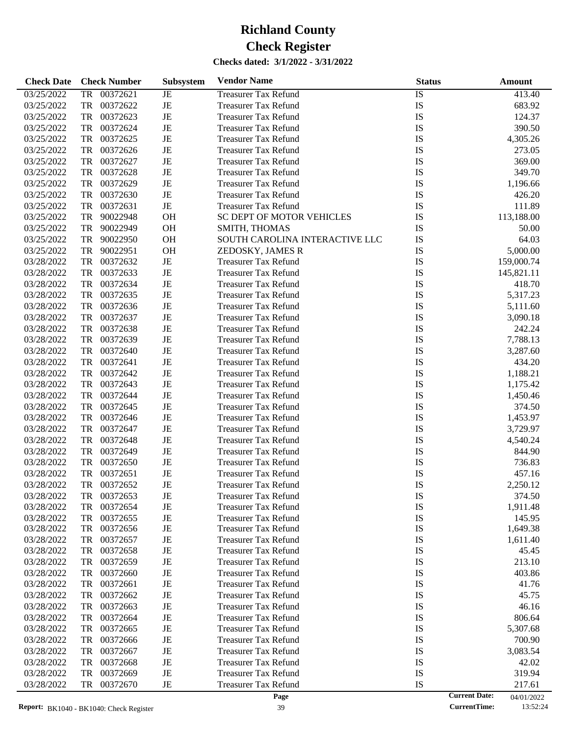| <b>Check Date</b>        |           | <b>Check Number</b>  | Subsystem | <b>Vendor Name</b>             | <b>Status</b> |                      | Amount     |
|--------------------------|-----------|----------------------|-----------|--------------------------------|---------------|----------------------|------------|
| 03/25/2022               | TR        | 00372621             | JE        | <b>Treasurer Tax Refund</b>    | IS            |                      | 413.40     |
| 03/25/2022               | TR        | 00372622             | JE        | <b>Treasurer Tax Refund</b>    | IS            |                      | 683.92     |
| 03/25/2022               | TR        | 00372623             | JE        | <b>Treasurer Tax Refund</b>    | IS            |                      | 124.37     |
| 03/25/2022               | TR        | 00372624             | JE        | <b>Treasurer Tax Refund</b>    | IS            |                      | 390.50     |
| 03/25/2022               | TR        | 00372625             | JE        | <b>Treasurer Tax Refund</b>    | IS            |                      | 4,305.26   |
| 03/25/2022               | TR        | 00372626             | JE        | <b>Treasurer Tax Refund</b>    | IS            |                      | 273.05     |
| 03/25/2022               | TR        | 00372627             | JE        | <b>Treasurer Tax Refund</b>    | IS            |                      | 369.00     |
| 03/25/2022               | TR        | 00372628             | JE        | <b>Treasurer Tax Refund</b>    | IS            |                      | 349.70     |
| 03/25/2022               | TR        | 00372629             | JE        | <b>Treasurer Tax Refund</b>    | IS            |                      | 1,196.66   |
| 03/25/2022               | TR        | 00372630             | JE        | <b>Treasurer Tax Refund</b>    | IS            |                      | 426.20     |
| 03/25/2022               | TR        | 00372631             | $\rm{JE}$ | <b>Treasurer Tax Refund</b>    | IS            |                      | 111.89     |
| 03/25/2022               | TR        | 90022948             | OH        | SC DEPT OF MOTOR VEHICLES      | IS            |                      | 113,188.00 |
| 03/25/2022               | <b>TR</b> | 90022949             | OH        | SMITH, THOMAS                  | IS            |                      | 50.00      |
| 03/25/2022               | <b>TR</b> | 90022950             | OH        | SOUTH CAROLINA INTERACTIVE LLC | IS            |                      | 64.03      |
| 03/25/2022               | TR        | 90022951             | OH        | ZEDOSKY, JAMES R               | IS            |                      | 5,000.00   |
| 03/28/2022               | TR        | 00372632             | JE        | <b>Treasurer Tax Refund</b>    | IS            |                      | 159,000.74 |
| 03/28/2022               | TR        | 00372633             | JE        | <b>Treasurer Tax Refund</b>    | IS            |                      | 145,821.11 |
| 03/28/2022               | TR        | 00372634             | JE        | <b>Treasurer Tax Refund</b>    | IS            |                      | 418.70     |
| 03/28/2022               | TR        | 00372635             | JE        | <b>Treasurer Tax Refund</b>    | IS            |                      | 5,317.23   |
| 03/28/2022               | TR        | 00372636             | JE        | <b>Treasurer Tax Refund</b>    | IS            |                      | 5,111.60   |
| 03/28/2022               | TR        | 00372637             | JE        | <b>Treasurer Tax Refund</b>    | IS            |                      | 3,090.18   |
| 03/28/2022               | TR        | 00372638             | JE        | <b>Treasurer Tax Refund</b>    | IS            |                      | 242.24     |
| 03/28/2022               | TR        | 00372639             | JE        | <b>Treasurer Tax Refund</b>    | IS            |                      | 7,788.13   |
| 03/28/2022               | TR        | 00372640             | JE        | <b>Treasurer Tax Refund</b>    | IS            |                      | 3,287.60   |
| 03/28/2022               | TR        | 00372641             | JE        | <b>Treasurer Tax Refund</b>    | IS            |                      | 434.20     |
| 03/28/2022               | TR        | 00372642             | JE        | <b>Treasurer Tax Refund</b>    | IS            |                      | 1,188.21   |
| 03/28/2022               | TR        | 00372643             | JE        | <b>Treasurer Tax Refund</b>    | IS            |                      | 1,175.42   |
| 03/28/2022               | TR        | 00372644             | JE        | <b>Treasurer Tax Refund</b>    | IS            |                      | 1,450.46   |
| 03/28/2022               | TR        | 00372645             | JE        | <b>Treasurer Tax Refund</b>    | IS            |                      | 374.50     |
| 03/28/2022               | TR        | 00372646             | JE        | <b>Treasurer Tax Refund</b>    | IS            |                      | 1,453.97   |
| 03/28/2022               | TR        | 00372647             | JE        | <b>Treasurer Tax Refund</b>    | IS            |                      | 3,729.97   |
| 03/28/2022               | TR        | 00372648             | JE        | <b>Treasurer Tax Refund</b>    | IS            |                      | 4,540.24   |
|                          | TR        | 00372649             | JE        |                                | IS            |                      |            |
| 03/28/2022               |           | 00372650             | JE        | <b>Treasurer Tax Refund</b>    |               |                      | 844.90     |
| 03/28/2022               | TR        |                      |           | <b>Treasurer Tax Refund</b>    | IS            |                      | 736.83     |
| 03/28/2022               | <b>TR</b> | 00372651             | JE        | <b>Treasurer Tax Refund</b>    | IS            |                      | 457.16     |
| 03/28/2022               | TR        | 00372652             | JE        | <b>Treasurer Tax Refund</b>    | IS            |                      | 2,250.12   |
| 03/28/2022               | TR        | 00372653             | JE        | Treasurer Tax Refund           | IS            |                      | 374.50     |
| 03/28/2022               | TR        | 00372654             | JE        | <b>Treasurer Tax Refund</b>    | IS            |                      | 1,911.48   |
| 03/28/2022               | TR        | 00372655             | JE        | <b>Treasurer Tax Refund</b>    | IS<br>IS      |                      | 145.95     |
| 03/28/2022<br>03/28/2022 | TR        | 00372656<br>00372657 | JE        | <b>Treasurer Tax Refund</b>    | IS            |                      | 1,649.38   |
|                          | TR        |                      | JE        | <b>Treasurer Tax Refund</b>    |               |                      | 1,611.40   |
| 03/28/2022               | TR        | 00372658             | JE        | <b>Treasurer Tax Refund</b>    | IS            |                      | 45.45      |
| 03/28/2022               | TR        | 00372659             | JE        | <b>Treasurer Tax Refund</b>    | IS            |                      | 213.10     |
| 03/28/2022               | TR        | 00372660             | JE        | <b>Treasurer Tax Refund</b>    | IS            |                      | 403.86     |
| 03/28/2022               | TR        | 00372661             | JE        | <b>Treasurer Tax Refund</b>    | IS            |                      | 41.76      |
| 03/28/2022               | TR        | 00372662             | JE        | <b>Treasurer Tax Refund</b>    | IS            |                      | 45.75      |
| 03/28/2022               | TR        | 00372663             | JE        | <b>Treasurer Tax Refund</b>    | IS            |                      | 46.16      |
| 03/28/2022               | TR        | 00372664             | JE        | <b>Treasurer Tax Refund</b>    | IS            |                      | 806.64     |
| 03/28/2022               | TR        | 00372665             | JE        | <b>Treasurer Tax Refund</b>    | IS            |                      | 5,307.68   |
| 03/28/2022               | TR        | 00372666             | JE        | <b>Treasurer Tax Refund</b>    | IS            |                      | 700.90     |
| 03/28/2022               | <b>TR</b> | 00372667             | JE        | <b>Treasurer Tax Refund</b>    | IS            |                      | 3,083.54   |
| 03/28/2022               | <b>TR</b> | 00372668             | JE        | <b>Treasurer Tax Refund</b>    | IS            |                      | 42.02      |
| 03/28/2022               | <b>TR</b> | 00372669             | JE        | <b>Treasurer Tax Refund</b>    | IS            |                      | 319.94     |
| 03/28/2022               | TR        | 00372670             | JE        | <b>Treasurer Tax Refund</b>    | IS            |                      | 217.61     |
|                          |           |                      |           | Page                           |               | <b>Current Date:</b> | 04/01/2022 |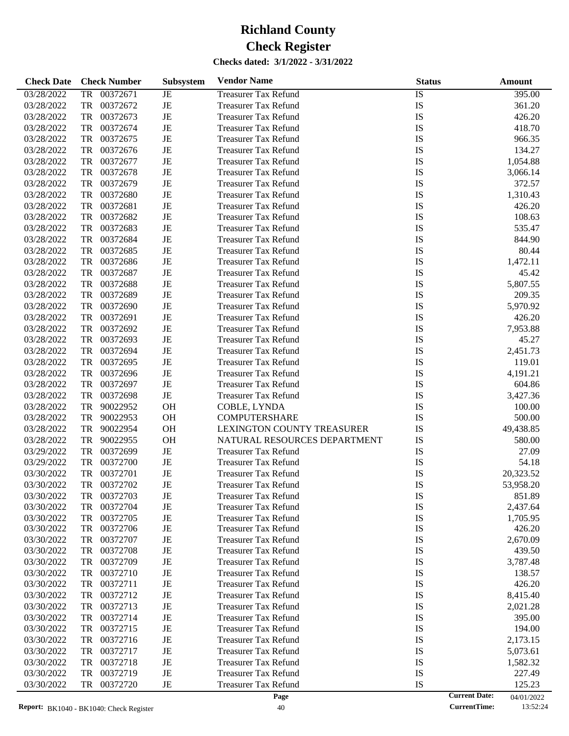| <b>Check Date</b> | <b>Check Number</b>   | <b>Subsystem</b> | <b>Vendor Name</b>           | <b>Status</b>   | Amount                             |
|-------------------|-----------------------|------------------|------------------------------|-----------------|------------------------------------|
| 03/28/2022        | <b>TR</b><br>00372671 | $\rm{JE}$        | <b>Treasurer Tax Refund</b>  | $\overline{IS}$ | 395.00                             |
| 03/28/2022        | <b>TR</b><br>00372672 | $\rm{JE}$        | <b>Treasurer Tax Refund</b>  | IS              | 361.20                             |
| 03/28/2022        | <b>TR</b><br>00372673 | $\rm{JE}$        | <b>Treasurer Tax Refund</b>  | IS              | 426.20                             |
| 03/28/2022        | <b>TR</b><br>00372674 | $\rm{JE}$        | <b>Treasurer Tax Refund</b>  | IS              | 418.70                             |
| 03/28/2022        | <b>TR</b><br>00372675 | $\rm{JE}$        | <b>Treasurer Tax Refund</b>  | IS              | 966.35                             |
| 03/28/2022        | <b>TR</b><br>00372676 | $_{\rm JE}$      | <b>Treasurer Tax Refund</b>  | IS              | 134.27                             |
| 03/28/2022        | <b>TR</b><br>00372677 | $\rm{JE}$        | <b>Treasurer Tax Refund</b>  | IS              | 1,054.88                           |
| 03/28/2022        | <b>TR</b><br>00372678 | $\rm{JE}$        | <b>Treasurer Tax Refund</b>  | IS              | 3,066.14                           |
| 03/28/2022        | <b>TR</b><br>00372679 | $\rm{JE}$        | <b>Treasurer Tax Refund</b>  | IS              | 372.57                             |
| 03/28/2022        | <b>TR</b><br>00372680 | $\rm{JE}$        | <b>Treasurer Tax Refund</b>  | IS              | 1,310.43                           |
| 03/28/2022        | <b>TR</b><br>00372681 | $\rm{JE}$        | <b>Treasurer Tax Refund</b>  | IS              | 426.20                             |
| 03/28/2022        | <b>TR</b><br>00372682 | $\rm{JE}$        | <b>Treasurer Tax Refund</b>  | IS              | 108.63                             |
| 03/28/2022        | <b>TR</b><br>00372683 | $_{\rm JE}$      | <b>Treasurer Tax Refund</b>  | IS              | 535.47                             |
| 03/28/2022        | <b>TR</b><br>00372684 | $\rm{JE}$        | <b>Treasurer Tax Refund</b>  | IS              | 844.90                             |
| 03/28/2022        | <b>TR</b><br>00372685 | $\rm{JE}$        | <b>Treasurer Tax Refund</b>  | IS              | 80.44                              |
| 03/28/2022        | <b>TR</b><br>00372686 | $\rm{JE}$        | <b>Treasurer Tax Refund</b>  | IS              | 1,472.11                           |
| 03/28/2022        | <b>TR</b><br>00372687 | $\rm{JE}$        | <b>Treasurer Tax Refund</b>  | IS              | 45.42                              |
| 03/28/2022        | <b>TR</b><br>00372688 | $\rm{JE}$        | <b>Treasurer Tax Refund</b>  | IS              | 5,807.55                           |
| 03/28/2022        | <b>TR</b><br>00372689 | $\rm{JE}$        | <b>Treasurer Tax Refund</b>  | IS              | 209.35                             |
| 03/28/2022        | <b>TR</b><br>00372690 | $\rm{JE}$        | <b>Treasurer Tax Refund</b>  | IS              | 5,970.92                           |
| 03/28/2022        | <b>TR</b><br>00372691 | $\rm{JE}$        | <b>Treasurer Tax Refund</b>  | IS              | 426.20                             |
| 03/28/2022        | <b>TR</b><br>00372692 | $\rm{JE}$        | <b>Treasurer Tax Refund</b>  | IS              | 7,953.88                           |
| 03/28/2022        | <b>TR</b><br>00372693 | $\rm{JE}$        | <b>Treasurer Tax Refund</b>  | IS              | 45.27                              |
| 03/28/2022        | <b>TR</b><br>00372694 | $_{\rm JE}$      | <b>Treasurer Tax Refund</b>  | IS              | 2,451.73                           |
| 03/28/2022        | <b>TR</b><br>00372695 | $\rm{JE}$        | <b>Treasurer Tax Refund</b>  | IS              | 119.01                             |
| 03/28/2022        | <b>TR</b><br>00372696 | $\rm{JE}$        | <b>Treasurer Tax Refund</b>  | IS              | 4,191.21                           |
| 03/28/2022        | <b>TR</b><br>00372697 | $\rm{JE}$        | <b>Treasurer Tax Refund</b>  | IS              | 604.86                             |
| 03/28/2022        | <b>TR</b><br>00372698 | $\rm{JE}$        | <b>Treasurer Tax Refund</b>  | IS              | 3,427.36                           |
| 03/28/2022        | <b>TR</b><br>90022952 | <b>OH</b>        | COBLE, LYNDA                 | IS              | 100.00                             |
| 03/28/2022        | <b>TR</b><br>90022953 | <b>OH</b>        | <b>COMPUTERSHARE</b>         | IS              | 500.00                             |
| 03/28/2022        | <b>TR</b><br>90022954 | <b>OH</b>        | LEXINGTON COUNTY TREASURER   | IS              | 49,438.85                          |
| 03/28/2022        | <b>TR</b><br>90022955 | <b>OH</b>        | NATURAL RESOURCES DEPARTMENT | IS              | 580.00                             |
| 03/29/2022        | <b>TR</b><br>00372699 | $\rm{JE}$        | <b>Treasurer Tax Refund</b>  | IS              | 27.09                              |
| 03/29/2022        | <b>TR</b><br>00372700 | $\rm{JE}$        | <b>Treasurer Tax Refund</b>  | IS              | 54.18                              |
| 03/30/2022        | <b>TR</b><br>00372701 | $\rm{JE}$        | <b>Treasurer Tax Refund</b>  | IS              | 20,323.52                          |
| 03/30/2022        | <b>TR</b><br>00372702 | $\rm{JE}$        | <b>Treasurer Tax Refund</b>  | IS              | 53,958.20                          |
| 03/30/2022        | 00372703<br>TR        | JE               | <b>Treasurer Tax Refund</b>  | IS              | 851.89                             |
| 03/30/2022        | 00372704<br>TR        | $_{\rm JE}$      | <b>Treasurer Tax Refund</b>  | IS              | 2,437.64                           |
| 03/30/2022        | 00372705<br>TR        | $\rm{JE}$        | <b>Treasurer Tax Refund</b>  | IS              | 1,705.95                           |
| 03/30/2022        | TR<br>00372706        | JE               | <b>Treasurer Tax Refund</b>  | IS              | 426.20                             |
| 03/30/2022        | 00372707<br>TR        | JE               | <b>Treasurer Tax Refund</b>  | IS              | 2,670.09                           |
| 03/30/2022        | 00372708<br>TR        | JE               | <b>Treasurer Tax Refund</b>  | IS              | 439.50                             |
| 03/30/2022        | 00372709<br>TR        | JE               | <b>Treasurer Tax Refund</b>  | IS              | 3,787.48                           |
| 03/30/2022        | 00372710<br>TR        | JE               | <b>Treasurer Tax Refund</b>  | IS              | 138.57                             |
| 03/30/2022        | 00372711<br>TR        | JE               | <b>Treasurer Tax Refund</b>  | IS              | 426.20                             |
| 03/30/2022        | 00372712<br>TR        | JE               | <b>Treasurer Tax Refund</b>  | IS              | 8,415.40                           |
| 03/30/2022        | 00372713<br>TR        | JE               | <b>Treasurer Tax Refund</b>  | IS              | 2,021.28                           |
| 03/30/2022        | 00372714<br>TR        | JE               | <b>Treasurer Tax Refund</b>  | IS              | 395.00                             |
| 03/30/2022        | 00372715<br>TR        | JE               | <b>Treasurer Tax Refund</b>  | IS              | 194.00                             |
| 03/30/2022        | 00372716<br>TR        | JE               | <b>Treasurer Tax Refund</b>  | IS              | 2,173.15                           |
| 03/30/2022        | 00372717<br>TR        | JE               | <b>Treasurer Tax Refund</b>  | IS              | 5,073.61                           |
| 03/30/2022        | 00372718<br>TR        | JE               | Treasurer Tax Refund         | IS              | 1,582.32                           |
| 03/30/2022        | 00372719<br>TR        | $\rm{JE}$        | <b>Treasurer Tax Refund</b>  | IS              | 227.49                             |
| 03/30/2022        | 00372720<br>TR        | JE               | <b>Treasurer Tax Refund</b>  | IS              | 125.23                             |
|                   |                       |                  | Page                         |                 | <b>Current Date:</b><br>04/01/2022 |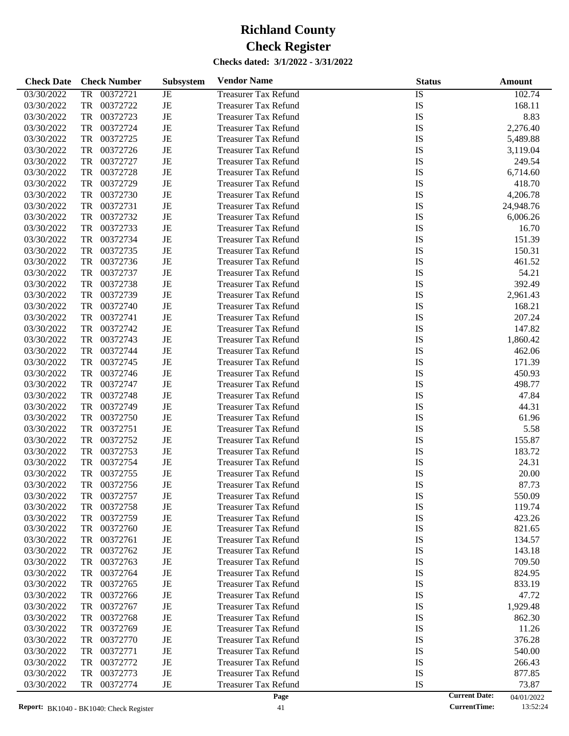| <b>Check Date</b> | <b>Check Number</b>   | <b>Subsystem</b> | <b>Vendor Name</b>          | <b>Status</b>   |                      | <b>Amount</b> |
|-------------------|-----------------------|------------------|-----------------------------|-----------------|----------------------|---------------|
| 03/30/2022        | <b>TR</b><br>00372721 | JE               | <b>Treasurer Tax Refund</b> | $\overline{1S}$ |                      | 102.74        |
| 03/30/2022        | TR<br>00372722        | JE               | <b>Treasurer Tax Refund</b> | IS              |                      | 168.11        |
| 03/30/2022        | TR<br>00372723        | JE               | <b>Treasurer Tax Refund</b> | IS              |                      | 8.83          |
| 03/30/2022        | TR<br>00372724        | JE               | <b>Treasurer Tax Refund</b> | IS              |                      | 2,276.40      |
| 03/30/2022        | TR<br>00372725        | JE               | <b>Treasurer Tax Refund</b> | IS              |                      | 5,489.88      |
| 03/30/2022        | TR<br>00372726        | JE               | <b>Treasurer Tax Refund</b> | IS              |                      | 3,119.04      |
| 03/30/2022        | TR<br>00372727        | JE               | <b>Treasurer Tax Refund</b> | IS              |                      | 249.54        |
| 03/30/2022        | TR<br>00372728        | JE               | <b>Treasurer Tax Refund</b> | IS              |                      | 6,714.60      |
| 03/30/2022        | TR<br>00372729        | JE               | <b>Treasurer Tax Refund</b> | IS              |                      | 418.70        |
| 03/30/2022        | TR<br>00372730        | JE               | <b>Treasurer Tax Refund</b> | IS              |                      | 4,206.78      |
| 03/30/2022        | TR<br>00372731        | JE               | <b>Treasurer Tax Refund</b> | IS              |                      | 24,948.76     |
| 03/30/2022        | TR<br>00372732        | JE               | <b>Treasurer Tax Refund</b> | IS              |                      | 6,006.26      |
| 03/30/2022        | TR<br>00372733        | JE               | <b>Treasurer Tax Refund</b> | IS              |                      | 16.70         |
| 03/30/2022        | TR<br>00372734        | JE               | <b>Treasurer Tax Refund</b> | IS              |                      | 151.39        |
| 03/30/2022        | TR<br>00372735        | JE               | <b>Treasurer Tax Refund</b> | IS              |                      | 150.31        |
| 03/30/2022        | TR<br>00372736        | JE               | <b>Treasurer Tax Refund</b> | IS              |                      | 461.52        |
| 03/30/2022        | TR<br>00372737        | JE               | <b>Treasurer Tax Refund</b> | IS              |                      | 54.21         |
| 03/30/2022        | TR<br>00372738        | JE               | <b>Treasurer Tax Refund</b> | IS              |                      | 392.49        |
| 03/30/2022        | TR<br>00372739        | JE               | <b>Treasurer Tax Refund</b> | IS              |                      | 2,961.43      |
| 03/30/2022        | TR<br>00372740        | JE               | <b>Treasurer Tax Refund</b> | IS              |                      | 168.21        |
| 03/30/2022        | TR<br>00372741        | JE               | <b>Treasurer Tax Refund</b> | IS              |                      | 207.24        |
| 03/30/2022        | TR<br>00372742        | JE               | <b>Treasurer Tax Refund</b> | IS              |                      | 147.82        |
| 03/30/2022        | TR<br>00372743        | JE               | <b>Treasurer Tax Refund</b> | IS              |                      | 1,860.42      |
| 03/30/2022        | TR<br>00372744        | JE               | <b>Treasurer Tax Refund</b> | IS              |                      | 462.06        |
| 03/30/2022        | TR<br>00372745        | JE               | <b>Treasurer Tax Refund</b> | IS              |                      | 171.39        |
| 03/30/2022        | TR<br>00372746        | JE               | <b>Treasurer Tax Refund</b> | IS              |                      | 450.93        |
| 03/30/2022        | TR<br>00372747        | JE               | <b>Treasurer Tax Refund</b> | IS              |                      | 498.77        |
| 03/30/2022        | TR<br>00372748        | JE               | <b>Treasurer Tax Refund</b> | IS              |                      | 47.84         |
| 03/30/2022        | TR<br>00372749        | JE               | <b>Treasurer Tax Refund</b> | IS              |                      | 44.31         |
| 03/30/2022        | TR<br>00372750        | JE               | <b>Treasurer Tax Refund</b> | IS              |                      | 61.96         |
| 03/30/2022        | TR<br>00372751        | JE               | <b>Treasurer Tax Refund</b> | IS              |                      | 5.58          |
| 03/30/2022        | TR<br>00372752        | JE               | <b>Treasurer Tax Refund</b> | IS              |                      | 155.87        |
| 03/30/2022        | TR<br>00372753        | JE               | <b>Treasurer Tax Refund</b> | IS              |                      | 183.72        |
| 03/30/2022        | TR<br>00372754        | JE               | <b>Treasurer Tax Refund</b> | IS              |                      | 24.31         |
| 03/30/2022        | TR<br>00372755        | JE               | <b>Treasurer Tax Refund</b> | IS              |                      | 20.00         |
| 03/30/2022        | TR<br>00372756        | JE               | <b>Treasurer Tax Refund</b> | IS              |                      | 87.73         |
| 03/30/2022        | 00372757<br>TR        | JE               | <b>Treasurer Tax Refund</b> | IS              |                      | 550.09        |
| 03/30/2022        | 00372758<br>TR        | JE               | <b>Treasurer Tax Refund</b> | IS              |                      | 119.74        |
| 03/30/2022        | 00372759<br>TR        | JE               | <b>Treasurer Tax Refund</b> | IS              |                      | 423.26        |
| 03/30/2022        | TR<br>00372760        | JE               | <b>Treasurer Tax Refund</b> | IS              |                      | 821.65        |
| 03/30/2022        | TR<br>00372761        | JE               | <b>Treasurer Tax Refund</b> | IS              |                      | 134.57        |
| 03/30/2022        | 00372762<br>TR        | JE               | <b>Treasurer Tax Refund</b> | IS              |                      | 143.18        |
| 03/30/2022        | 00372763<br>TR        | JE               | Treasurer Tax Refund        | IS              |                      | 709.50        |
| 03/30/2022        | 00372764<br>TR        | JE               | <b>Treasurer Tax Refund</b> | IS              |                      | 824.95        |
| 03/30/2022        | 00372765<br>TR        | JE               | <b>Treasurer Tax Refund</b> | IS              |                      | 833.19        |
| 03/30/2022        | 00372766<br>TR        | JE               | <b>Treasurer Tax Refund</b> | IS              |                      | 47.72         |
| 03/30/2022        | 00372767<br>TR        | JE               | Treasurer Tax Refund        | IS              |                      | 1,929.48      |
| 03/30/2022        | 00372768<br>TR        | JE               | <b>Treasurer Tax Refund</b> | IS              |                      | 862.30        |
| 03/30/2022        | 00372769<br>TR        | JE               | <b>Treasurer Tax Refund</b> | IS              |                      | 11.26         |
| 03/30/2022        | 00372770<br>TR        | JE               | <b>Treasurer Tax Refund</b> | IS              |                      | 376.28        |
| 03/30/2022        | 00372771<br>TR        | JE               | Treasurer Tax Refund        | IS              |                      | 540.00        |
| 03/30/2022        | 00372772<br>TR        | JE               | <b>Treasurer Tax Refund</b> | IS              |                      | 266.43        |
| 03/30/2022        | 00372773<br>TR        | JE               | <b>Treasurer Tax Refund</b> | IS              |                      | 877.85        |
| 03/30/2022        | 00372774<br>TR        | JE               | <b>Treasurer Tax Refund</b> | IS              |                      | 73.87         |
|                   |                       |                  | Page                        |                 | <b>Current Date:</b> | 04/01/2022    |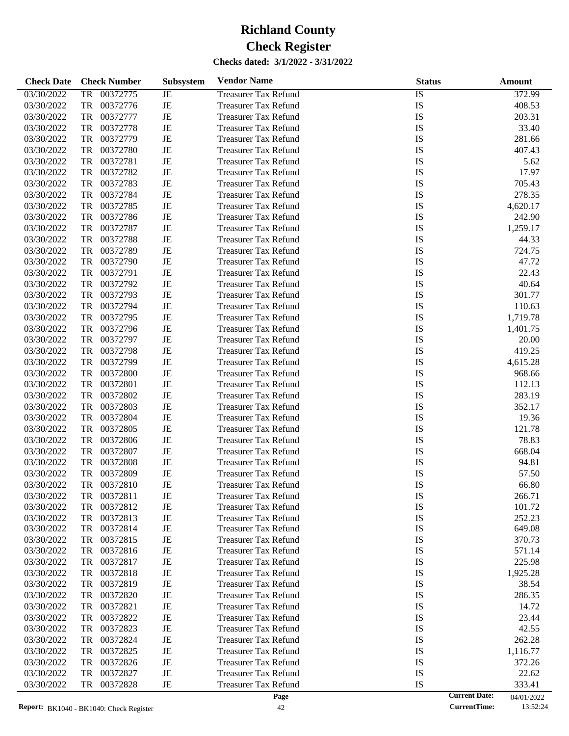| <b>Check Date</b> | <b>Check Number</b>   | <b>Subsystem</b> | <b>Vendor Name</b>          | <b>Status</b>   |                      | Amount     |
|-------------------|-----------------------|------------------|-----------------------------|-----------------|----------------------|------------|
| 03/30/2022        | <b>TR</b><br>00372775 | JE               | <b>Treasurer Tax Refund</b> | $\overline{1S}$ |                      | 372.99     |
| 03/30/2022        | TR<br>00372776        | JE               | <b>Treasurer Tax Refund</b> | <b>IS</b>       |                      | 408.53     |
| 03/30/2022        | TR<br>00372777        | JE               | <b>Treasurer Tax Refund</b> | IS              |                      | 203.31     |
| 03/30/2022        | TR<br>00372778        | JE               | <b>Treasurer Tax Refund</b> | <b>IS</b>       |                      | 33.40      |
| 03/30/2022        | TR<br>00372779        | JE               | <b>Treasurer Tax Refund</b> | <b>IS</b>       |                      | 281.66     |
| 03/30/2022        | TR<br>00372780        | JE               | <b>Treasurer Tax Refund</b> | IS              |                      | 407.43     |
| 03/30/2022        | TR<br>00372781        | JE               | <b>Treasurer Tax Refund</b> | IS              |                      | 5.62       |
| 03/30/2022        | TR<br>00372782        | JE               | <b>Treasurer Tax Refund</b> | <b>IS</b>       |                      | 17.97      |
| 03/30/2022        | TR<br>00372783        | JE               | <b>Treasurer Tax Refund</b> | <b>IS</b>       |                      | 705.43     |
| 03/30/2022        | TR<br>00372784        | JE               | <b>Treasurer Tax Refund</b> | IS              |                      | 278.35     |
| 03/30/2022        | TR<br>00372785        | JE               | <b>Treasurer Tax Refund</b> | IS              |                      | 4,620.17   |
| 03/30/2022        | TR<br>00372786        | JE               | <b>Treasurer Tax Refund</b> | <b>IS</b>       |                      | 242.90     |
| 03/30/2022        | TR<br>00372787        | JE               | <b>Treasurer Tax Refund</b> | IS              |                      | 1,259.17   |
| 03/30/2022        | TR<br>00372788        | JE               | <b>Treasurer Tax Refund</b> | IS              |                      | 44.33      |
| 03/30/2022        | TR<br>00372789        | JE               | <b>Treasurer Tax Refund</b> | <b>IS</b>       |                      | 724.75     |
| 03/30/2022        | TR<br>00372790        | JE               | <b>Treasurer Tax Refund</b> | <b>IS</b>       |                      | 47.72      |
| 03/30/2022        | TR<br>00372791        | JE               | <b>Treasurer Tax Refund</b> | IS              |                      | 22.43      |
| 03/30/2022        | TR<br>00372792        | JE               | <b>Treasurer Tax Refund</b> | <b>IS</b>       |                      | 40.64      |
| 03/30/2022        | TR<br>00372793        | JE               | <b>Treasurer Tax Refund</b> | <b>IS</b>       |                      | 301.77     |
| 03/30/2022        | TR<br>00372794        | JE               | <b>Treasurer Tax Refund</b> | IS              |                      | 110.63     |
| 03/30/2022        | TR<br>00372795        | JE               | <b>Treasurer Tax Refund</b> | IS              |                      | 1,719.78   |
| 03/30/2022        | TR<br>00372796        | JE               | <b>Treasurer Tax Refund</b> | <b>IS</b>       |                      | 1,401.75   |
| 03/30/2022        | TR<br>00372797        | JE               | <b>Treasurer Tax Refund</b> | <b>IS</b>       |                      | 20.00      |
| 03/30/2022        | TR<br>00372798        | JE               | <b>Treasurer Tax Refund</b> | IS              |                      | 419.25     |
| 03/30/2022        | TR<br>00372799        | JE               | <b>Treasurer Tax Refund</b> | IS              |                      | 4,615.28   |
| 03/30/2022        | TR<br>00372800        | JE               | <b>Treasurer Tax Refund</b> | IS              |                      | 968.66     |
| 03/30/2022        | TR<br>00372801        | JE               | <b>Treasurer Tax Refund</b> | IS              |                      | 112.13     |
| 03/30/2022        | TR<br>00372802        | JE               | <b>Treasurer Tax Refund</b> | IS              |                      | 283.19     |
| 03/30/2022        | TR<br>00372803        | JE               | <b>Treasurer Tax Refund</b> | IS              |                      | 352.17     |
| 03/30/2022        | TR<br>00372804        | JE               | <b>Treasurer Tax Refund</b> | IS              |                      | 19.36      |
| 03/30/2022        | TR<br>00372805        | JE               | <b>Treasurer Tax Refund</b> | IS              |                      | 121.78     |
| 03/30/2022        | TR<br>00372806        | JE               | <b>Treasurer Tax Refund</b> | IS              |                      | 78.83      |
| 03/30/2022        | TR<br>00372807        | JE               | <b>Treasurer Tax Refund</b> | IS              |                      | 668.04     |
| 03/30/2022        | TR<br>00372808        | JE               | <b>Treasurer Tax Refund</b> | IS              |                      | 94.81      |
| 03/30/2022        | 00372809<br>TR        | JE               | <b>Treasurer Tax Refund</b> | IS              |                      | 57.50      |
| 03/30/2022        | 00372810<br>TR        | JE               | <b>Treasurer Tax Refund</b> | IS              |                      | 66.80      |
| 03/30/2022        | 00372811<br>TR        | JE               | <b>Treasurer Tax Refund</b> | IS              |                      | 266.71     |
| 03/30/2022        | 00372812<br>TR        | JE               | <b>Treasurer Tax Refund</b> | IS              |                      | 101.72     |
| 03/30/2022        | TR<br>00372813        | JE               | <b>Treasurer Tax Refund</b> | IS              |                      | 252.23     |
| 03/30/2022        | TR<br>00372814        | JE               | <b>Treasurer Tax Refund</b> | IS              |                      | 649.08     |
| 03/30/2022        | 00372815<br>TR        | JE               | <b>Treasurer Tax Refund</b> | IS              |                      | 370.73     |
| 03/30/2022        | 00372816<br>TR        | JE               | <b>Treasurer Tax Refund</b> | IS              |                      | 571.14     |
| 03/30/2022        | 00372817<br>TR        | JE               | <b>Treasurer Tax Refund</b> | IS              |                      | 225.98     |
| 03/30/2022        | 00372818<br>TR        | JE               | <b>Treasurer Tax Refund</b> | IS              |                      | 1,925.28   |
| 03/30/2022        | 00372819<br>TR        | JE               | <b>Treasurer Tax Refund</b> | IS              |                      | 38.54      |
| 03/30/2022        | TR<br>00372820        | JE               | <b>Treasurer Tax Refund</b> | IS              |                      | 286.35     |
| 03/30/2022        | 00372821<br>TR        | JE               | <b>Treasurer Tax Refund</b> | IS              |                      | 14.72      |
| 03/30/2022        | 00372822<br>TR        | JE               | <b>Treasurer Tax Refund</b> | IS              |                      | 23.44      |
| 03/30/2022        | TR<br>00372823        | JE               | <b>Treasurer Tax Refund</b> | IS              |                      | 42.55      |
| 03/30/2022        | 00372824<br>TR        | JE               | <b>Treasurer Tax Refund</b> | IS              |                      | 262.28     |
| 03/30/2022        | 00372825<br>TR        | JE               | <b>Treasurer Tax Refund</b> | IS              |                      | 1,116.77   |
| 03/30/2022        | 00372826<br>TR        | JE               | <b>Treasurer Tax Refund</b> | IS              |                      | 372.26     |
| 03/30/2022        | 00372827<br>TR        | JE               | <b>Treasurer Tax Refund</b> | IS              |                      | 22.62      |
| 03/30/2022        | TR<br>00372828        | JE               | <b>Treasurer Tax Refund</b> | IS              |                      | 333.41     |
|                   |                       |                  | Page                        |                 | <b>Current Date:</b> | 04/01/2022 |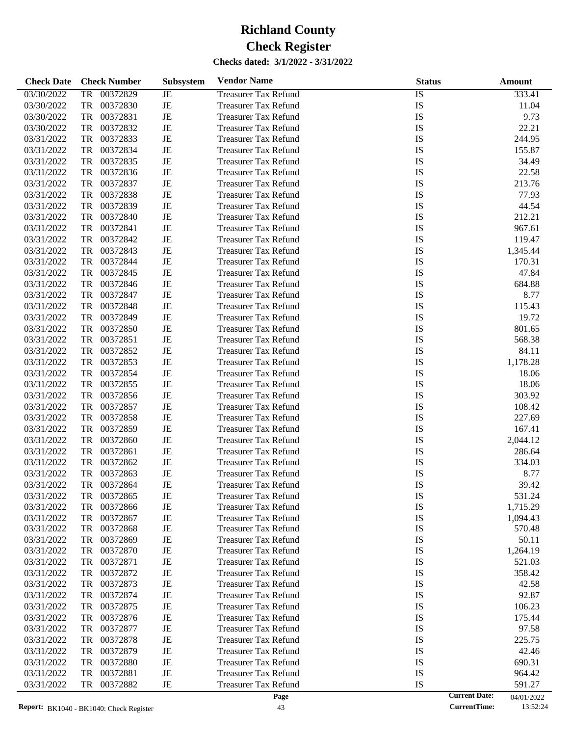| <b>Check Date</b> | <b>Check Number</b>   | <b>Subsystem</b> | <b>Vendor Name</b>          | <b>Status</b>   | <b>Amount</b> |
|-------------------|-----------------------|------------------|-----------------------------|-----------------|---------------|
| 03/30/2022        | <b>TR</b><br>00372829 | JE               | <b>Treasurer Tax Refund</b> | $\overline{IS}$ | 333.41        |
| 03/30/2022        | TR<br>00372830        | JE               | <b>Treasurer Tax Refund</b> | IS              | 11.04         |
| 03/30/2022        | TR<br>00372831        | JE               | <b>Treasurer Tax Refund</b> | IS              | 9.73          |
| 03/30/2022        | TR<br>00372832        | JE               | <b>Treasurer Tax Refund</b> | IS              | 22.21         |
| 03/31/2022        | TR<br>00372833        | JE               | <b>Treasurer Tax Refund</b> | IS              | 244.95        |
| 03/31/2022        | TR<br>00372834        | JE               | <b>Treasurer Tax Refund</b> | IS              | 155.87        |
| 03/31/2022        | TR<br>00372835        | JE               | <b>Treasurer Tax Refund</b> | IS              | 34.49         |
| 03/31/2022        | TR<br>00372836        | JE               | <b>Treasurer Tax Refund</b> | IS              | 22.58         |
| 03/31/2022        | TR<br>00372837        | JE               | <b>Treasurer Tax Refund</b> | IS              | 213.76        |
| 03/31/2022        | TR<br>00372838        | JE               | <b>Treasurer Tax Refund</b> | IS              | 77.93         |
| 03/31/2022        | TR<br>00372839        | JE               | <b>Treasurer Tax Refund</b> | IS              | 44.54         |
| 03/31/2022        | TR<br>00372840        | JE               | <b>Treasurer Tax Refund</b> | IS              | 212.21        |
| 03/31/2022        | TR<br>00372841        | JE               | <b>Treasurer Tax Refund</b> | IS              | 967.61        |
| 03/31/2022        | TR<br>00372842        | JE               | <b>Treasurer Tax Refund</b> | IS              | 119.47        |
| 03/31/2022        | TR<br>00372843        | JE               | <b>Treasurer Tax Refund</b> | IS              | 1,345.44      |
| 03/31/2022        | TR<br>00372844        | JE               | <b>Treasurer Tax Refund</b> | IS              | 170.31        |
| 03/31/2022        | TR<br>00372845        | JE               | <b>Treasurer Tax Refund</b> | IS              | 47.84         |
| 03/31/2022        | TR<br>00372846        | JE               | <b>Treasurer Tax Refund</b> | IS              | 684.88        |
| 03/31/2022        | TR<br>00372847        | JE               | <b>Treasurer Tax Refund</b> | IS              | 8.77          |
| 03/31/2022        | TR<br>00372848        | JE               | <b>Treasurer Tax Refund</b> | IS              | 115.43        |
| 03/31/2022        | TR<br>00372849        | JE               | <b>Treasurer Tax Refund</b> | IS              | 19.72         |
| 03/31/2022        | TR<br>00372850        | JE               | <b>Treasurer Tax Refund</b> | IS              | 801.65        |
| 03/31/2022        | TR<br>00372851        | JE               | <b>Treasurer Tax Refund</b> | IS              | 568.38        |
| 03/31/2022        | TR<br>00372852        | JE               | <b>Treasurer Tax Refund</b> | IS              | 84.11         |
| 03/31/2022        | TR<br>00372853        | JE               | <b>Treasurer Tax Refund</b> | IS              | 1,178.28      |
| 03/31/2022        | TR<br>00372854        | JE               | <b>Treasurer Tax Refund</b> | IS              | 18.06         |
| 03/31/2022        | TR<br>00372855        | JE               | <b>Treasurer Tax Refund</b> | IS              | 18.06         |
| 03/31/2022        | TR<br>00372856        | JE               | <b>Treasurer Tax Refund</b> | IS              | 303.92        |
| 03/31/2022        | TR<br>00372857        | JE               | <b>Treasurer Tax Refund</b> | IS              | 108.42        |
| 03/31/2022        | TR<br>00372858        | JE               | <b>Treasurer Tax Refund</b> | IS              | 227.69        |
| 03/31/2022        | TR<br>00372859        | JE               | <b>Treasurer Tax Refund</b> | IS              | 167.41        |
| 03/31/2022        | TR<br>00372860        | JE               | <b>Treasurer Tax Refund</b> | IS              | 2,044.12      |
| 03/31/2022        | TR<br>00372861        | JE               | <b>Treasurer Tax Refund</b> | IS              | 286.64        |
| 03/31/2022        | TR<br>00372862        | JE               | <b>Treasurer Tax Refund</b> | IS              | 334.03        |
| 03/31/2022        | TR<br>00372863        | JE               | <b>Treasurer Tax Refund</b> | IS              | 8.77          |
| 03/31/2022        | 00372864<br>TR        | JE               | <b>Treasurer Tax Refund</b> | IS              | 39.42         |
| 03/31/2022        | TR<br>00372865        | JE               | <b>Treasurer Tax Refund</b> | IS              | 531.24        |
| 03/31/2022        | 00372866<br>TR        | JE               | <b>Treasurer Tax Refund</b> | IS              | 1,715.29      |
| 03/31/2022        | TR<br>00372867        | JE               | <b>Treasurer Tax Refund</b> | IS              | 1,094.43      |
| 03/31/2022        | TR<br>00372868        | JE               | <b>Treasurer Tax Refund</b> | IS              | 570.48        |
| 03/31/2022        | TR<br>00372869        | JE               | <b>Treasurer Tax Refund</b> | IS              | 50.11         |
| 03/31/2022        | TR<br>00372870        | JE               | <b>Treasurer Tax Refund</b> | IS              | 1,264.19      |
| 03/31/2022        | TR<br>00372871        | JE               | <b>Treasurer Tax Refund</b> | IS              | 521.03        |
| 03/31/2022        | 00372872<br>TR        | JE               | <b>Treasurer Tax Refund</b> | IS              | 358.42        |
| 03/31/2022        | 00372873<br>TR        | JE               | <b>Treasurer Tax Refund</b> | IS              | 42.58         |
| 03/31/2022        | TR<br>00372874        | JE               | <b>Treasurer Tax Refund</b> | IS              | 92.87         |
| 03/31/2022        | TR<br>00372875        | JE               | <b>Treasurer Tax Refund</b> | IS              | 106.23        |
| 03/31/2022        | 00372876<br>TR        | JE               | <b>Treasurer Tax Refund</b> | IS              | 175.44        |
| 03/31/2022        | 00372877<br>TR        | JE               | <b>Treasurer Tax Refund</b> | IS              | 97.58         |
| 03/31/2022        | TR<br>00372878        | JE               | <b>Treasurer Tax Refund</b> | IS              | 225.75        |
| 03/31/2022        | TR<br>00372879        | JE               | <b>Treasurer Tax Refund</b> | IS              | 42.46         |
| 03/31/2022        | 00372880<br>TR        | JE               | <b>Treasurer Tax Refund</b> | IS              | 690.31        |
| 03/31/2022        | 00372881<br>TR        | JE               | <b>Treasurer Tax Refund</b> | IS              | 964.42        |
| 03/31/2022        | TR<br>00372882        | JE               | <b>Treasurer Tax Refund</b> | IS              | 591.27        |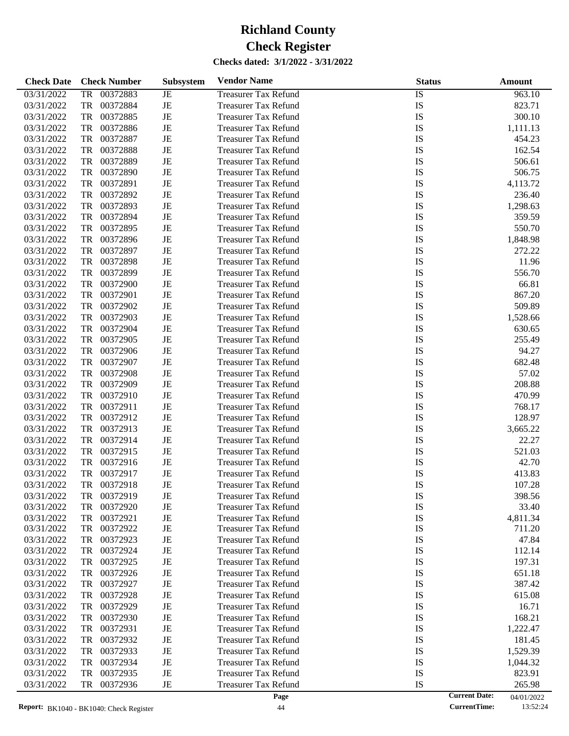| <b>Check Date</b> | <b>Check Number</b>   | Subsystem   | <b>Vendor Name</b>          | <b>Status</b>   | Amount   |
|-------------------|-----------------------|-------------|-----------------------------|-----------------|----------|
| 03/31/2022        | <b>TR</b><br>00372883 | JE          | <b>Treasurer Tax Refund</b> | $\overline{IS}$ | 963.10   |
| 03/31/2022        | TR<br>00372884        | JE          | <b>Treasurer Tax Refund</b> | IS              | 823.71   |
| 03/31/2022        | TR<br>00372885        | JE          | <b>Treasurer Tax Refund</b> | IS              | 300.10   |
| 03/31/2022        | TR<br>00372886        | JE          | <b>Treasurer Tax Refund</b> | IS              | 1,111.13 |
| 03/31/2022        | TR<br>00372887        | JE          | <b>Treasurer Tax Refund</b> | IS              | 454.23   |
| 03/31/2022        | TR<br>00372888        | JE          | <b>Treasurer Tax Refund</b> | IS              | 162.54   |
| 03/31/2022        | TR<br>00372889        | JE          | <b>Treasurer Tax Refund</b> | IS              | 506.61   |
| 03/31/2022        | TR<br>00372890        | JE          | <b>Treasurer Tax Refund</b> | IS              | 506.75   |
| 03/31/2022        | TR<br>00372891        | JE          | <b>Treasurer Tax Refund</b> | IS              | 4,113.72 |
| 03/31/2022        | TR<br>00372892        | JE          | <b>Treasurer Tax Refund</b> | IS              | 236.40   |
| 03/31/2022        | TR<br>00372893        | JE          | <b>Treasurer Tax Refund</b> | IS              | 1,298.63 |
| 03/31/2022        | TR<br>00372894        | JE          | <b>Treasurer Tax Refund</b> | IS              | 359.59   |
| 03/31/2022        | TR<br>00372895        | JE          | <b>Treasurer Tax Refund</b> | IS              | 550.70   |
| 03/31/2022        | TR<br>00372896        | JE          | <b>Treasurer Tax Refund</b> | IS              | 1,848.98 |
| 03/31/2022        | TR<br>00372897        | JE          | <b>Treasurer Tax Refund</b> | IS              | 272.22   |
| 03/31/2022        | TR<br>00372898        | JE          | <b>Treasurer Tax Refund</b> | IS              | 11.96    |
| 03/31/2022        | TR<br>00372899        | JE          | <b>Treasurer Tax Refund</b> | IS              | 556.70   |
| 03/31/2022        | TR<br>00372900        | JE          | <b>Treasurer Tax Refund</b> | IS              | 66.81    |
| 03/31/2022        | TR<br>00372901        | JE          | <b>Treasurer Tax Refund</b> | IS              | 867.20   |
| 03/31/2022        | 00372902<br>TR        | JE          | <b>Treasurer Tax Refund</b> | IS              | 509.89   |
| 03/31/2022        | TR<br>00372903        | JE          | <b>Treasurer Tax Refund</b> | IS              | 1,528.66 |
| 03/31/2022        | TR<br>00372904        | JE          | <b>Treasurer Tax Refund</b> | IS              | 630.65   |
| 03/31/2022        | TR<br>00372905        | JE          | <b>Treasurer Tax Refund</b> | IS              | 255.49   |
| 03/31/2022        | TR<br>00372906        | JE          | <b>Treasurer Tax Refund</b> | IS              | 94.27    |
| 03/31/2022        | TR<br>00372907        | JE          | <b>Treasurer Tax Refund</b> | IS              | 682.48   |
| 03/31/2022        | TR<br>00372908        | JE          | <b>Treasurer Tax Refund</b> | IS              | 57.02    |
| 03/31/2022        | TR<br>00372909        | JE          | <b>Treasurer Tax Refund</b> | IS              | 208.88   |
| 03/31/2022        | TR<br>00372910        | JE          | <b>Treasurer Tax Refund</b> | IS              | 470.99   |
| 03/31/2022        | TR<br>00372911        | JE          | <b>Treasurer Tax Refund</b> | IS              | 768.17   |
| 03/31/2022        | TR<br>00372912        | JE          | <b>Treasurer Tax Refund</b> | IS              | 128.97   |
| 03/31/2022        | TR<br>00372913        | JE          | <b>Treasurer Tax Refund</b> | IS              | 3,665.22 |
| 03/31/2022        | TR<br>00372914        | JE          | <b>Treasurer Tax Refund</b> | IS              | 22.27    |
| 03/31/2022        | TR<br>00372915        | JE          | <b>Treasurer Tax Refund</b> | IS              | 521.03   |
| 03/31/2022        | TR<br>00372916        | JE          | <b>Treasurer Tax Refund</b> | IS              | 42.70    |
| 03/31/2022        | 00372917<br>TR        | JE          | <b>Treasurer Tax Refund</b> | IS              | 413.83   |
| 03/31/2022        | 00372918<br>TR        | JE          | <b>Treasurer Tax Refund</b> | IS              | 107.28   |
| 03/31/2022        | 00372919<br>TR        | JE          | <b>Treasurer Tax Refund</b> | IS              | 398.56   |
| 03/31/2022        | 00372920<br>TR        | JE          | <b>Treasurer Tax Refund</b> | IS              | 33.40    |
| 03/31/2022        | TR<br>00372921        | JE          | <b>Treasurer Tax Refund</b> | IS              | 4,811.34 |
| 03/31/2022        | 00372922<br>TR        | JE          | <b>Treasurer Tax Refund</b> | IS              | 711.20   |
| 03/31/2022        | 00372923<br>TR        | JE          | <b>Treasurer Tax Refund</b> | IS              | 47.84    |
| 03/31/2022        | TR<br>00372924        | JE          | <b>Treasurer Tax Refund</b> | IS              | 112.14   |
| 03/31/2022        | TR<br>00372925        | JE          | <b>Treasurer Tax Refund</b> | IS              | 197.31   |
| 03/31/2022        | 00372926<br>TR        | JE          | <b>Treasurer Tax Refund</b> | IS              | 651.18   |
| 03/31/2022        | 00372927<br>TR        | JE          | <b>Treasurer Tax Refund</b> | IS              | 387.42   |
| 03/31/2022        | TR<br>00372928        | JE          | <b>Treasurer Tax Refund</b> | IS              | 615.08   |
| 03/31/2022        | TR<br>00372929        | JE          | <b>Treasurer Tax Refund</b> | IS              | 16.71    |
| 03/31/2022        | 00372930<br>TR        | JE          | <b>Treasurer Tax Refund</b> | IS              | 168.21   |
| 03/31/2022        | 00372931<br>TR        | JE          | <b>Treasurer Tax Refund</b> | IS              | 1,222.47 |
| 03/31/2022        | TR<br>00372932        | JE          | <b>Treasurer Tax Refund</b> | IS              | 181.45   |
| 03/31/2022        | TR<br>00372933        | JE          | <b>Treasurer Tax Refund</b> | IS              | 1,529.39 |
| 03/31/2022        | 00372934<br>TR        | JE          | <b>Treasurer Tax Refund</b> | IS              | 1,044.32 |
| 03/31/2022        | 00372935<br>TR        | JE          | <b>Treasurer Tax Refund</b> | IS              | 823.91   |
| 03/31/2022        | TR<br>00372936        | $_{\rm JE}$ | <b>Treasurer Tax Refund</b> | IS              | 265.98   |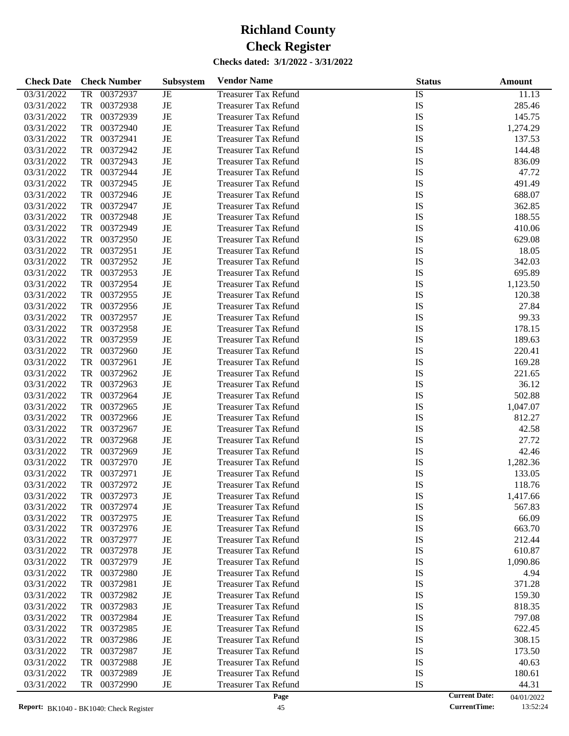| <b>Check Date</b> | <b>Check Number</b>   | <b>Subsystem</b> | <b>Vendor Name</b>          | <b>Status</b>   | <b>Amount</b> |
|-------------------|-----------------------|------------------|-----------------------------|-----------------|---------------|
| 03/31/2022        | <b>TR</b><br>00372937 | JE               | <b>Treasurer Tax Refund</b> | $\overline{IS}$ | 11.13         |
| 03/31/2022        | TR<br>00372938        | JE               | <b>Treasurer Tax Refund</b> | IS              | 285.46        |
| 03/31/2022        | TR<br>00372939        | JE               | <b>Treasurer Tax Refund</b> | IS              | 145.75        |
| 03/31/2022        | TR<br>00372940        | JE               | <b>Treasurer Tax Refund</b> | IS              | 1,274.29      |
| 03/31/2022        | TR<br>00372941        | JE               | <b>Treasurer Tax Refund</b> | IS              | 137.53        |
| 03/31/2022        | TR<br>00372942        | JE               | <b>Treasurer Tax Refund</b> | IS              | 144.48        |
| 03/31/2022        | TR<br>00372943        | JE               | <b>Treasurer Tax Refund</b> | IS              | 836.09        |
| 03/31/2022        | TR<br>00372944        | JE               | <b>Treasurer Tax Refund</b> | IS              | 47.72         |
| 03/31/2022        | TR<br>00372945        | JE               | <b>Treasurer Tax Refund</b> | IS              | 491.49        |
| 03/31/2022        | TR<br>00372946        | JE               | <b>Treasurer Tax Refund</b> | IS              | 688.07        |
| 03/31/2022        | TR<br>00372947        | JE               | <b>Treasurer Tax Refund</b> | IS              | 362.85        |
| 03/31/2022        | TR<br>00372948        | JE               | <b>Treasurer Tax Refund</b> | IS              | 188.55        |
| 03/31/2022        | TR<br>00372949        | JE               | <b>Treasurer Tax Refund</b> | IS              | 410.06        |
| 03/31/2022        | TR<br>00372950        | JE               | <b>Treasurer Tax Refund</b> | IS              | 629.08        |
| 03/31/2022        | TR<br>00372951        | JE               | <b>Treasurer Tax Refund</b> | IS              | 18.05         |
| 03/31/2022        | TR<br>00372952        | JE               | <b>Treasurer Tax Refund</b> | IS              | 342.03        |
| 03/31/2022        | TR<br>00372953        | JE               | <b>Treasurer Tax Refund</b> | IS              | 695.89        |
| 03/31/2022        | TR<br>00372954        | JE               | <b>Treasurer Tax Refund</b> | IS              | 1,123.50      |
| 03/31/2022        | TR<br>00372955        | JE               | <b>Treasurer Tax Refund</b> | IS              | 120.38        |
| 03/31/2022        | TR<br>00372956        | JE               | <b>Treasurer Tax Refund</b> | IS              | 27.84         |
| 03/31/2022        | TR<br>00372957        | JE               | <b>Treasurer Tax Refund</b> | IS              | 99.33         |
| 03/31/2022        | TR<br>00372958        | JE               | <b>Treasurer Tax Refund</b> | IS              | 178.15        |
| 03/31/2022        | TR<br>00372959        | JE               | <b>Treasurer Tax Refund</b> | IS              | 189.63        |
| 03/31/2022        | TR<br>00372960        | JE               | <b>Treasurer Tax Refund</b> | IS              | 220.41        |
| 03/31/2022        | TR<br>00372961        | JE               | <b>Treasurer Tax Refund</b> | IS              | 169.28        |
| 03/31/2022        | TR<br>00372962        | JE               | <b>Treasurer Tax Refund</b> | IS              | 221.65        |
| 03/31/2022        | TR<br>00372963        | JE               | <b>Treasurer Tax Refund</b> | IS              | 36.12         |
| 03/31/2022        | TR<br>00372964        | JE               | <b>Treasurer Tax Refund</b> | IS              | 502.88        |
| 03/31/2022        | TR<br>00372965        | JE               | <b>Treasurer Tax Refund</b> | IS              | 1,047.07      |
| 03/31/2022        | TR<br>00372966        | JE               | <b>Treasurer Tax Refund</b> | IS              | 812.27        |
| 03/31/2022        | TR<br>00372967        | JE               | <b>Treasurer Tax Refund</b> | IS              | 42.58         |
| 03/31/2022        | TR<br>00372968        | JE               | <b>Treasurer Tax Refund</b> | IS              | 27.72         |
| 03/31/2022        | TR<br>00372969        | JE               | <b>Treasurer Tax Refund</b> | IS              | 42.46         |
| 03/31/2022        | TR<br>00372970        | JE               | <b>Treasurer Tax Refund</b> | IS              | 1,282.36      |
| 03/31/2022        | TR<br>00372971        | JE               | <b>Treasurer Tax Refund</b> | IS              | 133.05        |
| 03/31/2022        | TR<br>00372972        | JE               | <b>Treasurer Tax Refund</b> | IS              | 118.76        |
| 03/31/2022        | 00372973<br>TR        | JE               | <b>Treasurer Tax Refund</b> | IS              | 1,417.66      |
| 03/31/2022        | 00372974<br>TR        | JE               | <b>Treasurer Tax Refund</b> | IS              | 567.83        |
| 03/31/2022        | 00372975<br>TR        | JE               | <b>Treasurer Tax Refund</b> | IS              | 66.09         |
| 03/31/2022        | TR<br>00372976        | JE               | <b>Treasurer Tax Refund</b> | IS              | 663.70        |
| 03/31/2022        | TR<br>00372977        | JE               | <b>Treasurer Tax Refund</b> | IS              | 212.44        |
| 03/31/2022        | 00372978<br>TR        | JE               | <b>Treasurer Tax Refund</b> | IS              | 610.87        |
| 03/31/2022        | 00372979<br>TR        | JE               | <b>Treasurer Tax Refund</b> | IS              | 1,090.86      |
| 03/31/2022        | 00372980<br>TR        | JE               | <b>Treasurer Tax Refund</b> | IS              | 4.94          |
| 03/31/2022        | 00372981<br>TR        | JE               | <b>Treasurer Tax Refund</b> | IS              | 371.28        |
| 03/31/2022        | 00372982<br>TR        | JE               | <b>Treasurer Tax Refund</b> | IS              | 159.30        |
| 03/31/2022        | 00372983<br>TR        | JE               | <b>Treasurer Tax Refund</b> | IS              | 818.35        |
| 03/31/2022        | 00372984<br>TR        | JE               | <b>Treasurer Tax Refund</b> | IS              | 797.08        |
| 03/31/2022        | 00372985<br>TR        | JE               | <b>Treasurer Tax Refund</b> | IS              | 622.45        |
| 03/31/2022        | 00372986<br>TR        | JE               | <b>Treasurer Tax Refund</b> | IS              | 308.15        |
| 03/31/2022        | 00372987<br>TR        | JE               | <b>Treasurer Tax Refund</b> | IS              | 173.50        |
| 03/31/2022        | 00372988<br>TR        | JE               | <b>Treasurer Tax Refund</b> | IS              | 40.63         |
| 03/31/2022        | 00372989<br>TR        | JE               | <b>Treasurer Tax Refund</b> | IS              | 180.61        |
| 03/31/2022        | 00372990<br>TR        | JE               | <b>Treasurer Tax Refund</b> | IS              | 44.31         |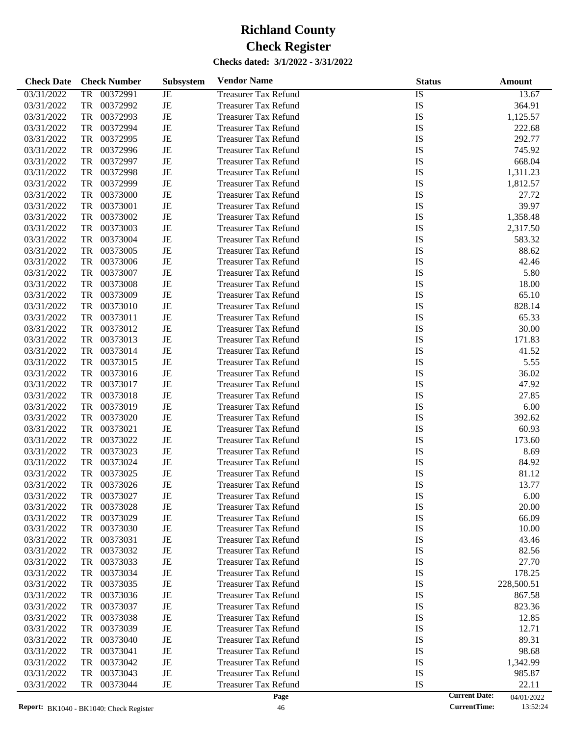| <b>Check Date</b> | <b>Check Number</b>   | <b>Subsystem</b> | <b>Vendor Name</b>          | <b>Status</b>   | <b>Amount</b> |
|-------------------|-----------------------|------------------|-----------------------------|-----------------|---------------|
| 03/31/2022        | <b>TR</b><br>00372991 | JE               | <b>Treasurer Tax Refund</b> | $\overline{IS}$ | 13.67         |
| 03/31/2022        | TR<br>00372992        | JE               | <b>Treasurer Tax Refund</b> | IS              | 364.91        |
| 03/31/2022        | TR<br>00372993        | JE               | <b>Treasurer Tax Refund</b> | IS              | 1,125.57      |
| 03/31/2022        | TR<br>00372994        | JE               | <b>Treasurer Tax Refund</b> | IS              | 222.68        |
| 03/31/2022        | TR<br>00372995        | JE               | <b>Treasurer Tax Refund</b> | IS              | 292.77        |
| 03/31/2022        | TR<br>00372996        | JE               | <b>Treasurer Tax Refund</b> | IS              | 745.92        |
| 03/31/2022        | TR<br>00372997        | JE               | <b>Treasurer Tax Refund</b> | IS              | 668.04        |
| 03/31/2022        | TR<br>00372998        | JE               | <b>Treasurer Tax Refund</b> | <b>IS</b>       | 1,311.23      |
| 03/31/2022        | TR<br>00372999        | JE               | <b>Treasurer Tax Refund</b> | IS              | 1,812.57      |
| 03/31/2022        | TR<br>00373000        | JE               | <b>Treasurer Tax Refund</b> | IS              | 27.72         |
| 03/31/2022        | TR<br>00373001        | JE               | <b>Treasurer Tax Refund</b> | IS              | 39.97         |
| 03/31/2022        | TR<br>00373002        | JE               | <b>Treasurer Tax Refund</b> | <b>IS</b>       | 1,358.48      |
| 03/31/2022        | TR<br>00373003        | JE               | <b>Treasurer Tax Refund</b> | IS              | 2,317.50      |
| 03/31/2022        | TR<br>00373004        | JE               | <b>Treasurer Tax Refund</b> | IS              | 583.32        |
| 03/31/2022        | TR<br>00373005        | JE               | <b>Treasurer Tax Refund</b> | IS              | 88.62         |
| 03/31/2022        | TR<br>00373006        | JE               | <b>Treasurer Tax Refund</b> | IS              | 42.46         |
| 03/31/2022        | TR<br>00373007        | JE               | <b>Treasurer Tax Refund</b> | IS              | 5.80          |
| 03/31/2022        | TR<br>00373008        | JE               | <b>Treasurer Tax Refund</b> | IS              | 18.00         |
| 03/31/2022        | TR<br>00373009        | JE               | <b>Treasurer Tax Refund</b> | IS              | 65.10         |
| 03/31/2022        | TR<br>00373010        | JE               | <b>Treasurer Tax Refund</b> | IS              | 828.14        |
| 03/31/2022        | TR<br>00373011        | JE               | <b>Treasurer Tax Refund</b> | IS              | 65.33         |
| 03/31/2022        | TR<br>00373012        | JE               | <b>Treasurer Tax Refund</b> | IS              | 30.00         |
| 03/31/2022        | TR<br>00373013        | JE               | <b>Treasurer Tax Refund</b> | IS              | 171.83        |
| 03/31/2022        | TR<br>00373014        | JE               | <b>Treasurer Tax Refund</b> | IS              | 41.52         |
| 03/31/2022        | TR<br>00373015        | JE               | <b>Treasurer Tax Refund</b> | IS              | 5.55          |
| 03/31/2022        | TR<br>00373016        | JE               | <b>Treasurer Tax Refund</b> | IS              | 36.02         |
| 03/31/2022        | TR<br>00373017        | JE               | <b>Treasurer Tax Refund</b> | IS              | 47.92         |
| 03/31/2022        | TR<br>00373018        | JE               | <b>Treasurer Tax Refund</b> | IS              | 27.85         |
| 03/31/2022        | TR<br>00373019        | JE               | <b>Treasurer Tax Refund</b> | IS              | 6.00          |
| 03/31/2022        | TR<br>00373020        | JE               | <b>Treasurer Tax Refund</b> | IS              | 392.62        |
| 03/31/2022        | TR<br>00373021        | JE               | <b>Treasurer Tax Refund</b> | IS              | 60.93         |
| 03/31/2022        | TR<br>00373022        | JE               | <b>Treasurer Tax Refund</b> | IS              | 173.60        |
| 03/31/2022        | TR<br>00373023        | JE               | <b>Treasurer Tax Refund</b> | IS              | 8.69          |
| 03/31/2022        | TR<br>00373024        | JE               | <b>Treasurer Tax Refund</b> | IS              | 84.92         |
| 03/31/2022        | 00373025<br>TR        | JE               | <b>Treasurer Tax Refund</b> | IS              | 81.12         |
| 03/31/2022        | 00373026<br>TR        | JE               | <b>Treasurer Tax Refund</b> | IS              | 13.77         |
| 03/31/2022        | 00373027<br>TR        | JE               | <b>Treasurer Tax Refund</b> | IS              | 6.00          |
| 03/31/2022        | 00373028<br>TR        | JE               | <b>Treasurer Tax Refund</b> | IS              | 20.00         |
| 03/31/2022        | TR<br>00373029        | JE               | <b>Treasurer Tax Refund</b> | IS              | 66.09         |
| 03/31/2022        | 00373030<br>TR        | JE               | <b>Treasurer Tax Refund</b> | IS              | 10.00         |
| 03/31/2022        | 00373031<br>TR        | JE               | <b>Treasurer Tax Refund</b> | IS              | 43.46         |
| 03/31/2022        | TR<br>00373032        | JE               | <b>Treasurer Tax Refund</b> | IS              | 82.56         |
| 03/31/2022        | TR<br>00373033        | JE               | <b>Treasurer Tax Refund</b> | IS              | 27.70         |
| 03/31/2022        | 00373034<br>TR        | JE               | <b>Treasurer Tax Refund</b> | IS              | 178.25        |
| 03/31/2022        | 00373035<br>TR        | JE               | <b>Treasurer Tax Refund</b> | IS              | 228,500.51    |
| 03/31/2022        | TR<br>00373036        | JE               | <b>Treasurer Tax Refund</b> | IS              | 867.58        |
| 03/31/2022        | TR<br>00373037        | JE               | <b>Treasurer Tax Refund</b> | IS              | 823.36        |
| 03/31/2022        | 00373038<br>TR        | JE               | <b>Treasurer Tax Refund</b> | IS              | 12.85         |
| 03/31/2022        | 00373039<br>TR        | JE               | <b>Treasurer Tax Refund</b> | IS              | 12.71         |
| 03/31/2022        | TR<br>00373040        | JE               | <b>Treasurer Tax Refund</b> | IS              | 89.31         |
| 03/31/2022        | TR<br>00373041        | JE               | <b>Treasurer Tax Refund</b> | IS              | 98.68         |
| 03/31/2022        | 00373042<br>TR        | JE               | <b>Treasurer Tax Refund</b> | IS              | 1,342.99      |
| 03/31/2022        | 00373043<br>TR        | JE               | <b>Treasurer Tax Refund</b> | IS              | 985.87        |
| 03/31/2022        | TR<br>00373044        | JE               | <b>Treasurer Tax Refund</b> | IS              | 22.11         |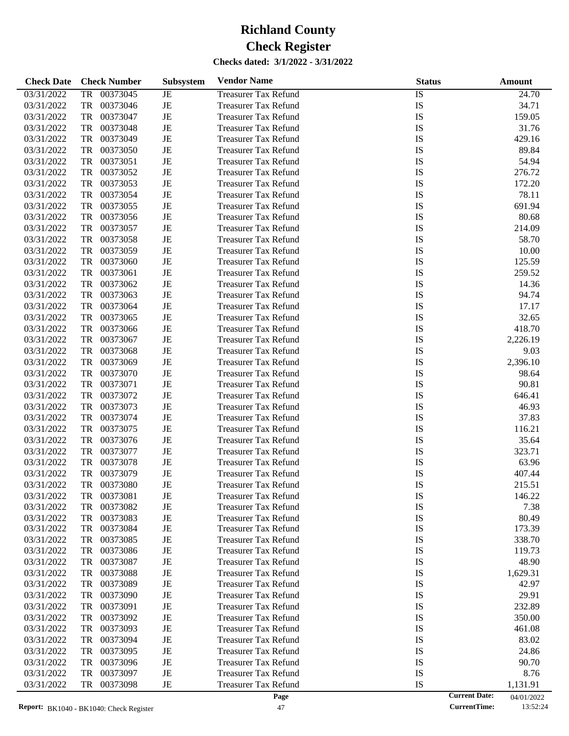| <b>Check Date</b> | <b>Check Number</b>   | <b>Subsystem</b> | <b>Vendor Name</b>          | <b>Status</b>   | <b>Amount</b> |
|-------------------|-----------------------|------------------|-----------------------------|-----------------|---------------|
| 03/31/2022        | <b>TR</b><br>00373045 | <b>JE</b>        | <b>Treasurer Tax Refund</b> | $\overline{IS}$ | 24.70         |
| 03/31/2022        | TR<br>00373046        | JE               | <b>Treasurer Tax Refund</b> | IS              | 34.71         |
| 03/31/2022        | TR<br>00373047        | JE               | <b>Treasurer Tax Refund</b> | IS              | 159.05        |
| 03/31/2022        | TR<br>00373048        | JE               | <b>Treasurer Tax Refund</b> | IS              | 31.76         |
| 03/31/2022        | TR<br>00373049        | JE               | <b>Treasurer Tax Refund</b> | IS              | 429.16        |
| 03/31/2022        | TR<br>00373050        | JE               | <b>Treasurer Tax Refund</b> | IS              | 89.84         |
| 03/31/2022        | TR<br>00373051        | JE               | <b>Treasurer Tax Refund</b> | IS              | 54.94         |
| 03/31/2022        | TR<br>00373052        | JE               | <b>Treasurer Tax Refund</b> | IS              | 276.72        |
| 03/31/2022        | TR<br>00373053        | JE               | <b>Treasurer Tax Refund</b> | IS              | 172.20        |
| 03/31/2022        | TR<br>00373054        | JE               | <b>Treasurer Tax Refund</b> | IS              | 78.11         |
| 03/31/2022        | TR<br>00373055        | JE               | <b>Treasurer Tax Refund</b> | IS              | 691.94        |
| 03/31/2022        | TR<br>00373056        | JE               | <b>Treasurer Tax Refund</b> | IS              | 80.68         |
| 03/31/2022        | TR<br>00373057        | JE               | <b>Treasurer Tax Refund</b> | IS              | 214.09        |
| 03/31/2022        | TR<br>00373058        | JE               | <b>Treasurer Tax Refund</b> | IS              | 58.70         |
| 03/31/2022        | TR<br>00373059        | JE               | <b>Treasurer Tax Refund</b> | IS              | 10.00         |
| 03/31/2022        | TR<br>00373060        | JE               | <b>Treasurer Tax Refund</b> | IS              | 125.59        |
| 03/31/2022        | TR<br>00373061        | JE               | <b>Treasurer Tax Refund</b> | IS              | 259.52        |
| 03/31/2022        | TR<br>00373062        | JE               | <b>Treasurer Tax Refund</b> | IS              | 14.36         |
| 03/31/2022        | TR<br>00373063        | JE               | <b>Treasurer Tax Refund</b> | IS              | 94.74         |
| 03/31/2022        | TR<br>00373064        | JE               | <b>Treasurer Tax Refund</b> | IS              | 17.17         |
| 03/31/2022        | TR<br>00373065        | JE               | <b>Treasurer Tax Refund</b> | IS              | 32.65         |
| 03/31/2022        | TR<br>00373066        | JE               | <b>Treasurer Tax Refund</b> | IS              | 418.70        |
| 03/31/2022        | TR<br>00373067        | JE               | <b>Treasurer Tax Refund</b> | IS              | 2,226.19      |
| 03/31/2022        | TR<br>00373068        | JE               | <b>Treasurer Tax Refund</b> | IS              | 9.03          |
| 03/31/2022        | TR<br>00373069        | JE               | <b>Treasurer Tax Refund</b> | IS              | 2,396.10      |
| 03/31/2022        | TR<br>00373070        | JE               | <b>Treasurer Tax Refund</b> | IS              | 98.64         |
| 03/31/2022        | TR<br>00373071        | JE               | <b>Treasurer Tax Refund</b> | IS              | 90.81         |
| 03/31/2022        | TR<br>00373072        | JE               | <b>Treasurer Tax Refund</b> | IS              | 646.41        |
| 03/31/2022        | TR<br>00373073        | JE               | <b>Treasurer Tax Refund</b> | IS              | 46.93         |
| 03/31/2022        | TR<br>00373074        | JE               | <b>Treasurer Tax Refund</b> | IS              | 37.83         |
| 03/31/2022        | TR<br>00373075        | JE               | <b>Treasurer Tax Refund</b> | IS              | 116.21        |
| 03/31/2022        | TR<br>00373076        | JE               | <b>Treasurer Tax Refund</b> | IS              | 35.64         |
| 03/31/2022        | TR<br>00373077        | JE               | <b>Treasurer Tax Refund</b> | IS              | 323.71        |
| 03/31/2022        | TR<br>00373078        | JE               | <b>Treasurer Tax Refund</b> | IS              | 63.96         |
| 03/31/2022        | 00373079<br>TR        | JE               | <b>Treasurer Tax Refund</b> | IS              | 407.44        |
| 03/31/2022        | 00373080<br>TR        | JE               | <b>Treasurer Tax Refund</b> | IS              | 215.51        |
| 03/31/2022        | 00373081<br>TR        | JE               | <b>Treasurer Tax Refund</b> | IS              | 146.22        |
| 03/31/2022        | 00373082<br>TR        | JE               | <b>Treasurer Tax Refund</b> | IS              | 7.38          |
| 03/31/2022        | TR<br>00373083        | JE               | <b>Treasurer Tax Refund</b> | IS              | 80.49         |
| 03/31/2022        | TR<br>00373084        | JE               | <b>Treasurer Tax Refund</b> | IS              | 173.39        |
| 03/31/2022        | 00373085<br>TR        | JE               | <b>Treasurer Tax Refund</b> | IS              | 338.70        |
| 03/31/2022        | TR<br>00373086        | JE               | <b>Treasurer Tax Refund</b> | IS              | 119.73        |
| 03/31/2022        | TR<br>00373087        | JE               | <b>Treasurer Tax Refund</b> | IS              | 48.90         |
| 03/31/2022        | 00373088<br>TR        | JE               | <b>Treasurer Tax Refund</b> | IS              | 1,629.31      |
| 03/31/2022        | 00373089<br>TR        | JE               | <b>Treasurer Tax Refund</b> | IS              | 42.97         |
| 03/31/2022        | TR<br>00373090        | JE               | <b>Treasurer Tax Refund</b> | IS              | 29.91         |
| 03/31/2022        | TR<br>00373091        | JE               | <b>Treasurer Tax Refund</b> | IS              | 232.89        |
| 03/31/2022        | 00373092<br>TR        | JE               | <b>Treasurer Tax Refund</b> | IS              | 350.00        |
| 03/31/2022        | 00373093<br>TR        | JE               | <b>Treasurer Tax Refund</b> | IS              | 461.08        |
| 03/31/2022        | TR<br>00373094        | JE               | <b>Treasurer Tax Refund</b> | IS              | 83.02         |
| 03/31/2022        | TR<br>00373095        | JE               | <b>Treasurer Tax Refund</b> | IS              | 24.86         |
| 03/31/2022        | 00373096<br>TR        | JE               | <b>Treasurer Tax Refund</b> | IS              | 90.70         |
| 03/31/2022        | 00373097<br>TR        | JE               | <b>Treasurer Tax Refund</b> | IS              | 8.76          |
| 03/31/2022        | TR<br>00373098        | $_{\rm JE}$      | <b>Treasurer Tax Refund</b> | IS              | 1,131.91      |